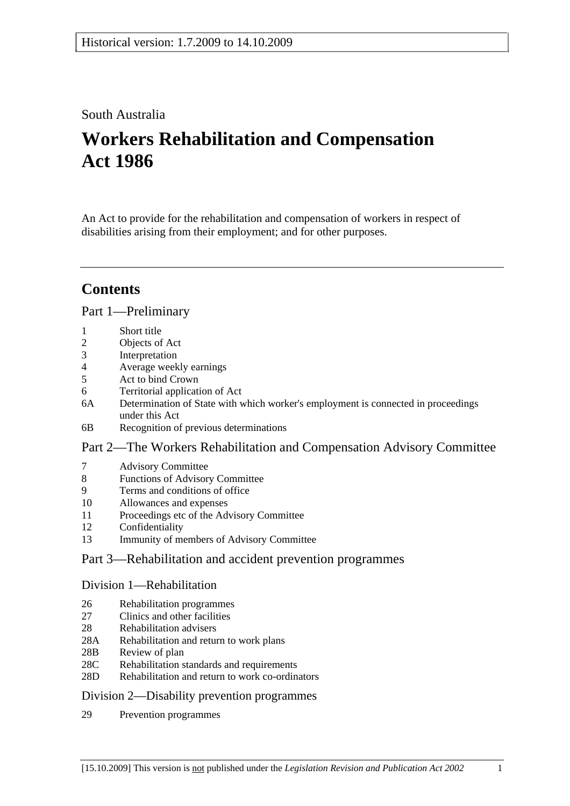## South Australia

# **Workers Rehabilitation and Compensation Act 1986**

An Act to provide for the rehabilitation and compensation of workers in respect of disabilities arising from their employment; and for other purposes.

## **Contents**

### Part 1—Preliminary

- 1 Short title
- 2 Objects of Act
- 3 Interpretation
- 4 Average weekly earnings
- 5 Act to bind Crown
- 6 Territorial application of Act
- 6A Determination of State with which worker's employment is connected in proceedings under this Act
- 6B Recognition of previous determinations

## Part 2—The Workers Rehabilitation and Compensation Advisory Committee

- 7 Advisory Committee
- 8 Functions of Advisory Committee
- 9 Terms and conditions of office
- 10 Allowances and expenses
- 11 Proceedings etc of the Advisory Committee
- 12 Confidentiality
- 13 Immunity of members of Advisory Committee

## Part 3—Rehabilitation and accident prevention programmes

#### Division 1—Rehabilitation

- 26 Rehabilitation programmes
- 27 Clinics and other facilities
- 28 Rehabilitation advisers
- 28A Rehabilitation and return to work plans
- 28B Review of plan
- 28C Rehabilitation standards and requirements
- 28D Rehabilitation and return to work co-ordinators

## Division 2—Disability prevention programmes

29 Prevention programmes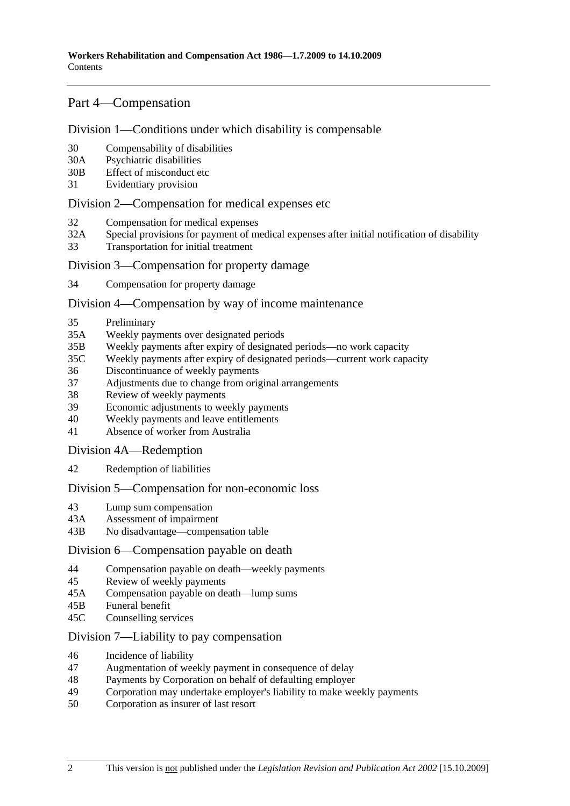## Part 4—Compensation

#### Division 1—Conditions under which disability is compensable

- 30 Compensability of disabilities
- 30A Psychiatric disabilities
- 30B Effect of misconduct etc
- 31 Evidentiary provision

#### Division 2—Compensation for medical expenses etc

- 32 Compensation for medical expenses
- 32A Special provisions for payment of medical expenses after initial notification of disability
- 33 Transportation for initial treatment

#### Division 3—Compensation for property damage

34 Compensation for property damage

#### Division 4—Compensation by way of income maintenance

- 35 Preliminary
- 35A Weekly payments over designated periods
- 35B Weekly payments after expiry of designated periods—no work capacity
- 35C Weekly payments after expiry of designated periods—current work capacity
- 36 Discontinuance of weekly payments
- 37 Adjustments due to change from original arrangements
- 38 Review of weekly payments
- 39 Economic adjustments to weekly payments
- 40 Weekly payments and leave entitlements
- 41 Absence of worker from Australia

Division 4A—Redemption

42 Redemption of liabilities

#### Division 5—Compensation for non-economic loss

- 43 Lump sum compensation
- 43A Assessment of impairment
- 43B No disadvantage—compensation table

#### Division 6—Compensation payable on death

- 44 Compensation payable on death—weekly payments
- 45 Review of weekly payments
- 45A Compensation payable on death—lump sums
- 45B Funeral benefit
- 45C Counselling services

### Division 7—Liability to pay compensation

- 46 Incidence of liability
- 47 Augmentation of weekly payment in consequence of delay
- 48 Payments by Corporation on behalf of defaulting employer
- 49 Corporation may undertake employer's liability to make weekly payments
- 50 Corporation as insurer of last resort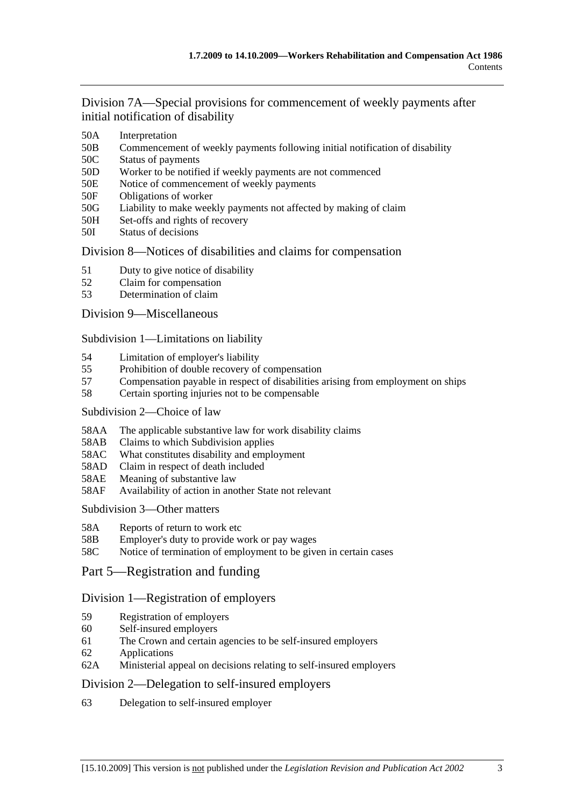Division 7A—Special provisions for commencement of weekly payments after initial notification of disability

- 50A Interpretation
- 50B Commencement of weekly payments following initial notification of disability
- 50C Status of payments
- 50D Worker to be notified if weekly payments are not commenced
- 50E Notice of commencement of weekly payments
- 50F Obligations of worker
- 50G Liability to make weekly payments not affected by making of claim
- 50H Set-offs and rights of recovery
- 50I Status of decisions

### Division 8—Notices of disabilities and claims for compensation

- 51 Duty to give notice of disability
- 52 Claim for compensation
- 53 Determination of claim

### Division 9—Miscellaneous

Subdivision 1—Limitations on liability

- 54 Limitation of employer's liability
- 55 Prohibition of double recovery of compensation
- 57 Compensation payable in respect of disabilities arising from employment on ships
- 58 Certain sporting injuries not to be compensable

#### Subdivision 2—Choice of law

- 58AA The applicable substantive law for work disability claims
- 58AB Claims to which Subdivision applies
- 58AC What constitutes disability and employment
- 58AD Claim in respect of death included
- 58AE Meaning of substantive law
- 58AF Availability of action in another State not relevant

Subdivision 3—Other matters

- 58A Reports of return to work etc
- 58B Employer's duty to provide work or pay wages
- 58C Notice of termination of employment to be given in certain cases
- Part 5—Registration and funding

## Division 1—Registration of employers

- 59 Registration of employers
- 60 Self-insured employers
- 61 The Crown and certain agencies to be self-insured employers
- 62 Applications
- 62A Ministerial appeal on decisions relating to self-insured employers

## Division 2—Delegation to self-insured employers

63 Delegation to self-insured employer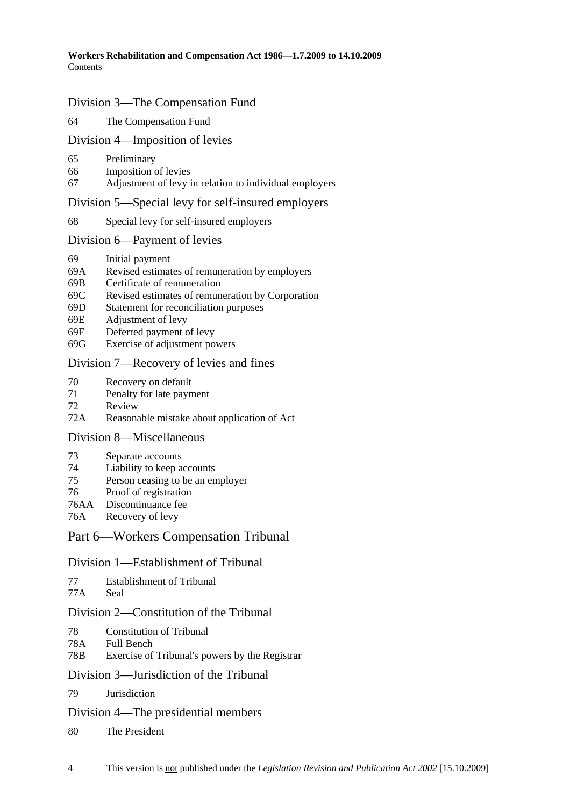### Division 3—The Compensation Fund

64 The Compensation Fund

#### Division 4—Imposition of levies

- 65 Preliminary
- 66 Imposition of levies
- 67 Adjustment of levy in relation to individual employers

#### Division 5—Special levy for self-insured employers

68 Special levy for self-insured employers

### Division 6—Payment of levies

- 69 Initial payment
- 69A Revised estimates of remuneration by employers
- 69B Certificate of remuneration
- 69C Revised estimates of remuneration by Corporation
- 69D Statement for reconciliation purposes
- 69E Adjustment of levy
- 69F Deferred payment of levy
- 69G Exercise of adjustment powers

### Division 7—Recovery of levies and fines

- 70 Recovery on default
- 71 Penalty for late payment
- 72 Review
- 72A Reasonable mistake about application of Act

#### Division 8—Miscellaneous

- 73 Separate accounts
- 74 Liability to keep accounts
- 75 Person ceasing to be an employer
- 76 Proof of registration
- 76AA Discontinuance fee
- 76A Recovery of levy

## Part 6—Workers Compensation Tribunal

#### Division 1—Establishment of Tribunal

| 77 | <b>Establishment of Tribunal</b> |
|----|----------------------------------|
|----|----------------------------------|

77A Seal

## Division 2—Constitution of the Tribunal

- 78 Constitution of Tribunal
- 78A Full Bench
- 78B Exercise of Tribunal's powers by the Registrar

#### Division 3—Jurisdiction of the Tribunal

79 Jurisdiction

#### Division 4—The presidential members

80 The President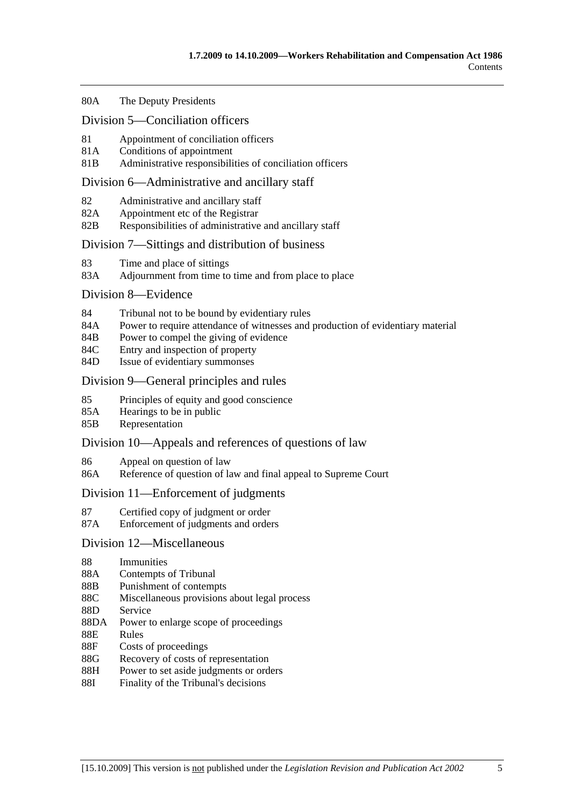#### 80A The Deputy Presidents

#### Division 5—Conciliation officers

- 81 Appointment of conciliation officers
- 81A Conditions of appointment
- 81B Administrative responsibilities of conciliation officers

#### Division 6—Administrative and ancillary staff

- 82 Administrative and ancillary staff
- 82A Appointment etc of the Registrar
- 82B Responsibilities of administrative and ancillary staff

#### Division 7—Sittings and distribution of business

- 83 Time and place of sittings
- 83A Adjournment from time to time and from place to place

#### Division 8—Evidence

- 84 Tribunal not to be bound by evidentiary rules
- 84A Power to require attendance of witnesses and production of evidentiary material
- 84B Power to compel the giving of evidence
- 84C Entry and inspection of property
- 84D Issue of evidentiary summonses

#### Division 9—General principles and rules

- 85 Principles of equity and good conscience
- 85A Hearings to be in public
- 85B Representation

#### Division 10—Appeals and references of questions of law

- 86 Appeal on question of law
- 86A Reference of question of law and final appeal to Supreme Court

#### Division 11—Enforcement of judgments

- 87 Certified copy of judgment or order
- 87A Enforcement of judgments and orders

#### Division 12—Miscellaneous

- 88 Immunities
- 88A Contempts of Tribunal
- 88B Punishment of contempts
- 88C Miscellaneous provisions about legal process
- 88D Service
- 88DA Power to enlarge scope of proceedings
- 88E Rules
- 88F Costs of proceedings
- 88G Recovery of costs of representation
- 88H Power to set aside judgments or orders
- 88I Finality of the Tribunal's decisions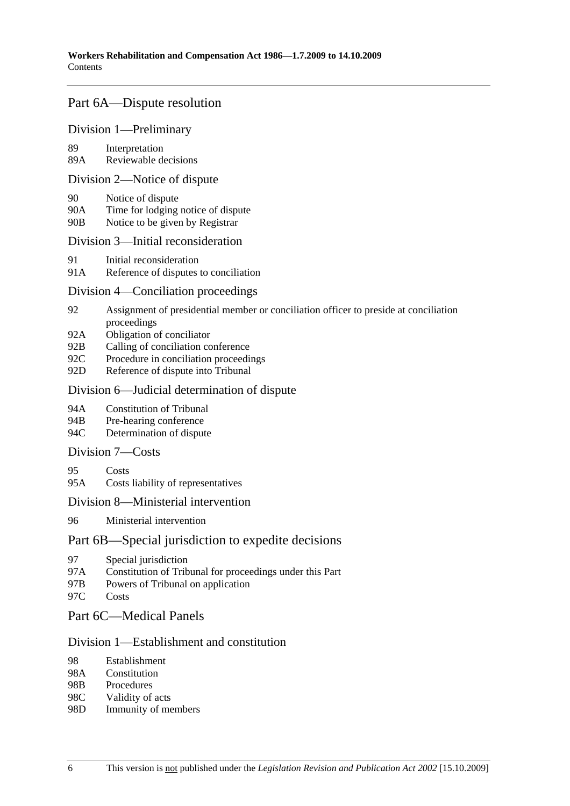## Part 6A—Dispute resolution

#### Division 1—Preliminary

89 Interpretation

89A Reviewable decisions

#### Division 2—Notice of dispute

- 90 Notice of dispute
- 90A Time for lodging notice of dispute
- 90B Notice to be given by Registrar

#### Division 3—Initial reconsideration

- 91 Initial reconsideration
- 91A Reference of disputes to conciliation

### Division 4—Conciliation proceedings

- 92 Assignment of presidential member or conciliation officer to preside at conciliation proceedings
- 92A Obligation of conciliator
- 92B Calling of conciliation conference
- 92C Procedure in conciliation proceedings
- 92D Reference of dispute into Tribunal

### Division 6—Judicial determination of dispute

- 94A Constitution of Tribunal
- 94B Pre-hearing conference
- 94C Determination of dispute

### Division 7—Costs

- 95 Costs
- 95A Costs liability of representatives

#### Division 8—Ministerial intervention

96 Ministerial intervention

## Part 6B—Special jurisdiction to expedite decisions

- 97 Special jurisdiction
- 97A Constitution of Tribunal for proceedings under this Part
- 97B Powers of Tribunal on application
- 97C Costs

#### Part 6C—Medical Panels

#### Division 1—Establishment and constitution

- 98 Establishment
- 98A Constitution
- 98B Procedures
- 98C Validity of acts
- 98D Immunity of members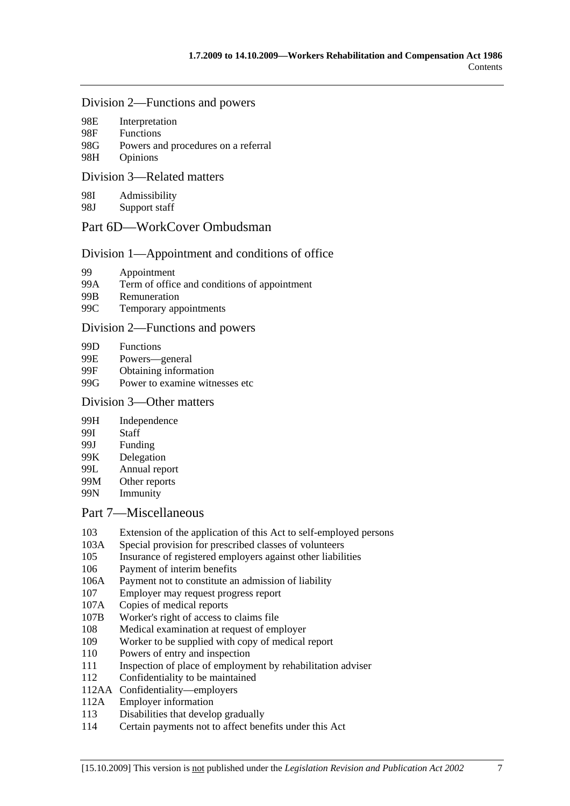#### Division 2—Functions and powers

| 98E | Interpretation |  |
|-----|----------------|--|
| ററെ |                |  |

- 98F Functions 98G Powers and procedures on a referral 98H Opinions
- 

## Division 3—Related matters

98I Admissibility

98J Support staff

## Part 6D—WorkCover Ombudsman

## Division 1—Appointment and conditions of office

- 99 Appointment
- 99A Term of office and conditions of appointment
- 99B Remuneration
- 99C Temporary appointments

### Division 2—Functions and powers

- 99D Functions
- 99E Powers—general
- 99F Obtaining information
- 99G Power to examine witnesses etc

### Division 3—Other matters

- 99H Independence
- 99I Staff
- 99J Funding
- 99K Delegation
- 99L Annual report
- 99M Other reports
- 99N Immunity

## Part 7—Miscellaneous

- 103 Extension of the application of this Act to self-employed persons
- 103A Special provision for prescribed classes of volunteers
- 105 Insurance of registered employers against other liabilities
- 106 Payment of interim benefits
- 106A Payment not to constitute an admission of liability
- 107 Employer may request progress report
- 107A Copies of medical reports
- 107B Worker's right of access to claims file
- 108 Medical examination at request of employer
- 109 Worker to be supplied with copy of medical report
- 110 Powers of entry and inspection
- 111 Inspection of place of employment by rehabilitation adviser
- 112 Confidentiality to be maintained
- 112AA Confidentiality—employers
- 112A Employer information
- 113 Disabilities that develop gradually
- 114 Certain payments not to affect benefits under this Act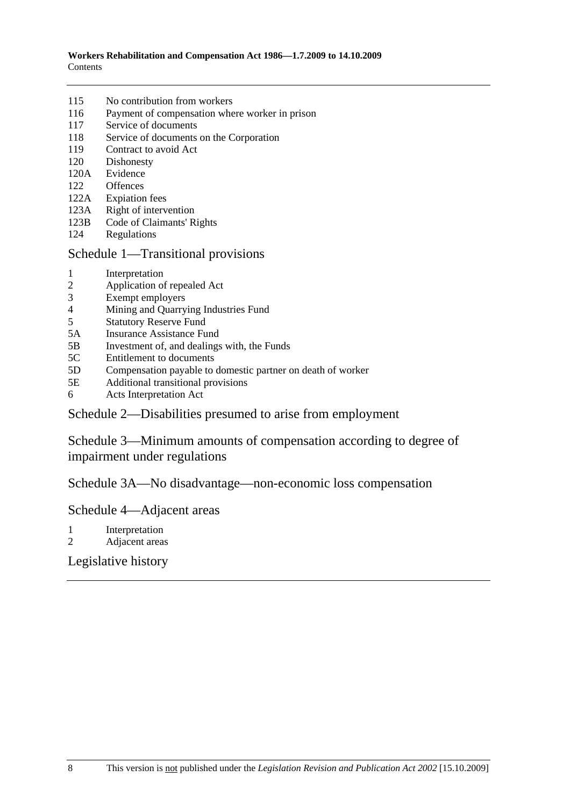| 115 | No contribution from workers |
|-----|------------------------------|
|-----|------------------------------|

- 116 Payment of compensation where worker in prison
- 117 Service of documents
- 118 Service of documents on the Corporation
- 119 Contract to avoid Act
- 120 Dishonesty
- 120A Evidence
- 122 Offences
- 122A Expiation fees
- 123A Right of intervention
- 123B Code of Claimants' Rights
- 124 Regulations

### Schedule 1—Transitional provisions

- 1 Interpretation
- 2 Application of repealed Act
- 3 Exempt employers
- 4 Mining and Quarrying Industries Fund<br>5 Statutory Reserve Fund
- 5 Statutory Reserve Fund
- 5A Insurance Assistance Fund
- 5B Investment of, and dealings with, the Funds
- 5C Entitlement to documents
- 5D Compensation payable to domestic partner on death of worker
- 5E Additional transitional provisions
- 6 Acts Interpretation Act

## Schedule 2—Disabilities presumed to arise from employment

Schedule 3—Minimum amounts of compensation according to degree of impairment under regulations

Schedule 3A—No disadvantage—non-economic loss compensation

## Schedule 4—Adjacent areas

- 1 Interpretation
- 2 Adjacent areas

## Legislative history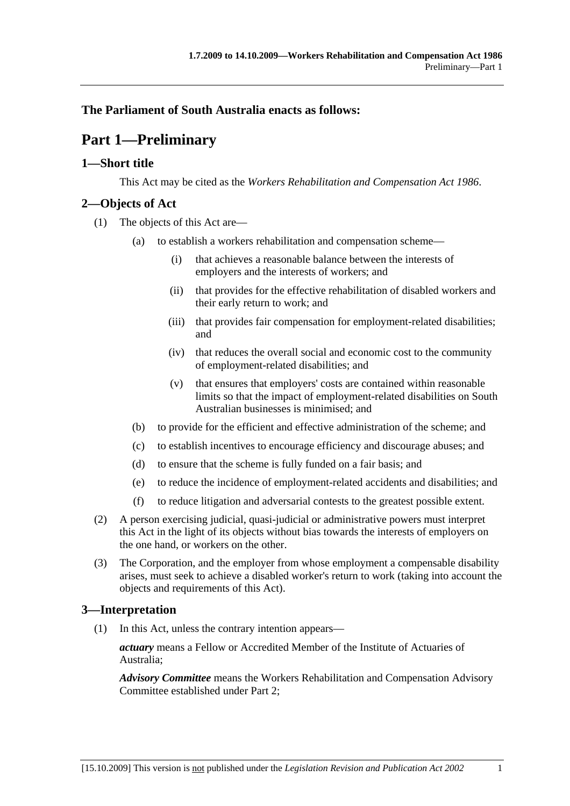## **The Parliament of South Australia enacts as follows:**

## **Part 1—Preliminary**

## **1—Short title**

This Act may be cited as the *Workers Rehabilitation and Compensation Act 1986*.

## **2—Objects of Act**

- (1) The objects of this Act are—
	- (a) to establish a workers rehabilitation and compensation scheme—
		- (i) that achieves a reasonable balance between the interests of employers and the interests of workers; and
		- (ii) that provides for the effective rehabilitation of disabled workers and their early return to work; and
		- (iii) that provides fair compensation for employment-related disabilities; and
		- (iv) that reduces the overall social and economic cost to the community of employment-related disabilities; and
		- (v) that ensures that employers' costs are contained within reasonable limits so that the impact of employment-related disabilities on South Australian businesses is minimised; and
	- (b) to provide for the efficient and effective administration of the scheme; and
	- (c) to establish incentives to encourage efficiency and discourage abuses; and
	- (d) to ensure that the scheme is fully funded on a fair basis; and
	- (e) to reduce the incidence of employment-related accidents and disabilities; and
	- (f) to reduce litigation and adversarial contests to the greatest possible extent.
- (2) A person exercising judicial, quasi-judicial or administrative powers must interpret this Act in the light of its objects without bias towards the interests of employers on the one hand, or workers on the other.
- (3) The Corporation, and the employer from whose employment a compensable disability arises, must seek to achieve a disabled worker's return to work (taking into account the objects and requirements of this Act).

## **3—Interpretation**

(1) In this Act, unless the contrary intention appears—

*actuary* means a Fellow or Accredited Member of the Institute of Actuaries of Australia;

*Advisory Committee* means the Workers Rehabilitation and Compensation Advisory Committee established under Part 2;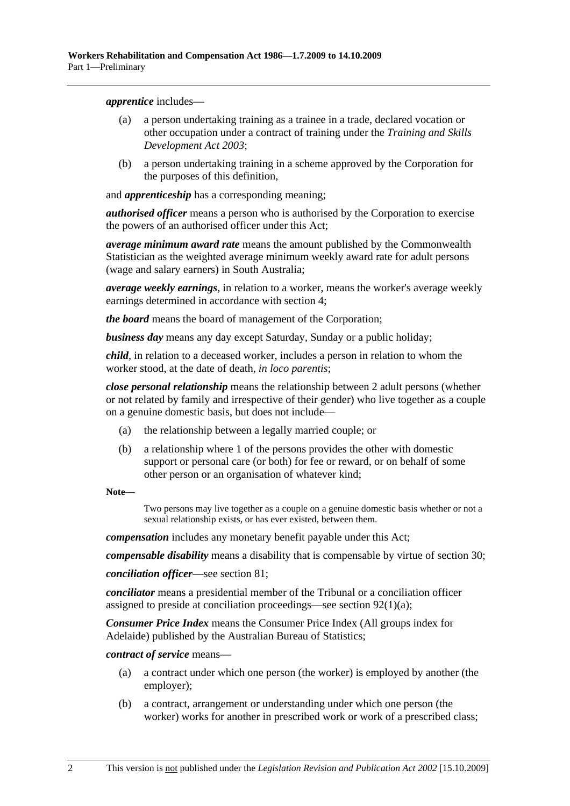*apprentice* includes—

- (a) a person undertaking training as a trainee in a trade, declared vocation or other occupation under a contract of training under the *Training and Skills Development Act 2003*;
- (b) a person undertaking training in a scheme approved by the Corporation for the purposes of this definition,

and *apprenticeship* has a corresponding meaning;

*authorised officer* means a person who is authorised by the Corporation to exercise the powers of an authorised officer under this Act;

*average minimum award rate* means the amount published by the Commonwealth Statistician as the weighted average minimum weekly award rate for adult persons (wage and salary earners) in South Australia;

*average weekly earnings*, in relation to a worker, means the worker's average weekly earnings determined in accordance with section 4;

*the board* means the board of management of the Corporation;

*business day* means any day except Saturday, Sunday or a public holiday;

*child*, in relation to a deceased worker, includes a person in relation to whom the worker stood, at the date of death, *in loco parentis*;

*close personal relationship* means the relationship between 2 adult persons (whether or not related by family and irrespective of their gender) who live together as a couple on a genuine domestic basis, but does not include—

- (a) the relationship between a legally married couple; or
- (b) a relationship where 1 of the persons provides the other with domestic support or personal care (or both) for fee or reward, or on behalf of some other person or an organisation of whatever kind;

**Note—** 

Two persons may live together as a couple on a genuine domestic basis whether or not a sexual relationship exists, or has ever existed, between them.

*compensation* includes any monetary benefit payable under this Act;

*compensable disability* means a disability that is compensable by virtue of section 30;

*conciliation officer*—see section 81;

*conciliator* means a presidential member of the Tribunal or a conciliation officer assigned to preside at conciliation proceedings—see section 92(1)(a);

*Consumer Price Index* means the Consumer Price Index (All groups index for Adelaide) published by the Australian Bureau of Statistics;

*contract of service* means—

- (a) a contract under which one person (the worker) is employed by another (the employer);
- (b) a contract, arrangement or understanding under which one person (the worker) works for another in prescribed work or work of a prescribed class;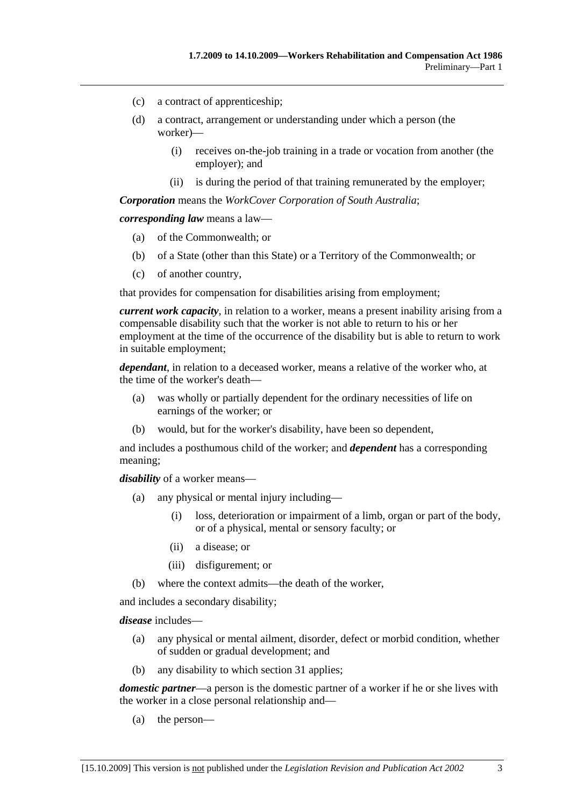- (c) a contract of apprenticeship;
- (d) a contract, arrangement or understanding under which a person (the worker)—
	- (i) receives on-the-job training in a trade or vocation from another (the employer); and
	- (ii) is during the period of that training remunerated by the employer;

*Corporation* means the *WorkCover Corporation of South Australia*;

*corresponding law* means a law—

- (a) of the Commonwealth; or
- (b) of a State (other than this State) or a Territory of the Commonwealth; or
- (c) of another country,

that provides for compensation for disabilities arising from employment;

*current work capacity*, in relation to a worker, means a present inability arising from a compensable disability such that the worker is not able to return to his or her employment at the time of the occurrence of the disability but is able to return to work in suitable employment;

*dependant*, in relation to a deceased worker, means a relative of the worker who, at the time of the worker's death—

- (a) was wholly or partially dependent for the ordinary necessities of life on earnings of the worker; or
- (b) would, but for the worker's disability, have been so dependent,

and includes a posthumous child of the worker; and *dependent* has a corresponding meaning;

*disability* of a worker means—

- (a) any physical or mental injury including—
	- (i) loss, deterioration or impairment of a limb, organ or part of the body, or of a physical, mental or sensory faculty; or
	- (ii) a disease; or
	- (iii) disfigurement; or
- (b) where the context admits—the death of the worker,

and includes a secondary disability;

*disease* includes—

- (a) any physical or mental ailment, disorder, defect or morbid condition, whether of sudden or gradual development; and
- (b) any disability to which section 31 applies;

*domestic partner*—a person is the domestic partner of a worker if he or she lives with the worker in a close personal relationship and—

(a) the person—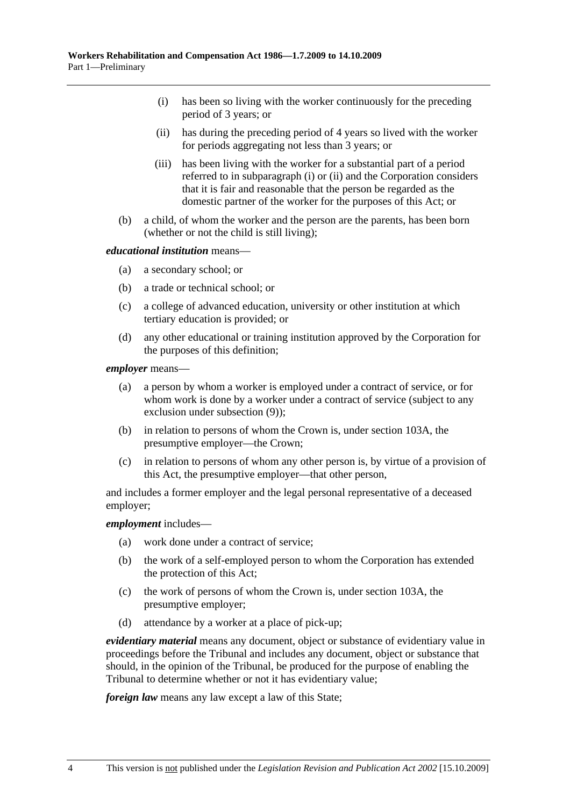- (i) has been so living with the worker continuously for the preceding period of 3 years; or
- (ii) has during the preceding period of 4 years so lived with the worker for periods aggregating not less than 3 years; or
- (iii) has been living with the worker for a substantial part of a period referred to in subparagraph (i) or (ii) and the Corporation considers that it is fair and reasonable that the person be regarded as the domestic partner of the worker for the purposes of this Act; or
- (b) a child, of whom the worker and the person are the parents, has been born (whether or not the child is still living);

#### *educational institution* means—

- (a) a secondary school; or
- (b) a trade or technical school; or
- (c) a college of advanced education, university or other institution at which tertiary education is provided; or
- (d) any other educational or training institution approved by the Corporation for the purposes of this definition;

*employer* means—

- (a) a person by whom a worker is employed under a contract of service, or for whom work is done by a worker under a contract of service (subject to any exclusion under subsection (9));
- (b) in relation to persons of whom the Crown is, under section 103A, the presumptive employer—the Crown;
- (c) in relation to persons of whom any other person is, by virtue of a provision of this Act, the presumptive employer—that other person,

and includes a former employer and the legal personal representative of a deceased employer;

#### *employment* includes—

- (a) work done under a contract of service;
- (b) the work of a self-employed person to whom the Corporation has extended the protection of this Act;
- (c) the work of persons of whom the Crown is, under section 103A, the presumptive employer;
- (d) attendance by a worker at a place of pick-up;

*evidentiary material* means any document, object or substance of evidentiary value in proceedings before the Tribunal and includes any document, object or substance that should, in the opinion of the Tribunal, be produced for the purpose of enabling the Tribunal to determine whether or not it has evidentiary value;

*foreign law* means any law except a law of this State;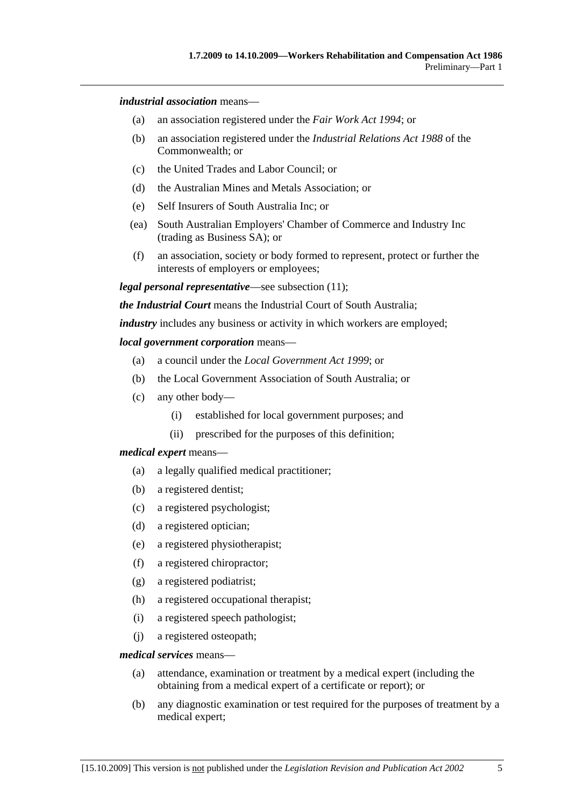#### *industrial association* means—

- (a) an association registered under the *Fair Work Act 1994*; or
- (b) an association registered under the *Industrial Relations Act 1988* of the Commonwealth; or
- (c) the United Trades and Labor Council; or
- (d) the Australian Mines and Metals Association; or
- (e) Self Insurers of South Australia Inc; or
- (ea) South Australian Employers' Chamber of Commerce and Industry Inc (trading as Business SA); or
- (f) an association, society or body formed to represent, protect or further the interests of employers or employees;

*legal personal representative*—see subsection (11);

*the Industrial Court* means the Industrial Court of South Australia;

*industry* includes any business or activity in which workers are employed;

#### *local government corporation* means—

- (a) a council under the *Local Government Act 1999*; or
- (b) the Local Government Association of South Australia; or
- (c) any other body—
	- (i) established for local government purposes; and
	- (ii) prescribed for the purposes of this definition;

#### *medical expert* means—

- (a) a legally qualified medical practitioner;
- (b) a registered dentist;
- (c) a registered psychologist;
- (d) a registered optician;
- (e) a registered physiotherapist;
- (f) a registered chiropractor;
- (g) a registered podiatrist;
- (h) a registered occupational therapist;
- (i) a registered speech pathologist;
- (j) a registered osteopath;

#### *medical services* means—

- (a) attendance, examination or treatment by a medical expert (including the obtaining from a medical expert of a certificate or report); or
- (b) any diagnostic examination or test required for the purposes of treatment by a medical expert;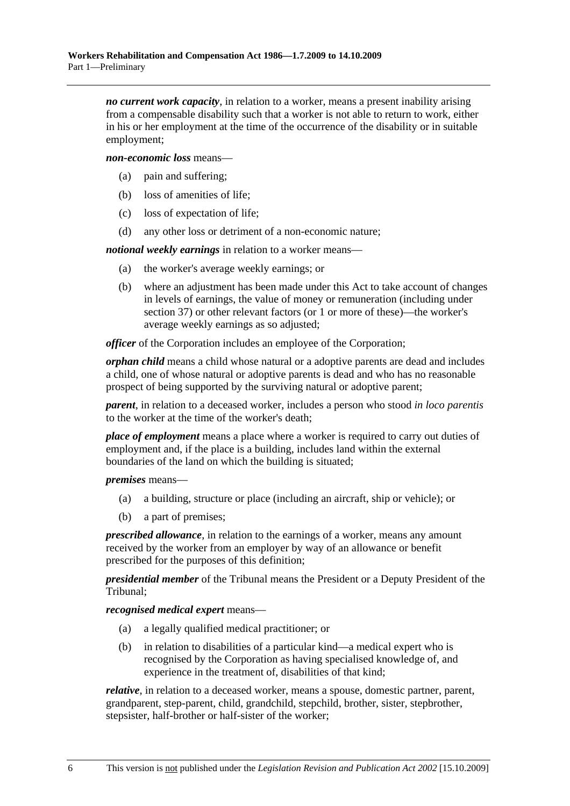*no current work capacity*, in relation to a worker, means a present inability arising from a compensable disability such that a worker is not able to return to work, either in his or her employment at the time of the occurrence of the disability or in suitable employment;

*non-economic loss* means—

- (a) pain and suffering;
- (b) loss of amenities of life;
- (c) loss of expectation of life;
- (d) any other loss or detriment of a non-economic nature;

*notional weekly earnings* in relation to a worker means—

- (a) the worker's average weekly earnings; or
- (b) where an adjustment has been made under this Act to take account of changes in levels of earnings, the value of money or remuneration (including under section 37) or other relevant factors (or 1 or more of these)—the worker's average weekly earnings as so adjusted;

*officer* of the Corporation includes an employee of the Corporation;

*orphan child* means a child whose natural or a adoptive parents are dead and includes a child, one of whose natural or adoptive parents is dead and who has no reasonable prospect of being supported by the surviving natural or adoptive parent;

*parent*, in relation to a deceased worker, includes a person who stood *in loco parentis* to the worker at the time of the worker's death;

*place of employment* means a place where a worker is required to carry out duties of employment and, if the place is a building, includes land within the external boundaries of the land on which the building is situated;

*premises* means—

- (a) a building, structure or place (including an aircraft, ship or vehicle); or
- (b) a part of premises;

*prescribed allowance*, in relation to the earnings of a worker, means any amount received by the worker from an employer by way of an allowance or benefit prescribed for the purposes of this definition;

*presidential member* of the Tribunal means the President or a Deputy President of the Tribunal;

*recognised medical expert* means—

- (a) a legally qualified medical practitioner; or
- (b) in relation to disabilities of a particular kind—a medical expert who is recognised by the Corporation as having specialised knowledge of, and experience in the treatment of, disabilities of that kind;

*relative*, in relation to a deceased worker, means a spouse, domestic partner, parent, grandparent, step-parent, child, grandchild, stepchild, brother, sister, stepbrother, stepsister, half-brother or half-sister of the worker;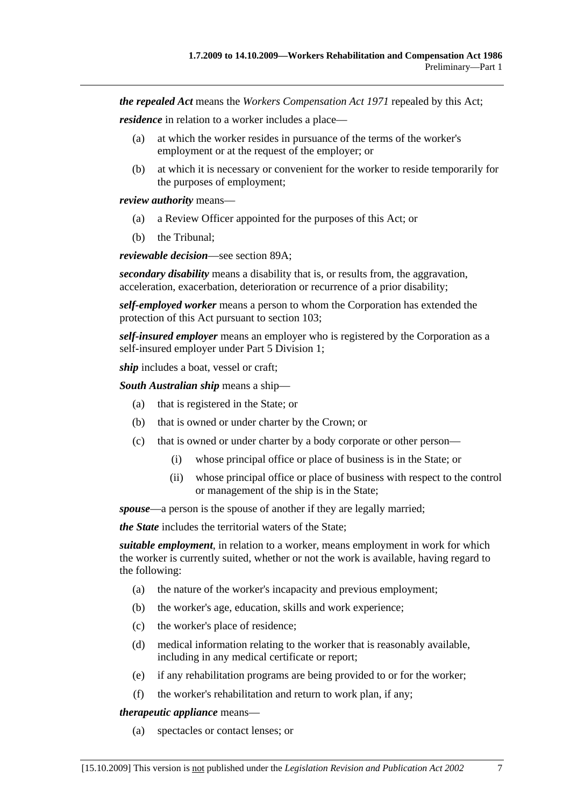*the repealed Act* means the *Workers Compensation Act 1971* repealed by this Act;

*residence* in relation to a worker includes a place—

- (a) at which the worker resides in pursuance of the terms of the worker's employment or at the request of the employer; or
- (b) at which it is necessary or convenient for the worker to reside temporarily for the purposes of employment;

*review authority* means—

- (a) a Review Officer appointed for the purposes of this Act; or
- (b) the Tribunal;

*reviewable decision*—see section 89A;

*secondary disability* means a disability that is, or results from, the aggravation, acceleration, exacerbation, deterioration or recurrence of a prior disability;

*self-employed worker* means a person to whom the Corporation has extended the protection of this Act pursuant to section 103;

*self-insured employer* means an employer who is registered by the Corporation as a self-insured employer under Part 5 Division 1;

*ship* includes a boat, vessel or craft;

*South Australian ship* means a ship—

- (a) that is registered in the State; or
- (b) that is owned or under charter by the Crown; or
- (c) that is owned or under charter by a body corporate or other person—
	- (i) whose principal office or place of business is in the State; or
	- (ii) whose principal office or place of business with respect to the control or management of the ship is in the State;

*spouse*—a person is the spouse of another if they are legally married;

*the State* includes the territorial waters of the State;

*suitable employment*, in relation to a worker, means employment in work for which the worker is currently suited, whether or not the work is available, having regard to the following:

- (a) the nature of the worker's incapacity and previous employment;
- (b) the worker's age, education, skills and work experience;
- (c) the worker's place of residence;
- (d) medical information relating to the worker that is reasonably available, including in any medical certificate or report;
- (e) if any rehabilitation programs are being provided to or for the worker;
- (f) the worker's rehabilitation and return to work plan, if any;

*therapeutic appliance* means—

(a) spectacles or contact lenses; or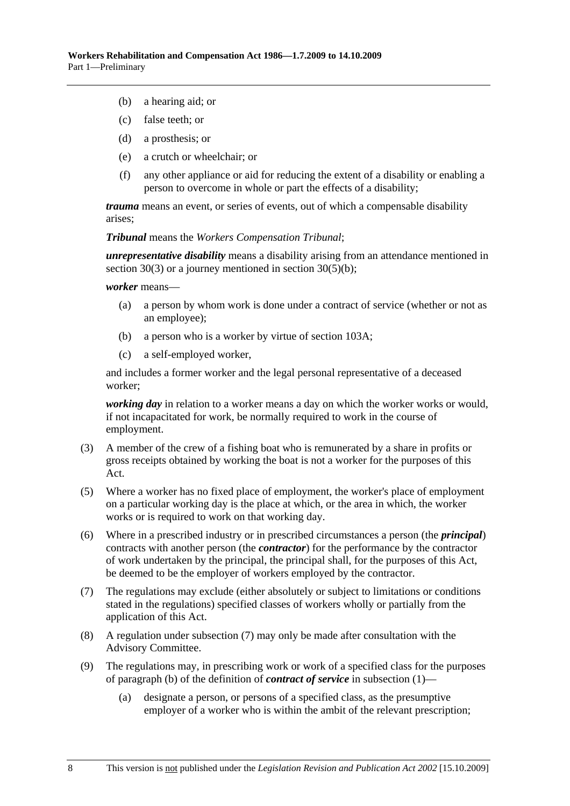- (b) a hearing aid; or
- (c) false teeth; or
- (d) a prosthesis; or
- (e) a crutch or wheelchair; or
- (f) any other appliance or aid for reducing the extent of a disability or enabling a person to overcome in whole or part the effects of a disability;

*trauma* means an event, or series of events, out of which a compensable disability arises;

*Tribunal* means the *Workers Compensation Tribunal*;

*unrepresentative disability* means a disability arising from an attendance mentioned in section 30(3) or a journey mentioned in section 30(5)(b);

*worker* means—

- (a) a person by whom work is done under a contract of service (whether or not as an employee);
- (b) a person who is a worker by virtue of section 103A;
- (c) a self-employed worker,

and includes a former worker and the legal personal representative of a deceased worker;

*working day* in relation to a worker means a day on which the worker works or would, if not incapacitated for work, be normally required to work in the course of employment.

- (3) A member of the crew of a fishing boat who is remunerated by a share in profits or gross receipts obtained by working the boat is not a worker for the purposes of this Act.
- (5) Where a worker has no fixed place of employment, the worker's place of employment on a particular working day is the place at which, or the area in which, the worker works or is required to work on that working day.
- (6) Where in a prescribed industry or in prescribed circumstances a person (the *principal*) contracts with another person (the *contractor*) for the performance by the contractor of work undertaken by the principal, the principal shall, for the purposes of this Act, be deemed to be the employer of workers employed by the contractor.
- (7) The regulations may exclude (either absolutely or subject to limitations or conditions stated in the regulations) specified classes of workers wholly or partially from the application of this Act.
- (8) A regulation under subsection (7) may only be made after consultation with the Advisory Committee.
- (9) The regulations may, in prescribing work or work of a specified class for the purposes of paragraph (b) of the definition of *contract of service* in subsection (1)—
	- (a) designate a person, or persons of a specified class, as the presumptive employer of a worker who is within the ambit of the relevant prescription;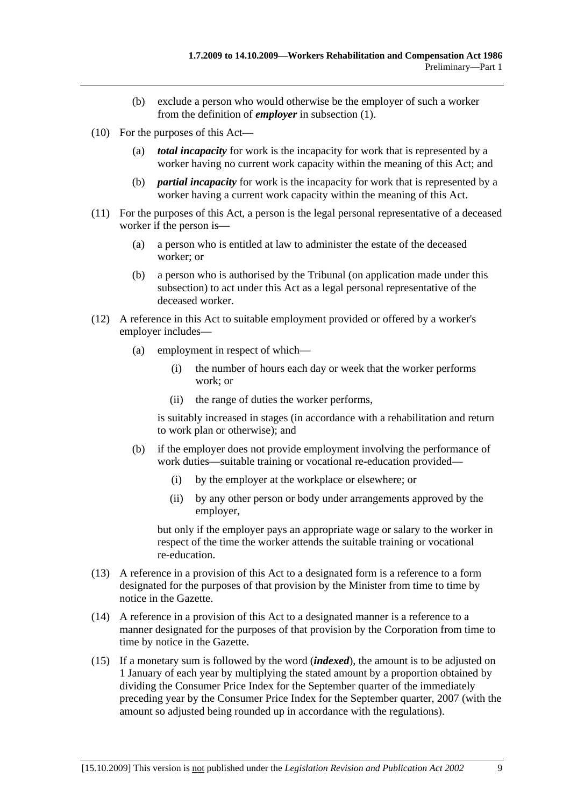- (b) exclude a person who would otherwise be the employer of such a worker from the definition of *employer* in subsection (1).
- (10) For the purposes of this Act—
	- (a) *total incapacity* for work is the incapacity for work that is represented by a worker having no current work capacity within the meaning of this Act; and
	- (b) *partial incapacity* for work is the incapacity for work that is represented by a worker having a current work capacity within the meaning of this Act.
- (11) For the purposes of this Act, a person is the legal personal representative of a deceased worker if the person is—
	- (a) a person who is entitled at law to administer the estate of the deceased worker; or
	- (b) a person who is authorised by the Tribunal (on application made under this subsection) to act under this Act as a legal personal representative of the deceased worker.
- (12) A reference in this Act to suitable employment provided or offered by a worker's employer includes—
	- (a) employment in respect of which—
		- (i) the number of hours each day or week that the worker performs work; or
		- (ii) the range of duties the worker performs,

is suitably increased in stages (in accordance with a rehabilitation and return to work plan or otherwise); and

- (b) if the employer does not provide employment involving the performance of work duties—suitable training or vocational re-education provided—
	- (i) by the employer at the workplace or elsewhere; or
	- (ii) by any other person or body under arrangements approved by the employer,

but only if the employer pays an appropriate wage or salary to the worker in respect of the time the worker attends the suitable training or vocational re-education.

- (13) A reference in a provision of this Act to a designated form is a reference to a form designated for the purposes of that provision by the Minister from time to time by notice in the Gazette.
- (14) A reference in a provision of this Act to a designated manner is a reference to a manner designated for the purposes of that provision by the Corporation from time to time by notice in the Gazette.
- (15) If a monetary sum is followed by the word (*indexed*), the amount is to be adjusted on 1 January of each year by multiplying the stated amount by a proportion obtained by dividing the Consumer Price Index for the September quarter of the immediately preceding year by the Consumer Price Index for the September quarter, 2007 (with the amount so adjusted being rounded up in accordance with the regulations).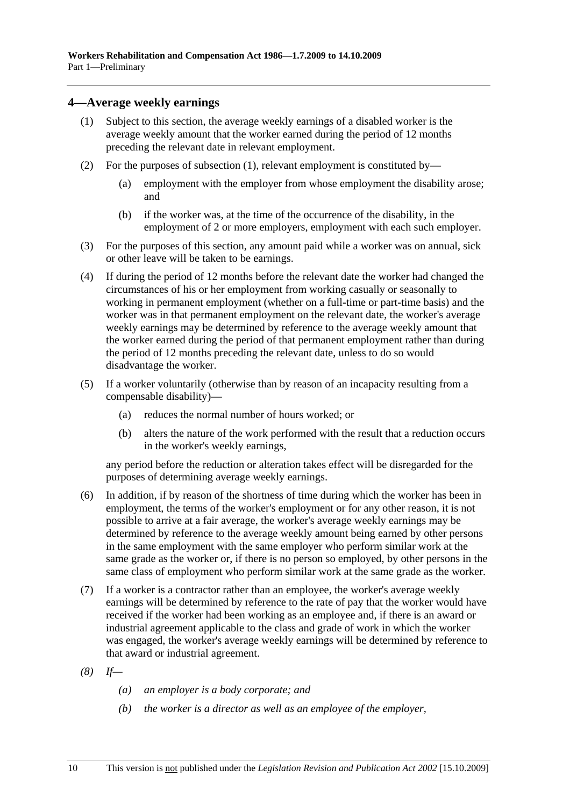### **4—Average weekly earnings**

- (1) Subject to this section, the average weekly earnings of a disabled worker is the average weekly amount that the worker earned during the period of 12 months preceding the relevant date in relevant employment.
- (2) For the purposes of subsection (1), relevant employment is constituted by—
	- (a) employment with the employer from whose employment the disability arose; and
	- (b) if the worker was, at the time of the occurrence of the disability, in the employment of 2 or more employers, employment with each such employer.
- (3) For the purposes of this section, any amount paid while a worker was on annual, sick or other leave will be taken to be earnings.
- (4) If during the period of 12 months before the relevant date the worker had changed the circumstances of his or her employment from working casually or seasonally to working in permanent employment (whether on a full-time or part-time basis) and the worker was in that permanent employment on the relevant date, the worker's average weekly earnings may be determined by reference to the average weekly amount that the worker earned during the period of that permanent employment rather than during the period of 12 months preceding the relevant date, unless to do so would disadvantage the worker.
- (5) If a worker voluntarily (otherwise than by reason of an incapacity resulting from a compensable disability)—
	- (a) reduces the normal number of hours worked; or
	- (b) alters the nature of the work performed with the result that a reduction occurs in the worker's weekly earnings,

any period before the reduction or alteration takes effect will be disregarded for the purposes of determining average weekly earnings.

- (6) In addition, if by reason of the shortness of time during which the worker has been in employment, the terms of the worker's employment or for any other reason, it is not possible to arrive at a fair average, the worker's average weekly earnings may be determined by reference to the average weekly amount being earned by other persons in the same employment with the same employer who perform similar work at the same grade as the worker or, if there is no person so employed, by other persons in the same class of employment who perform similar work at the same grade as the worker.
- (7) If a worker is a contractor rather than an employee, the worker's average weekly earnings will be determined by reference to the rate of pay that the worker would have received if the worker had been working as an employee and, if there is an award or industrial agreement applicable to the class and grade of work in which the worker was engaged, the worker's average weekly earnings will be determined by reference to that award or industrial agreement.
- *(8) If—* 
	- *(a) an employer is a body corporate; and*
	- *(b) the worker is a director as well as an employee of the employer,*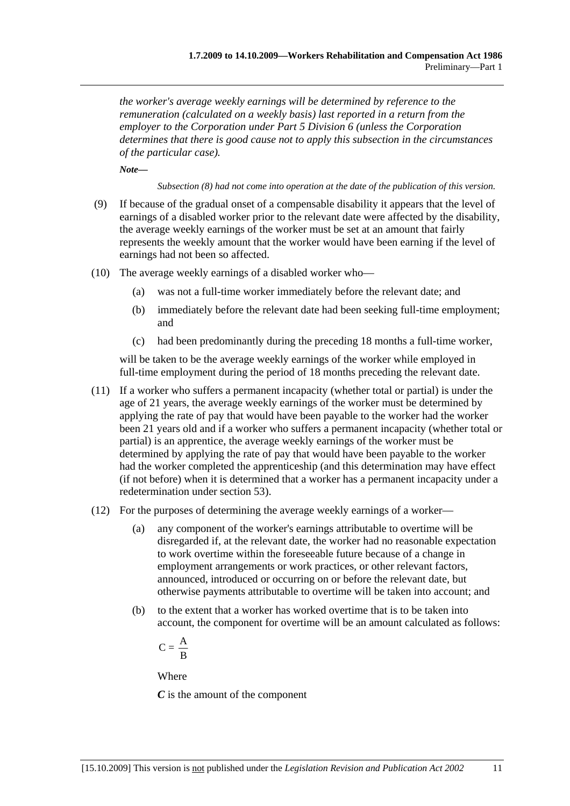*the worker's average weekly earnings will be determined by reference to the remuneration (calculated on a weekly basis) last reported in a return from the employer to the Corporation under Part 5 Division 6 (unless the Corporation determines that there is good cause not to apply this subsection in the circumstances of the particular case).* 

*Note—* 

*Subsection (8) had not come into operation at the date of the publication of this version.* 

- (9) If because of the gradual onset of a compensable disability it appears that the level of earnings of a disabled worker prior to the relevant date were affected by the disability, the average weekly earnings of the worker must be set at an amount that fairly represents the weekly amount that the worker would have been earning if the level of earnings had not been so affected.
- (10) The average weekly earnings of a disabled worker who—
	- (a) was not a full-time worker immediately before the relevant date; and
	- (b) immediately before the relevant date had been seeking full-time employment; and
	- (c) had been predominantly during the preceding 18 months a full-time worker,

will be taken to be the average weekly earnings of the worker while employed in full-time employment during the period of 18 months preceding the relevant date.

- (11) If a worker who suffers a permanent incapacity (whether total or partial) is under the age of 21 years, the average weekly earnings of the worker must be determined by applying the rate of pay that would have been payable to the worker had the worker been 21 years old and if a worker who suffers a permanent incapacity (whether total or partial) is an apprentice, the average weekly earnings of the worker must be determined by applying the rate of pay that would have been payable to the worker had the worker completed the apprenticeship (and this determination may have effect (if not before) when it is determined that a worker has a permanent incapacity under a redetermination under section 53).
- (12) For the purposes of determining the average weekly earnings of a worker—
	- (a) any component of the worker's earnings attributable to overtime will be disregarded if, at the relevant date, the worker had no reasonable expectation to work overtime within the foreseeable future because of a change in employment arrangements or work practices, or other relevant factors, announced, introduced or occurring on or before the relevant date, but otherwise payments attributable to overtime will be taken into account; and
	- (b) to the extent that a worker has worked overtime that is to be taken into account, the component for overtime will be an amount calculated as follows:

$$
C=\frac{\textstyle A}{\textstyle \textstyle B}
$$

Where

*C* is the amount of the component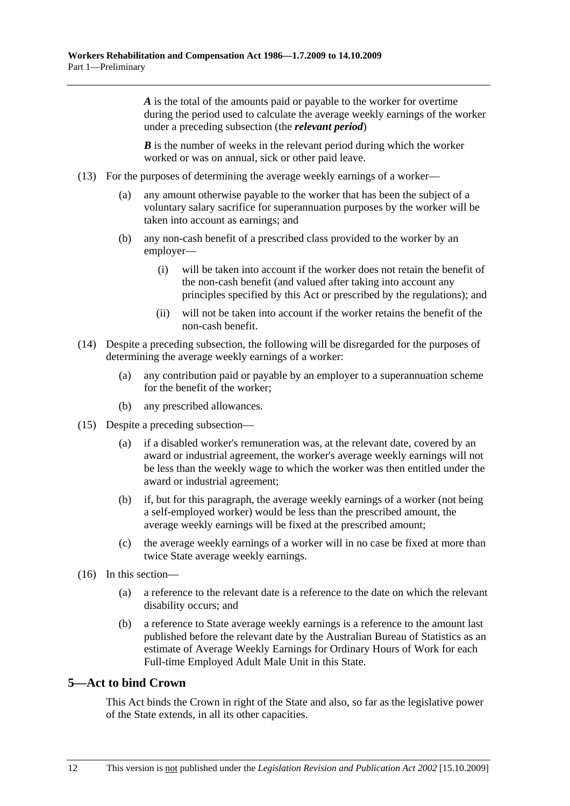*A* is the total of the amounts paid or payable to the worker for overtime during the period used to calculate the average weekly earnings of the worker under a preceding subsection (the *relevant period*)

*B* is the number of weeks in the relevant period during which the worker worked or was on annual, sick or other paid leave.

- (13) For the purposes of determining the average weekly earnings of a worker—
	- (a) any amount otherwise payable to the worker that has been the subject of a voluntary salary sacrifice for superannuation purposes by the worker will be taken into account as earnings; and
	- (b) any non-cash benefit of a prescribed class provided to the worker by an employer—
		- (i) will be taken into account if the worker does not retain the benefit of the non-cash benefit (and valued after taking into account any principles specified by this Act or prescribed by the regulations); and
		- (ii) will not be taken into account if the worker retains the benefit of the non-cash benefit.
- (14) Despite a preceding subsection, the following will be disregarded for the purposes of determining the average weekly earnings of a worker:
	- (a) any contribution paid or payable by an employer to a superannuation scheme for the benefit of the worker;
	- (b) any prescribed allowances.
- (15) Despite a preceding subsection—
	- (a) if a disabled worker's remuneration was, at the relevant date, covered by an award or industrial agreement, the worker's average weekly earnings will not be less than the weekly wage to which the worker was then entitled under the award or industrial agreement;
	- (b) if, but for this paragraph, the average weekly earnings of a worker (not being a self-employed worker) would be less than the prescribed amount, the average weekly earnings will be fixed at the prescribed amount;
	- (c) the average weekly earnings of a worker will in no case be fixed at more than twice State average weekly earnings.
- (16) In this section—
	- (a) a reference to the relevant date is a reference to the date on which the relevant disability occurs; and
	- (b) a reference to State average weekly earnings is a reference to the amount last published before the relevant date by the Australian Bureau of Statistics as an estimate of Average Weekly Earnings for Ordinary Hours of Work for each Full-time Employed Adult Male Unit in this State.

## **5—Act to bind Crown**

This Act binds the Crown in right of the State and also, so far as the legislative power of the State extends, in all its other capacities.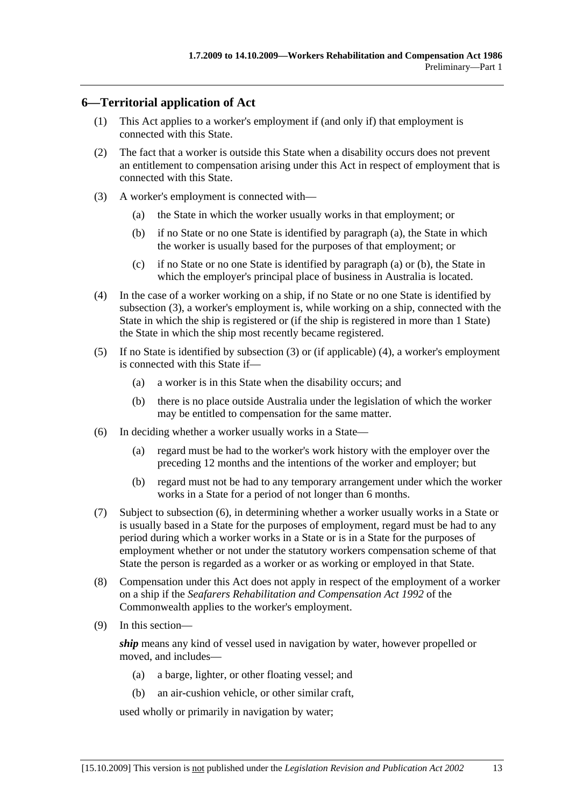## **6—Territorial application of Act**

- (1) This Act applies to a worker's employment if (and only if) that employment is connected with this State.
- (2) The fact that a worker is outside this State when a disability occurs does not prevent an entitlement to compensation arising under this Act in respect of employment that is connected with this State.
- (3) A worker's employment is connected with—
	- (a) the State in which the worker usually works in that employment; or
	- (b) if no State or no one State is identified by paragraph (a), the State in which the worker is usually based for the purposes of that employment; or
	- (c) if no State or no one State is identified by paragraph (a) or (b), the State in which the employer's principal place of business in Australia is located.
- (4) In the case of a worker working on a ship, if no State or no one State is identified by subsection (3), a worker's employment is, while working on a ship, connected with the State in which the ship is registered or (if the ship is registered in more than 1 State) the State in which the ship most recently became registered.
- (5) If no State is identified by subsection (3) or (if applicable) (4), a worker's employment is connected with this State if—
	- (a) a worker is in this State when the disability occurs; and
	- (b) there is no place outside Australia under the legislation of which the worker may be entitled to compensation for the same matter.
- (6) In deciding whether a worker usually works in a State—
	- (a) regard must be had to the worker's work history with the employer over the preceding 12 months and the intentions of the worker and employer; but
	- (b) regard must not be had to any temporary arrangement under which the worker works in a State for a period of not longer than 6 months.
- (7) Subject to subsection (6), in determining whether a worker usually works in a State or is usually based in a State for the purposes of employment, regard must be had to any period during which a worker works in a State or is in a State for the purposes of employment whether or not under the statutory workers compensation scheme of that State the person is regarded as a worker or as working or employed in that State.
- (8) Compensation under this Act does not apply in respect of the employment of a worker on a ship if the *Seafarers Rehabilitation and Compensation Act 1992* of the Commonwealth applies to the worker's employment.
- (9) In this section—

*ship* means any kind of vessel used in navigation by water, however propelled or moved, and includes—

- (a) a barge, lighter, or other floating vessel; and
- (b) an air-cushion vehicle, or other similar craft,

used wholly or primarily in navigation by water;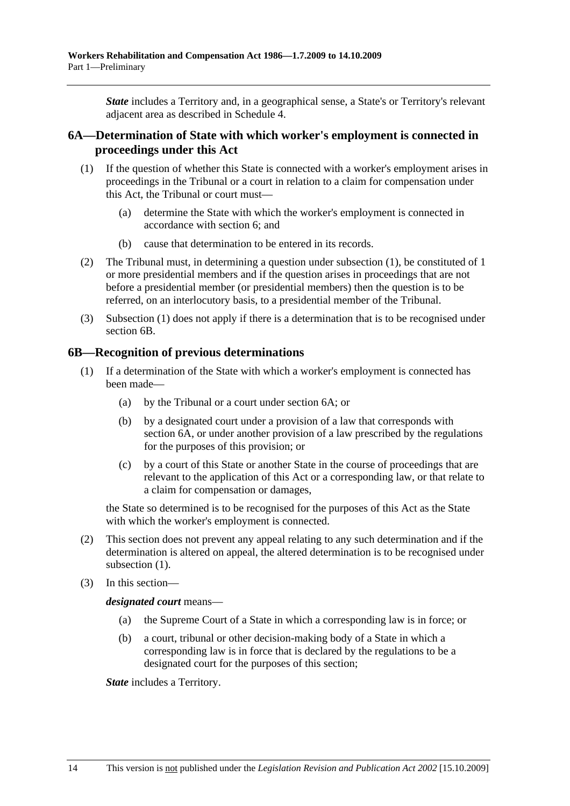*State* includes a Territory and, in a geographical sense, a State's or Territory's relevant adjacent area as described in Schedule 4.

## **6A—Determination of State with which worker's employment is connected in proceedings under this Act**

- (1) If the question of whether this State is connected with a worker's employment arises in proceedings in the Tribunal or a court in relation to a claim for compensation under this Act, the Tribunal or court must—
	- (a) determine the State with which the worker's employment is connected in accordance with section 6; and
	- (b) cause that determination to be entered in its records.
- (2) The Tribunal must, in determining a question under subsection (1), be constituted of 1 or more presidential members and if the question arises in proceedings that are not before a presidential member (or presidential members) then the question is to be referred, on an interlocutory basis, to a presidential member of the Tribunal.
- (3) Subsection (1) does not apply if there is a determination that is to be recognised under section 6B.

### **6B—Recognition of previous determinations**

- (1) If a determination of the State with which a worker's employment is connected has been made—
	- (a) by the Tribunal or a court under section 6A; or
	- (b) by a designated court under a provision of a law that corresponds with section 6A, or under another provision of a law prescribed by the regulations for the purposes of this provision; or
	- (c) by a court of this State or another State in the course of proceedings that are relevant to the application of this Act or a corresponding law, or that relate to a claim for compensation or damages,

the State so determined is to be recognised for the purposes of this Act as the State with which the worker's employment is connected.

- (2) This section does not prevent any appeal relating to any such determination and if the determination is altered on appeal, the altered determination is to be recognised under subsection  $(1)$ .
- (3) In this section—

*designated court* means—

- (a) the Supreme Court of a State in which a corresponding law is in force; or
- (b) a court, tribunal or other decision-making body of a State in which a corresponding law is in force that is declared by the regulations to be a designated court for the purposes of this section;

*State* includes a Territory.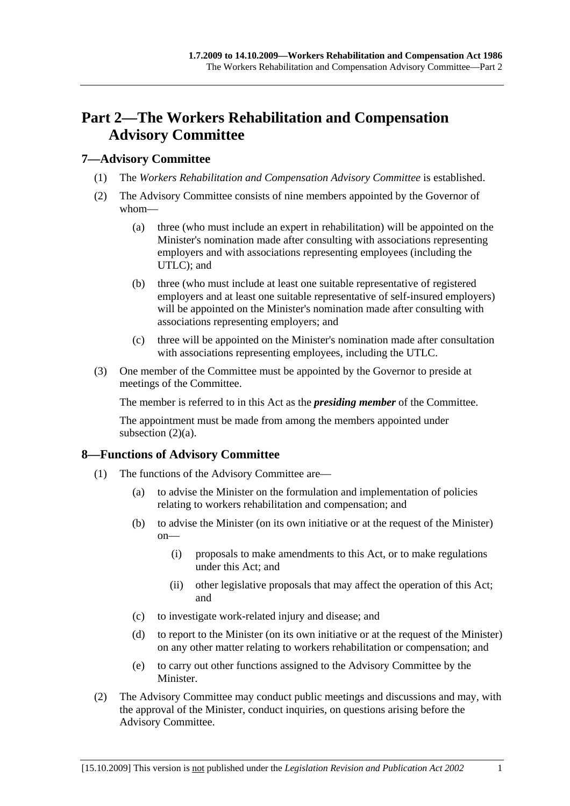## **Part 2—The Workers Rehabilitation and Compensation Advisory Committee**

### **7—Advisory Committee**

- (1) The *Workers Rehabilitation and Compensation Advisory Committee* is established.
- (2) The Advisory Committee consists of nine members appointed by the Governor of whom—
	- (a) three (who must include an expert in rehabilitation) will be appointed on the Minister's nomination made after consulting with associations representing employers and with associations representing employees (including the UTLC); and
	- (b) three (who must include at least one suitable representative of registered employers and at least one suitable representative of self-insured employers) will be appointed on the Minister's nomination made after consulting with associations representing employers; and
	- (c) three will be appointed on the Minister's nomination made after consultation with associations representing employees, including the UTLC.
- (3) One member of the Committee must be appointed by the Governor to preside at meetings of the Committee.

The member is referred to in this Act as the *presiding member* of the Committee.

The appointment must be made from among the members appointed under subsection  $(2)(a)$ .

## **8—Functions of Advisory Committee**

- (1) The functions of the Advisory Committee are—
	- (a) to advise the Minister on the formulation and implementation of policies relating to workers rehabilitation and compensation; and
	- (b) to advise the Minister (on its own initiative or at the request of the Minister) on—
		- (i) proposals to make amendments to this Act, or to make regulations under this Act; and
		- (ii) other legislative proposals that may affect the operation of this Act; and
	- (c) to investigate work-related injury and disease; and
	- (d) to report to the Minister (on its own initiative or at the request of the Minister) on any other matter relating to workers rehabilitation or compensation; and
	- (e) to carry out other functions assigned to the Advisory Committee by the Minister.
- (2) The Advisory Committee may conduct public meetings and discussions and may, with the approval of the Minister, conduct inquiries, on questions arising before the Advisory Committee.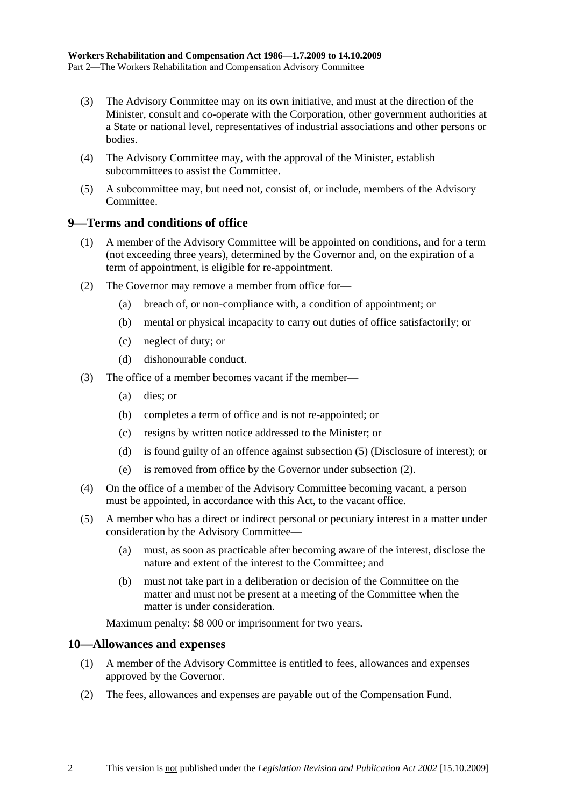- (3) The Advisory Committee may on its own initiative, and must at the direction of the Minister, consult and co-operate with the Corporation, other government authorities at a State or national level, representatives of industrial associations and other persons or bodies.
- (4) The Advisory Committee may, with the approval of the Minister, establish subcommittees to assist the Committee.
- (5) A subcommittee may, but need not, consist of, or include, members of the Advisory Committee.

### **9—Terms and conditions of office**

- (1) A member of the Advisory Committee will be appointed on conditions, and for a term (not exceeding three years), determined by the Governor and, on the expiration of a term of appointment, is eligible for re-appointment.
- (2) The Governor may remove a member from office for—
	- (a) breach of, or non-compliance with, a condition of appointment; or
	- (b) mental or physical incapacity to carry out duties of office satisfactorily; or
	- (c) neglect of duty; or
	- (d) dishonourable conduct.
- (3) The office of a member becomes vacant if the member—
	- (a) dies; or
	- (b) completes a term of office and is not re-appointed; or
	- (c) resigns by written notice addressed to the Minister; or
	- (d) is found guilty of an offence against subsection (5) (Disclosure of interest); or
	- (e) is removed from office by the Governor under subsection (2).
- (4) On the office of a member of the Advisory Committee becoming vacant, a person must be appointed, in accordance with this Act, to the vacant office.
- (5) A member who has a direct or indirect personal or pecuniary interest in a matter under consideration by the Advisory Committee—
	- (a) must, as soon as practicable after becoming aware of the interest, disclose the nature and extent of the interest to the Committee; and
	- (b) must not take part in a deliberation or decision of the Committee on the matter and must not be present at a meeting of the Committee when the matter is under consideration.

Maximum penalty: \$8 000 or imprisonment for two years.

#### **10—Allowances and expenses**

- (1) A member of the Advisory Committee is entitled to fees, allowances and expenses approved by the Governor.
- (2) The fees, allowances and expenses are payable out of the Compensation Fund.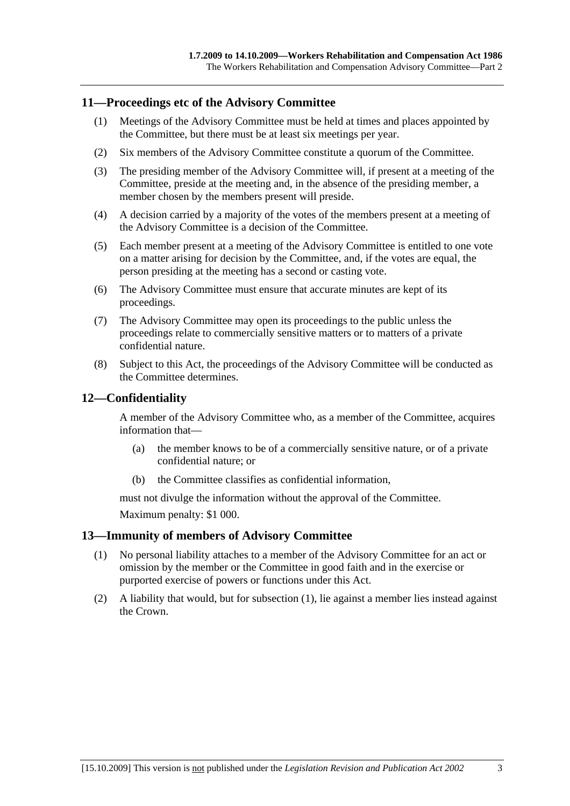### **11—Proceedings etc of the Advisory Committee**

- (1) Meetings of the Advisory Committee must be held at times and places appointed by the Committee, but there must be at least six meetings per year.
- (2) Six members of the Advisory Committee constitute a quorum of the Committee.
- (3) The presiding member of the Advisory Committee will, if present at a meeting of the Committee, preside at the meeting and, in the absence of the presiding member, a member chosen by the members present will preside.
- (4) A decision carried by a majority of the votes of the members present at a meeting of the Advisory Committee is a decision of the Committee.
- (5) Each member present at a meeting of the Advisory Committee is entitled to one vote on a matter arising for decision by the Committee, and, if the votes are equal, the person presiding at the meeting has a second or casting vote.
- (6) The Advisory Committee must ensure that accurate minutes are kept of its proceedings.
- (7) The Advisory Committee may open its proceedings to the public unless the proceedings relate to commercially sensitive matters or to matters of a private confidential nature.
- (8) Subject to this Act, the proceedings of the Advisory Committee will be conducted as the Committee determines.

## **12—Confidentiality**

A member of the Advisory Committee who, as a member of the Committee, acquires information that—

- (a) the member knows to be of a commercially sensitive nature, or of a private confidential nature; or
- (b) the Committee classifies as confidential information,

must not divulge the information without the approval of the Committee.

Maximum penalty: \$1 000.

#### **13—Immunity of members of Advisory Committee**

- (1) No personal liability attaches to a member of the Advisory Committee for an act or omission by the member or the Committee in good faith and in the exercise or purported exercise of powers or functions under this Act.
- (2) A liability that would, but for subsection (1), lie against a member lies instead against the Crown.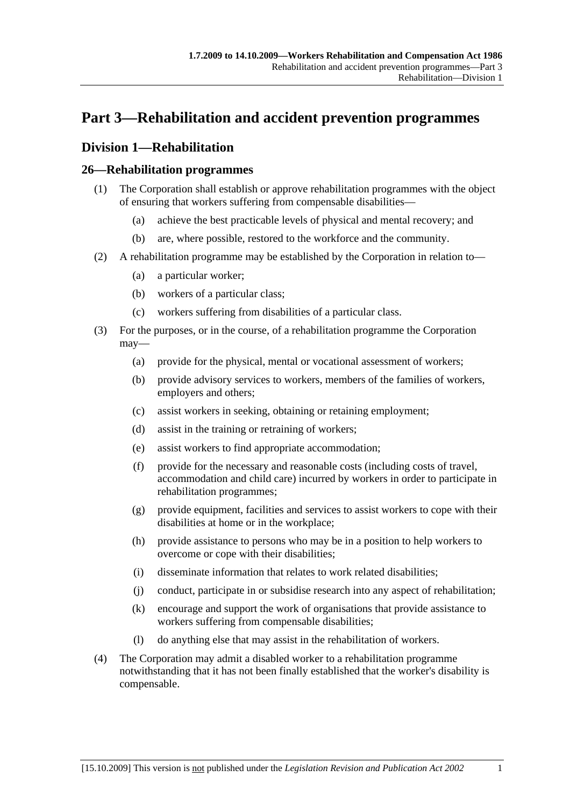## **Part 3—Rehabilitation and accident prevention programmes**

## **Division 1—Rehabilitation**

## **26—Rehabilitation programmes**

- (1) The Corporation shall establish or approve rehabilitation programmes with the object of ensuring that workers suffering from compensable disabilities—
	- (a) achieve the best practicable levels of physical and mental recovery; and
	- (b) are, where possible, restored to the workforce and the community.
- (2) A rehabilitation programme may be established by the Corporation in relation to—
	- (a) a particular worker;
	- (b) workers of a particular class;
	- (c) workers suffering from disabilities of a particular class.
- (3) For the purposes, or in the course, of a rehabilitation programme the Corporation may—
	- (a) provide for the physical, mental or vocational assessment of workers;
	- (b) provide advisory services to workers, members of the families of workers, employers and others;
	- (c) assist workers in seeking, obtaining or retaining employment;
	- (d) assist in the training or retraining of workers;
	- (e) assist workers to find appropriate accommodation;
	- (f) provide for the necessary and reasonable costs (including costs of travel, accommodation and child care) incurred by workers in order to participate in rehabilitation programmes;
	- (g) provide equipment, facilities and services to assist workers to cope with their disabilities at home or in the workplace;
	- (h) provide assistance to persons who may be in a position to help workers to overcome or cope with their disabilities;
	- (i) disseminate information that relates to work related disabilities;
	- (j) conduct, participate in or subsidise research into any aspect of rehabilitation;
	- (k) encourage and support the work of organisations that provide assistance to workers suffering from compensable disabilities;
	- (l) do anything else that may assist in the rehabilitation of workers.
- (4) The Corporation may admit a disabled worker to a rehabilitation programme notwithstanding that it has not been finally established that the worker's disability is compensable.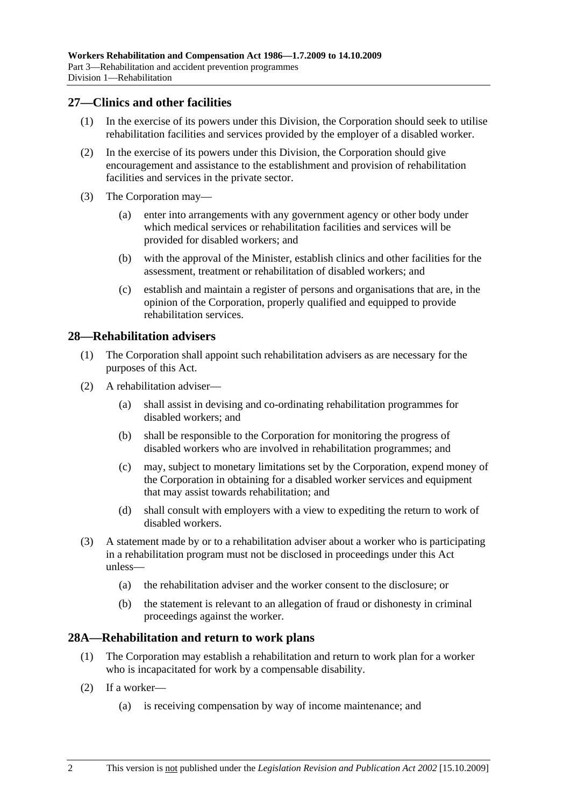## **27—Clinics and other facilities**

- (1) In the exercise of its powers under this Division, the Corporation should seek to utilise rehabilitation facilities and services provided by the employer of a disabled worker.
- (2) In the exercise of its powers under this Division, the Corporation should give encouragement and assistance to the establishment and provision of rehabilitation facilities and services in the private sector.
- (3) The Corporation may—
	- (a) enter into arrangements with any government agency or other body under which medical services or rehabilitation facilities and services will be provided for disabled workers; and
	- (b) with the approval of the Minister, establish clinics and other facilities for the assessment, treatment or rehabilitation of disabled workers; and
	- (c) establish and maintain a register of persons and organisations that are, in the opinion of the Corporation, properly qualified and equipped to provide rehabilitation services.

### **28—Rehabilitation advisers**

- (1) The Corporation shall appoint such rehabilitation advisers as are necessary for the purposes of this Act.
- (2) A rehabilitation adviser—
	- (a) shall assist in devising and co-ordinating rehabilitation programmes for disabled workers; and
	- (b) shall be responsible to the Corporation for monitoring the progress of disabled workers who are involved in rehabilitation programmes; and
	- (c) may, subject to monetary limitations set by the Corporation, expend money of the Corporation in obtaining for a disabled worker services and equipment that may assist towards rehabilitation; and
	- (d) shall consult with employers with a view to expediting the return to work of disabled workers.
- (3) A statement made by or to a rehabilitation adviser about a worker who is participating in a rehabilitation program must not be disclosed in proceedings under this Act unless—
	- (a) the rehabilitation adviser and the worker consent to the disclosure; or
	- (b) the statement is relevant to an allegation of fraud or dishonesty in criminal proceedings against the worker.

#### **28A—Rehabilitation and return to work plans**

- (1) The Corporation may establish a rehabilitation and return to work plan for a worker who is incapacitated for work by a compensable disability.
- (2) If a worker—
	- (a) is receiving compensation by way of income maintenance; and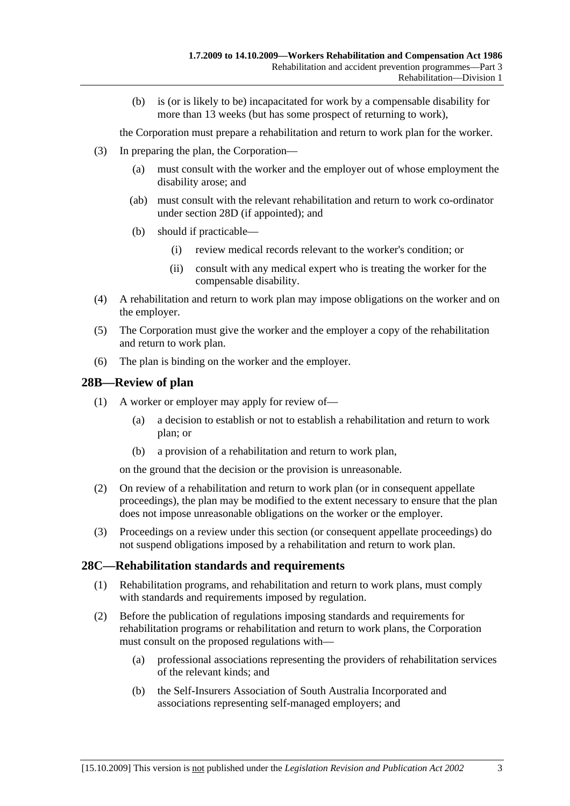(b) is (or is likely to be) incapacitated for work by a compensable disability for more than 13 weeks (but has some prospect of returning to work),

the Corporation must prepare a rehabilitation and return to work plan for the worker.

- (3) In preparing the plan, the Corporation—
	- (a) must consult with the worker and the employer out of whose employment the disability arose; and
	- (ab) must consult with the relevant rehabilitation and return to work co-ordinator under section 28D (if appointed); and
	- (b) should if practicable—
		- (i) review medical records relevant to the worker's condition; or
		- (ii) consult with any medical expert who is treating the worker for the compensable disability.
- (4) A rehabilitation and return to work plan may impose obligations on the worker and on the employer.
- (5) The Corporation must give the worker and the employer a copy of the rehabilitation and return to work plan.
- (6) The plan is binding on the worker and the employer.

### **28B—Review of plan**

- (1) A worker or employer may apply for review of—
	- (a) a decision to establish or not to establish a rehabilitation and return to work plan; or
	- (b) a provision of a rehabilitation and return to work plan,

on the ground that the decision or the provision is unreasonable.

- (2) On review of a rehabilitation and return to work plan (or in consequent appellate proceedings), the plan may be modified to the extent necessary to ensure that the plan does not impose unreasonable obligations on the worker or the employer.
- (3) Proceedings on a review under this section (or consequent appellate proceedings) do not suspend obligations imposed by a rehabilitation and return to work plan.

#### **28C—Rehabilitation standards and requirements**

- (1) Rehabilitation programs, and rehabilitation and return to work plans, must comply with standards and requirements imposed by regulation.
- (2) Before the publication of regulations imposing standards and requirements for rehabilitation programs or rehabilitation and return to work plans, the Corporation must consult on the proposed regulations with—
	- (a) professional associations representing the providers of rehabilitation services of the relevant kinds; and
	- (b) the Self-Insurers Association of South Australia Incorporated and associations representing self-managed employers; and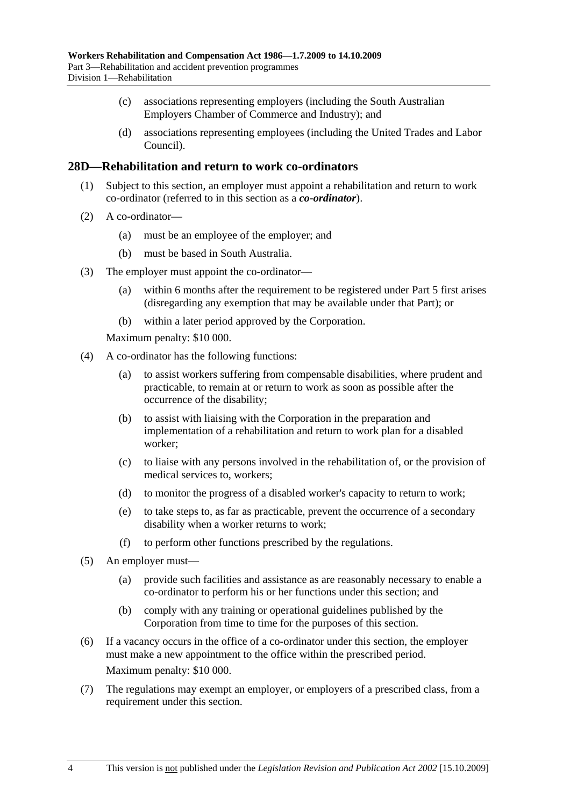- (c) associations representing employers (including the South Australian Employers Chamber of Commerce and Industry); and
- (d) associations representing employees (including the United Trades and Labor Council).

### **28D—Rehabilitation and return to work co-ordinators**

- (1) Subject to this section, an employer must appoint a rehabilitation and return to work co-ordinator (referred to in this section as a *co-ordinator*).
- (2) A co-ordinator—
	- (a) must be an employee of the employer; and
	- (b) must be based in South Australia.
- (3) The employer must appoint the co-ordinator—
	- (a) within 6 months after the requirement to be registered under Part 5 first arises (disregarding any exemption that may be available under that Part); or
	- (b) within a later period approved by the Corporation.

Maximum penalty: \$10 000.

- (4) A co-ordinator has the following functions:
	- (a) to assist workers suffering from compensable disabilities, where prudent and practicable, to remain at or return to work as soon as possible after the occurrence of the disability;
	- (b) to assist with liaising with the Corporation in the preparation and implementation of a rehabilitation and return to work plan for a disabled worker;
	- (c) to liaise with any persons involved in the rehabilitation of, or the provision of medical services to, workers;
	- (d) to monitor the progress of a disabled worker's capacity to return to work;
	- (e) to take steps to, as far as practicable, prevent the occurrence of a secondary disability when a worker returns to work;
	- (f) to perform other functions prescribed by the regulations.
- (5) An employer must—
	- (a) provide such facilities and assistance as are reasonably necessary to enable a co-ordinator to perform his or her functions under this section; and
	- (b) comply with any training or operational guidelines published by the Corporation from time to time for the purposes of this section.
- (6) If a vacancy occurs in the office of a co-ordinator under this section, the employer must make a new appointment to the office within the prescribed period. Maximum penalty: \$10 000.
- (7) The regulations may exempt an employer, or employers of a prescribed class, from a requirement under this section.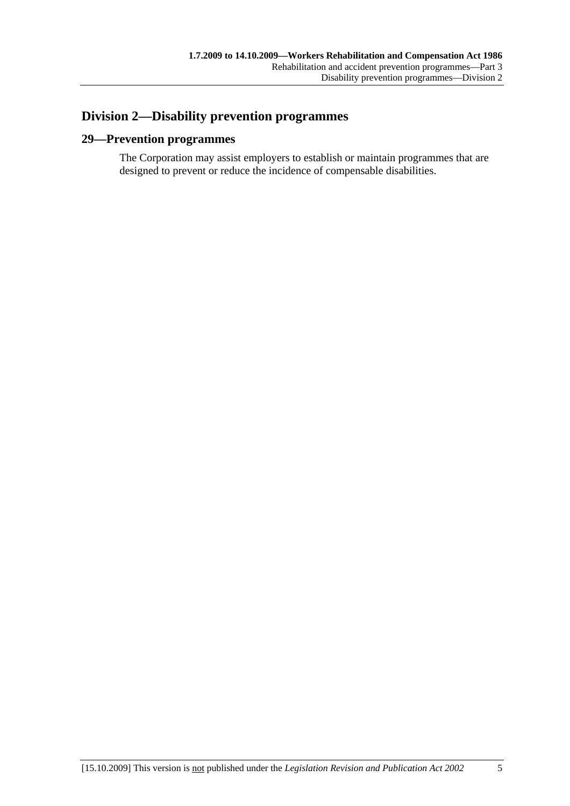## **Division 2—Disability prevention programmes**

## **29—Prevention programmes**

The Corporation may assist employers to establish or maintain programmes that are designed to prevent or reduce the incidence of compensable disabilities.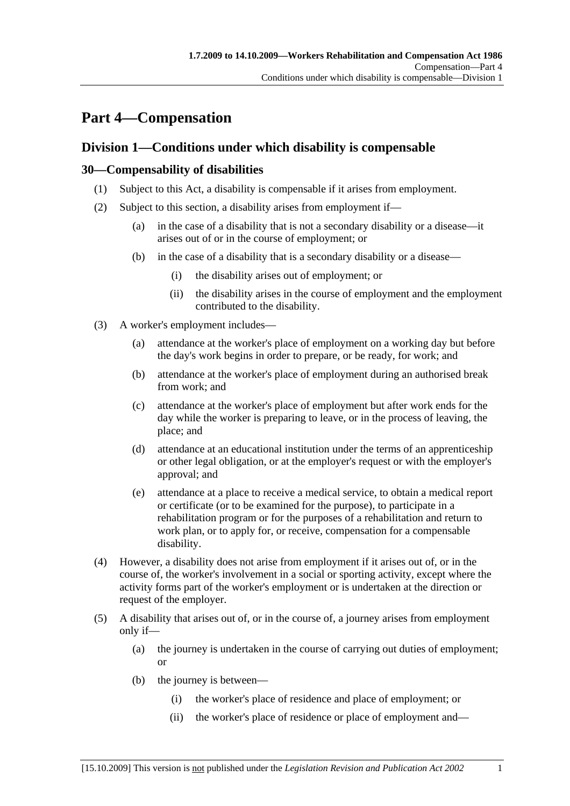## **Part 4—Compensation**

## **Division 1—Conditions under which disability is compensable**

## **30—Compensability of disabilities**

- (1) Subject to this Act, a disability is compensable if it arises from employment.
- (2) Subject to this section, a disability arises from employment if—
	- (a) in the case of a disability that is not a secondary disability or a disease—it arises out of or in the course of employment; or
	- (b) in the case of a disability that is a secondary disability or a disease—
		- (i) the disability arises out of employment; or
		- (ii) the disability arises in the course of employment and the employment contributed to the disability.
- (3) A worker's employment includes—
	- (a) attendance at the worker's place of employment on a working day but before the day's work begins in order to prepare, or be ready, for work; and
	- (b) attendance at the worker's place of employment during an authorised break from work; and
	- (c) attendance at the worker's place of employment but after work ends for the day while the worker is preparing to leave, or in the process of leaving, the place; and
	- (d) attendance at an educational institution under the terms of an apprenticeship or other legal obligation, or at the employer's request or with the employer's approval; and
	- (e) attendance at a place to receive a medical service, to obtain a medical report or certificate (or to be examined for the purpose), to participate in a rehabilitation program or for the purposes of a rehabilitation and return to work plan, or to apply for, or receive, compensation for a compensable disability.
- (4) However, a disability does not arise from employment if it arises out of, or in the course of, the worker's involvement in a social or sporting activity, except where the activity forms part of the worker's employment or is undertaken at the direction or request of the employer.
- (5) A disability that arises out of, or in the course of, a journey arises from employment only if—
	- (a) the journey is undertaken in the course of carrying out duties of employment; or
	- (b) the journey is between—
		- (i) the worker's place of residence and place of employment; or
		- (ii) the worker's place of residence or place of employment and—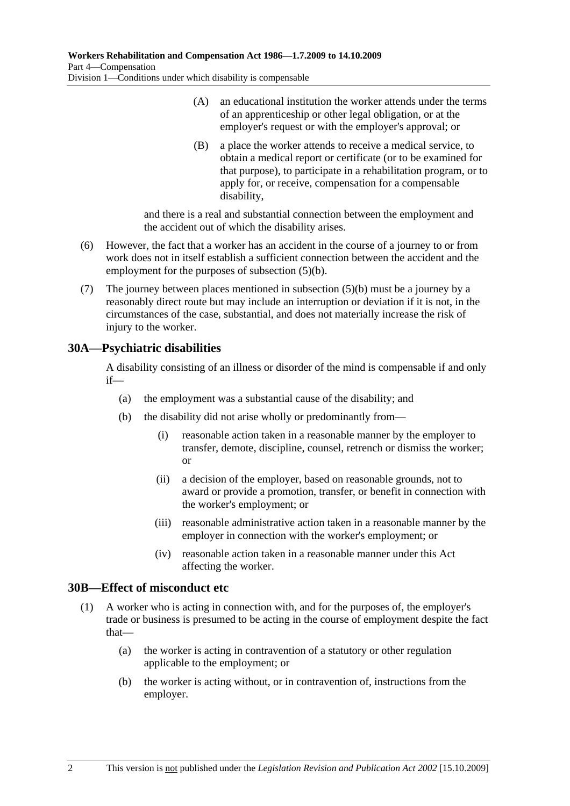- (A) an educational institution the worker attends under the terms of an apprenticeship or other legal obligation, or at the employer's request or with the employer's approval; or
- (B) a place the worker attends to receive a medical service, to obtain a medical report or certificate (or to be examined for that purpose), to participate in a rehabilitation program, or to apply for, or receive, compensation for a compensable disability,

and there is a real and substantial connection between the employment and the accident out of which the disability arises.

- (6) However, the fact that a worker has an accident in the course of a journey to or from work does not in itself establish a sufficient connection between the accident and the employment for the purposes of subsection (5)(b).
- (7) The journey between places mentioned in subsection (5)(b) must be a journey by a reasonably direct route but may include an interruption or deviation if it is not, in the circumstances of the case, substantial, and does not materially increase the risk of injury to the worker.

## **30A—Psychiatric disabilities**

A disability consisting of an illness or disorder of the mind is compensable if and only if—

- (a) the employment was a substantial cause of the disability; and
- (b) the disability did not arise wholly or predominantly from—
	- (i) reasonable action taken in a reasonable manner by the employer to transfer, demote, discipline, counsel, retrench or dismiss the worker; or
	- (ii) a decision of the employer, based on reasonable grounds, not to award or provide a promotion, transfer, or benefit in connection with the worker's employment; or
	- (iii) reasonable administrative action taken in a reasonable manner by the employer in connection with the worker's employment; or
	- (iv) reasonable action taken in a reasonable manner under this Act affecting the worker.

## **30B—Effect of misconduct etc**

- (1) A worker who is acting in connection with, and for the purposes of, the employer's trade or business is presumed to be acting in the course of employment despite the fact that—
	- (a) the worker is acting in contravention of a statutory or other regulation applicable to the employment; or
	- (b) the worker is acting without, or in contravention of, instructions from the employer.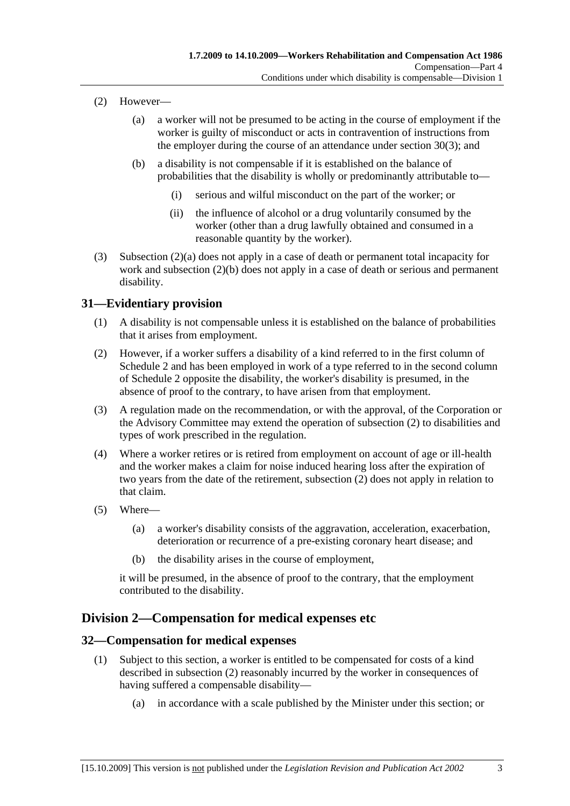- (2) However—
	- (a) a worker will not be presumed to be acting in the course of employment if the worker is guilty of misconduct or acts in contravention of instructions from the employer during the course of an attendance under section 30(3); and
	- (b) a disability is not compensable if it is established on the balance of probabilities that the disability is wholly or predominantly attributable to—
		- (i) serious and wilful misconduct on the part of the worker; or
		- (ii) the influence of alcohol or a drug voluntarily consumed by the worker (other than a drug lawfully obtained and consumed in a reasonable quantity by the worker).
- (3) Subsection (2)(a) does not apply in a case of death or permanent total incapacity for work and subsection (2)(b) does not apply in a case of death or serious and permanent disability.

## **31—Evidentiary provision**

- (1) A disability is not compensable unless it is established on the balance of probabilities that it arises from employment.
- (2) However, if a worker suffers a disability of a kind referred to in the first column of Schedule 2 and has been employed in work of a type referred to in the second column of Schedule 2 opposite the disability, the worker's disability is presumed, in the absence of proof to the contrary, to have arisen from that employment.
- (3) A regulation made on the recommendation, or with the approval, of the Corporation or the Advisory Committee may extend the operation of subsection (2) to disabilities and types of work prescribed in the regulation.
- (4) Where a worker retires or is retired from employment on account of age or ill-health and the worker makes a claim for noise induced hearing loss after the expiration of two years from the date of the retirement, subsection (2) does not apply in relation to that claim.
- (5) Where—
	- (a) a worker's disability consists of the aggravation, acceleration, exacerbation, deterioration or recurrence of a pre-existing coronary heart disease; and
	- (b) the disability arises in the course of employment,

it will be presumed, in the absence of proof to the contrary, that the employment contributed to the disability.

## **Division 2—Compensation for medical expenses etc**

#### **32—Compensation for medical expenses**

- (1) Subject to this section, a worker is entitled to be compensated for costs of a kind described in subsection (2) reasonably incurred by the worker in consequences of having suffered a compensable disability—
	- (a) in accordance with a scale published by the Minister under this section; or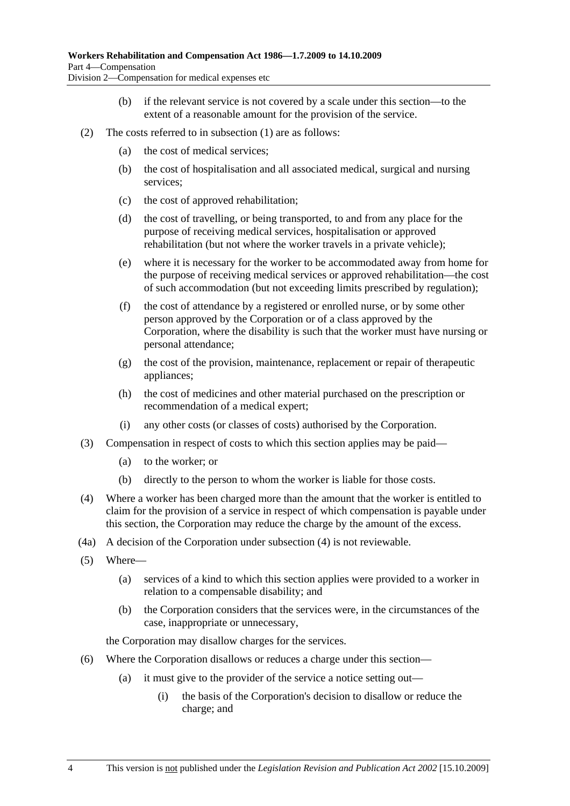- (b) if the relevant service is not covered by a scale under this section—to the extent of a reasonable amount for the provision of the service.
- (2) The costs referred to in subsection (1) are as follows:
	- (a) the cost of medical services;
	- (b) the cost of hospitalisation and all associated medical, surgical and nursing services;
	- (c) the cost of approved rehabilitation;
	- (d) the cost of travelling, or being transported, to and from any place for the purpose of receiving medical services, hospitalisation or approved rehabilitation (but not where the worker travels in a private vehicle);
	- (e) where it is necessary for the worker to be accommodated away from home for the purpose of receiving medical services or approved rehabilitation—the cost of such accommodation (but not exceeding limits prescribed by regulation);
	- (f) the cost of attendance by a registered or enrolled nurse, or by some other person approved by the Corporation or of a class approved by the Corporation, where the disability is such that the worker must have nursing or personal attendance;
	- (g) the cost of the provision, maintenance, replacement or repair of therapeutic appliances;
	- (h) the cost of medicines and other material purchased on the prescription or recommendation of a medical expert;
	- (i) any other costs (or classes of costs) authorised by the Corporation.
- (3) Compensation in respect of costs to which this section applies may be paid—
	- (a) to the worker; or
	- (b) directly to the person to whom the worker is liable for those costs.
- (4) Where a worker has been charged more than the amount that the worker is entitled to claim for the provision of a service in respect of which compensation is payable under this section, the Corporation may reduce the charge by the amount of the excess.
- (4a) A decision of the Corporation under subsection (4) is not reviewable.
- (5) Where—
	- (a) services of a kind to which this section applies were provided to a worker in relation to a compensable disability; and
	- (b) the Corporation considers that the services were, in the circumstances of the case, inappropriate or unnecessary,

the Corporation may disallow charges for the services.

- (6) Where the Corporation disallows or reduces a charge under this section—
	- (a) it must give to the provider of the service a notice setting out—
		- (i) the basis of the Corporation's decision to disallow or reduce the charge; and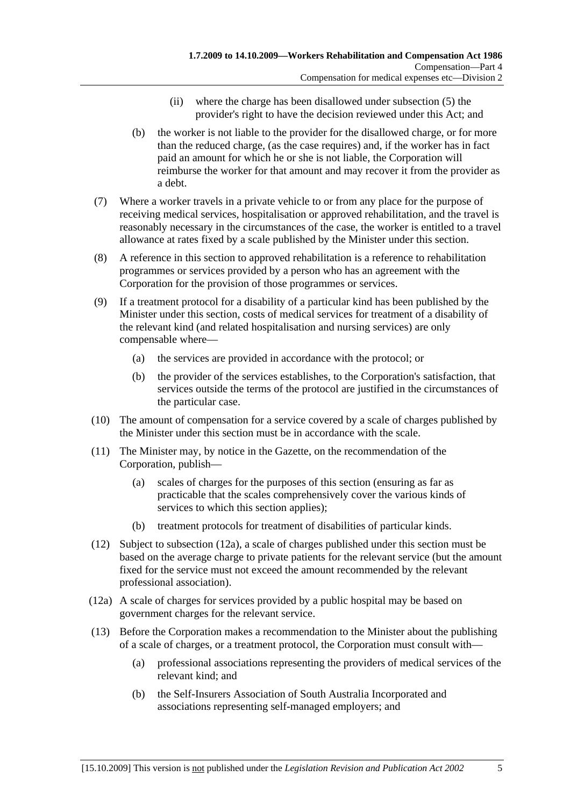- (ii) where the charge has been disallowed under subsection (5) the provider's right to have the decision reviewed under this Act; and
- (b) the worker is not liable to the provider for the disallowed charge, or for more than the reduced charge, (as the case requires) and, if the worker has in fact paid an amount for which he or she is not liable, the Corporation will reimburse the worker for that amount and may recover it from the provider as a debt.
- (7) Where a worker travels in a private vehicle to or from any place for the purpose of receiving medical services, hospitalisation or approved rehabilitation, and the travel is reasonably necessary in the circumstances of the case, the worker is entitled to a travel allowance at rates fixed by a scale published by the Minister under this section.
- (8) A reference in this section to approved rehabilitation is a reference to rehabilitation programmes or services provided by a person who has an agreement with the Corporation for the provision of those programmes or services.
- (9) If a treatment protocol for a disability of a particular kind has been published by the Minister under this section, costs of medical services for treatment of a disability of the relevant kind (and related hospitalisation and nursing services) are only compensable where—
	- (a) the services are provided in accordance with the protocol; or
	- (b) the provider of the services establishes, to the Corporation's satisfaction, that services outside the terms of the protocol are justified in the circumstances of the particular case.
- (10) The amount of compensation for a service covered by a scale of charges published by the Minister under this section must be in accordance with the scale.
- (11) The Minister may, by notice in the Gazette, on the recommendation of the Corporation, publish—
	- (a) scales of charges for the purposes of this section (ensuring as far as practicable that the scales comprehensively cover the various kinds of services to which this section applies);
	- (b) treatment protocols for treatment of disabilities of particular kinds.
- (12) Subject to subsection (12a), a scale of charges published under this section must be based on the average charge to private patients for the relevant service (but the amount fixed for the service must not exceed the amount recommended by the relevant professional association).
- (12a) A scale of charges for services provided by a public hospital may be based on government charges for the relevant service.
- (13) Before the Corporation makes a recommendation to the Minister about the publishing of a scale of charges, or a treatment protocol, the Corporation must consult with—
	- (a) professional associations representing the providers of medical services of the relevant kind; and
	- (b) the Self-Insurers Association of South Australia Incorporated and associations representing self-managed employers; and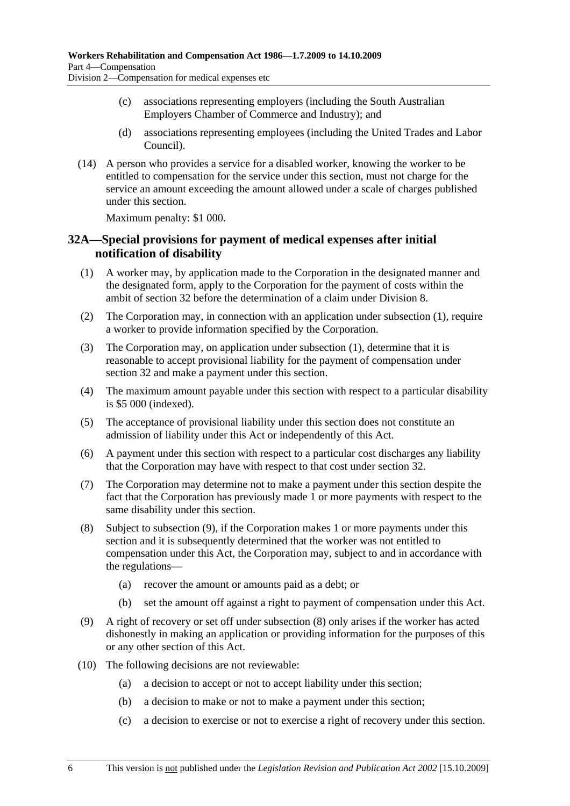- (c) associations representing employers (including the South Australian Employers Chamber of Commerce and Industry); and
- (d) associations representing employees (including the United Trades and Labor Council).
- (14) A person who provides a service for a disabled worker, knowing the worker to be entitled to compensation for the service under this section, must not charge for the service an amount exceeding the amount allowed under a scale of charges published under this section.

Maximum penalty: \$1 000.

### **32A—Special provisions for payment of medical expenses after initial notification of disability**

- (1) A worker may, by application made to the Corporation in the designated manner and the designated form, apply to the Corporation for the payment of costs within the ambit of section 32 before the determination of a claim under Division 8.
- (2) The Corporation may, in connection with an application under subsection (1), require a worker to provide information specified by the Corporation.
- (3) The Corporation may, on application under subsection (1), determine that it is reasonable to accept provisional liability for the payment of compensation under section 32 and make a payment under this section.
- (4) The maximum amount payable under this section with respect to a particular disability is \$5 000 (indexed).
- (5) The acceptance of provisional liability under this section does not constitute an admission of liability under this Act or independently of this Act.
- (6) A payment under this section with respect to a particular cost discharges any liability that the Corporation may have with respect to that cost under section 32.
- (7) The Corporation may determine not to make a payment under this section despite the fact that the Corporation has previously made 1 or more payments with respect to the same disability under this section.
- (8) Subject to subsection (9), if the Corporation makes 1 or more payments under this section and it is subsequently determined that the worker was not entitled to compensation under this Act, the Corporation may, subject to and in accordance with the regulations—
	- (a) recover the amount or amounts paid as a debt; or
	- (b) set the amount off against a right to payment of compensation under this Act.
- (9) A right of recovery or set off under subsection (8) only arises if the worker has acted dishonestly in making an application or providing information for the purposes of this or any other section of this Act.
- (10) The following decisions are not reviewable:
	- (a) a decision to accept or not to accept liability under this section;
	- (b) a decision to make or not to make a payment under this section;
	- (c) a decision to exercise or not to exercise a right of recovery under this section.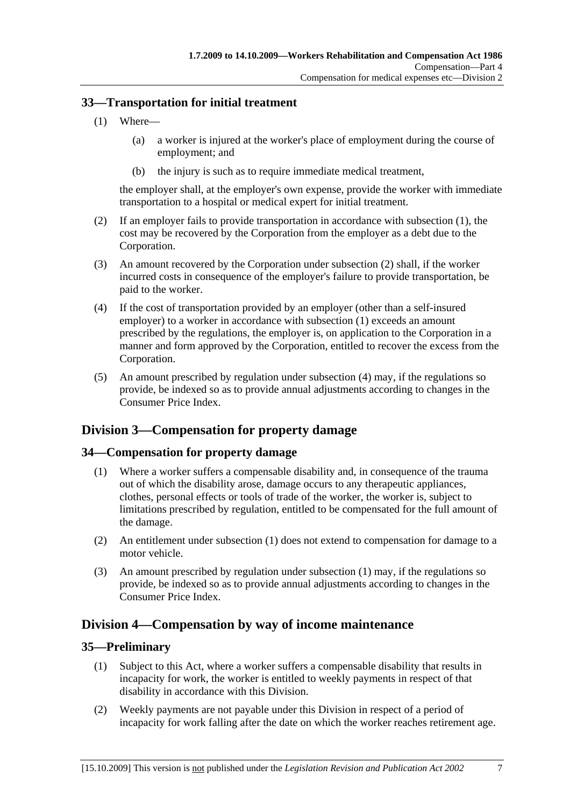### **33—Transportation for initial treatment**

- (1) Where—
	- (a) a worker is injured at the worker's place of employment during the course of employment; and
	- (b) the injury is such as to require immediate medical treatment,

the employer shall, at the employer's own expense, provide the worker with immediate transportation to a hospital or medical expert for initial treatment.

- (2) If an employer fails to provide transportation in accordance with subsection (1), the cost may be recovered by the Corporation from the employer as a debt due to the Corporation.
- (3) An amount recovered by the Corporation under subsection (2) shall, if the worker incurred costs in consequence of the employer's failure to provide transportation, be paid to the worker.
- (4) If the cost of transportation provided by an employer (other than a self-insured employer) to a worker in accordance with subsection (1) exceeds an amount prescribed by the regulations, the employer is, on application to the Corporation in a manner and form approved by the Corporation, entitled to recover the excess from the Corporation.
- (5) An amount prescribed by regulation under subsection (4) may, if the regulations so provide, be indexed so as to provide annual adjustments according to changes in the Consumer Price Index.

# **Division 3—Compensation for property damage**

## **34—Compensation for property damage**

- (1) Where a worker suffers a compensable disability and, in consequence of the trauma out of which the disability arose, damage occurs to any therapeutic appliances, clothes, personal effects or tools of trade of the worker, the worker is, subject to limitations prescribed by regulation, entitled to be compensated for the full amount of the damage.
- (2) An entitlement under subsection (1) does not extend to compensation for damage to a motor vehicle.
- (3) An amount prescribed by regulation under subsection (1) may, if the regulations so provide, be indexed so as to provide annual adjustments according to changes in the Consumer Price Index.

# **Division 4—Compensation by way of income maintenance**

### **35—Preliminary**

- (1) Subject to this Act, where a worker suffers a compensable disability that results in incapacity for work, the worker is entitled to weekly payments in respect of that disability in accordance with this Division.
- (2) Weekly payments are not payable under this Division in respect of a period of incapacity for work falling after the date on which the worker reaches retirement age.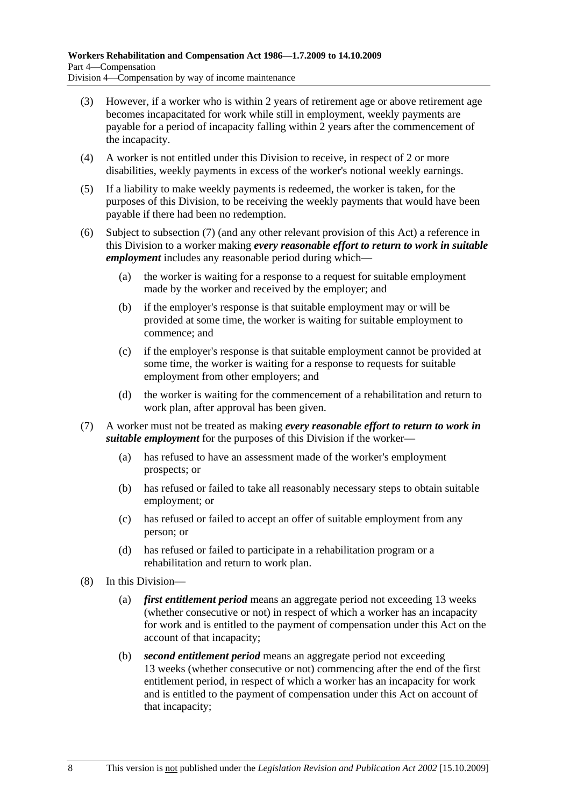- (3) However, if a worker who is within 2 years of retirement age or above retirement age becomes incapacitated for work while still in employment, weekly payments are payable for a period of incapacity falling within 2 years after the commencement of the incapacity.
- (4) A worker is not entitled under this Division to receive, in respect of 2 or more disabilities, weekly payments in excess of the worker's notional weekly earnings.
- (5) If a liability to make weekly payments is redeemed, the worker is taken, for the purposes of this Division, to be receiving the weekly payments that would have been payable if there had been no redemption.
- (6) Subject to subsection (7) (and any other relevant provision of this Act) a reference in this Division to a worker making *every reasonable effort to return to work in suitable employment* includes any reasonable period during which—
	- (a) the worker is waiting for a response to a request for suitable employment made by the worker and received by the employer; and
	- (b) if the employer's response is that suitable employment may or will be provided at some time, the worker is waiting for suitable employment to commence; and
	- (c) if the employer's response is that suitable employment cannot be provided at some time, the worker is waiting for a response to requests for suitable employment from other employers; and
	- (d) the worker is waiting for the commencement of a rehabilitation and return to work plan, after approval has been given.
- (7) A worker must not be treated as making *every reasonable effort to return to work in suitable employment* for the purposes of this Division if the worker—
	- (a) has refused to have an assessment made of the worker's employment prospects; or
	- (b) has refused or failed to take all reasonably necessary steps to obtain suitable employment; or
	- (c) has refused or failed to accept an offer of suitable employment from any person; or
	- (d) has refused or failed to participate in a rehabilitation program or a rehabilitation and return to work plan.
- (8) In this Division—
	- (a) *first entitlement period* means an aggregate period not exceeding 13 weeks (whether consecutive or not) in respect of which a worker has an incapacity for work and is entitled to the payment of compensation under this Act on the account of that incapacity;
	- (b) *second entitlement period* means an aggregate period not exceeding 13 weeks (whether consecutive or not) commencing after the end of the first entitlement period, in respect of which a worker has an incapacity for work and is entitled to the payment of compensation under this Act on account of that incapacity;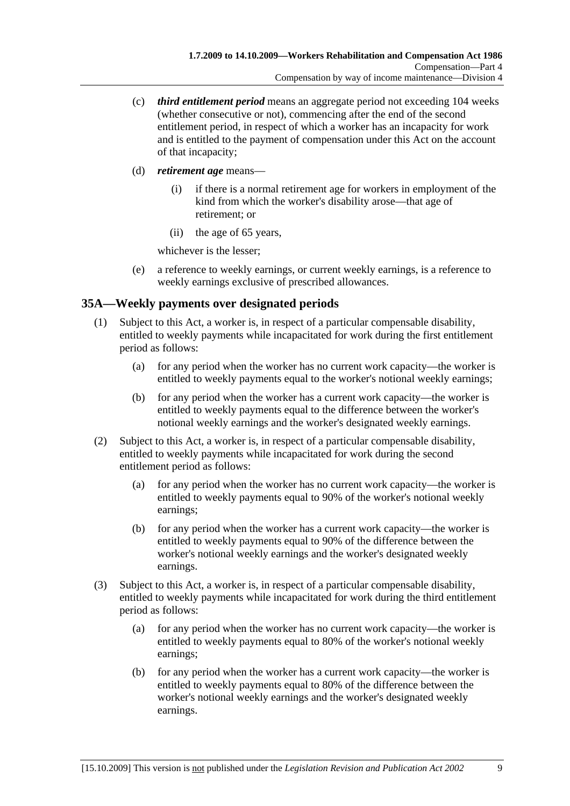- (c) *third entitlement period* means an aggregate period not exceeding 104 weeks (whether consecutive or not), commencing after the end of the second entitlement period, in respect of which a worker has an incapacity for work and is entitled to the payment of compensation under this Act on the account of that incapacity;
- (d) *retirement age* means—
	- (i) if there is a normal retirement age for workers in employment of the kind from which the worker's disability arose—that age of retirement; or
	- (ii) the age of 65 years,

whichever is the lesser;

 (e) a reference to weekly earnings, or current weekly earnings, is a reference to weekly earnings exclusive of prescribed allowances.

## **35A—Weekly payments over designated periods**

- (1) Subject to this Act, a worker is, in respect of a particular compensable disability, entitled to weekly payments while incapacitated for work during the first entitlement period as follows:
	- (a) for any period when the worker has no current work capacity—the worker is entitled to weekly payments equal to the worker's notional weekly earnings;
	- (b) for any period when the worker has a current work capacity—the worker is entitled to weekly payments equal to the difference between the worker's notional weekly earnings and the worker's designated weekly earnings.
- (2) Subject to this Act, a worker is, in respect of a particular compensable disability, entitled to weekly payments while incapacitated for work during the second entitlement period as follows:
	- (a) for any period when the worker has no current work capacity—the worker is entitled to weekly payments equal to 90% of the worker's notional weekly earnings;
	- (b) for any period when the worker has a current work capacity—the worker is entitled to weekly payments equal to 90% of the difference between the worker's notional weekly earnings and the worker's designated weekly earnings.
- (3) Subject to this Act, a worker is, in respect of a particular compensable disability, entitled to weekly payments while incapacitated for work during the third entitlement period as follows:
	- (a) for any period when the worker has no current work capacity—the worker is entitled to weekly payments equal to 80% of the worker's notional weekly earnings;
	- (b) for any period when the worker has a current work capacity—the worker is entitled to weekly payments equal to 80% of the difference between the worker's notional weekly earnings and the worker's designated weekly earnings.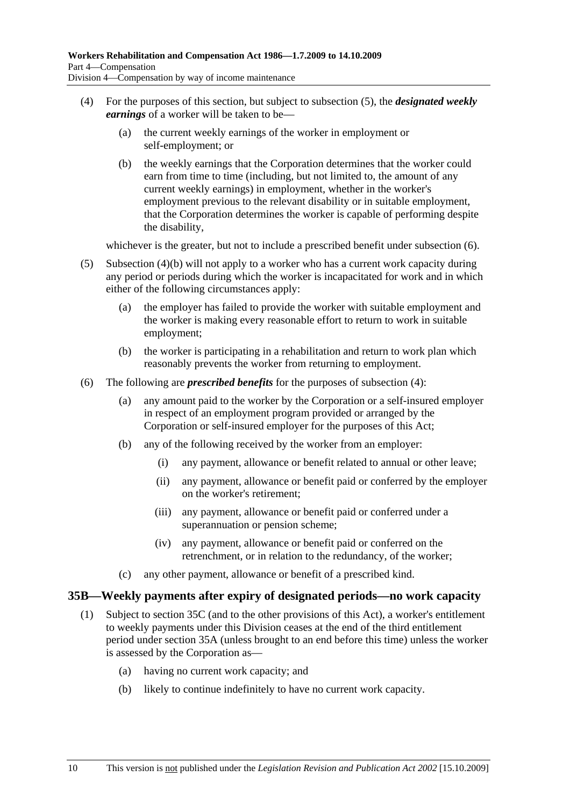- (4) For the purposes of this section, but subject to subsection (5), the *designated weekly earnings* of a worker will be taken to be—
	- (a) the current weekly earnings of the worker in employment or self-employment; or
	- (b) the weekly earnings that the Corporation determines that the worker could earn from time to time (including, but not limited to, the amount of any current weekly earnings) in employment, whether in the worker's employment previous to the relevant disability or in suitable employment, that the Corporation determines the worker is capable of performing despite the disability,

whichever is the greater, but not to include a prescribed benefit under subsection  $(6)$ .

- (5) Subsection (4)(b) will not apply to a worker who has a current work capacity during any period or periods during which the worker is incapacitated for work and in which either of the following circumstances apply:
	- (a) the employer has failed to provide the worker with suitable employment and the worker is making every reasonable effort to return to work in suitable employment;
	- (b) the worker is participating in a rehabilitation and return to work plan which reasonably prevents the worker from returning to employment.
- (6) The following are *prescribed benefits* for the purposes of subsection (4):
	- (a) any amount paid to the worker by the Corporation or a self-insured employer in respect of an employment program provided or arranged by the Corporation or self-insured employer for the purposes of this Act;
	- (b) any of the following received by the worker from an employer:
		- (i) any payment, allowance or benefit related to annual or other leave;
		- (ii) any payment, allowance or benefit paid or conferred by the employer on the worker's retirement;
		- (iii) any payment, allowance or benefit paid or conferred under a superannuation or pension scheme;
		- (iv) any payment, allowance or benefit paid or conferred on the retrenchment, or in relation to the redundancy, of the worker;
	- (c) any other payment, allowance or benefit of a prescribed kind.

### **35B—Weekly payments after expiry of designated periods—no work capacity**

- (1) Subject to section 35C (and to the other provisions of this Act), a worker's entitlement to weekly payments under this Division ceases at the end of the third entitlement period under section 35A (unless brought to an end before this time) unless the worker is assessed by the Corporation as—
	- (a) having no current work capacity; and
	- (b) likely to continue indefinitely to have no current work capacity.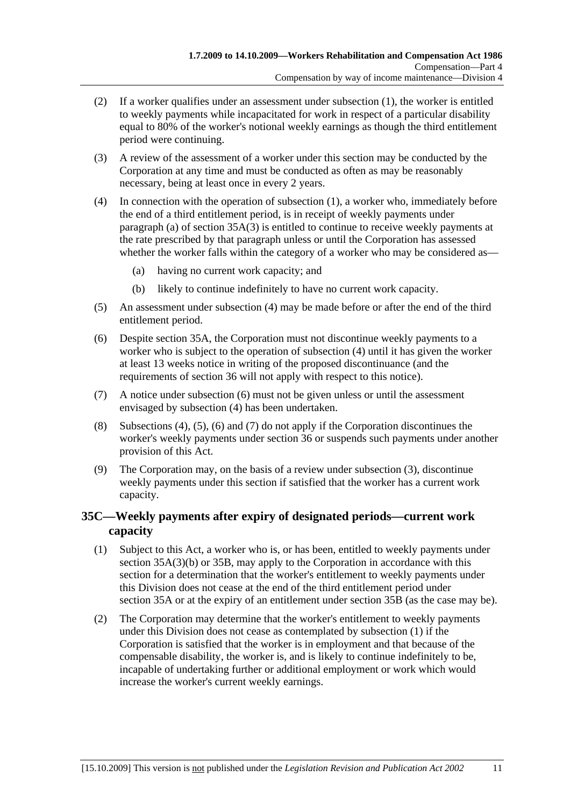- (2) If a worker qualifies under an assessment under subsection (1), the worker is entitled to weekly payments while incapacitated for work in respect of a particular disability equal to 80% of the worker's notional weekly earnings as though the third entitlement period were continuing.
- (3) A review of the assessment of a worker under this section may be conducted by the Corporation at any time and must be conducted as often as may be reasonably necessary, being at least once in every 2 years.
- (4) In connection with the operation of subsection (1), a worker who, immediately before the end of a third entitlement period, is in receipt of weekly payments under paragraph (a) of section  $35A(3)$  is entitled to continue to receive weekly payments at the rate prescribed by that paragraph unless or until the Corporation has assessed whether the worker falls within the category of a worker who may be considered as—
	- (a) having no current work capacity; and
	- (b) likely to continue indefinitely to have no current work capacity.
- (5) An assessment under subsection (4) may be made before or after the end of the third entitlement period.
- (6) Despite section 35A, the Corporation must not discontinue weekly payments to a worker who is subject to the operation of subsection (4) until it has given the worker at least 13 weeks notice in writing of the proposed discontinuance (and the requirements of section 36 will not apply with respect to this notice).
- (7) A notice under subsection (6) must not be given unless or until the assessment envisaged by subsection (4) has been undertaken.
- (8) Subsections (4), (5), (6) and (7) do not apply if the Corporation discontinues the worker's weekly payments under section 36 or suspends such payments under another provision of this Act.
- (9) The Corporation may, on the basis of a review under subsection (3), discontinue weekly payments under this section if satisfied that the worker has a current work capacity.

## **35C—Weekly payments after expiry of designated periods—current work capacity**

- (1) Subject to this Act, a worker who is, or has been, entitled to weekly payments under section 35A(3)(b) or 35B, may apply to the Corporation in accordance with this section for a determination that the worker's entitlement to weekly payments under this Division does not cease at the end of the third entitlement period under section 35A or at the expiry of an entitlement under section 35B (as the case may be).
- (2) The Corporation may determine that the worker's entitlement to weekly payments under this Division does not cease as contemplated by subsection (1) if the Corporation is satisfied that the worker is in employment and that because of the compensable disability, the worker is, and is likely to continue indefinitely to be, incapable of undertaking further or additional employment or work which would increase the worker's current weekly earnings.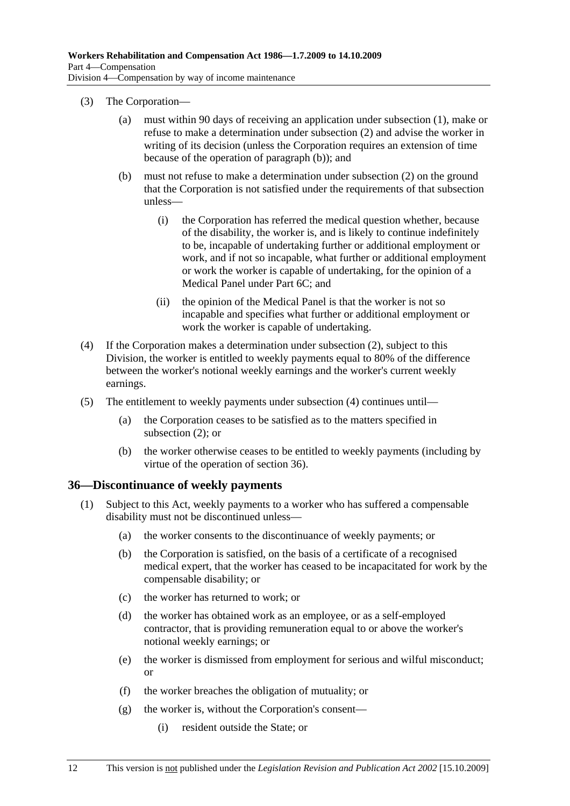- (3) The Corporation—
	- (a) must within 90 days of receiving an application under subsection (1), make or refuse to make a determination under subsection (2) and advise the worker in writing of its decision (unless the Corporation requires an extension of time because of the operation of paragraph (b)); and
	- (b) must not refuse to make a determination under subsection (2) on the ground that the Corporation is not satisfied under the requirements of that subsection unless—
		- (i) the Corporation has referred the medical question whether, because of the disability, the worker is, and is likely to continue indefinitely to be, incapable of undertaking further or additional employment or work, and if not so incapable, what further or additional employment or work the worker is capable of undertaking, for the opinion of a Medical Panel under Part 6C; and
		- (ii) the opinion of the Medical Panel is that the worker is not so incapable and specifies what further or additional employment or work the worker is capable of undertaking.
- (4) If the Corporation makes a determination under subsection (2), subject to this Division, the worker is entitled to weekly payments equal to 80% of the difference between the worker's notional weekly earnings and the worker's current weekly earnings.
- (5) The entitlement to weekly payments under subsection (4) continues until—
	- (a) the Corporation ceases to be satisfied as to the matters specified in subsection (2); or
	- (b) the worker otherwise ceases to be entitled to weekly payments (including by virtue of the operation of section 36).

### **36—Discontinuance of weekly payments**

- (1) Subject to this Act, weekly payments to a worker who has suffered a compensable disability must not be discontinued unless—
	- (a) the worker consents to the discontinuance of weekly payments; or
	- (b) the Corporation is satisfied, on the basis of a certificate of a recognised medical expert, that the worker has ceased to be incapacitated for work by the compensable disability; or
	- (c) the worker has returned to work; or
	- (d) the worker has obtained work as an employee, or as a self-employed contractor, that is providing remuneration equal to or above the worker's notional weekly earnings; or
	- (e) the worker is dismissed from employment for serious and wilful misconduct; or
	- (f) the worker breaches the obligation of mutuality; or
	- (g) the worker is, without the Corporation's consent—
		- (i) resident outside the State; or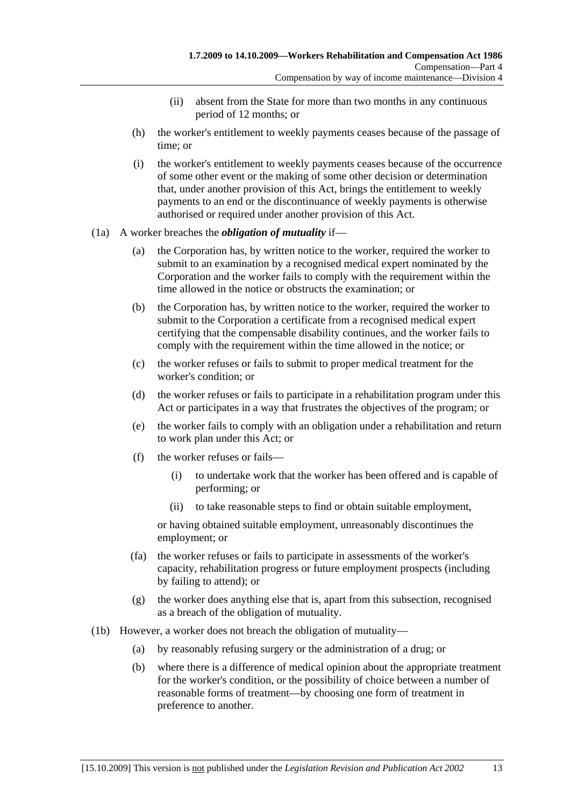- (ii) absent from the State for more than two months in any continuous period of 12 months; or
- (h) the worker's entitlement to weekly payments ceases because of the passage of time; or
- (i) the worker's entitlement to weekly payments ceases because of the occurrence of some other event or the making of some other decision or determination that, under another provision of this Act, brings the entitlement to weekly payments to an end or the discontinuance of weekly payments is otherwise authorised or required under another provision of this Act.

#### (1a) A worker breaches the *obligation of mutuality* if—

- (a) the Corporation has, by written notice to the worker, required the worker to submit to an examination by a recognised medical expert nominated by the Corporation and the worker fails to comply with the requirement within the time allowed in the notice or obstructs the examination; or
- (b) the Corporation has, by written notice to the worker, required the worker to submit to the Corporation a certificate from a recognised medical expert certifying that the compensable disability continues, and the worker fails to comply with the requirement within the time allowed in the notice; or
- (c) the worker refuses or fails to submit to proper medical treatment for the worker's condition; or
- (d) the worker refuses or fails to participate in a rehabilitation program under this Act or participates in a way that frustrates the objectives of the program; or
- (e) the worker fails to comply with an obligation under a rehabilitation and return to work plan under this Act; or
- (f) the worker refuses or fails—
	- (i) to undertake work that the worker has been offered and is capable of performing; or
	- (ii) to take reasonable steps to find or obtain suitable employment,

or having obtained suitable employment, unreasonably discontinues the employment; or

- (fa) the worker refuses or fails to participate in assessments of the worker's capacity, rehabilitation progress or future employment prospects (including by failing to attend); or
- (g) the worker does anything else that is, apart from this subsection, recognised as a breach of the obligation of mutuality.
- (1b) However, a worker does not breach the obligation of mutuality—
	- (a) by reasonably refusing surgery or the administration of a drug; or
	- (b) where there is a difference of medical opinion about the appropriate treatment for the worker's condition, or the possibility of choice between a number of reasonable forms of treatment—by choosing one form of treatment in preference to another.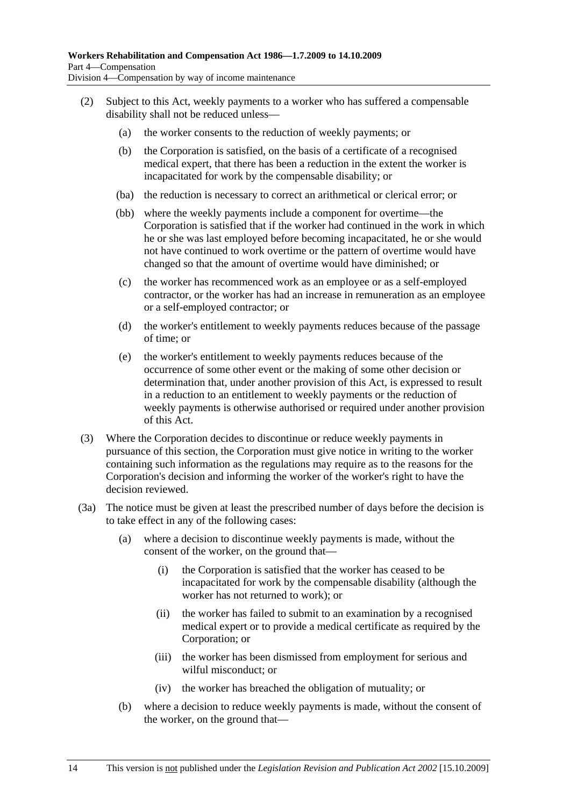- (2) Subject to this Act, weekly payments to a worker who has suffered a compensable disability shall not be reduced unless—
	- (a) the worker consents to the reduction of weekly payments; or
	- (b) the Corporation is satisfied, on the basis of a certificate of a recognised medical expert, that there has been a reduction in the extent the worker is incapacitated for work by the compensable disability; or
	- (ba) the reduction is necessary to correct an arithmetical or clerical error; or
	- (bb) where the weekly payments include a component for overtime—the Corporation is satisfied that if the worker had continued in the work in which he or she was last employed before becoming incapacitated, he or she would not have continued to work overtime or the pattern of overtime would have changed so that the amount of overtime would have diminished; or
	- (c) the worker has recommenced work as an employee or as a self-employed contractor, or the worker has had an increase in remuneration as an employee or a self-employed contractor; or
	- (d) the worker's entitlement to weekly payments reduces because of the passage of time; or
	- (e) the worker's entitlement to weekly payments reduces because of the occurrence of some other event or the making of some other decision or determination that, under another provision of this Act, is expressed to result in a reduction to an entitlement to weekly payments or the reduction of weekly payments is otherwise authorised or required under another provision of this Act.
- (3) Where the Corporation decides to discontinue or reduce weekly payments in pursuance of this section, the Corporation must give notice in writing to the worker containing such information as the regulations may require as to the reasons for the Corporation's decision and informing the worker of the worker's right to have the decision reviewed.
- (3a) The notice must be given at least the prescribed number of days before the decision is to take effect in any of the following cases:
	- (a) where a decision to discontinue weekly payments is made, without the consent of the worker, on the ground that—
		- (i) the Corporation is satisfied that the worker has ceased to be incapacitated for work by the compensable disability (although the worker has not returned to work); or
		- (ii) the worker has failed to submit to an examination by a recognised medical expert or to provide a medical certificate as required by the Corporation; or
		- (iii) the worker has been dismissed from employment for serious and wilful misconduct; or
		- (iv) the worker has breached the obligation of mutuality; or
	- (b) where a decision to reduce weekly payments is made, without the consent of the worker, on the ground that—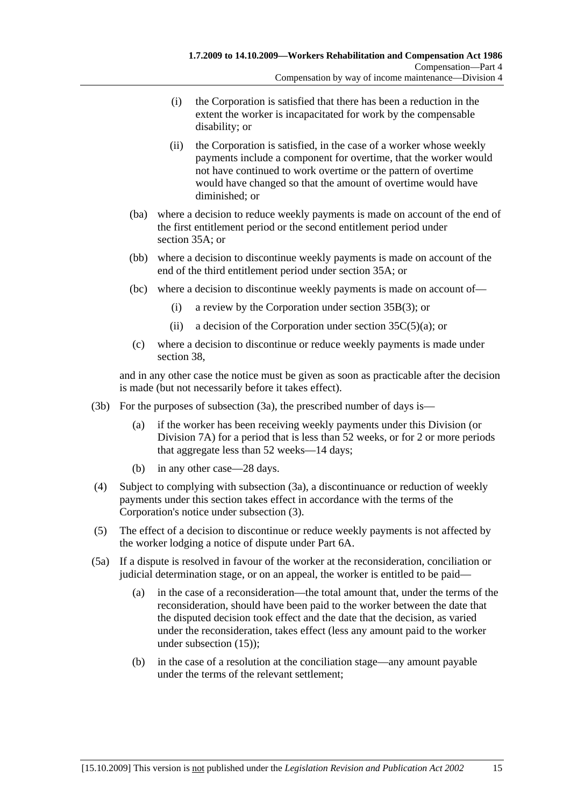- (i) the Corporation is satisfied that there has been a reduction in the extent the worker is incapacitated for work by the compensable disability; or
- (ii) the Corporation is satisfied, in the case of a worker whose weekly payments include a component for overtime, that the worker would not have continued to work overtime or the pattern of overtime would have changed so that the amount of overtime would have diminished; or
- (ba) where a decision to reduce weekly payments is made on account of the end of the first entitlement period or the second entitlement period under section 35A; or
- (bb) where a decision to discontinue weekly payments is made on account of the end of the third entitlement period under section 35A; or
- (bc) where a decision to discontinue weekly payments is made on account of—
	- (i) a review by the Corporation under section 35B(3); or
	- (ii) a decision of the Corporation under section  $35C(5)(a)$ ; or
- (c) where a decision to discontinue or reduce weekly payments is made under section 38,

and in any other case the notice must be given as soon as practicable after the decision is made (but not necessarily before it takes effect).

- (3b) For the purposes of subsection (3a), the prescribed number of days is—
	- (a) if the worker has been receiving weekly payments under this Division (or Division 7A) for a period that is less than 52 weeks, or for 2 or more periods that aggregate less than 52 weeks—14 days;
	- (b) in any other case—28 days.
- (4) Subject to complying with subsection (3a), a discontinuance or reduction of weekly payments under this section takes effect in accordance with the terms of the Corporation's notice under subsection (3).
- (5) The effect of a decision to discontinue or reduce weekly payments is not affected by the worker lodging a notice of dispute under Part 6A.
- (5a) If a dispute is resolved in favour of the worker at the reconsideration, conciliation or judicial determination stage, or on an appeal, the worker is entitled to be paid—
	- (a) in the case of a reconsideration—the total amount that, under the terms of the reconsideration, should have been paid to the worker between the date that the disputed decision took effect and the date that the decision, as varied under the reconsideration, takes effect (less any amount paid to the worker under subsection (15));
	- (b) in the case of a resolution at the conciliation stage—any amount payable under the terms of the relevant settlement;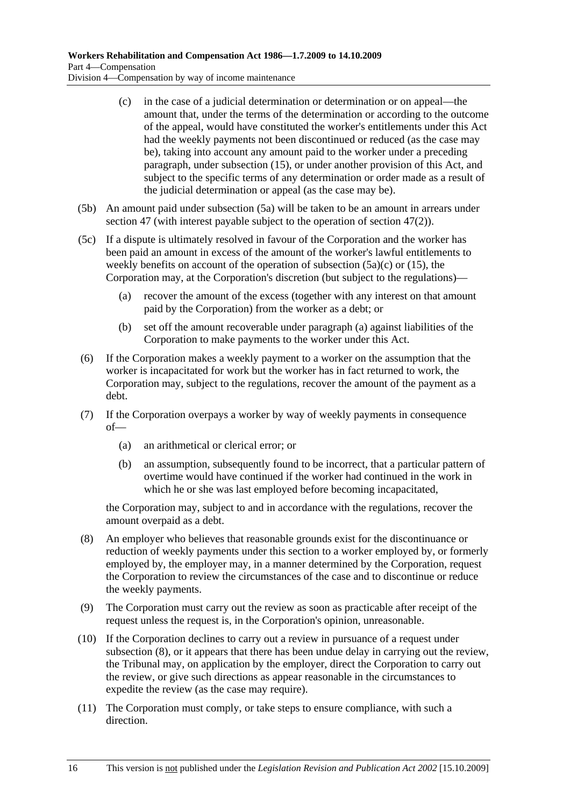- (c) in the case of a judicial determination or determination or on appeal—the amount that, under the terms of the determination or according to the outcome of the appeal, would have constituted the worker's entitlements under this Act had the weekly payments not been discontinued or reduced (as the case may be), taking into account any amount paid to the worker under a preceding paragraph, under subsection (15), or under another provision of this Act, and subject to the specific terms of any determination or order made as a result of the judicial determination or appeal (as the case may be).
- (5b) An amount paid under subsection (5a) will be taken to be an amount in arrears under section 47 (with interest payable subject to the operation of section 47(2)).
- (5c) If a dispute is ultimately resolved in favour of the Corporation and the worker has been paid an amount in excess of the amount of the worker's lawful entitlements to weekly benefits on account of the operation of subsection  $(5a)(c)$  or  $(15)$ , the Corporation may, at the Corporation's discretion (but subject to the regulations)—
	- (a) recover the amount of the excess (together with any interest on that amount paid by the Corporation) from the worker as a debt; or
	- (b) set off the amount recoverable under paragraph (a) against liabilities of the Corporation to make payments to the worker under this Act.
- (6) If the Corporation makes a weekly payment to a worker on the assumption that the worker is incapacitated for work but the worker has in fact returned to work, the Corporation may, subject to the regulations, recover the amount of the payment as a debt.
- (7) If the Corporation overpays a worker by way of weekly payments in consequence of—
	- (a) an arithmetical or clerical error; or
	- (b) an assumption, subsequently found to be incorrect, that a particular pattern of overtime would have continued if the worker had continued in the work in which he or she was last employed before becoming incapacitated,

the Corporation may, subject to and in accordance with the regulations, recover the amount overpaid as a debt.

- (8) An employer who believes that reasonable grounds exist for the discontinuance or reduction of weekly payments under this section to a worker employed by, or formerly employed by, the employer may, in a manner determined by the Corporation, request the Corporation to review the circumstances of the case and to discontinue or reduce the weekly payments.
- (9) The Corporation must carry out the review as soon as practicable after receipt of the request unless the request is, in the Corporation's opinion, unreasonable.
- (10) If the Corporation declines to carry out a review in pursuance of a request under subsection (8), or it appears that there has been undue delay in carrying out the review, the Tribunal may, on application by the employer, direct the Corporation to carry out the review, or give such directions as appear reasonable in the circumstances to expedite the review (as the case may require).
- (11) The Corporation must comply, or take steps to ensure compliance, with such a direction.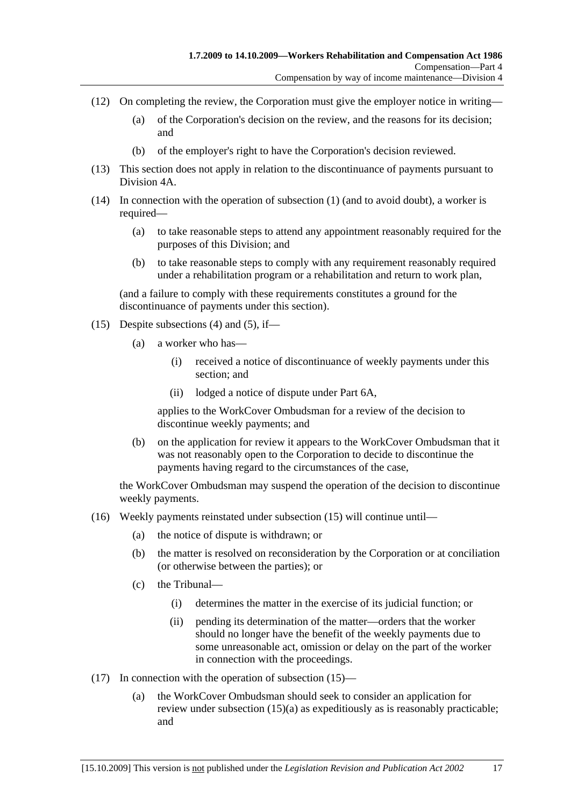- (12) On completing the review, the Corporation must give the employer notice in writing—
	- (a) of the Corporation's decision on the review, and the reasons for its decision; and
	- (b) of the employer's right to have the Corporation's decision reviewed.
- (13) This section does not apply in relation to the discontinuance of payments pursuant to Division 4A.
- (14) In connection with the operation of subsection (1) (and to avoid doubt), a worker is required—
	- (a) to take reasonable steps to attend any appointment reasonably required for the purposes of this Division; and
	- (b) to take reasonable steps to comply with any requirement reasonably required under a rehabilitation program or a rehabilitation and return to work plan,

(and a failure to comply with these requirements constitutes a ground for the discontinuance of payments under this section).

- (15) Despite subsections (4) and (5), if—
	- (a) a worker who has—
		- (i) received a notice of discontinuance of weekly payments under this section; and
		- (ii) lodged a notice of dispute under Part 6A,

applies to the WorkCover Ombudsman for a review of the decision to discontinue weekly payments; and

 (b) on the application for review it appears to the WorkCover Ombudsman that it was not reasonably open to the Corporation to decide to discontinue the payments having regard to the circumstances of the case,

the WorkCover Ombudsman may suspend the operation of the decision to discontinue weekly payments.

- (16) Weekly payments reinstated under subsection (15) will continue until—
	- (a) the notice of dispute is withdrawn; or
	- (b) the matter is resolved on reconsideration by the Corporation or at conciliation (or otherwise between the parties); or
	- (c) the Tribunal—
		- (i) determines the matter in the exercise of its judicial function; or
		- (ii) pending its determination of the matter—orders that the worker should no longer have the benefit of the weekly payments due to some unreasonable act, omission or delay on the part of the worker in connection with the proceedings.
- (17) In connection with the operation of subsection (15)—
	- (a) the WorkCover Ombudsman should seek to consider an application for review under subsection (15)(a) as expeditiously as is reasonably practicable; and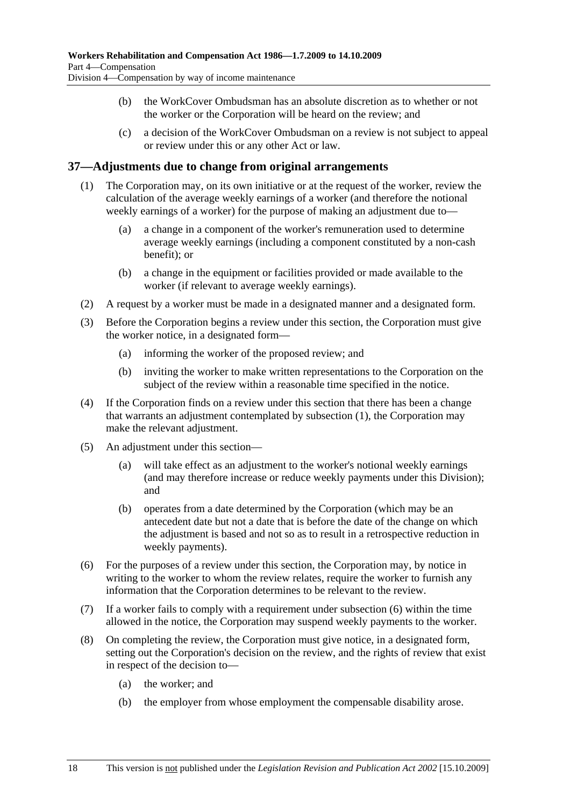- (b) the WorkCover Ombudsman has an absolute discretion as to whether or not the worker or the Corporation will be heard on the review; and
- (c) a decision of the WorkCover Ombudsman on a review is not subject to appeal or review under this or any other Act or law.

### **37—Adjustments due to change from original arrangements**

- (1) The Corporation may, on its own initiative or at the request of the worker, review the calculation of the average weekly earnings of a worker (and therefore the notional weekly earnings of a worker) for the purpose of making an adjustment due to—
	- (a) a change in a component of the worker's remuneration used to determine average weekly earnings (including a component constituted by a non-cash benefit); or
	- (b) a change in the equipment or facilities provided or made available to the worker (if relevant to average weekly earnings).
- (2) A request by a worker must be made in a designated manner and a designated form.
- (3) Before the Corporation begins a review under this section, the Corporation must give the worker notice, in a designated form—
	- (a) informing the worker of the proposed review; and
	- (b) inviting the worker to make written representations to the Corporation on the subject of the review within a reasonable time specified in the notice.
- (4) If the Corporation finds on a review under this section that there has been a change that warrants an adjustment contemplated by subsection (1), the Corporation may make the relevant adjustment.
- (5) An adjustment under this section—
	- (a) will take effect as an adjustment to the worker's notional weekly earnings (and may therefore increase or reduce weekly payments under this Division); and
	- (b) operates from a date determined by the Corporation (which may be an antecedent date but not a date that is before the date of the change on which the adjustment is based and not so as to result in a retrospective reduction in weekly payments).
- (6) For the purposes of a review under this section, the Corporation may, by notice in writing to the worker to whom the review relates, require the worker to furnish any information that the Corporation determines to be relevant to the review.
- (7) If a worker fails to comply with a requirement under subsection (6) within the time allowed in the notice, the Corporation may suspend weekly payments to the worker.
- (8) On completing the review, the Corporation must give notice, in a designated form, setting out the Corporation's decision on the review, and the rights of review that exist in respect of the decision to—
	- (a) the worker; and
	- (b) the employer from whose employment the compensable disability arose.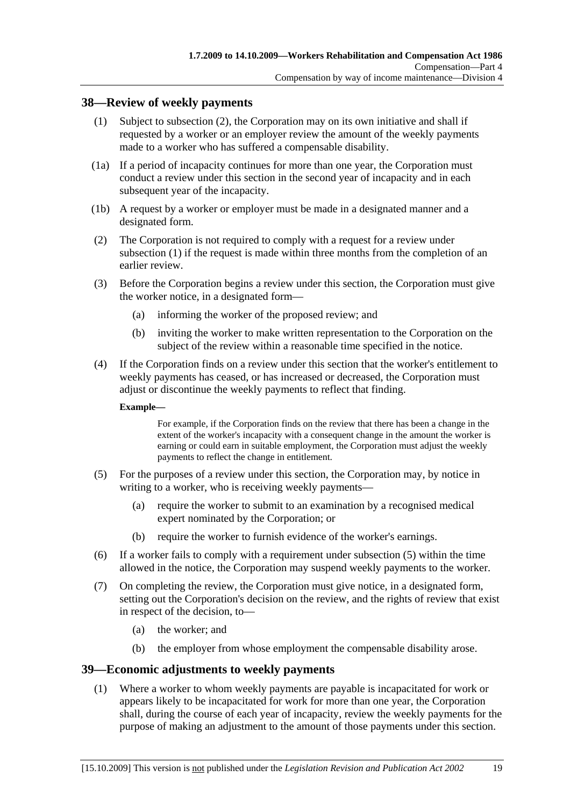### **38—Review of weekly payments**

- (1) Subject to subsection (2), the Corporation may on its own initiative and shall if requested by a worker or an employer review the amount of the weekly payments made to a worker who has suffered a compensable disability.
- (1a) If a period of incapacity continues for more than one year, the Corporation must conduct a review under this section in the second year of incapacity and in each subsequent year of the incapacity.
- (1b) A request by a worker or employer must be made in a designated manner and a designated form.
- (2) The Corporation is not required to comply with a request for a review under subsection (1) if the request is made within three months from the completion of an earlier review.
- (3) Before the Corporation begins a review under this section, the Corporation must give the worker notice, in a designated form—
	- (a) informing the worker of the proposed review; and
	- (b) inviting the worker to make written representation to the Corporation on the subject of the review within a reasonable time specified in the notice.
- (4) If the Corporation finds on a review under this section that the worker's entitlement to weekly payments has ceased, or has increased or decreased, the Corporation must adjust or discontinue the weekly payments to reflect that finding.

#### **Example—**

For example, if the Corporation finds on the review that there has been a change in the extent of the worker's incapacity with a consequent change in the amount the worker is earning or could earn in suitable employment, the Corporation must adjust the weekly payments to reflect the change in entitlement.

- (5) For the purposes of a review under this section, the Corporation may, by notice in writing to a worker, who is receiving weekly payments—
	- (a) require the worker to submit to an examination by a recognised medical expert nominated by the Corporation; or
	- (b) require the worker to furnish evidence of the worker's earnings.
- (6) If a worker fails to comply with a requirement under subsection (5) within the time allowed in the notice, the Corporation may suspend weekly payments to the worker.
- (7) On completing the review, the Corporation must give notice, in a designated form, setting out the Corporation's decision on the review, and the rights of review that exist in respect of the decision, to—
	- (a) the worker; and
	- (b) the employer from whose employment the compensable disability arose.

#### **39—Economic adjustments to weekly payments**

 (1) Where a worker to whom weekly payments are payable is incapacitated for work or appears likely to be incapacitated for work for more than one year, the Corporation shall, during the course of each year of incapacity, review the weekly payments for the purpose of making an adjustment to the amount of those payments under this section.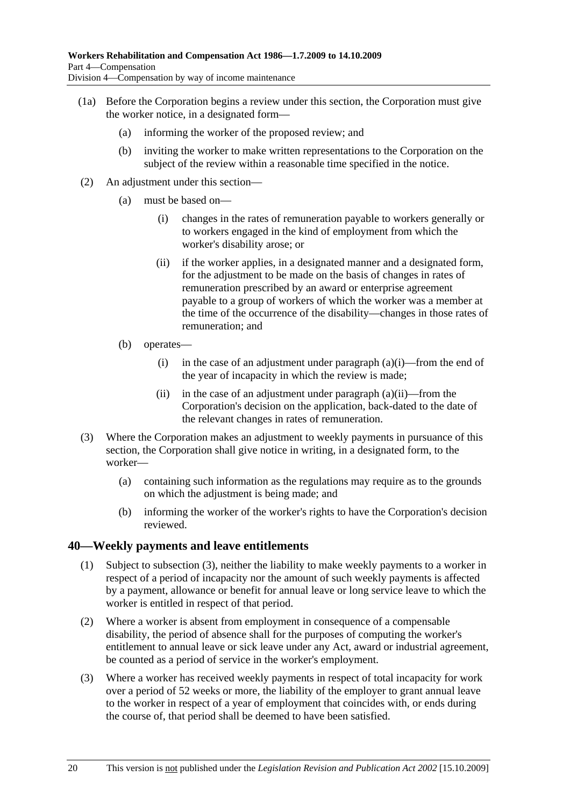- (1a) Before the Corporation begins a review under this section, the Corporation must give the worker notice, in a designated form—
	- (a) informing the worker of the proposed review; and
	- (b) inviting the worker to make written representations to the Corporation on the subject of the review within a reasonable time specified in the notice.
- (2) An adjustment under this section—
	- (a) must be based on—
		- (i) changes in the rates of remuneration payable to workers generally or to workers engaged in the kind of employment from which the worker's disability arose; or
		- (ii) if the worker applies, in a designated manner and a designated form, for the adjustment to be made on the basis of changes in rates of remuneration prescribed by an award or enterprise agreement payable to a group of workers of which the worker was a member at the time of the occurrence of the disability—changes in those rates of remuneration; and
	- (b) operates—
		- (i) in the case of an adjustment under paragraph  $(a)(i)$ —from the end of the year of incapacity in which the review is made;
		- (ii) in the case of an adjustment under paragraph  $(a)(ii)$ —from the Corporation's decision on the application, back-dated to the date of the relevant changes in rates of remuneration.
- (3) Where the Corporation makes an adjustment to weekly payments in pursuance of this section, the Corporation shall give notice in writing, in a designated form, to the worker—
	- (a) containing such information as the regulations may require as to the grounds on which the adjustment is being made; and
	- (b) informing the worker of the worker's rights to have the Corporation's decision reviewed.

### **40—Weekly payments and leave entitlements**

- (1) Subject to subsection (3), neither the liability to make weekly payments to a worker in respect of a period of incapacity nor the amount of such weekly payments is affected by a payment, allowance or benefit for annual leave or long service leave to which the worker is entitled in respect of that period.
- (2) Where a worker is absent from employment in consequence of a compensable disability, the period of absence shall for the purposes of computing the worker's entitlement to annual leave or sick leave under any Act, award or industrial agreement, be counted as a period of service in the worker's employment.
- (3) Where a worker has received weekly payments in respect of total incapacity for work over a period of 52 weeks or more, the liability of the employer to grant annual leave to the worker in respect of a year of employment that coincides with, or ends during the course of, that period shall be deemed to have been satisfied.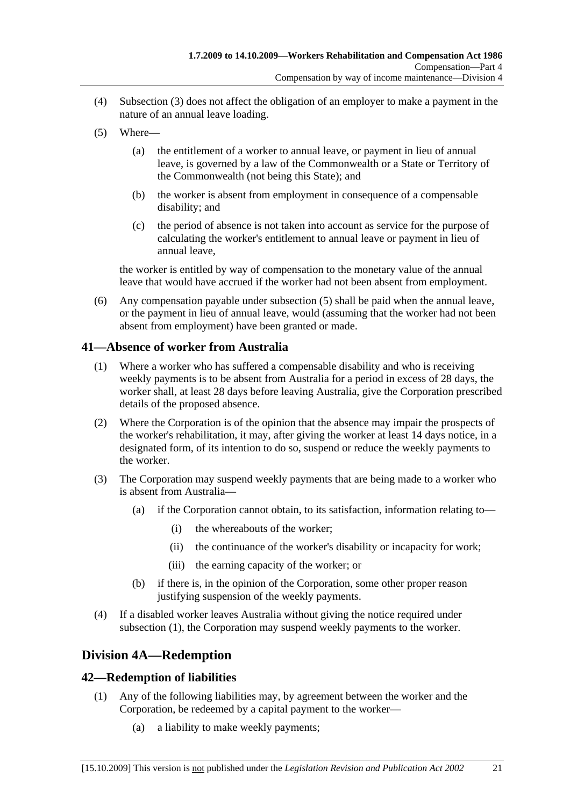- (4) Subsection (3) does not affect the obligation of an employer to make a payment in the nature of an annual leave loading.
- (5) Where—
	- (a) the entitlement of a worker to annual leave, or payment in lieu of annual leave, is governed by a law of the Commonwealth or a State or Territory of the Commonwealth (not being this State); and
	- (b) the worker is absent from employment in consequence of a compensable disability; and
	- (c) the period of absence is not taken into account as service for the purpose of calculating the worker's entitlement to annual leave or payment in lieu of annual leave,

the worker is entitled by way of compensation to the monetary value of the annual leave that would have accrued if the worker had not been absent from employment.

 (6) Any compensation payable under subsection (5) shall be paid when the annual leave, or the payment in lieu of annual leave, would (assuming that the worker had not been absent from employment) have been granted or made.

### **41—Absence of worker from Australia**

- (1) Where a worker who has suffered a compensable disability and who is receiving weekly payments is to be absent from Australia for a period in excess of 28 days, the worker shall, at least 28 days before leaving Australia, give the Corporation prescribed details of the proposed absence.
- (2) Where the Corporation is of the opinion that the absence may impair the prospects of the worker's rehabilitation, it may, after giving the worker at least 14 days notice, in a designated form, of its intention to do so, suspend or reduce the weekly payments to the worker.
- (3) The Corporation may suspend weekly payments that are being made to a worker who is absent from Australia—
	- (a) if the Corporation cannot obtain, to its satisfaction, information relating to—
		- (i) the whereabouts of the worker;
		- (ii) the continuance of the worker's disability or incapacity for work;
		- (iii) the earning capacity of the worker; or
	- (b) if there is, in the opinion of the Corporation, some other proper reason justifying suspension of the weekly payments.
- (4) If a disabled worker leaves Australia without giving the notice required under subsection (1), the Corporation may suspend weekly payments to the worker.

# **Division 4A—Redemption**

### **42—Redemption of liabilities**

- (1) Any of the following liabilities may, by agreement between the worker and the Corporation, be redeemed by a capital payment to the worker—
	- (a) a liability to make weekly payments;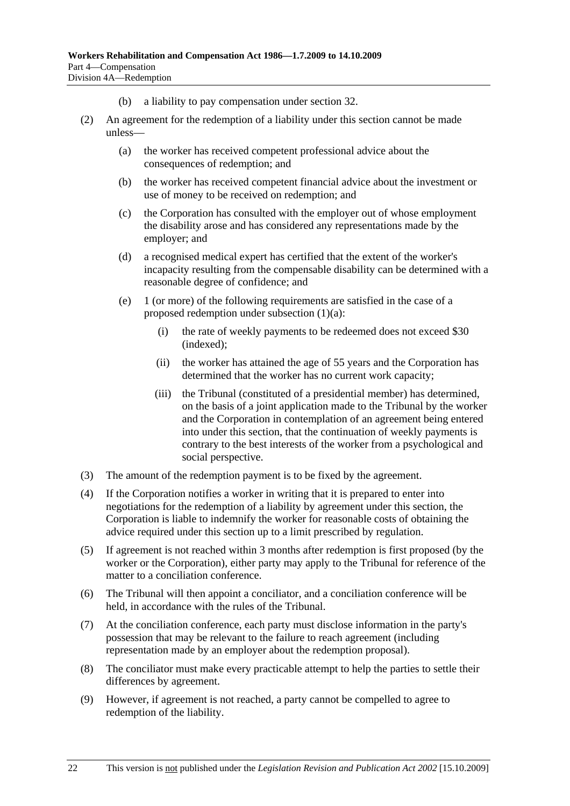- (b) a liability to pay compensation under section 32.
- (2) An agreement for the redemption of a liability under this section cannot be made unless—
	- (a) the worker has received competent professional advice about the consequences of redemption; and
	- (b) the worker has received competent financial advice about the investment or use of money to be received on redemption; and
	- (c) the Corporation has consulted with the employer out of whose employment the disability arose and has considered any representations made by the employer; and
	- (d) a recognised medical expert has certified that the extent of the worker's incapacity resulting from the compensable disability can be determined with a reasonable degree of confidence; and
	- (e) 1 (or more) of the following requirements are satisfied in the case of a proposed redemption under subsection (1)(a):
		- (i) the rate of weekly payments to be redeemed does not exceed \$30 (indexed);
		- (ii) the worker has attained the age of 55 years and the Corporation has determined that the worker has no current work capacity;
		- (iii) the Tribunal (constituted of a presidential member) has determined, on the basis of a joint application made to the Tribunal by the worker and the Corporation in contemplation of an agreement being entered into under this section, that the continuation of weekly payments is contrary to the best interests of the worker from a psychological and social perspective.
- (3) The amount of the redemption payment is to be fixed by the agreement.
- (4) If the Corporation notifies a worker in writing that it is prepared to enter into negotiations for the redemption of a liability by agreement under this section, the Corporation is liable to indemnify the worker for reasonable costs of obtaining the advice required under this section up to a limit prescribed by regulation.
- (5) If agreement is not reached within 3 months after redemption is first proposed (by the worker or the Corporation), either party may apply to the Tribunal for reference of the matter to a conciliation conference.
- (6) The Tribunal will then appoint a conciliator, and a conciliation conference will be held, in accordance with the rules of the Tribunal.
- (7) At the conciliation conference, each party must disclose information in the party's possession that may be relevant to the failure to reach agreement (including representation made by an employer about the redemption proposal).
- (8) The conciliator must make every practicable attempt to help the parties to settle their differences by agreement.
- (9) However, if agreement is not reached, a party cannot be compelled to agree to redemption of the liability.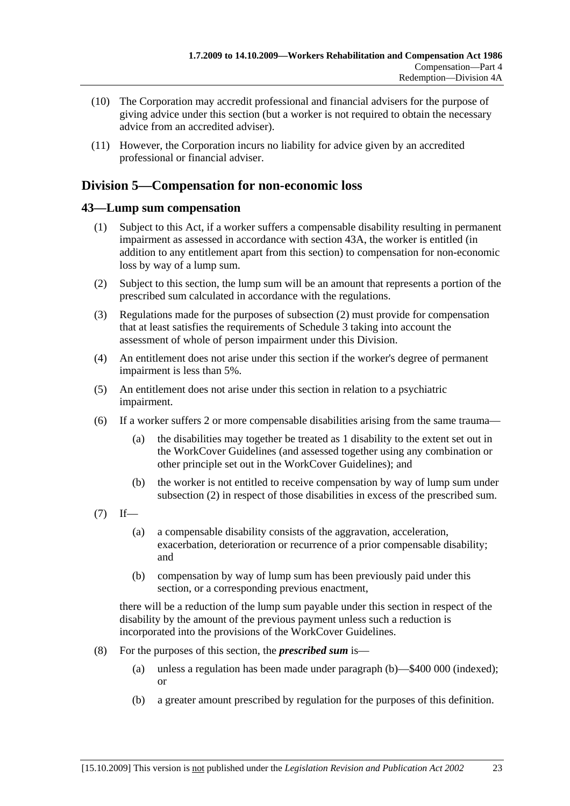- (10) The Corporation may accredit professional and financial advisers for the purpose of giving advice under this section (but a worker is not required to obtain the necessary advice from an accredited adviser).
- (11) However, the Corporation incurs no liability for advice given by an accredited professional or financial adviser.

# **Division 5—Compensation for non-economic loss**

### **43—Lump sum compensation**

- (1) Subject to this Act, if a worker suffers a compensable disability resulting in permanent impairment as assessed in accordance with section 43A, the worker is entitled (in addition to any entitlement apart from this section) to compensation for non-economic loss by way of a lump sum.
- (2) Subject to this section, the lump sum will be an amount that represents a portion of the prescribed sum calculated in accordance with the regulations.
- (3) Regulations made for the purposes of subsection (2) must provide for compensation that at least satisfies the requirements of Schedule 3 taking into account the assessment of whole of person impairment under this Division.
- (4) An entitlement does not arise under this section if the worker's degree of permanent impairment is less than 5%.
- (5) An entitlement does not arise under this section in relation to a psychiatric impairment.
- (6) If a worker suffers 2 or more compensable disabilities arising from the same trauma—
	- (a) the disabilities may together be treated as 1 disability to the extent set out in the WorkCover Guidelines (and assessed together using any combination or other principle set out in the WorkCover Guidelines); and
	- (b) the worker is not entitled to receive compensation by way of lump sum under subsection (2) in respect of those disabilities in excess of the prescribed sum.
- $(7)$  If—
	- (a) a compensable disability consists of the aggravation, acceleration, exacerbation, deterioration or recurrence of a prior compensable disability; and
	- (b) compensation by way of lump sum has been previously paid under this section, or a corresponding previous enactment,

there will be a reduction of the lump sum payable under this section in respect of the disability by the amount of the previous payment unless such a reduction is incorporated into the provisions of the WorkCover Guidelines.

- (8) For the purposes of this section, the *prescribed sum* is—
	- (a) unless a regulation has been made under paragraph (b)—\$400 000 (indexed); or
	- (b) a greater amount prescribed by regulation for the purposes of this definition.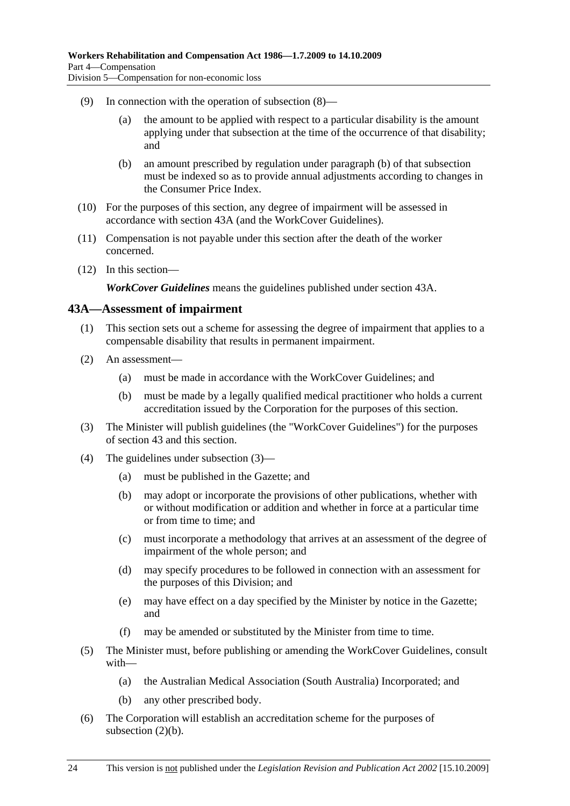- (9) In connection with the operation of subsection (8)—
	- (a) the amount to be applied with respect to a particular disability is the amount applying under that subsection at the time of the occurrence of that disability; and
	- (b) an amount prescribed by regulation under paragraph (b) of that subsection must be indexed so as to provide annual adjustments according to changes in the Consumer Price Index.
- (10) For the purposes of this section, any degree of impairment will be assessed in accordance with section 43A (and the WorkCover Guidelines).
- (11) Compensation is not payable under this section after the death of the worker concerned.
- (12) In this section—

*WorkCover Guidelines* means the guidelines published under section 43A.

#### **43A—Assessment of impairment**

- (1) This section sets out a scheme for assessing the degree of impairment that applies to a compensable disability that results in permanent impairment.
- (2) An assessment—
	- (a) must be made in accordance with the WorkCover Guidelines; and
	- (b) must be made by a legally qualified medical practitioner who holds a current accreditation issued by the Corporation for the purposes of this section.
- (3) The Minister will publish guidelines (the "WorkCover Guidelines") for the purposes of section 43 and this section.
- (4) The guidelines under subsection (3)—
	- (a) must be published in the Gazette; and
	- (b) may adopt or incorporate the provisions of other publications, whether with or without modification or addition and whether in force at a particular time or from time to time; and
	- (c) must incorporate a methodology that arrives at an assessment of the degree of impairment of the whole person; and
	- (d) may specify procedures to be followed in connection with an assessment for the purposes of this Division; and
	- (e) may have effect on a day specified by the Minister by notice in the Gazette; and
	- (f) may be amended or substituted by the Minister from time to time.
- (5) The Minister must, before publishing or amending the WorkCover Guidelines, consult with—
	- (a) the Australian Medical Association (South Australia) Incorporated; and
	- (b) any other prescribed body.
- (6) The Corporation will establish an accreditation scheme for the purposes of subsection (2)(b).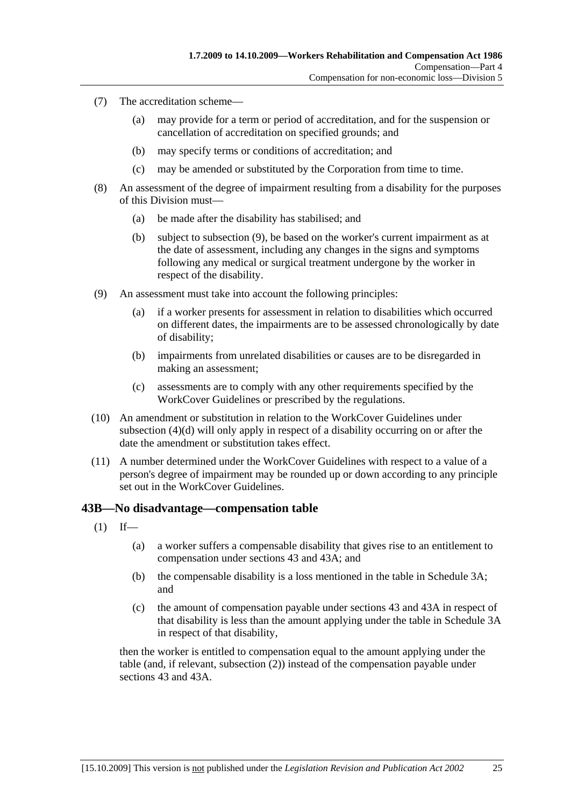- (7) The accreditation scheme—
	- (a) may provide for a term or period of accreditation, and for the suspension or cancellation of accreditation on specified grounds; and
	- (b) may specify terms or conditions of accreditation; and
	- (c) may be amended or substituted by the Corporation from time to time.
- (8) An assessment of the degree of impairment resulting from a disability for the purposes of this Division must—
	- (a) be made after the disability has stabilised; and
	- (b) subject to subsection (9), be based on the worker's current impairment as at the date of assessment, including any changes in the signs and symptoms following any medical or surgical treatment undergone by the worker in respect of the disability.
- (9) An assessment must take into account the following principles:
	- (a) if a worker presents for assessment in relation to disabilities which occurred on different dates, the impairments are to be assessed chronologically by date of disability;
	- (b) impairments from unrelated disabilities or causes are to be disregarded in making an assessment;
	- (c) assessments are to comply with any other requirements specified by the WorkCover Guidelines or prescribed by the regulations.
- (10) An amendment or substitution in relation to the WorkCover Guidelines under subsection (4)(d) will only apply in respect of a disability occurring on or after the date the amendment or substitution takes effect.
- (11) A number determined under the WorkCover Guidelines with respect to a value of a person's degree of impairment may be rounded up or down according to any principle set out in the WorkCover Guidelines.

#### **43B—No disadvantage—compensation table**

- $(1)$  If—
	- (a) a worker suffers a compensable disability that gives rise to an entitlement to compensation under sections 43 and 43A; and
	- (b) the compensable disability is a loss mentioned in the table in Schedule 3A; and
	- (c) the amount of compensation payable under sections 43 and 43A in respect of that disability is less than the amount applying under the table in Schedule 3A in respect of that disability,

then the worker is entitled to compensation equal to the amount applying under the table (and, if relevant, subsection (2)) instead of the compensation payable under sections 43 and 43A.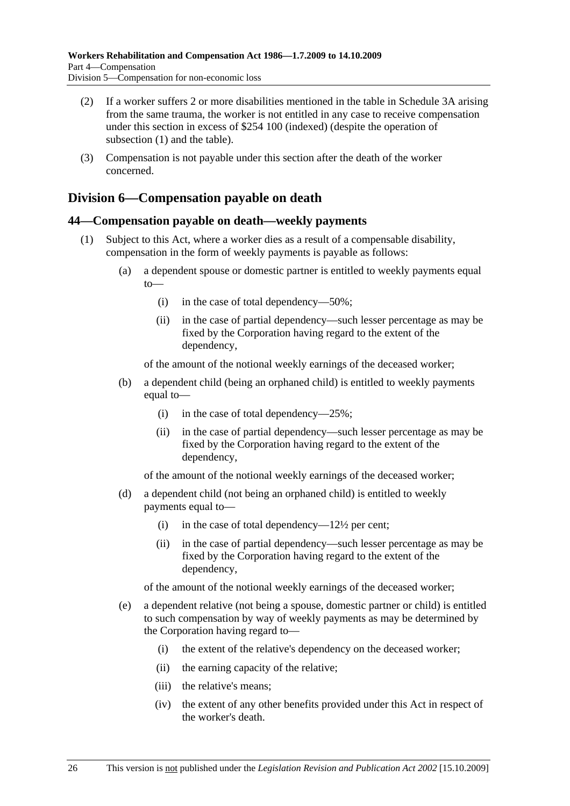- (2) If a worker suffers 2 or more disabilities mentioned in the table in Schedule 3A arising from the same trauma, the worker is not entitled in any case to receive compensation under this section in excess of \$254 100 (indexed) (despite the operation of subsection (1) and the table).
- (3) Compensation is not payable under this section after the death of the worker concerned.

## **Division 6—Compensation payable on death**

### **44—Compensation payable on death—weekly payments**

- (1) Subject to this Act, where a worker dies as a result of a compensable disability, compensation in the form of weekly payments is payable as follows:
	- (a) a dependent spouse or domestic partner is entitled to weekly payments equal to—
		- (i) in the case of total dependency—50%;
		- (ii) in the case of partial dependency—such lesser percentage as may be fixed by the Corporation having regard to the extent of the dependency,

of the amount of the notional weekly earnings of the deceased worker;

- (b) a dependent child (being an orphaned child) is entitled to weekly payments equal to—
	- (i) in the case of total dependency— $25\%$ ;
	- (ii) in the case of partial dependency—such lesser percentage as may be fixed by the Corporation having regard to the extent of the dependency,

of the amount of the notional weekly earnings of the deceased worker;

- (d) a dependent child (not being an orphaned child) is entitled to weekly payments equal to—
	- (i) in the case of total dependency— $12\frac{1}{2}$  per cent;
	- (ii) in the case of partial dependency—such lesser percentage as may be fixed by the Corporation having regard to the extent of the dependency,

of the amount of the notional weekly earnings of the deceased worker;

- (e) a dependent relative (not being a spouse, domestic partner or child) is entitled to such compensation by way of weekly payments as may be determined by the Corporation having regard to—
	- (i) the extent of the relative's dependency on the deceased worker;
	- (ii) the earning capacity of the relative;
	- (iii) the relative's means;
	- (iv) the extent of any other benefits provided under this Act in respect of the worker's death.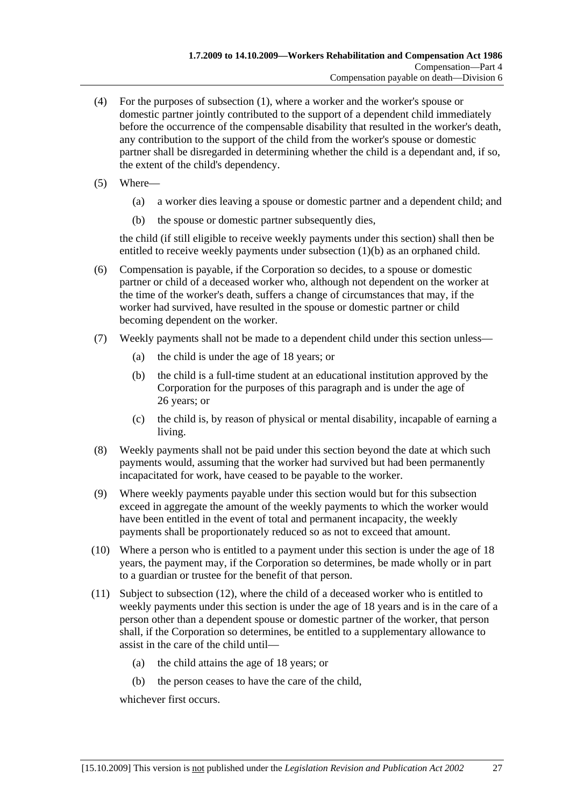- (4) For the purposes of subsection (1), where a worker and the worker's spouse or domestic partner jointly contributed to the support of a dependent child immediately before the occurrence of the compensable disability that resulted in the worker's death, any contribution to the support of the child from the worker's spouse or domestic partner shall be disregarded in determining whether the child is a dependant and, if so, the extent of the child's dependency.
- (5) Where—
	- (a) a worker dies leaving a spouse or domestic partner and a dependent child; and
	- (b) the spouse or domestic partner subsequently dies,

the child (if still eligible to receive weekly payments under this section) shall then be entitled to receive weekly payments under subsection (1)(b) as an orphaned child.

- (6) Compensation is payable, if the Corporation so decides, to a spouse or domestic partner or child of a deceased worker who, although not dependent on the worker at the time of the worker's death, suffers a change of circumstances that may, if the worker had survived, have resulted in the spouse or domestic partner or child becoming dependent on the worker.
- (7) Weekly payments shall not be made to a dependent child under this section unless—
	- (a) the child is under the age of 18 years; or
	- (b) the child is a full-time student at an educational institution approved by the Corporation for the purposes of this paragraph and is under the age of 26 years; or
	- (c) the child is, by reason of physical or mental disability, incapable of earning a living.
- (8) Weekly payments shall not be paid under this section beyond the date at which such payments would, assuming that the worker had survived but had been permanently incapacitated for work, have ceased to be payable to the worker.
- (9) Where weekly payments payable under this section would but for this subsection exceed in aggregate the amount of the weekly payments to which the worker would have been entitled in the event of total and permanent incapacity, the weekly payments shall be proportionately reduced so as not to exceed that amount.
- (10) Where a person who is entitled to a payment under this section is under the age of 18 years, the payment may, if the Corporation so determines, be made wholly or in part to a guardian or trustee for the benefit of that person.
- (11) Subject to subsection (12), where the child of a deceased worker who is entitled to weekly payments under this section is under the age of 18 years and is in the care of a person other than a dependent spouse or domestic partner of the worker, that person shall, if the Corporation so determines, be entitled to a supplementary allowance to assist in the care of the child until—
	- (a) the child attains the age of 18 years; or
	- (b) the person ceases to have the care of the child,

whichever first occurs.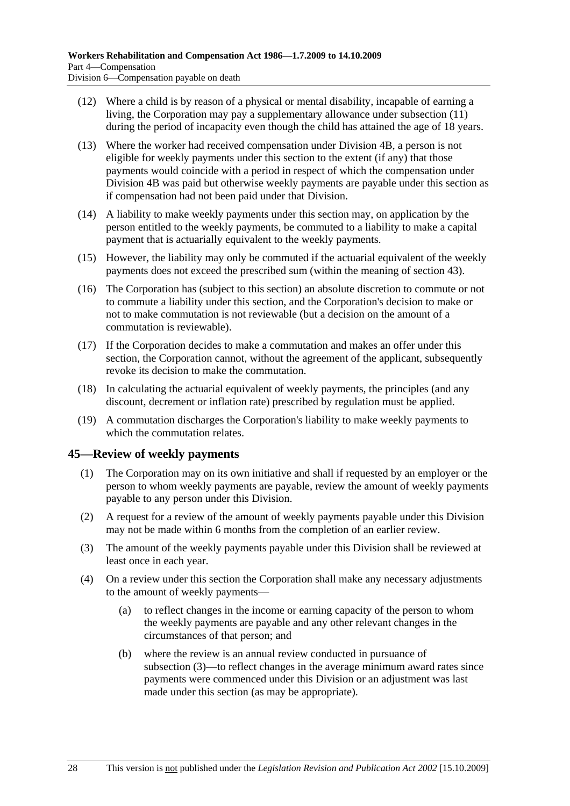- (12) Where a child is by reason of a physical or mental disability, incapable of earning a living, the Corporation may pay a supplementary allowance under subsection (11) during the period of incapacity even though the child has attained the age of 18 years.
- (13) Where the worker had received compensation under Division 4B, a person is not eligible for weekly payments under this section to the extent (if any) that those payments would coincide with a period in respect of which the compensation under Division 4B was paid but otherwise weekly payments are payable under this section as if compensation had not been paid under that Division.
- (14) A liability to make weekly payments under this section may, on application by the person entitled to the weekly payments, be commuted to a liability to make a capital payment that is actuarially equivalent to the weekly payments.
- (15) However, the liability may only be commuted if the actuarial equivalent of the weekly payments does not exceed the prescribed sum (within the meaning of section 43).
- (16) The Corporation has (subject to this section) an absolute discretion to commute or not to commute a liability under this section, and the Corporation's decision to make or not to make commutation is not reviewable (but a decision on the amount of a commutation is reviewable).
- (17) If the Corporation decides to make a commutation and makes an offer under this section, the Corporation cannot, without the agreement of the applicant, subsequently revoke its decision to make the commutation.
- (18) In calculating the actuarial equivalent of weekly payments, the principles (and any discount, decrement or inflation rate) prescribed by regulation must be applied.
- (19) A commutation discharges the Corporation's liability to make weekly payments to which the commutation relates.

## **45—Review of weekly payments**

- (1) The Corporation may on its own initiative and shall if requested by an employer or the person to whom weekly payments are payable, review the amount of weekly payments payable to any person under this Division.
- (2) A request for a review of the amount of weekly payments payable under this Division may not be made within 6 months from the completion of an earlier review.
- (3) The amount of the weekly payments payable under this Division shall be reviewed at least once in each year.
- (4) On a review under this section the Corporation shall make any necessary adjustments to the amount of weekly payments—
	- (a) to reflect changes in the income or earning capacity of the person to whom the weekly payments are payable and any other relevant changes in the circumstances of that person; and
	- (b) where the review is an annual review conducted in pursuance of subsection (3)—to reflect changes in the average minimum award rates since payments were commenced under this Division or an adjustment was last made under this section (as may be appropriate).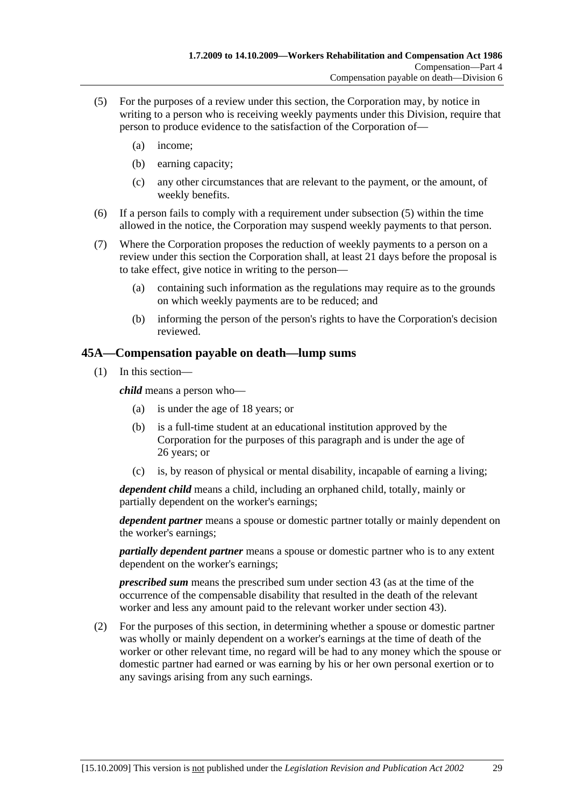- (5) For the purposes of a review under this section, the Corporation may, by notice in writing to a person who is receiving weekly payments under this Division, require that person to produce evidence to the satisfaction of the Corporation of—
	- (a) income;
	- (b) earning capacity;
	- (c) any other circumstances that are relevant to the payment, or the amount, of weekly benefits.
- (6) If a person fails to comply with a requirement under subsection (5) within the time allowed in the notice, the Corporation may suspend weekly payments to that person.
- (7) Where the Corporation proposes the reduction of weekly payments to a person on a review under this section the Corporation shall, at least 21 days before the proposal is to take effect, give notice in writing to the person—
	- (a) containing such information as the regulations may require as to the grounds on which weekly payments are to be reduced; and
	- (b) informing the person of the person's rights to have the Corporation's decision reviewed.

### **45A—Compensation payable on death—lump sums**

(1) In this section—

*child* means a person who—

- (a) is under the age of 18 years; or
- (b) is a full-time student at an educational institution approved by the Corporation for the purposes of this paragraph and is under the age of 26 years; or
- (c) is, by reason of physical or mental disability, incapable of earning a living;

*dependent child* means a child, including an orphaned child, totally, mainly or partially dependent on the worker's earnings;

*dependent partner* means a spouse or domestic partner totally or mainly dependent on the worker's earnings;

*partially dependent partner* means a spouse or domestic partner who is to any extent dependent on the worker's earnings;

*prescribed sum* means the prescribed sum under section 43 (as at the time of the occurrence of the compensable disability that resulted in the death of the relevant worker and less any amount paid to the relevant worker under section 43).

 (2) For the purposes of this section, in determining whether a spouse or domestic partner was wholly or mainly dependent on a worker's earnings at the time of death of the worker or other relevant time, no regard will be had to any money which the spouse or domestic partner had earned or was earning by his or her own personal exertion or to any savings arising from any such earnings.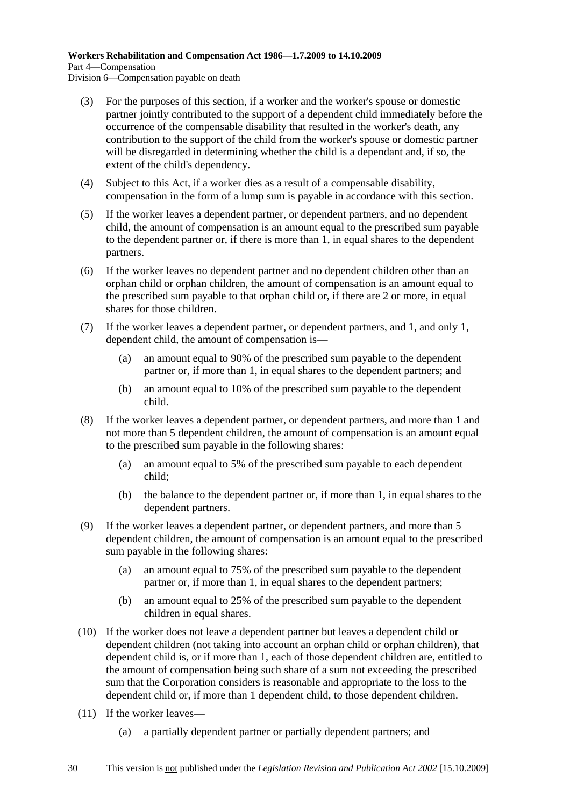- (3) For the purposes of this section, if a worker and the worker's spouse or domestic partner jointly contributed to the support of a dependent child immediately before the occurrence of the compensable disability that resulted in the worker's death, any contribution to the support of the child from the worker's spouse or domestic partner will be disregarded in determining whether the child is a dependant and, if so, the extent of the child's dependency.
- (4) Subject to this Act, if a worker dies as a result of a compensable disability, compensation in the form of a lump sum is payable in accordance with this section.
- (5) If the worker leaves a dependent partner, or dependent partners, and no dependent child, the amount of compensation is an amount equal to the prescribed sum payable to the dependent partner or, if there is more than 1, in equal shares to the dependent partners.
- (6) If the worker leaves no dependent partner and no dependent children other than an orphan child or orphan children, the amount of compensation is an amount equal to the prescribed sum payable to that orphan child or, if there are 2 or more, in equal shares for those children.
- (7) If the worker leaves a dependent partner, or dependent partners, and 1, and only 1, dependent child, the amount of compensation is—
	- (a) an amount equal to 90% of the prescribed sum payable to the dependent partner or, if more than 1, in equal shares to the dependent partners; and
	- (b) an amount equal to 10% of the prescribed sum payable to the dependent child.
- (8) If the worker leaves a dependent partner, or dependent partners, and more than 1 and not more than 5 dependent children, the amount of compensation is an amount equal to the prescribed sum payable in the following shares:
	- (a) an amount equal to 5% of the prescribed sum payable to each dependent child;
	- (b) the balance to the dependent partner or, if more than 1, in equal shares to the dependent partners.
- (9) If the worker leaves a dependent partner, or dependent partners, and more than 5 dependent children, the amount of compensation is an amount equal to the prescribed sum payable in the following shares:
	- (a) an amount equal to 75% of the prescribed sum payable to the dependent partner or, if more than 1, in equal shares to the dependent partners;
	- (b) an amount equal to 25% of the prescribed sum payable to the dependent children in equal shares.
- (10) If the worker does not leave a dependent partner but leaves a dependent child or dependent children (not taking into account an orphan child or orphan children), that dependent child is, or if more than 1, each of those dependent children are, entitled to the amount of compensation being such share of a sum not exceeding the prescribed sum that the Corporation considers is reasonable and appropriate to the loss to the dependent child or, if more than 1 dependent child, to those dependent children.
- (11) If the worker leaves—
	- (a) a partially dependent partner or partially dependent partners; and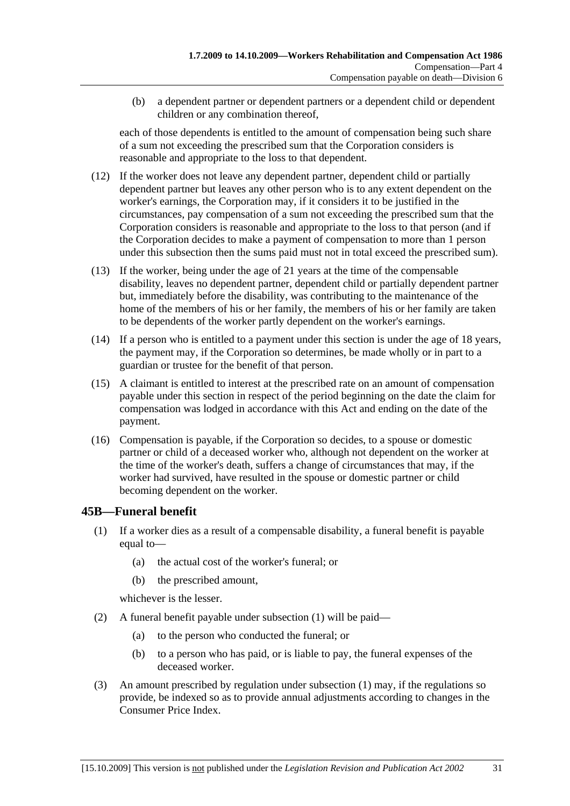(b) a dependent partner or dependent partners or a dependent child or dependent children or any combination thereof,

each of those dependents is entitled to the amount of compensation being such share of a sum not exceeding the prescribed sum that the Corporation considers is reasonable and appropriate to the loss to that dependent.

- (12) If the worker does not leave any dependent partner, dependent child or partially dependent partner but leaves any other person who is to any extent dependent on the worker's earnings, the Corporation may, if it considers it to be justified in the circumstances, pay compensation of a sum not exceeding the prescribed sum that the Corporation considers is reasonable and appropriate to the loss to that person (and if the Corporation decides to make a payment of compensation to more than 1 person under this subsection then the sums paid must not in total exceed the prescribed sum).
- (13) If the worker, being under the age of 21 years at the time of the compensable disability, leaves no dependent partner, dependent child or partially dependent partner but, immediately before the disability, was contributing to the maintenance of the home of the members of his or her family, the members of his or her family are taken to be dependents of the worker partly dependent on the worker's earnings.
- (14) If a person who is entitled to a payment under this section is under the age of 18 years, the payment may, if the Corporation so determines, be made wholly or in part to a guardian or trustee for the benefit of that person.
- (15) A claimant is entitled to interest at the prescribed rate on an amount of compensation payable under this section in respect of the period beginning on the date the claim for compensation was lodged in accordance with this Act and ending on the date of the payment.
- (16) Compensation is payable, if the Corporation so decides, to a spouse or domestic partner or child of a deceased worker who, although not dependent on the worker at the time of the worker's death, suffers a change of circumstances that may, if the worker had survived, have resulted in the spouse or domestic partner or child becoming dependent on the worker.

## **45B—Funeral benefit**

- (1) If a worker dies as a result of a compensable disability, a funeral benefit is payable equal to—
	- (a) the actual cost of the worker's funeral; or
	- (b) the prescribed amount,

whichever is the lesser.

- (2) A funeral benefit payable under subsection (1) will be paid—
	- (a) to the person who conducted the funeral; or
	- (b) to a person who has paid, or is liable to pay, the funeral expenses of the deceased worker.
- (3) An amount prescribed by regulation under subsection (1) may, if the regulations so provide, be indexed so as to provide annual adjustments according to changes in the Consumer Price Index.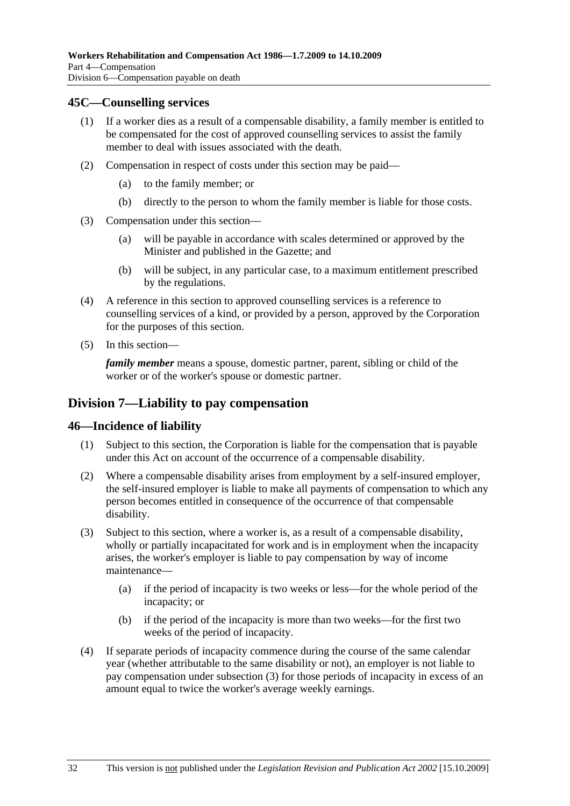#### **45C—Counselling services**

- (1) If a worker dies as a result of a compensable disability, a family member is entitled to be compensated for the cost of approved counselling services to assist the family member to deal with issues associated with the death.
- (2) Compensation in respect of costs under this section may be paid—
	- (a) to the family member; or
	- (b) directly to the person to whom the family member is liable for those costs.
- (3) Compensation under this section—
	- (a) will be payable in accordance with scales determined or approved by the Minister and published in the Gazette; and
	- (b) will be subject, in any particular case, to a maximum entitlement prescribed by the regulations.
- (4) A reference in this section to approved counselling services is a reference to counselling services of a kind, or provided by a person, approved by the Corporation for the purposes of this section.
- (5) In this section—

*family member* means a spouse, domestic partner, parent, sibling or child of the worker or of the worker's spouse or domestic partner.

### **Division 7—Liability to pay compensation**

#### **46—Incidence of liability**

- (1) Subject to this section, the Corporation is liable for the compensation that is payable under this Act on account of the occurrence of a compensable disability.
- (2) Where a compensable disability arises from employment by a self-insured employer, the self-insured employer is liable to make all payments of compensation to which any person becomes entitled in consequence of the occurrence of that compensable disability.
- (3) Subject to this section, where a worker is, as a result of a compensable disability, wholly or partially incapacitated for work and is in employment when the incapacity arises, the worker's employer is liable to pay compensation by way of income maintenance—
	- (a) if the period of incapacity is two weeks or less—for the whole period of the incapacity; or
	- (b) if the period of the incapacity is more than two weeks—for the first two weeks of the period of incapacity.
- (4) If separate periods of incapacity commence during the course of the same calendar year (whether attributable to the same disability or not), an employer is not liable to pay compensation under subsection (3) for those periods of incapacity in excess of an amount equal to twice the worker's average weekly earnings.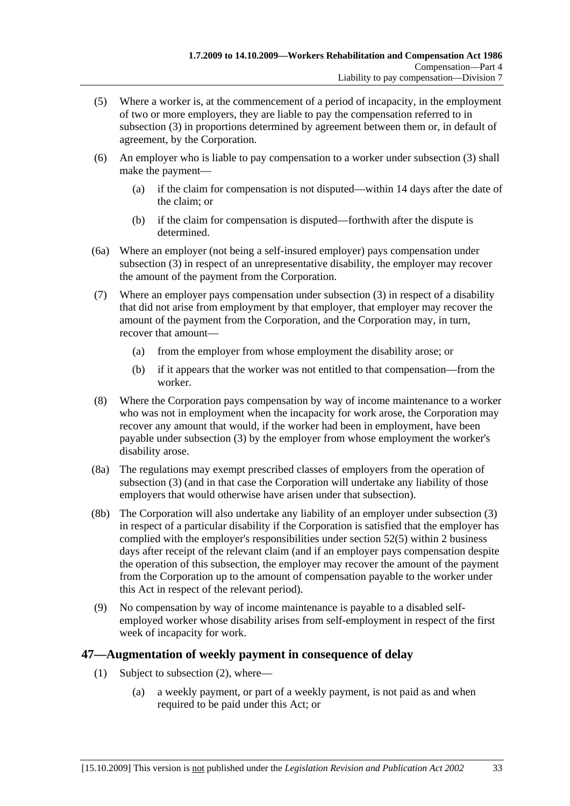- (5) Where a worker is, at the commencement of a period of incapacity, in the employment of two or more employers, they are liable to pay the compensation referred to in subsection (3) in proportions determined by agreement between them or, in default of agreement, by the Corporation.
- (6) An employer who is liable to pay compensation to a worker under subsection (3) shall make the payment—
	- (a) if the claim for compensation is not disputed—within 14 days after the date of the claim; or
	- (b) if the claim for compensation is disputed—forthwith after the dispute is determined.
- (6a) Where an employer (not being a self-insured employer) pays compensation under subsection (3) in respect of an unrepresentative disability, the employer may recover the amount of the payment from the Corporation.
- (7) Where an employer pays compensation under subsection (3) in respect of a disability that did not arise from employment by that employer, that employer may recover the amount of the payment from the Corporation, and the Corporation may, in turn, recover that amount—
	- (a) from the employer from whose employment the disability arose; or
	- (b) if it appears that the worker was not entitled to that compensation—from the worker.
- (8) Where the Corporation pays compensation by way of income maintenance to a worker who was not in employment when the incapacity for work arose, the Corporation may recover any amount that would, if the worker had been in employment, have been payable under subsection (3) by the employer from whose employment the worker's disability arose.
- (8a) The regulations may exempt prescribed classes of employers from the operation of subsection (3) (and in that case the Corporation will undertake any liability of those employers that would otherwise have arisen under that subsection).
- (8b) The Corporation will also undertake any liability of an employer under subsection (3) in respect of a particular disability if the Corporation is satisfied that the employer has complied with the employer's responsibilities under section 52(5) within 2 business days after receipt of the relevant claim (and if an employer pays compensation despite the operation of this subsection, the employer may recover the amount of the payment from the Corporation up to the amount of compensation payable to the worker under this Act in respect of the relevant period).
- (9) No compensation by way of income maintenance is payable to a disabled selfemployed worker whose disability arises from self-employment in respect of the first week of incapacity for work.

### **47—Augmentation of weekly payment in consequence of delay**

- (1) Subject to subsection (2), where—
	- (a) a weekly payment, or part of a weekly payment, is not paid as and when required to be paid under this Act; or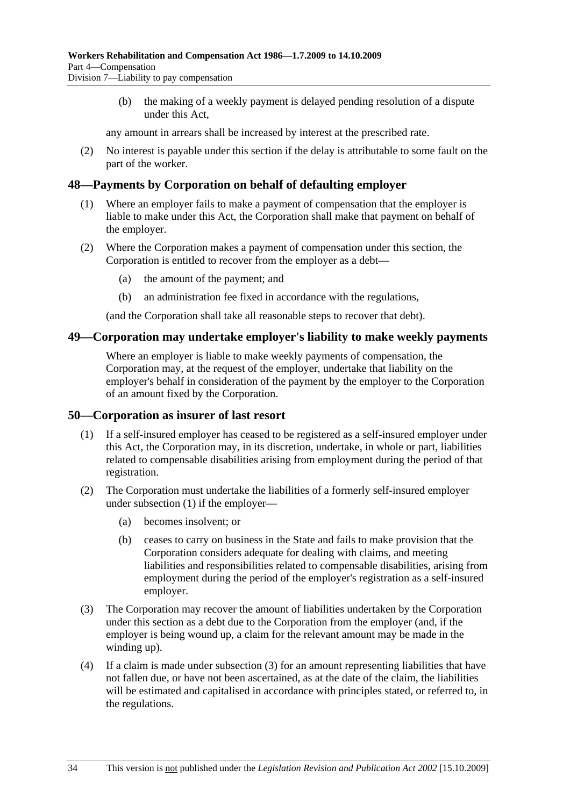(b) the making of a weekly payment is delayed pending resolution of a dispute under this Act,

any amount in arrears shall be increased by interest at the prescribed rate.

 (2) No interest is payable under this section if the delay is attributable to some fault on the part of the worker.

#### **48—Payments by Corporation on behalf of defaulting employer**

- (1) Where an employer fails to make a payment of compensation that the employer is liable to make under this Act, the Corporation shall make that payment on behalf of the employer.
- (2) Where the Corporation makes a payment of compensation under this section, the Corporation is entitled to recover from the employer as a debt—
	- (a) the amount of the payment; and
	- (b) an administration fee fixed in accordance with the regulations,

(and the Corporation shall take all reasonable steps to recover that debt).

#### **49—Corporation may undertake employer's liability to make weekly payments**

Where an employer is liable to make weekly payments of compensation, the Corporation may, at the request of the employer, undertake that liability on the employer's behalf in consideration of the payment by the employer to the Corporation of an amount fixed by the Corporation.

#### **50—Corporation as insurer of last resort**

- (1) If a self-insured employer has ceased to be registered as a self-insured employer under this Act, the Corporation may, in its discretion, undertake, in whole or part, liabilities related to compensable disabilities arising from employment during the period of that registration.
- (2) The Corporation must undertake the liabilities of a formerly self-insured employer under subsection (1) if the employer—
	- (a) becomes insolvent; or
	- (b) ceases to carry on business in the State and fails to make provision that the Corporation considers adequate for dealing with claims, and meeting liabilities and responsibilities related to compensable disabilities, arising from employment during the period of the employer's registration as a self-insured employer.
- (3) The Corporation may recover the amount of liabilities undertaken by the Corporation under this section as a debt due to the Corporation from the employer (and, if the employer is being wound up, a claim for the relevant amount may be made in the winding up).
- (4) If a claim is made under subsection (3) for an amount representing liabilities that have not fallen due, or have not been ascertained, as at the date of the claim, the liabilities will be estimated and capitalised in accordance with principles stated, or referred to, in the regulations.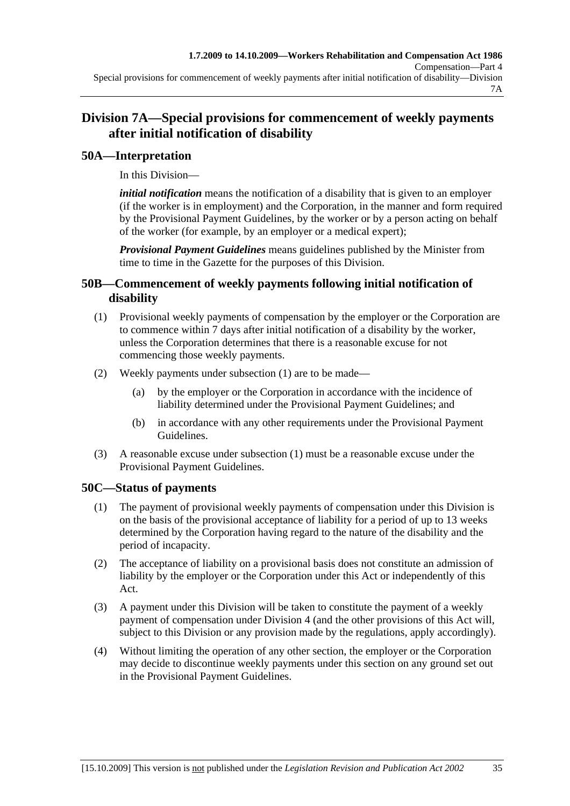# **Division 7A—Special provisions for commencement of weekly payments after initial notification of disability**

## **50A—Interpretation**

In this Division—

*initial notification* means the notification of a disability that is given to an employer (if the worker is in employment) and the Corporation, in the manner and form required by the Provisional Payment Guidelines, by the worker or by a person acting on behalf of the worker (for example, by an employer or a medical expert);

*Provisional Payment Guidelines* means guidelines published by the Minister from time to time in the Gazette for the purposes of this Division.

### **50B—Commencement of weekly payments following initial notification of disability**

- (1) Provisional weekly payments of compensation by the employer or the Corporation are to commence within 7 days after initial notification of a disability by the worker, unless the Corporation determines that there is a reasonable excuse for not commencing those weekly payments.
- (2) Weekly payments under subsection (1) are to be made—
	- (a) by the employer or the Corporation in accordance with the incidence of liability determined under the Provisional Payment Guidelines; and
	- (b) in accordance with any other requirements under the Provisional Payment Guidelines.
- (3) A reasonable excuse under subsection (1) must be a reasonable excuse under the Provisional Payment Guidelines.

# **50C—Status of payments**

- (1) The payment of provisional weekly payments of compensation under this Division is on the basis of the provisional acceptance of liability for a period of up to 13 weeks determined by the Corporation having regard to the nature of the disability and the period of incapacity.
- (2) The acceptance of liability on a provisional basis does not constitute an admission of liability by the employer or the Corporation under this Act or independently of this Act.
- (3) A payment under this Division will be taken to constitute the payment of a weekly payment of compensation under Division 4 (and the other provisions of this Act will, subject to this Division or any provision made by the regulations, apply accordingly).
- (4) Without limiting the operation of any other section, the employer or the Corporation may decide to discontinue weekly payments under this section on any ground set out in the Provisional Payment Guidelines.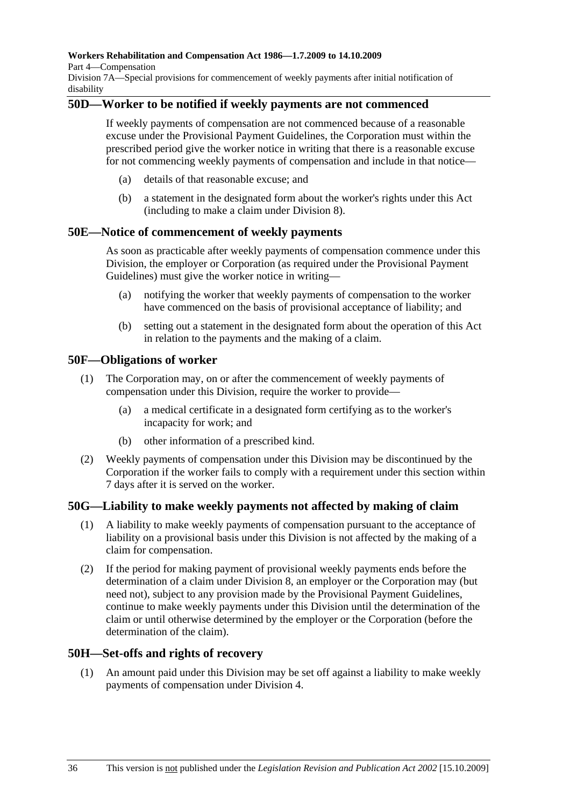Part 4—Compensation

Division 7A—Special provisions for commencement of weekly payments after initial notification of disability

### **50D—Worker to be notified if weekly payments are not commenced**

If weekly payments of compensation are not commenced because of a reasonable excuse under the Provisional Payment Guidelines, the Corporation must within the prescribed period give the worker notice in writing that there is a reasonable excuse for not commencing weekly payments of compensation and include in that notice—

- (a) details of that reasonable excuse; and
- (b) a statement in the designated form about the worker's rights under this Act (including to make a claim under Division 8).

#### **50E—Notice of commencement of weekly payments**

As soon as practicable after weekly payments of compensation commence under this Division, the employer or Corporation (as required under the Provisional Payment Guidelines) must give the worker notice in writing—

- (a) notifying the worker that weekly payments of compensation to the worker have commenced on the basis of provisional acceptance of liability; and
- (b) setting out a statement in the designated form about the operation of this Act in relation to the payments and the making of a claim.

#### **50F—Obligations of worker**

- (1) The Corporation may, on or after the commencement of weekly payments of compensation under this Division, require the worker to provide—
	- (a) a medical certificate in a designated form certifying as to the worker's incapacity for work; and
	- (b) other information of a prescribed kind.
- (2) Weekly payments of compensation under this Division may be discontinued by the Corporation if the worker fails to comply with a requirement under this section within 7 days after it is served on the worker.

### **50G—Liability to make weekly payments not affected by making of claim**

- (1) A liability to make weekly payments of compensation pursuant to the acceptance of liability on a provisional basis under this Division is not affected by the making of a claim for compensation.
- (2) If the period for making payment of provisional weekly payments ends before the determination of a claim under Division 8, an employer or the Corporation may (but need not), subject to any provision made by the Provisional Payment Guidelines, continue to make weekly payments under this Division until the determination of the claim or until otherwise determined by the employer or the Corporation (before the determination of the claim).

### **50H—Set-offs and rights of recovery**

 (1) An amount paid under this Division may be set off against a liability to make weekly payments of compensation under Division 4.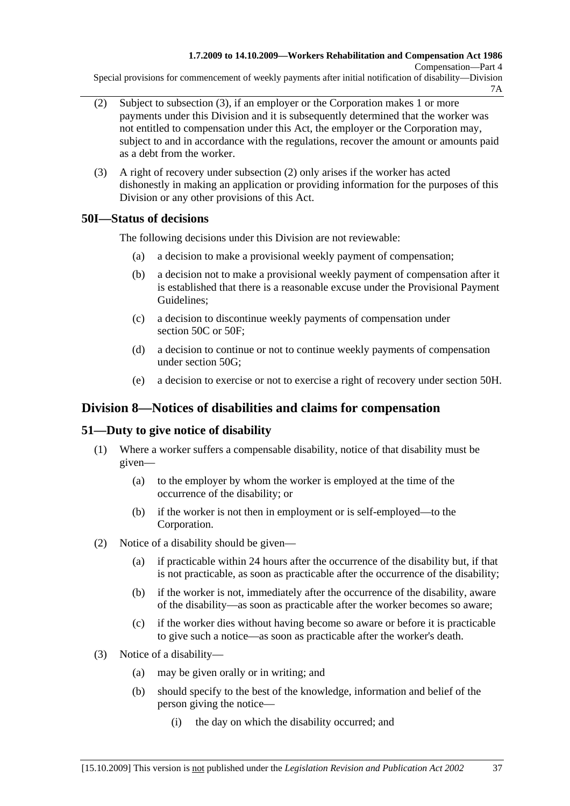Special provisions for commencement of weekly payments after initial notification of disability—Division 7A

- (2) Subject to subsection (3), if an employer or the Corporation makes 1 or more payments under this Division and it is subsequently determined that the worker was not entitled to compensation under this Act, the employer or the Corporation may, subject to and in accordance with the regulations, recover the amount or amounts paid as a debt from the worker.
- (3) A right of recovery under subsection (2) only arises if the worker has acted dishonestly in making an application or providing information for the purposes of this Division or any other provisions of this Act.

### **50I—Status of decisions**

The following decisions under this Division are not reviewable:

- (a) a decision to make a provisional weekly payment of compensation;
- (b) a decision not to make a provisional weekly payment of compensation after it is established that there is a reasonable excuse under the Provisional Payment Guidelines;
- (c) a decision to discontinue weekly payments of compensation under section 50C or 50F:
- (d) a decision to continue or not to continue weekly payments of compensation under section 50G;
- (e) a decision to exercise or not to exercise a right of recovery under section 50H.

## **Division 8—Notices of disabilities and claims for compensation**

## **51—Duty to give notice of disability**

- (1) Where a worker suffers a compensable disability, notice of that disability must be given—
	- (a) to the employer by whom the worker is employed at the time of the occurrence of the disability; or
	- (b) if the worker is not then in employment or is self-employed—to the Corporation.
- (2) Notice of a disability should be given—
	- (a) if practicable within 24 hours after the occurrence of the disability but, if that is not practicable, as soon as practicable after the occurrence of the disability;
	- (b) if the worker is not, immediately after the occurrence of the disability, aware of the disability—as soon as practicable after the worker becomes so aware;
	- (c) if the worker dies without having become so aware or before it is practicable to give such a notice—as soon as practicable after the worker's death.
- (3) Notice of a disability—
	- (a) may be given orally or in writing; and
	- (b) should specify to the best of the knowledge, information and belief of the person giving the notice—
		- (i) the day on which the disability occurred; and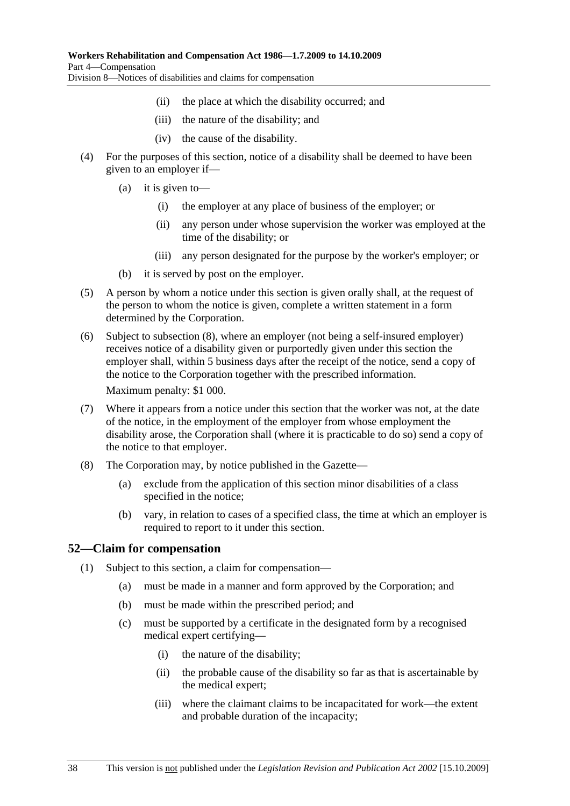- (ii) the place at which the disability occurred; and
- (iii) the nature of the disability; and
- (iv) the cause of the disability.
- (4) For the purposes of this section, notice of a disability shall be deemed to have been given to an employer if—
	- (a) it is given to—
		- (i) the employer at any place of business of the employer; or
		- (ii) any person under whose supervision the worker was employed at the time of the disability; or
		- (iii) any person designated for the purpose by the worker's employer; or
	- (b) it is served by post on the employer.
- (5) A person by whom a notice under this section is given orally shall, at the request of the person to whom the notice is given, complete a written statement in a form determined by the Corporation.
- (6) Subject to subsection (8), where an employer (not being a self-insured employer) receives notice of a disability given or purportedly given under this section the employer shall, within 5 business days after the receipt of the notice, send a copy of the notice to the Corporation together with the prescribed information.

Maximum penalty: \$1 000.

- (7) Where it appears from a notice under this section that the worker was not, at the date of the notice, in the employment of the employer from whose employment the disability arose, the Corporation shall (where it is practicable to do so) send a copy of the notice to that employer.
- (8) The Corporation may, by notice published in the Gazette—
	- (a) exclude from the application of this section minor disabilities of a class specified in the notice;
	- (b) vary, in relation to cases of a specified class, the time at which an employer is required to report to it under this section.

### **52—Claim for compensation**

- (1) Subject to this section, a claim for compensation—
	- (a) must be made in a manner and form approved by the Corporation; and
	- (b) must be made within the prescribed period; and
	- (c) must be supported by a certificate in the designated form by a recognised medical expert certifying—
		- (i) the nature of the disability;
		- (ii) the probable cause of the disability so far as that is ascertainable by the medical expert;
		- (iii) where the claimant claims to be incapacitated for work—the extent and probable duration of the incapacity;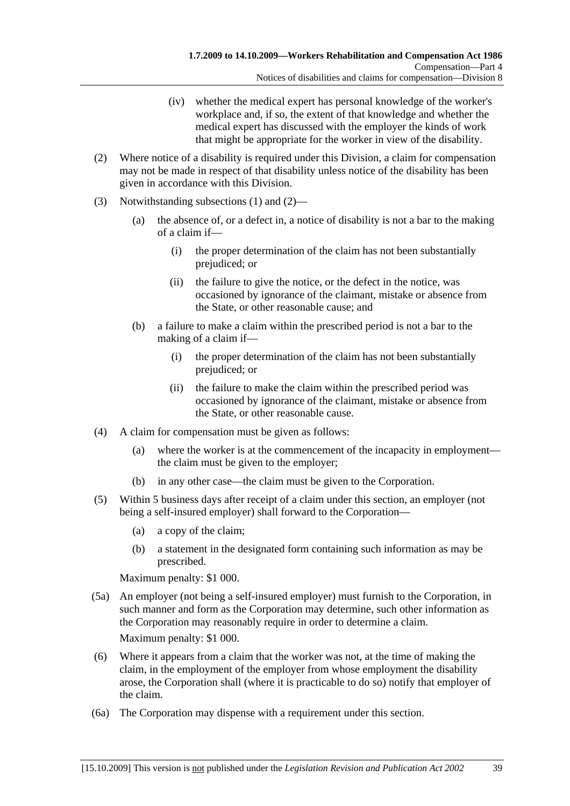- (iv) whether the medical expert has personal knowledge of the worker's workplace and, if so, the extent of that knowledge and whether the medical expert has discussed with the employer the kinds of work that might be appropriate for the worker in view of the disability.
- (2) Where notice of a disability is required under this Division, a claim for compensation may not be made in respect of that disability unless notice of the disability has been given in accordance with this Division.
- (3) Notwithstanding subsections (1) and (2)—
	- (a) the absence of, or a defect in, a notice of disability is not a bar to the making of a claim if—
		- (i) the proper determination of the claim has not been substantially prejudiced; or
		- (ii) the failure to give the notice, or the defect in the notice, was occasioned by ignorance of the claimant, mistake or absence from the State, or other reasonable cause; and
	- (b) a failure to make a claim within the prescribed period is not a bar to the making of a claim if—
		- (i) the proper determination of the claim has not been substantially prejudiced; or
		- (ii) the failure to make the claim within the prescribed period was occasioned by ignorance of the claimant, mistake or absence from the State, or other reasonable cause.
- (4) A claim for compensation must be given as follows:
	- (a) where the worker is at the commencement of the incapacity in employment the claim must be given to the employer;
	- (b) in any other case—the claim must be given to the Corporation.
- (5) Within 5 business days after receipt of a claim under this section, an employer (not being a self-insured employer) shall forward to the Corporation—
	- (a) a copy of the claim;
	- (b) a statement in the designated form containing such information as may be prescribed.

Maximum penalty: \$1 000.

 (5a) An employer (not being a self-insured employer) must furnish to the Corporation, in such manner and form as the Corporation may determine, such other information as the Corporation may reasonably require in order to determine a claim.

Maximum penalty: \$1 000.

- (6) Where it appears from a claim that the worker was not, at the time of making the claim, in the employment of the employer from whose employment the disability arose, the Corporation shall (where it is practicable to do so) notify that employer of the claim.
- (6a) The Corporation may dispense with a requirement under this section.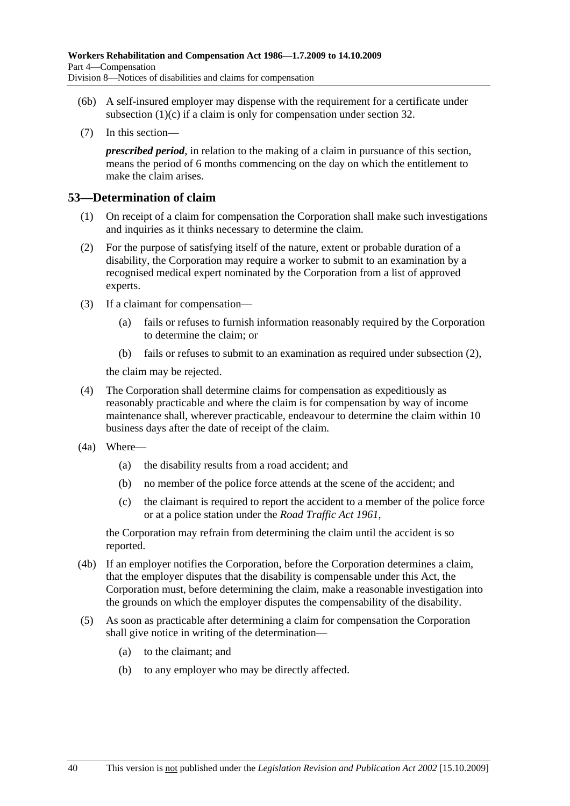- (6b) A self-insured employer may dispense with the requirement for a certificate under subsection  $(1)(c)$  if a claim is only for compensation under section 32.
- (7) In this section—

*prescribed period*, in relation to the making of a claim in pursuance of this section, means the period of 6 months commencing on the day on which the entitlement to make the claim arises.

### **53—Determination of claim**

- (1) On receipt of a claim for compensation the Corporation shall make such investigations and inquiries as it thinks necessary to determine the claim.
- (2) For the purpose of satisfying itself of the nature, extent or probable duration of a disability, the Corporation may require a worker to submit to an examination by a recognised medical expert nominated by the Corporation from a list of approved experts.
- (3) If a claimant for compensation—
	- (a) fails or refuses to furnish information reasonably required by the Corporation to determine the claim; or
	- (b) fails or refuses to submit to an examination as required under subsection (2),

the claim may be rejected.

- (4) The Corporation shall determine claims for compensation as expeditiously as reasonably practicable and where the claim is for compensation by way of income maintenance shall, wherever practicable, endeavour to determine the claim within 10 business days after the date of receipt of the claim.
- (4a) Where—
	- (a) the disability results from a road accident; and
	- (b) no member of the police force attends at the scene of the accident; and
	- (c) the claimant is required to report the accident to a member of the police force or at a police station under the *Road Traffic Act 1961*,

the Corporation may refrain from determining the claim until the accident is so reported.

- (4b) If an employer notifies the Corporation, before the Corporation determines a claim, that the employer disputes that the disability is compensable under this Act, the Corporation must, before determining the claim, make a reasonable investigation into the grounds on which the employer disputes the compensability of the disability.
- (5) As soon as practicable after determining a claim for compensation the Corporation shall give notice in writing of the determination—
	- (a) to the claimant; and
	- (b) to any employer who may be directly affected.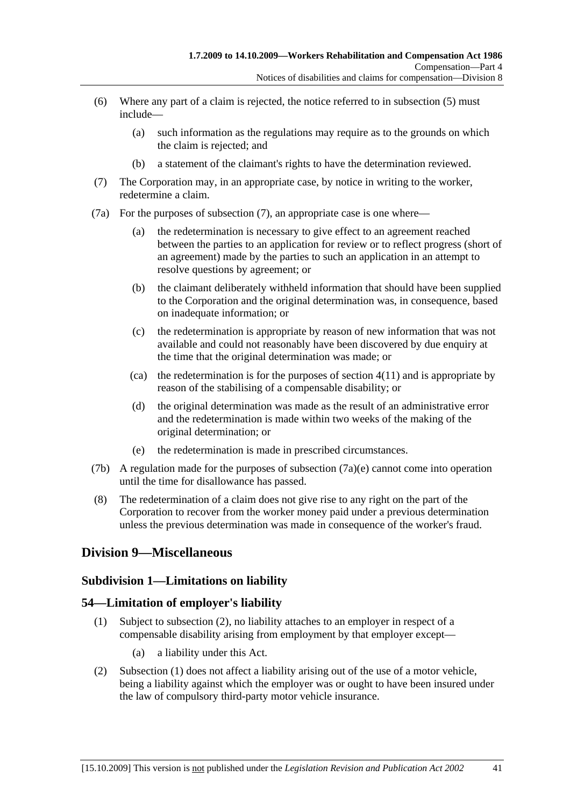- (6) Where any part of a claim is rejected, the notice referred to in subsection (5) must include—
	- (a) such information as the regulations may require as to the grounds on which the claim is rejected; and
	- (b) a statement of the claimant's rights to have the determination reviewed.
- (7) The Corporation may, in an appropriate case, by notice in writing to the worker, redetermine a claim.
- (7a) For the purposes of subsection (7), an appropriate case is one where—
	- (a) the redetermination is necessary to give effect to an agreement reached between the parties to an application for review or to reflect progress (short of an agreement) made by the parties to such an application in an attempt to resolve questions by agreement; or
	- (b) the claimant deliberately withheld information that should have been supplied to the Corporation and the original determination was, in consequence, based on inadequate information; or
	- (c) the redetermination is appropriate by reason of new information that was not available and could not reasonably have been discovered by due enquiry at the time that the original determination was made; or
	- (ca) the redetermination is for the purposes of section  $4(11)$  and is appropriate by reason of the stabilising of a compensable disability; or
	- (d) the original determination was made as the result of an administrative error and the redetermination is made within two weeks of the making of the original determination; or
	- (e) the redetermination is made in prescribed circumstances.
- (7b) A regulation made for the purposes of subsection  $(7a)(e)$  cannot come into operation until the time for disallowance has passed.
- (8) The redetermination of a claim does not give rise to any right on the part of the Corporation to recover from the worker money paid under a previous determination unless the previous determination was made in consequence of the worker's fraud.

### **Division 9—Miscellaneous**

#### **Subdivision 1—Limitations on liability**

#### **54—Limitation of employer's liability**

- (1) Subject to subsection (2), no liability attaches to an employer in respect of a compensable disability arising from employment by that employer except—
	- (a) a liability under this Act.
- (2) Subsection (1) does not affect a liability arising out of the use of a motor vehicle, being a liability against which the employer was or ought to have been insured under the law of compulsory third-party motor vehicle insurance.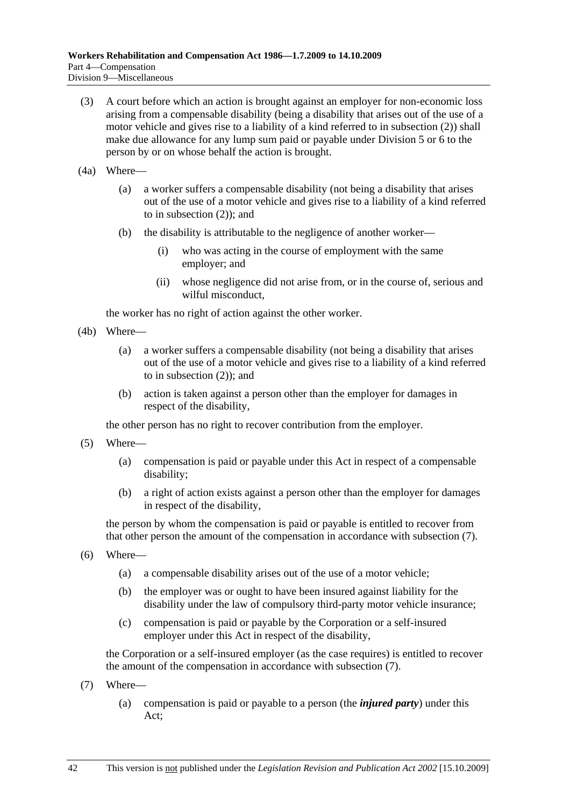- (3) A court before which an action is brought against an employer for non-economic loss arising from a compensable disability (being a disability that arises out of the use of a motor vehicle and gives rise to a liability of a kind referred to in subsection (2)) shall make due allowance for any lump sum paid or payable under Division 5 or 6 to the person by or on whose behalf the action is brought.
- (4a) Where—
	- (a) a worker suffers a compensable disability (not being a disability that arises out of the use of a motor vehicle and gives rise to a liability of a kind referred to in subsection (2)); and
	- (b) the disability is attributable to the negligence of another worker—
		- (i) who was acting in the course of employment with the same employer; and
		- (ii) whose negligence did not arise from, or in the course of, serious and wilful misconduct,

the worker has no right of action against the other worker.

- (4b) Where—
	- (a) a worker suffers a compensable disability (not being a disability that arises out of the use of a motor vehicle and gives rise to a liability of a kind referred to in subsection (2)); and
	- (b) action is taken against a person other than the employer for damages in respect of the disability,

the other person has no right to recover contribution from the employer.

- (5) Where—
	- (a) compensation is paid or payable under this Act in respect of a compensable disability;
	- (b) a right of action exists against a person other than the employer for damages in respect of the disability,

the person by whom the compensation is paid or payable is entitled to recover from that other person the amount of the compensation in accordance with subsection (7).

- (6) Where—
	- (a) a compensable disability arises out of the use of a motor vehicle;
	- (b) the employer was or ought to have been insured against liability for the disability under the law of compulsory third-party motor vehicle insurance;
	- (c) compensation is paid or payable by the Corporation or a self-insured employer under this Act in respect of the disability,

the Corporation or a self-insured employer (as the case requires) is entitled to recover the amount of the compensation in accordance with subsection (7).

- (7) Where—
	- (a) compensation is paid or payable to a person (the *injured party*) under this Act;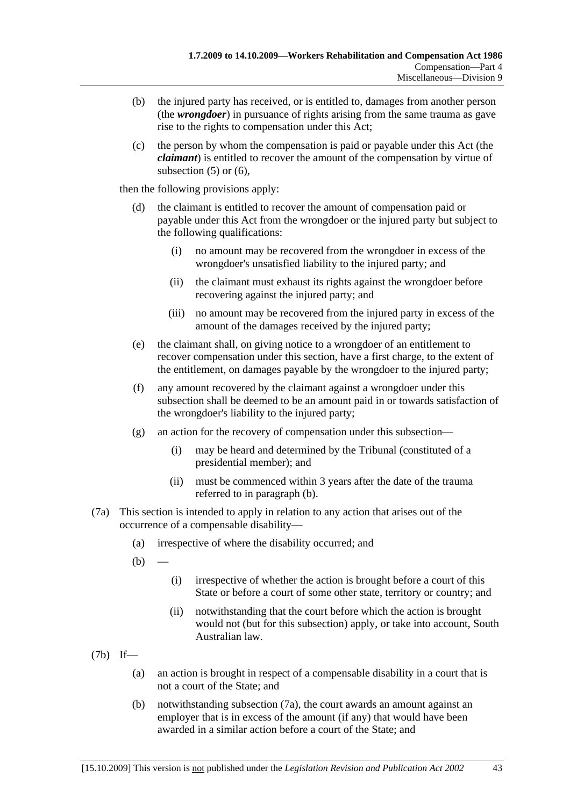- (b) the injured party has received, or is entitled to, damages from another person (the *wrongdoer*) in pursuance of rights arising from the same trauma as gave rise to the rights to compensation under this Act;
- (c) the person by whom the compensation is paid or payable under this Act (the *claimant*) is entitled to recover the amount of the compensation by virtue of subsection  $(5)$  or  $(6)$ ,

then the following provisions apply:

- (d) the claimant is entitled to recover the amount of compensation paid or payable under this Act from the wrongdoer or the injured party but subject to the following qualifications:
	- (i) no amount may be recovered from the wrongdoer in excess of the wrongdoer's unsatisfied liability to the injured party; and
	- (ii) the claimant must exhaust its rights against the wrongdoer before recovering against the injured party; and
	- (iii) no amount may be recovered from the injured party in excess of the amount of the damages received by the injured party;
- (e) the claimant shall, on giving notice to a wrongdoer of an entitlement to recover compensation under this section, have a first charge, to the extent of the entitlement, on damages payable by the wrongdoer to the injured party;
- (f) any amount recovered by the claimant against a wrongdoer under this subsection shall be deemed to be an amount paid in or towards satisfaction of the wrongdoer's liability to the injured party;
- (g) an action for the recovery of compensation under this subsection—
	- (i) may be heard and determined by the Tribunal (constituted of a presidential member); and
	- (ii) must be commenced within 3 years after the date of the trauma referred to in paragraph (b).
- (7a) This section is intended to apply in relation to any action that arises out of the occurrence of a compensable disability—
	- (a) irrespective of where the disability occurred; and
	- $(b)$ 
		- (i) irrespective of whether the action is brought before a court of this State or before a court of some other state, territory or country; and
		- (ii) notwithstanding that the court before which the action is brought would not (but for this subsection) apply, or take into account, South Australian law.
- (7b) If—
	- (a) an action is brought in respect of a compensable disability in a court that is not a court of the State; and
	- (b) notwithstanding subsection (7a), the court awards an amount against an employer that is in excess of the amount (if any) that would have been awarded in a similar action before a court of the State; and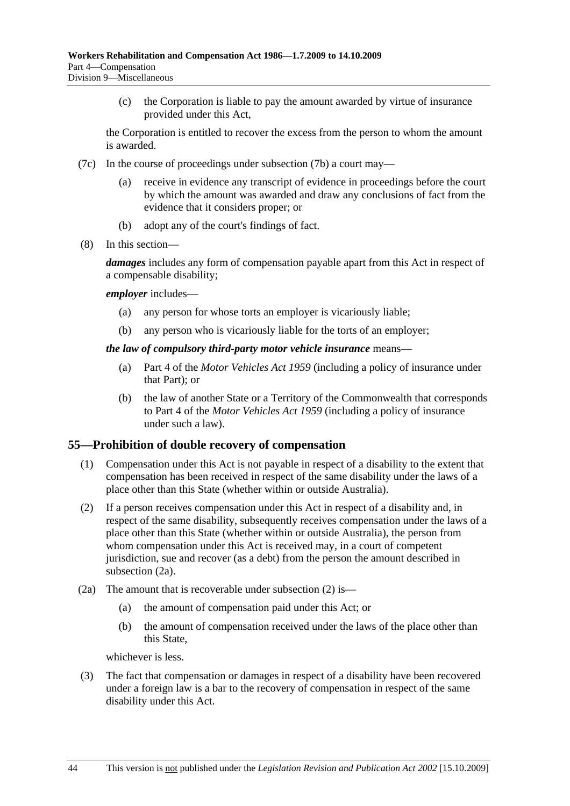(c) the Corporation is liable to pay the amount awarded by virtue of insurance provided under this Act,

the Corporation is entitled to recover the excess from the person to whom the amount is awarded.

- (7c) In the course of proceedings under subsection (7b) a court may
	- receive in evidence any transcript of evidence in proceedings before the court by which the amount was awarded and draw any conclusions of fact from the evidence that it considers proper; or
	- (b) adopt any of the court's findings of fact.
- (8) In this section—

*damages* includes any form of compensation payable apart from this Act in respect of a compensable disability;

#### *employer* includes—

- (a) any person for whose torts an employer is vicariously liable;
- (b) any person who is vicariously liable for the torts of an employer;

#### *the law of compulsory third-party motor vehicle insurance* means—

- (a) Part 4 of the *Motor Vehicles Act 1959* (including a policy of insurance under that Part); or
- (b) the law of another State or a Territory of the Commonwealth that corresponds to Part 4 of the *Motor Vehicles Act 1959* (including a policy of insurance under such a law).

#### **55—Prohibition of double recovery of compensation**

- (1) Compensation under this Act is not payable in respect of a disability to the extent that compensation has been received in respect of the same disability under the laws of a place other than this State (whether within or outside Australia).
- (2) If a person receives compensation under this Act in respect of a disability and, in respect of the same disability, subsequently receives compensation under the laws of a place other than this State (whether within or outside Australia), the person from whom compensation under this Act is received may, in a court of competent jurisdiction, sue and recover (as a debt) from the person the amount described in subsection (2a).
- (2a) The amount that is recoverable under subsection (2) is—
	- (a) the amount of compensation paid under this Act; or
	- (b) the amount of compensation received under the laws of the place other than this State,

whichever is less.

 (3) The fact that compensation or damages in respect of a disability have been recovered under a foreign law is a bar to the recovery of compensation in respect of the same disability under this Act.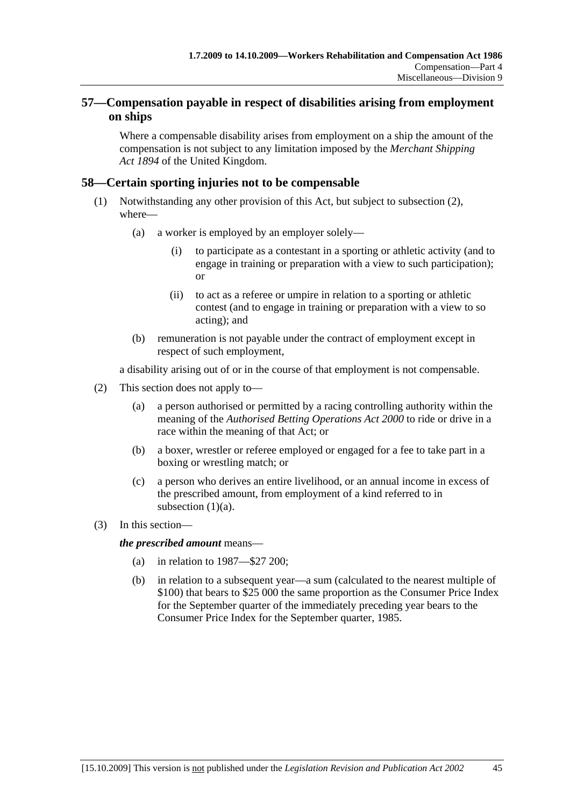### **57—Compensation payable in respect of disabilities arising from employment on ships**

Where a compensable disability arises from employment on a ship the amount of the compensation is not subject to any limitation imposed by the *Merchant Shipping Act 1894* of the United Kingdom.

### **58—Certain sporting injuries not to be compensable**

- (1) Notwithstanding any other provision of this Act, but subject to subsection (2), where—
	- (a) a worker is employed by an employer solely—
		- (i) to participate as a contestant in a sporting or athletic activity (and to engage in training or preparation with a view to such participation); or
		- (ii) to act as a referee or umpire in relation to a sporting or athletic contest (and to engage in training or preparation with a view to so acting); and
	- (b) remuneration is not payable under the contract of employment except in respect of such employment,

a disability arising out of or in the course of that employment is not compensable.

- (2) This section does not apply to—
	- (a) a person authorised or permitted by a racing controlling authority within the meaning of the *Authorised Betting Operations Act 2000* to ride or drive in a race within the meaning of that Act; or
	- (b) a boxer, wrestler or referee employed or engaged for a fee to take part in a boxing or wrestling match; or
	- (c) a person who derives an entire livelihood, or an annual income in excess of the prescribed amount, from employment of a kind referred to in subsection  $(1)(a)$ .
- (3) In this section—

*the prescribed amount* means—

- (a) in relation to 1987—\$27 200;
- (b) in relation to a subsequent year—a sum (calculated to the nearest multiple of \$100) that bears to \$25 000 the same proportion as the Consumer Price Index for the September quarter of the immediately preceding year bears to the Consumer Price Index for the September quarter, 1985.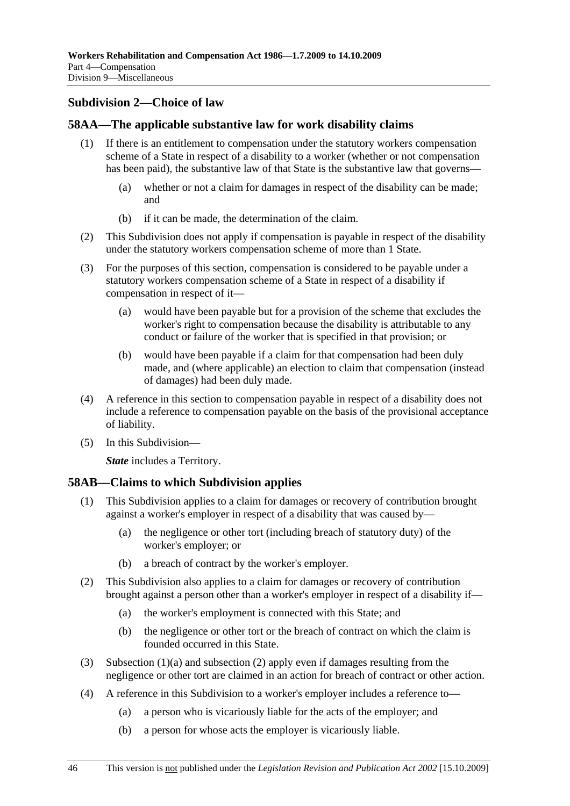### **Subdivision 2—Choice of law**

### **58AA—The applicable substantive law for work disability claims**

- (1) If there is an entitlement to compensation under the statutory workers compensation scheme of a State in respect of a disability to a worker (whether or not compensation has been paid), the substantive law of that State is the substantive law that governs—
	- (a) whether or not a claim for damages in respect of the disability can be made; and
	- (b) if it can be made, the determination of the claim.
- (2) This Subdivision does not apply if compensation is payable in respect of the disability under the statutory workers compensation scheme of more than 1 State.
- (3) For the purposes of this section, compensation is considered to be payable under a statutory workers compensation scheme of a State in respect of a disability if compensation in respect of it—
	- (a) would have been payable but for a provision of the scheme that excludes the worker's right to compensation because the disability is attributable to any conduct or failure of the worker that is specified in that provision; or
	- (b) would have been payable if a claim for that compensation had been duly made, and (where applicable) an election to claim that compensation (instead of damages) had been duly made.
- (4) A reference in this section to compensation payable in respect of a disability does not include a reference to compensation payable on the basis of the provisional acceptance of liability.
- (5) In this Subdivision—

*State* includes a Territory.

### **58AB—Claims to which Subdivision applies**

- (1) This Subdivision applies to a claim for damages or recovery of contribution brought against a worker's employer in respect of a disability that was caused by—
	- (a) the negligence or other tort (including breach of statutory duty) of the worker's employer; or
	- (b) a breach of contract by the worker's employer.
- (2) This Subdivision also applies to a claim for damages or recovery of contribution brought against a person other than a worker's employer in respect of a disability if—
	- (a) the worker's employment is connected with this State; and
	- (b) the negligence or other tort or the breach of contract on which the claim is founded occurred in this State.
- (3) Subsection (1)(a) and subsection (2) apply even if damages resulting from the negligence or other tort are claimed in an action for breach of contract or other action.
- (4) A reference in this Subdivision to a worker's employer includes a reference to—
	- (a) a person who is vicariously liable for the acts of the employer; and
	- (b) a person for whose acts the employer is vicariously liable.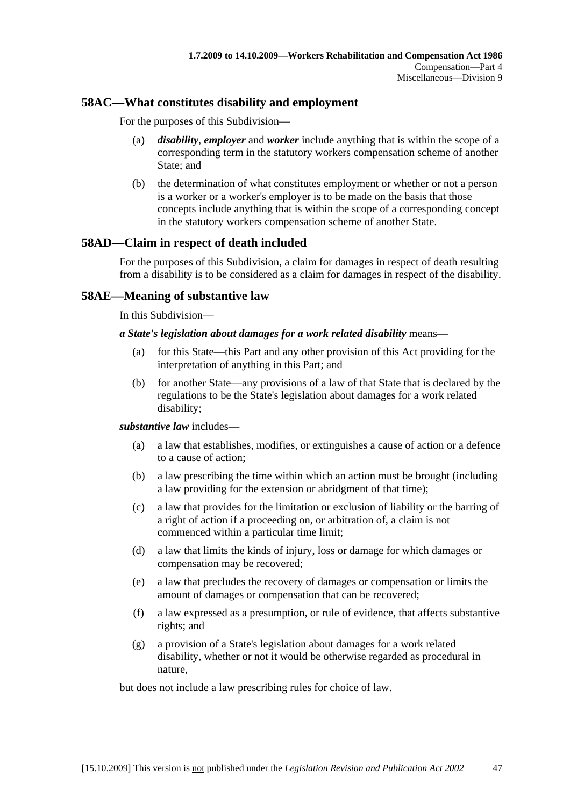### **58AC—What constitutes disability and employment**

For the purposes of this Subdivision—

- (a) *disability*, *employer* and *worker* include anything that is within the scope of a corresponding term in the statutory workers compensation scheme of another State; and
- (b) the determination of what constitutes employment or whether or not a person is a worker or a worker's employer is to be made on the basis that those concepts include anything that is within the scope of a corresponding concept in the statutory workers compensation scheme of another State.

### **58AD—Claim in respect of death included**

For the purposes of this Subdivision, a claim for damages in respect of death resulting from a disability is to be considered as a claim for damages in respect of the disability.

### **58AE—Meaning of substantive law**

In this Subdivision—

#### *a State's legislation about damages for a work related disability* means—

- (a) for this State—this Part and any other provision of this Act providing for the interpretation of anything in this Part; and
- (b) for another State—any provisions of a law of that State that is declared by the regulations to be the State's legislation about damages for a work related disability;

#### *substantive law* includes—

- (a) a law that establishes, modifies, or extinguishes a cause of action or a defence to a cause of action;
- (b) a law prescribing the time within which an action must be brought (including a law providing for the extension or abridgment of that time);
- (c) a law that provides for the limitation or exclusion of liability or the barring of a right of action if a proceeding on, or arbitration of, a claim is not commenced within a particular time limit;
- (d) a law that limits the kinds of injury, loss or damage for which damages or compensation may be recovered;
- (e) a law that precludes the recovery of damages or compensation or limits the amount of damages or compensation that can be recovered;
- (f) a law expressed as a presumption, or rule of evidence, that affects substantive rights; and
- (g) a provision of a State's legislation about damages for a work related disability, whether or not it would be otherwise regarded as procedural in nature,

but does not include a law prescribing rules for choice of law.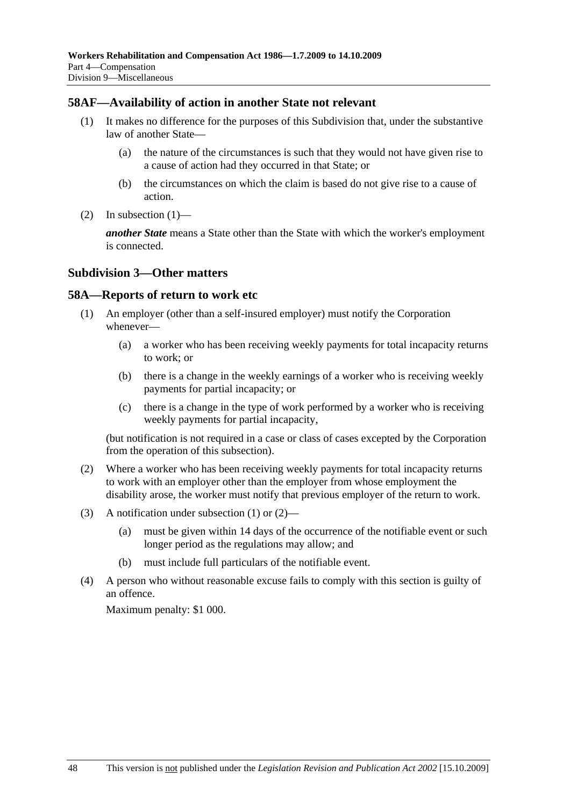### **58AF—Availability of action in another State not relevant**

- (1) It makes no difference for the purposes of this Subdivision that, under the substantive law of another State—
	- (a) the nature of the circumstances is such that they would not have given rise to a cause of action had they occurred in that State; or
	- (b) the circumstances on which the claim is based do not give rise to a cause of action.
- (2) In subsection  $(1)$ —

*another State* means a State other than the State with which the worker's employment is connected.

#### **Subdivision 3—Other matters**

#### **58A—Reports of return to work etc**

- (1) An employer (other than a self-insured employer) must notify the Corporation whenever—
	- (a) a worker who has been receiving weekly payments for total incapacity returns to work; or
	- (b) there is a change in the weekly earnings of a worker who is receiving weekly payments for partial incapacity; or
	- (c) there is a change in the type of work performed by a worker who is receiving weekly payments for partial incapacity,

(but notification is not required in a case or class of cases excepted by the Corporation from the operation of this subsection).

- (2) Where a worker who has been receiving weekly payments for total incapacity returns to work with an employer other than the employer from whose employment the disability arose, the worker must notify that previous employer of the return to work.
- (3) A notification under subsection (1) or (2)—
	- (a) must be given within 14 days of the occurrence of the notifiable event or such longer period as the regulations may allow; and
	- (b) must include full particulars of the notifiable event.
- (4) A person who without reasonable excuse fails to comply with this section is guilty of an offence.

Maximum penalty: \$1 000.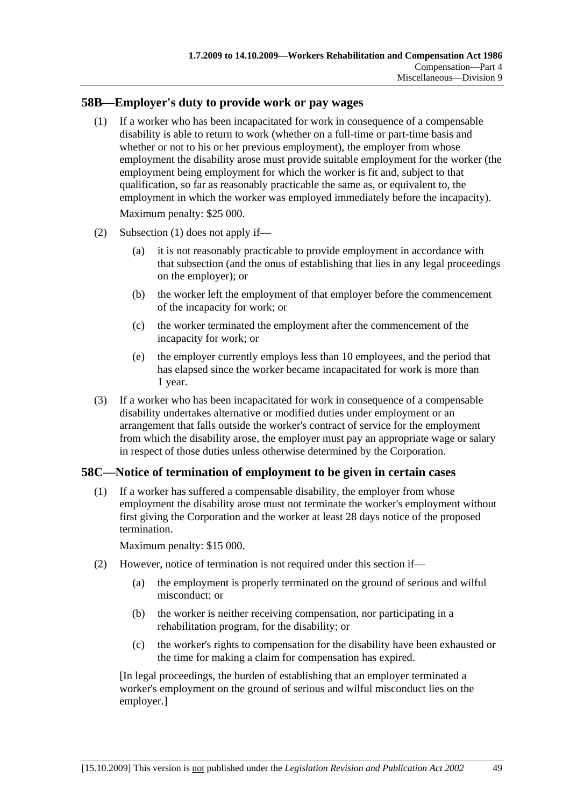### **58B—Employer's duty to provide work or pay wages**

 (1) If a worker who has been incapacitated for work in consequence of a compensable disability is able to return to work (whether on a full-time or part-time basis and whether or not to his or her previous employment), the employer from whose employment the disability arose must provide suitable employment for the worker (the employment being employment for which the worker is fit and, subject to that qualification, so far as reasonably practicable the same as, or equivalent to, the employment in which the worker was employed immediately before the incapacity).

Maximum penalty: \$25 000.

- (2) Subsection (1) does not apply if—
	- (a) it is not reasonably practicable to provide employment in accordance with that subsection (and the onus of establishing that lies in any legal proceedings on the employer); or
	- (b) the worker left the employment of that employer before the commencement of the incapacity for work; or
	- (c) the worker terminated the employment after the commencement of the incapacity for work; or
	- (e) the employer currently employs less than 10 employees, and the period that has elapsed since the worker became incapacitated for work is more than 1 year.
- (3) If a worker who has been incapacitated for work in consequence of a compensable disability undertakes alternative or modified duties under employment or an arrangement that falls outside the worker's contract of service for the employment from which the disability arose, the employer must pay an appropriate wage or salary in respect of those duties unless otherwise determined by the Corporation.

### **58C—Notice of termination of employment to be given in certain cases**

 (1) If a worker has suffered a compensable disability, the employer from whose employment the disability arose must not terminate the worker's employment without first giving the Corporation and the worker at least 28 days notice of the proposed termination.

Maximum penalty: \$15 000.

- (2) However, notice of termination is not required under this section if—
	- (a) the employment is properly terminated on the ground of serious and wilful misconduct; or
	- (b) the worker is neither receiving compensation, nor participating in a rehabilitation program, for the disability; or
	- (c) the worker's rights to compensation for the disability have been exhausted or the time for making a claim for compensation has expired.

[In legal proceedings, the burden of establishing that an employer terminated a worker's employment on the ground of serious and wilful misconduct lies on the employer.]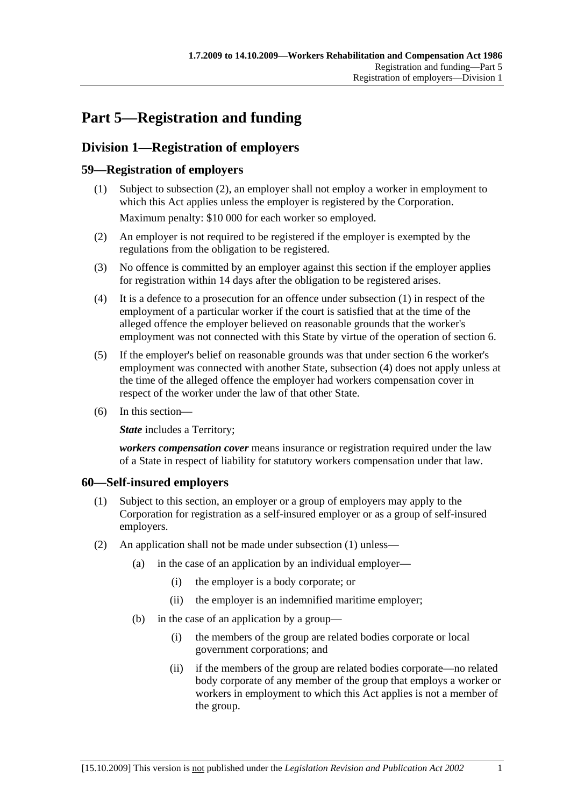# **Part 5—Registration and funding**

# **Division 1—Registration of employers**

### **59—Registration of employers**

- (1) Subject to subsection (2), an employer shall not employ a worker in employment to which this Act applies unless the employer is registered by the Corporation. Maximum penalty: \$10 000 for each worker so employed.
- (2) An employer is not required to be registered if the employer is exempted by the regulations from the obligation to be registered.
- (3) No offence is committed by an employer against this section if the employer applies for registration within 14 days after the obligation to be registered arises.
- (4) It is a defence to a prosecution for an offence under subsection (1) in respect of the employment of a particular worker if the court is satisfied that at the time of the alleged offence the employer believed on reasonable grounds that the worker's employment was not connected with this State by virtue of the operation of section 6.
- (5) If the employer's belief on reasonable grounds was that under section 6 the worker's employment was connected with another State, subsection (4) does not apply unless at the time of the alleged offence the employer had workers compensation cover in respect of the worker under the law of that other State.
- (6) In this section—

**State** includes a Territory;

*workers compensation cover* means insurance or registration required under the law of a State in respect of liability for statutory workers compensation under that law.

### **60—Self-insured employers**

- (1) Subject to this section, an employer or a group of employers may apply to the Corporation for registration as a self-insured employer or as a group of self-insured employers.
- (2) An application shall not be made under subsection (1) unless—
	- (a) in the case of an application by an individual employer—
		- (i) the employer is a body corporate; or
		- (ii) the employer is an indemnified maritime employer;
	- (b) in the case of an application by a group—
		- (i) the members of the group are related bodies corporate or local government corporations; and
		- (ii) if the members of the group are related bodies corporate—no related body corporate of any member of the group that employs a worker or workers in employment to which this Act applies is not a member of the group.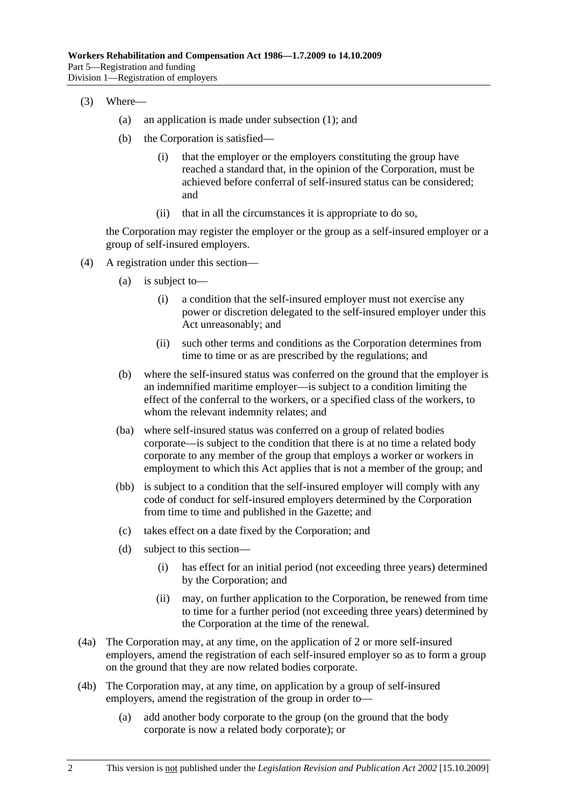- (3) Where—
	- (a) an application is made under subsection (1); and
	- (b) the Corporation is satisfied—
		- (i) that the employer or the employers constituting the group have reached a standard that, in the opinion of the Corporation, must be achieved before conferral of self-insured status can be considered; and
		- (ii) that in all the circumstances it is appropriate to do so,

the Corporation may register the employer or the group as a self-insured employer or a group of self-insured employers.

- (4) A registration under this section—
	- (a) is subject to—
		- (i) a condition that the self-insured employer must not exercise any power or discretion delegated to the self-insured employer under this Act unreasonably; and
		- (ii) such other terms and conditions as the Corporation determines from time to time or as are prescribed by the regulations; and
	- (b) where the self-insured status was conferred on the ground that the employer is an indemnified maritime employer—is subject to a condition limiting the effect of the conferral to the workers, or a specified class of the workers, to whom the relevant indemnity relates; and
	- (ba) where self-insured status was conferred on a group of related bodies corporate—is subject to the condition that there is at no time a related body corporate to any member of the group that employs a worker or workers in employment to which this Act applies that is not a member of the group; and
	- (bb) is subject to a condition that the self-insured employer will comply with any code of conduct for self-insured employers determined by the Corporation from time to time and published in the Gazette; and
	- (c) takes effect on a date fixed by the Corporation; and
	- (d) subject to this section—
		- (i) has effect for an initial period (not exceeding three years) determined by the Corporation; and
		- (ii) may, on further application to the Corporation, be renewed from time to time for a further period (not exceeding three years) determined by the Corporation at the time of the renewal.
- (4a) The Corporation may, at any time, on the application of 2 or more self-insured employers, amend the registration of each self-insured employer so as to form a group on the ground that they are now related bodies corporate.
- (4b) The Corporation may, at any time, on application by a group of self-insured employers, amend the registration of the group in order to—
	- (a) add another body corporate to the group (on the ground that the body corporate is now a related body corporate); or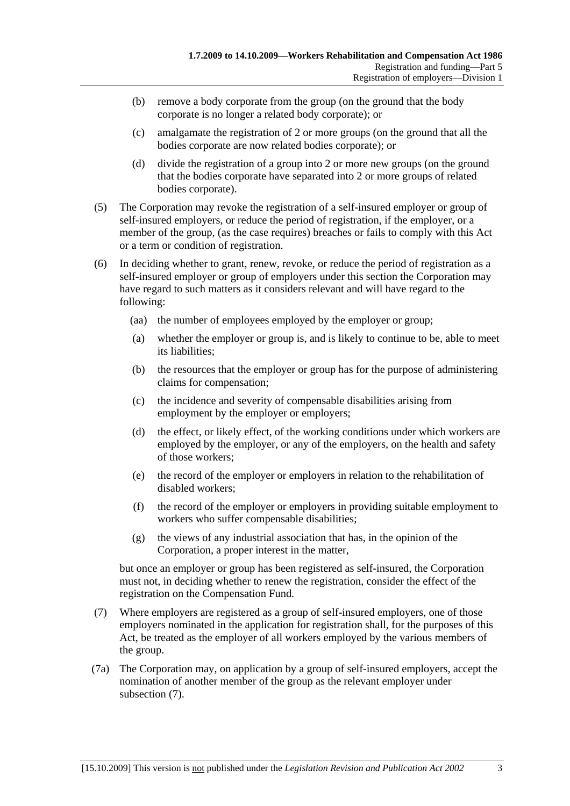- (b) remove a body corporate from the group (on the ground that the body corporate is no longer a related body corporate); or
- (c) amalgamate the registration of 2 or more groups (on the ground that all the bodies corporate are now related bodies corporate); or
- (d) divide the registration of a group into 2 or more new groups (on the ground that the bodies corporate have separated into 2 or more groups of related bodies corporate).
- (5) The Corporation may revoke the registration of a self-insured employer or group of self-insured employers, or reduce the period of registration, if the employer, or a member of the group, (as the case requires) breaches or fails to comply with this Act or a term or condition of registration.
- (6) In deciding whether to grant, renew, revoke, or reduce the period of registration as a self-insured employer or group of employers under this section the Corporation may have regard to such matters as it considers relevant and will have regard to the following:
	- (aa) the number of employees employed by the employer or group;
	- (a) whether the employer or group is, and is likely to continue to be, able to meet its liabilities;
	- (b) the resources that the employer or group has for the purpose of administering claims for compensation;
	- (c) the incidence and severity of compensable disabilities arising from employment by the employer or employers;
	- (d) the effect, or likely effect, of the working conditions under which workers are employed by the employer, or any of the employers, on the health and safety of those workers;
	- (e) the record of the employer or employers in relation to the rehabilitation of disabled workers;
	- (f) the record of the employer or employers in providing suitable employment to workers who suffer compensable disabilities;
	- (g) the views of any industrial association that has, in the opinion of the Corporation, a proper interest in the matter,

but once an employer or group has been registered as self-insured, the Corporation must not, in deciding whether to renew the registration, consider the effect of the registration on the Compensation Fund.

- (7) Where employers are registered as a group of self-insured employers, one of those employers nominated in the application for registration shall, for the purposes of this Act, be treated as the employer of all workers employed by the various members of the group.
- (7a) The Corporation may, on application by a group of self-insured employers, accept the nomination of another member of the group as the relevant employer under subsection (7).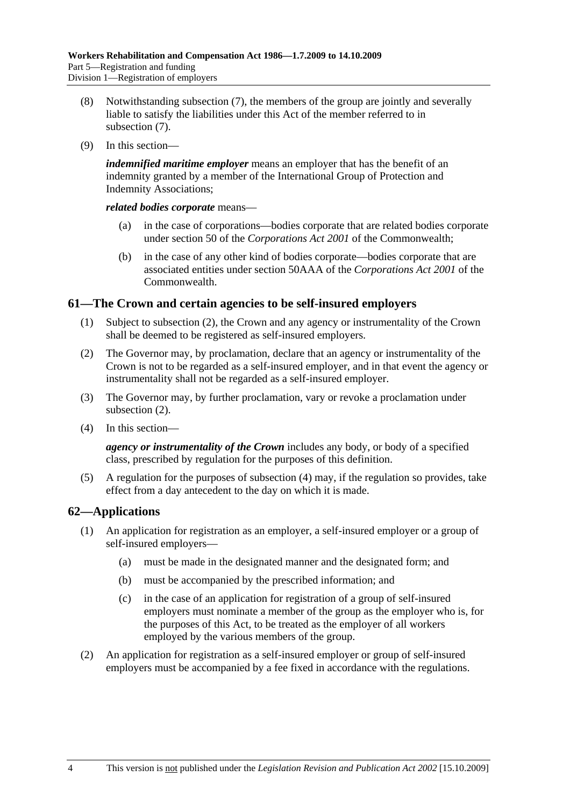- (8) Notwithstanding subsection (7), the members of the group are jointly and severally liable to satisfy the liabilities under this Act of the member referred to in subsection (7).
- (9) In this section—

*indemnified maritime employer* means an employer that has the benefit of an indemnity granted by a member of the International Group of Protection and Indemnity Associations;

*related bodies corporate* means—

- (a) in the case of corporations—bodies corporate that are related bodies corporate under section 50 of the *Corporations Act 2001* of the Commonwealth;
- (b) in the case of any other kind of bodies corporate—bodies corporate that are associated entities under section 50AAA of the *Corporations Act 2001* of the **Commonwealth**

### **61—The Crown and certain agencies to be self-insured employers**

- (1) Subject to subsection (2), the Crown and any agency or instrumentality of the Crown shall be deemed to be registered as self-insured employers.
- (2) The Governor may, by proclamation, declare that an agency or instrumentality of the Crown is not to be regarded as a self-insured employer, and in that event the agency or instrumentality shall not be regarded as a self-insured employer.
- (3) The Governor may, by further proclamation, vary or revoke a proclamation under subsection (2).
- (4) In this section—

*agency or instrumentality of the Crown* includes any body, or body of a specified class, prescribed by regulation for the purposes of this definition.

 (5) A regulation for the purposes of subsection (4) may, if the regulation so provides, take effect from a day antecedent to the day on which it is made.

### **62—Applications**

- (1) An application for registration as an employer, a self-insured employer or a group of self-insured employers—
	- (a) must be made in the designated manner and the designated form; and
	- (b) must be accompanied by the prescribed information; and
	- (c) in the case of an application for registration of a group of self-insured employers must nominate a member of the group as the employer who is, for the purposes of this Act, to be treated as the employer of all workers employed by the various members of the group.
- (2) An application for registration as a self-insured employer or group of self-insured employers must be accompanied by a fee fixed in accordance with the regulations.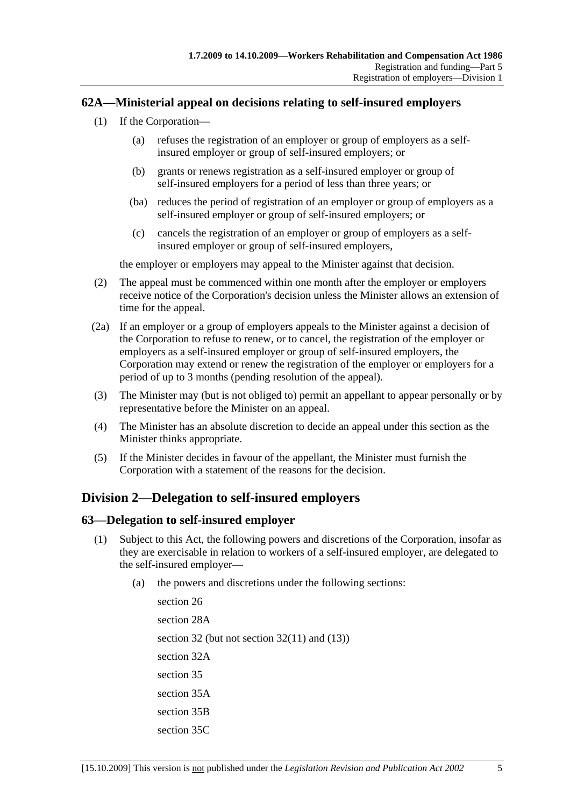### **62A—Ministerial appeal on decisions relating to self-insured employers**

- (1) If the Corporation—
	- (a) refuses the registration of an employer or group of employers as a selfinsured employer or group of self-insured employers; or
	- (b) grants or renews registration as a self-insured employer or group of self-insured employers for a period of less than three years; or
	- (ba) reduces the period of registration of an employer or group of employers as a self-insured employer or group of self-insured employers; or
	- (c) cancels the registration of an employer or group of employers as a selfinsured employer or group of self-insured employers,

the employer or employers may appeal to the Minister against that decision.

- (2) The appeal must be commenced within one month after the employer or employers receive notice of the Corporation's decision unless the Minister allows an extension of time for the appeal.
- (2a) If an employer or a group of employers appeals to the Minister against a decision of the Corporation to refuse to renew, or to cancel, the registration of the employer or employers as a self-insured employer or group of self-insured employers, the Corporation may extend or renew the registration of the employer or employers for a period of up to 3 months (pending resolution of the appeal).
- (3) The Minister may (but is not obliged to) permit an appellant to appear personally or by representative before the Minister on an appeal.
- (4) The Minister has an absolute discretion to decide an appeal under this section as the Minister thinks appropriate.
- (5) If the Minister decides in favour of the appellant, the Minister must furnish the Corporation with a statement of the reasons for the decision.

### **Division 2—Delegation to self-insured employers**

### **63—Delegation to self-insured employer**

- (1) Subject to this Act, the following powers and discretions of the Corporation, insofar as they are exercisable in relation to workers of a self-insured employer, are delegated to the self-insured employer—
	- (a) the powers and discretions under the following sections:

section 26 section 28A section 32 (but not section 32(11) and (13)) section 32A section 35 section 35A section 35B section 35C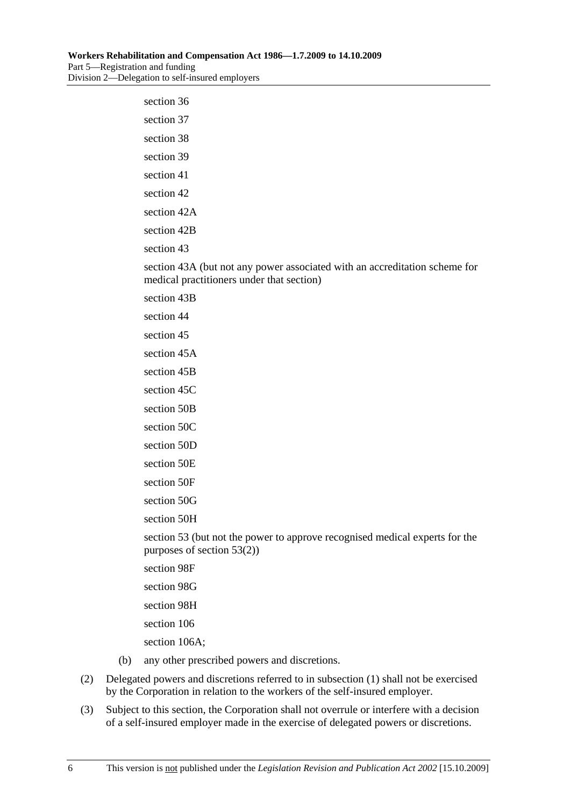| section 36  |                                                                                                                         |
|-------------|-------------------------------------------------------------------------------------------------------------------------|
| section 37  |                                                                                                                         |
| section 38  |                                                                                                                         |
| section 39  |                                                                                                                         |
| section 41  |                                                                                                                         |
| section 42  |                                                                                                                         |
| section 42A |                                                                                                                         |
| section 42B |                                                                                                                         |
| section 43  |                                                                                                                         |
|             | section 43A (but not any power associated with an accreditation scheme for<br>medical practitioners under that section) |
| section 43B |                                                                                                                         |
| section 44  |                                                                                                                         |
| section 45  |                                                                                                                         |
| section 45A |                                                                                                                         |
| section 45B |                                                                                                                         |
| section 45C |                                                                                                                         |
| section 50B |                                                                                                                         |
| section 50C |                                                                                                                         |
| section 50D |                                                                                                                         |
| section 50E |                                                                                                                         |
| section 50F |                                                                                                                         |
| section 50G |                                                                                                                         |
| section 50H |                                                                                                                         |
|             | section 53 (but not the power to approve recognised medical experts for the<br>purposes of section $53(2)$ )            |
| section 98F |                                                                                                                         |
| section 98G |                                                                                                                         |

- section 98H
- section 106
- section 106A;
- (b) any other prescribed powers and discretions.
- (2) Delegated powers and discretions referred to in subsection (1) shall not be exercised by the Corporation in relation to the workers of the self-insured employer.
- (3) Subject to this section, the Corporation shall not overrule or interfere with a decision of a self-insured employer made in the exercise of delegated powers or discretions.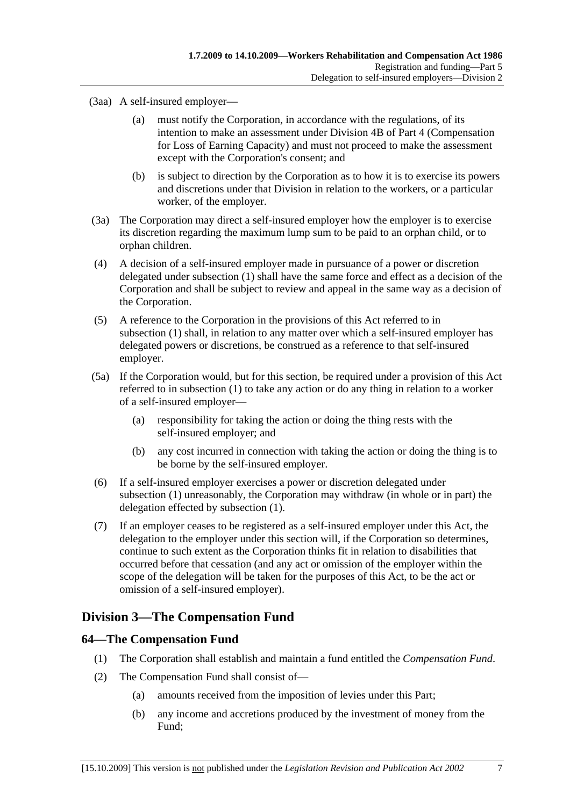(3aa) A self-insured employer—

- (a) must notify the Corporation, in accordance with the regulations, of its intention to make an assessment under Division 4B of Part 4 (Compensation for Loss of Earning Capacity) and must not proceed to make the assessment except with the Corporation's consent; and
- (b) is subject to direction by the Corporation as to how it is to exercise its powers and discretions under that Division in relation to the workers, or a particular worker, of the employer.
- (3a) The Corporation may direct a self-insured employer how the employer is to exercise its discretion regarding the maximum lump sum to be paid to an orphan child, or to orphan children.
- (4) A decision of a self-insured employer made in pursuance of a power or discretion delegated under subsection (1) shall have the same force and effect as a decision of the Corporation and shall be subject to review and appeal in the same way as a decision of the Corporation.
- (5) A reference to the Corporation in the provisions of this Act referred to in subsection (1) shall, in relation to any matter over which a self-insured employer has delegated powers or discretions, be construed as a reference to that self-insured employer.
- (5a) If the Corporation would, but for this section, be required under a provision of this Act referred to in subsection (1) to take any action or do any thing in relation to a worker of a self-insured employer—
	- (a) responsibility for taking the action or doing the thing rests with the self-insured employer; and
	- (b) any cost incurred in connection with taking the action or doing the thing is to be borne by the self-insured employer.
- (6) If a self-insured employer exercises a power or discretion delegated under subsection (1) unreasonably, the Corporation may withdraw (in whole or in part) the delegation effected by subsection (1).
- (7) If an employer ceases to be registered as a self-insured employer under this Act, the delegation to the employer under this section will, if the Corporation so determines, continue to such extent as the Corporation thinks fit in relation to disabilities that occurred before that cessation (and any act or omission of the employer within the scope of the delegation will be taken for the purposes of this Act, to be the act or omission of a self-insured employer).

### **Division 3—The Compensation Fund**

### **64—The Compensation Fund**

- (1) The Corporation shall establish and maintain a fund entitled the *Compensation Fund*.
- (2) The Compensation Fund shall consist of—
	- (a) amounts received from the imposition of levies under this Part;
	- (b) any income and accretions produced by the investment of money from the Fund;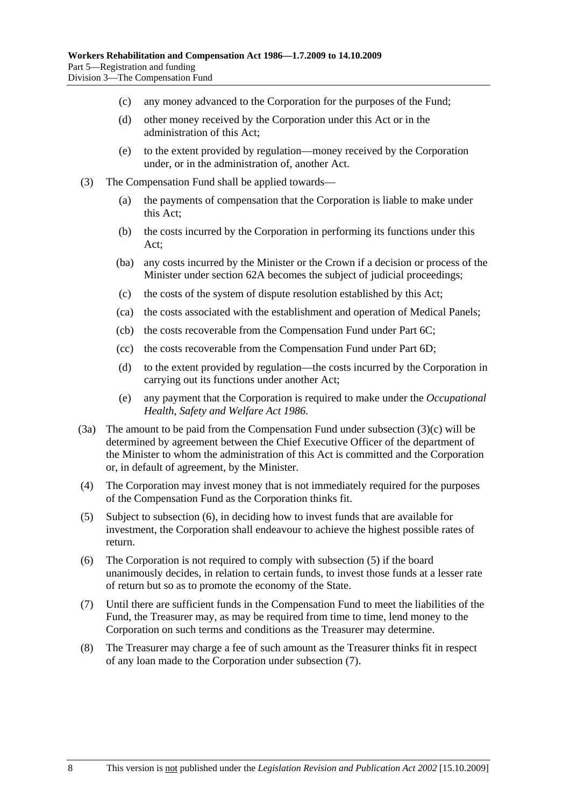- (c) any money advanced to the Corporation for the purposes of the Fund;
- (d) other money received by the Corporation under this Act or in the administration of this Act;
- (e) to the extent provided by regulation—money received by the Corporation under, or in the administration of, another Act.
- (3) The Compensation Fund shall be applied towards—
	- (a) the payments of compensation that the Corporation is liable to make under this Act;
	- (b) the costs incurred by the Corporation in performing its functions under this Act;
	- (ba) any costs incurred by the Minister or the Crown if a decision or process of the Minister under section 62A becomes the subject of judicial proceedings;
	- (c) the costs of the system of dispute resolution established by this Act;
	- (ca) the costs associated with the establishment and operation of Medical Panels;
	- (cb) the costs recoverable from the Compensation Fund under Part 6C;
	- (cc) the costs recoverable from the Compensation Fund under Part 6D;
	- (d) to the extent provided by regulation—the costs incurred by the Corporation in carrying out its functions under another Act;
	- (e) any payment that the Corporation is required to make under the *Occupational Health, Safety and Welfare Act 1986*.
- (3a) The amount to be paid from the Compensation Fund under subsection (3)(c) will be determined by agreement between the Chief Executive Officer of the department of the Minister to whom the administration of this Act is committed and the Corporation or, in default of agreement, by the Minister.
- (4) The Corporation may invest money that is not immediately required for the purposes of the Compensation Fund as the Corporation thinks fit.
- (5) Subject to subsection (6), in deciding how to invest funds that are available for investment, the Corporation shall endeavour to achieve the highest possible rates of return.
- (6) The Corporation is not required to comply with subsection (5) if the board unanimously decides, in relation to certain funds, to invest those funds at a lesser rate of return but so as to promote the economy of the State.
- (7) Until there are sufficient funds in the Compensation Fund to meet the liabilities of the Fund, the Treasurer may, as may be required from time to time, lend money to the Corporation on such terms and conditions as the Treasurer may determine.
- (8) The Treasurer may charge a fee of such amount as the Treasurer thinks fit in respect of any loan made to the Corporation under subsection (7).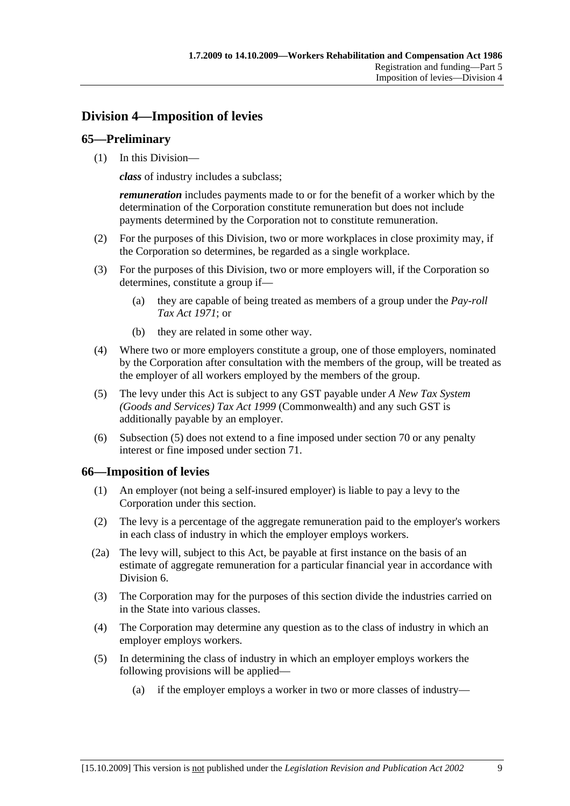# **Division 4—Imposition of levies**

### **65—Preliminary**

(1) In this Division—

*class* of industry includes a subclass;

*remuneration* includes payments made to or for the benefit of a worker which by the determination of the Corporation constitute remuneration but does not include payments determined by the Corporation not to constitute remuneration.

- (2) For the purposes of this Division, two or more workplaces in close proximity may, if the Corporation so determines, be regarded as a single workplace.
- (3) For the purposes of this Division, two or more employers will, if the Corporation so determines, constitute a group if—
	- (a) they are capable of being treated as members of a group under the *Pay-roll Tax Act 1971*; or
	- (b) they are related in some other way.
- (4) Where two or more employers constitute a group, one of those employers, nominated by the Corporation after consultation with the members of the group, will be treated as the employer of all workers employed by the members of the group.
- (5) The levy under this Act is subject to any GST payable under *A New Tax System (Goods and Services) Tax Act 1999* (Commonwealth) and any such GST is additionally payable by an employer.
- (6) Subsection (5) does not extend to a fine imposed under section 70 or any penalty interest or fine imposed under section 71.

### **66—Imposition of levies**

- (1) An employer (not being a self-insured employer) is liable to pay a levy to the Corporation under this section.
- (2) The levy is a percentage of the aggregate remuneration paid to the employer's workers in each class of industry in which the employer employs workers.
- (2a) The levy will, subject to this Act, be payable at first instance on the basis of an estimate of aggregate remuneration for a particular financial year in accordance with Division 6.
- (3) The Corporation may for the purposes of this section divide the industries carried on in the State into various classes.
- (4) The Corporation may determine any question as to the class of industry in which an employer employs workers.
- (5) In determining the class of industry in which an employer employs workers the following provisions will be applied—
	- (a) if the employer employs a worker in two or more classes of industry—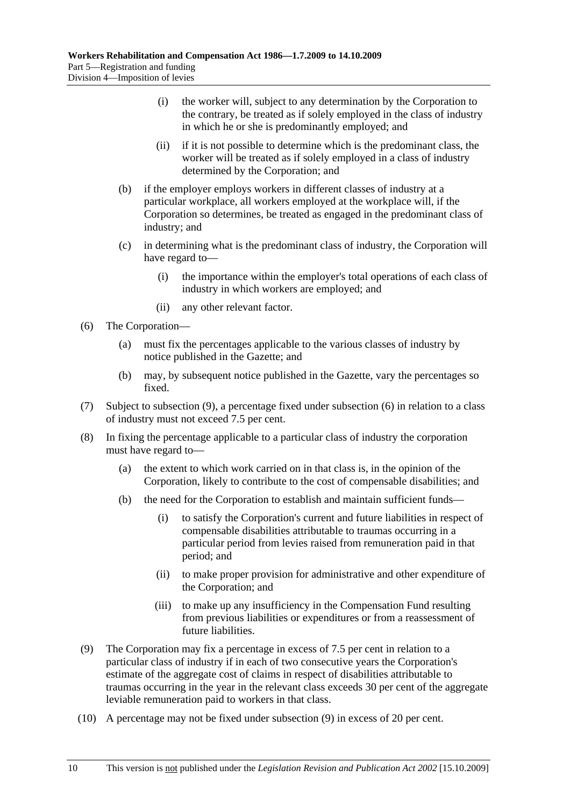- (i) the worker will, subject to any determination by the Corporation to the contrary, be treated as if solely employed in the class of industry in which he or she is predominantly employed; and
- (ii) if it is not possible to determine which is the predominant class, the worker will be treated as if solely employed in a class of industry determined by the Corporation; and
- (b) if the employer employs workers in different classes of industry at a particular workplace, all workers employed at the workplace will, if the Corporation so determines, be treated as engaged in the predominant class of industry; and
- (c) in determining what is the predominant class of industry, the Corporation will have regard to—
	- (i) the importance within the employer's total operations of each class of industry in which workers are employed; and
	- (ii) any other relevant factor.
- (6) The Corporation—
	- (a) must fix the percentages applicable to the various classes of industry by notice published in the Gazette; and
	- (b) may, by subsequent notice published in the Gazette, vary the percentages so fixed.
- (7) Subject to subsection (9), a percentage fixed under subsection (6) in relation to a class of industry must not exceed 7.5 per cent.
- (8) In fixing the percentage applicable to a particular class of industry the corporation must have regard to—
	- (a) the extent to which work carried on in that class is, in the opinion of the Corporation, likely to contribute to the cost of compensable disabilities; and
	- (b) the need for the Corporation to establish and maintain sufficient funds—
		- (i) to satisfy the Corporation's current and future liabilities in respect of compensable disabilities attributable to traumas occurring in a particular period from levies raised from remuneration paid in that period; and
		- (ii) to make proper provision for administrative and other expenditure of the Corporation; and
		- (iii) to make up any insufficiency in the Compensation Fund resulting from previous liabilities or expenditures or from a reassessment of future liabilities.
- (9) The Corporation may fix a percentage in excess of 7.5 per cent in relation to a particular class of industry if in each of two consecutive years the Corporation's estimate of the aggregate cost of claims in respect of disabilities attributable to traumas occurring in the year in the relevant class exceeds 30 per cent of the aggregate leviable remuneration paid to workers in that class.
- (10) A percentage may not be fixed under subsection (9) in excess of 20 per cent.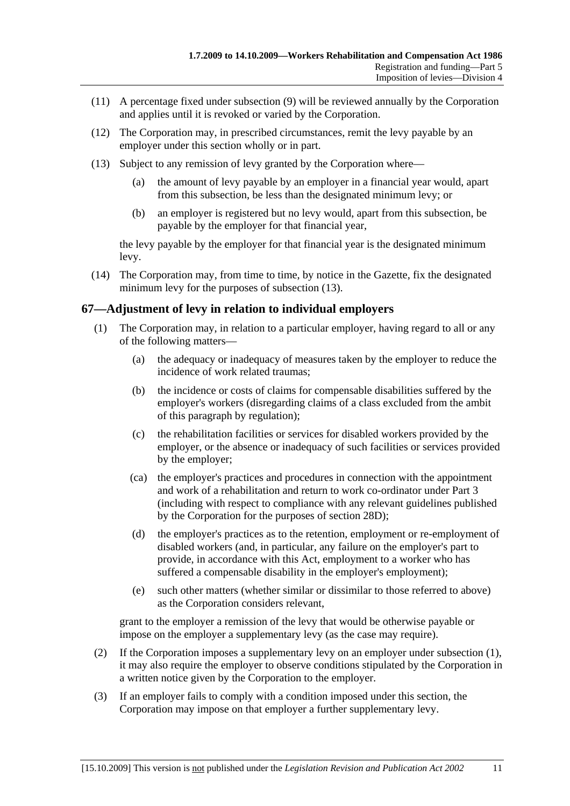- (11) A percentage fixed under subsection (9) will be reviewed annually by the Corporation and applies until it is revoked or varied by the Corporation.
- (12) The Corporation may, in prescribed circumstances, remit the levy payable by an employer under this section wholly or in part.
- (13) Subject to any remission of levy granted by the Corporation where—
	- (a) the amount of levy payable by an employer in a financial year would, apart from this subsection, be less than the designated minimum levy; or
	- (b) an employer is registered but no levy would, apart from this subsection, be payable by the employer for that financial year,

the levy payable by the employer for that financial year is the designated minimum levy.

 (14) The Corporation may, from time to time, by notice in the Gazette, fix the designated minimum levy for the purposes of subsection (13).

### **67—Adjustment of levy in relation to individual employers**

- (1) The Corporation may, in relation to a particular employer, having regard to all or any of the following matters—
	- (a) the adequacy or inadequacy of measures taken by the employer to reduce the incidence of work related traumas;
	- (b) the incidence or costs of claims for compensable disabilities suffered by the employer's workers (disregarding claims of a class excluded from the ambit of this paragraph by regulation);
	- (c) the rehabilitation facilities or services for disabled workers provided by the employer, or the absence or inadequacy of such facilities or services provided by the employer;
	- (ca) the employer's practices and procedures in connection with the appointment and work of a rehabilitation and return to work co-ordinator under Part 3 (including with respect to compliance with any relevant guidelines published by the Corporation for the purposes of section 28D);
	- (d) the employer's practices as to the retention, employment or re-employment of disabled workers (and, in particular, any failure on the employer's part to provide, in accordance with this Act, employment to a worker who has suffered a compensable disability in the employer's employment);
	- (e) such other matters (whether similar or dissimilar to those referred to above) as the Corporation considers relevant,

grant to the employer a remission of the levy that would be otherwise payable or impose on the employer a supplementary levy (as the case may require).

- (2) If the Corporation imposes a supplementary levy on an employer under subsection (1), it may also require the employer to observe conditions stipulated by the Corporation in a written notice given by the Corporation to the employer.
- (3) If an employer fails to comply with a condition imposed under this section, the Corporation may impose on that employer a further supplementary levy.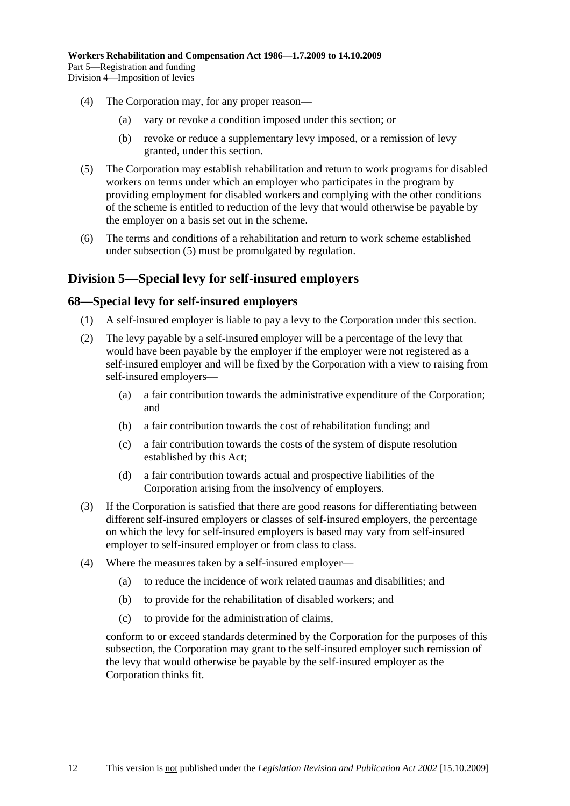- (4) The Corporation may, for any proper reason—
	- (a) vary or revoke a condition imposed under this section; or
	- (b) revoke or reduce a supplementary levy imposed, or a remission of levy granted, under this section.
- (5) The Corporation may establish rehabilitation and return to work programs for disabled workers on terms under which an employer who participates in the program by providing employment for disabled workers and complying with the other conditions of the scheme is entitled to reduction of the levy that would otherwise be payable by the employer on a basis set out in the scheme.
- (6) The terms and conditions of a rehabilitation and return to work scheme established under subsection (5) must be promulgated by regulation.

### **Division 5—Special levy for self-insured employers**

#### **68—Special levy for self-insured employers**

- (1) A self-insured employer is liable to pay a levy to the Corporation under this section.
- (2) The levy payable by a self-insured employer will be a percentage of the levy that would have been payable by the employer if the employer were not registered as a self-insured employer and will be fixed by the Corporation with a view to raising from self-insured employers—
	- (a) a fair contribution towards the administrative expenditure of the Corporation; and
	- (b) a fair contribution towards the cost of rehabilitation funding; and
	- (c) a fair contribution towards the costs of the system of dispute resolution established by this Act;
	- (d) a fair contribution towards actual and prospective liabilities of the Corporation arising from the insolvency of employers.
- (3) If the Corporation is satisfied that there are good reasons for differentiating between different self-insured employers or classes of self-insured employers, the percentage on which the levy for self-insured employers is based may vary from self-insured employer to self-insured employer or from class to class.
- (4) Where the measures taken by a self-insured employer—
	- (a) to reduce the incidence of work related traumas and disabilities; and
	- (b) to provide for the rehabilitation of disabled workers; and
	- (c) to provide for the administration of claims,

conform to or exceed standards determined by the Corporation for the purposes of this subsection, the Corporation may grant to the self-insured employer such remission of the levy that would otherwise be payable by the self-insured employer as the Corporation thinks fit.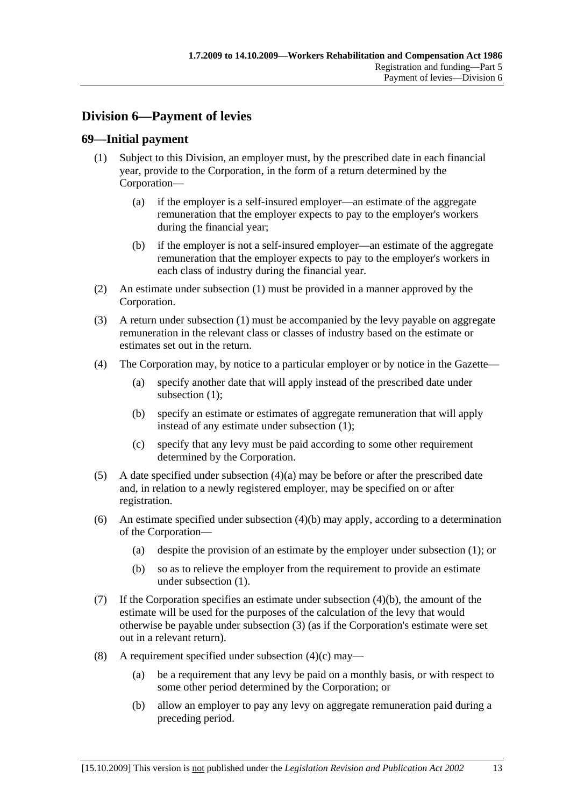# **Division 6—Payment of levies**

### **69—Initial payment**

- (1) Subject to this Division, an employer must, by the prescribed date in each financial year, provide to the Corporation, in the form of a return determined by the Corporation—
	- (a) if the employer is a self-insured employer—an estimate of the aggregate remuneration that the employer expects to pay to the employer's workers during the financial year;
	- (b) if the employer is not a self-insured employer—an estimate of the aggregate remuneration that the employer expects to pay to the employer's workers in each class of industry during the financial year.
- (2) An estimate under subsection (1) must be provided in a manner approved by the Corporation.
- (3) A return under subsection (1) must be accompanied by the levy payable on aggregate remuneration in the relevant class or classes of industry based on the estimate or estimates set out in the return.
- (4) The Corporation may, by notice to a particular employer or by notice in the Gazette—
	- (a) specify another date that will apply instead of the prescribed date under subsection (1):
	- (b) specify an estimate or estimates of aggregate remuneration that will apply instead of any estimate under subsection (1);
	- (c) specify that any levy must be paid according to some other requirement determined by the Corporation.
- (5) A date specified under subsection (4)(a) may be before or after the prescribed date and, in relation to a newly registered employer, may be specified on or after registration.
- (6) An estimate specified under subsection (4)(b) may apply, according to a determination of the Corporation—
	- (a) despite the provision of an estimate by the employer under subsection (1); or
	- (b) so as to relieve the employer from the requirement to provide an estimate under subsection (1).
- (7) If the Corporation specifies an estimate under subsection (4)(b), the amount of the estimate will be used for the purposes of the calculation of the levy that would otherwise be payable under subsection (3) (as if the Corporation's estimate were set out in a relevant return).
- (8) A requirement specified under subsection  $(4)(c)$  may—
	- (a) be a requirement that any levy be paid on a monthly basis, or with respect to some other period determined by the Corporation; or
	- (b) allow an employer to pay any levy on aggregate remuneration paid during a preceding period.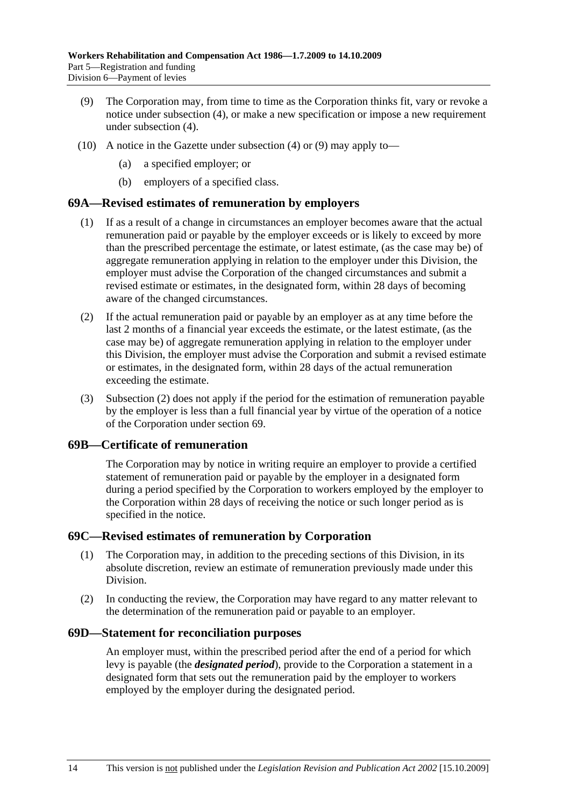- (9) The Corporation may, from time to time as the Corporation thinks fit, vary or revoke a notice under subsection (4), or make a new specification or impose a new requirement under subsection (4).
- (10) A notice in the Gazette under subsection (4) or (9) may apply to
	- a specified employer; or
	- (b) employers of a specified class.

#### **69A—Revised estimates of remuneration by employers**

- (1) If as a result of a change in circumstances an employer becomes aware that the actual remuneration paid or payable by the employer exceeds or is likely to exceed by more than the prescribed percentage the estimate, or latest estimate, (as the case may be) of aggregate remuneration applying in relation to the employer under this Division, the employer must advise the Corporation of the changed circumstances and submit a revised estimate or estimates, in the designated form, within 28 days of becoming aware of the changed circumstances.
- (2) If the actual remuneration paid or payable by an employer as at any time before the last 2 months of a financial year exceeds the estimate, or the latest estimate, (as the case may be) of aggregate remuneration applying in relation to the employer under this Division, the employer must advise the Corporation and submit a revised estimate or estimates, in the designated form, within 28 days of the actual remuneration exceeding the estimate.
- (3) Subsection (2) does not apply if the period for the estimation of remuneration payable by the employer is less than a full financial year by virtue of the operation of a notice of the Corporation under section 69.

#### **69B—Certificate of remuneration**

The Corporation may by notice in writing require an employer to provide a certified statement of remuneration paid or payable by the employer in a designated form during a period specified by the Corporation to workers employed by the employer to the Corporation within 28 days of receiving the notice or such longer period as is specified in the notice.

#### **69C—Revised estimates of remuneration by Corporation**

- (1) The Corporation may, in addition to the preceding sections of this Division, in its absolute discretion, review an estimate of remuneration previously made under this Division.
- (2) In conducting the review, the Corporation may have regard to any matter relevant to the determination of the remuneration paid or payable to an employer.

#### **69D—Statement for reconciliation purposes**

An employer must, within the prescribed period after the end of a period for which levy is payable (the *designated period*), provide to the Corporation a statement in a designated form that sets out the remuneration paid by the employer to workers employed by the employer during the designated period.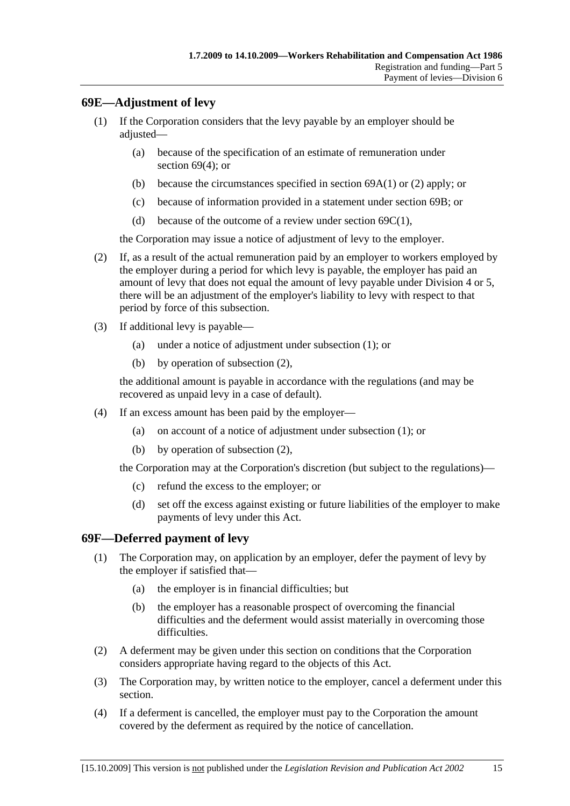### **69E—Adjustment of levy**

- (1) If the Corporation considers that the levy payable by an employer should be adjusted—
	- (a) because of the specification of an estimate of remuneration under section 69(4); or
	- (b) because the circumstances specified in section 69A(1) or (2) apply; or
	- (c) because of information provided in a statement under section 69B; or
	- (d) because of the outcome of a review under section  $69C(1)$ ,

the Corporation may issue a notice of adjustment of levy to the employer.

- (2) If, as a result of the actual remuneration paid by an employer to workers employed by the employer during a period for which levy is payable, the employer has paid an amount of levy that does not equal the amount of levy payable under Division 4 or 5, there will be an adjustment of the employer's liability to levy with respect to that period by force of this subsection.
- (3) If additional levy is payable—
	- (a) under a notice of adjustment under subsection (1); or
	- (b) by operation of subsection (2),

the additional amount is payable in accordance with the regulations (and may be recovered as unpaid levy in a case of default).

- (4) If an excess amount has been paid by the employer—
	- (a) on account of a notice of adjustment under subsection (1); or
	- (b) by operation of subsection (2),

the Corporation may at the Corporation's discretion (but subject to the regulations)—

- (c) refund the excess to the employer; or
- (d) set off the excess against existing or future liabilities of the employer to make payments of levy under this Act.

#### **69F—Deferred payment of levy**

- (1) The Corporation may, on application by an employer, defer the payment of levy by the employer if satisfied that—
	- (a) the employer is in financial difficulties; but
	- (b) the employer has a reasonable prospect of overcoming the financial difficulties and the deferment would assist materially in overcoming those difficulties.
- (2) A deferment may be given under this section on conditions that the Corporation considers appropriate having regard to the objects of this Act.
- (3) The Corporation may, by written notice to the employer, cancel a deferment under this section.
- (4) If a deferment is cancelled, the employer must pay to the Corporation the amount covered by the deferment as required by the notice of cancellation.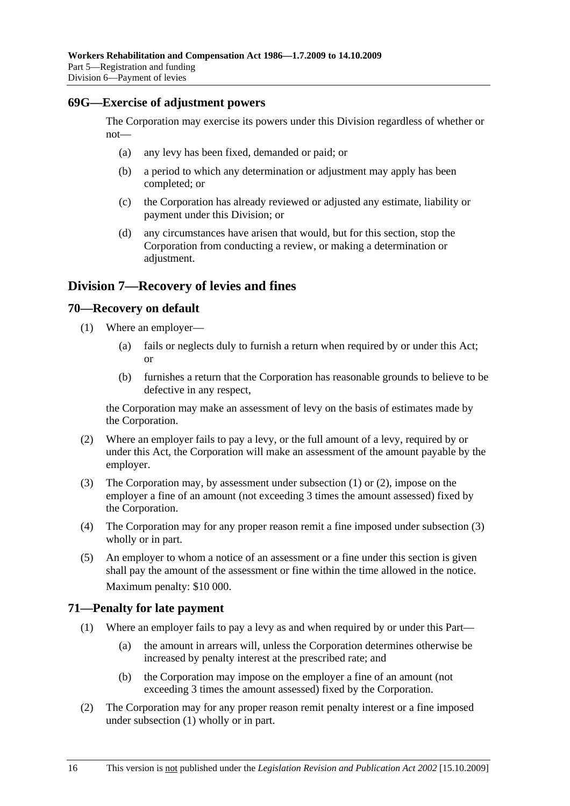#### **69G—Exercise of adjustment powers**

The Corporation may exercise its powers under this Division regardless of whether or not—

- (a) any levy has been fixed, demanded or paid; or
- (b) a period to which any determination or adjustment may apply has been completed; or
- (c) the Corporation has already reviewed or adjusted any estimate, liability or payment under this Division; or
- (d) any circumstances have arisen that would, but for this section, stop the Corporation from conducting a review, or making a determination or adjustment.

### **Division 7—Recovery of levies and fines**

#### **70—Recovery on default**

- (1) Where an employer—
	- (a) fails or neglects duly to furnish a return when required by or under this Act; or
	- (b) furnishes a return that the Corporation has reasonable grounds to believe to be defective in any respect,

the Corporation may make an assessment of levy on the basis of estimates made by the Corporation.

- (2) Where an employer fails to pay a levy, or the full amount of a levy, required by or under this Act, the Corporation will make an assessment of the amount payable by the employer.
- (3) The Corporation may, by assessment under subsection (1) or (2), impose on the employer a fine of an amount (not exceeding 3 times the amount assessed) fixed by the Corporation.
- (4) The Corporation may for any proper reason remit a fine imposed under subsection (3) wholly or in part.
- (5) An employer to whom a notice of an assessment or a fine under this section is given shall pay the amount of the assessment or fine within the time allowed in the notice. Maximum penalty: \$10 000.

#### **71—Penalty for late payment**

- (1) Where an employer fails to pay a levy as and when required by or under this Part—
	- (a) the amount in arrears will, unless the Corporation determines otherwise be increased by penalty interest at the prescribed rate; and
	- (b) the Corporation may impose on the employer a fine of an amount (not exceeding 3 times the amount assessed) fixed by the Corporation.
- (2) The Corporation may for any proper reason remit penalty interest or a fine imposed under subsection (1) wholly or in part.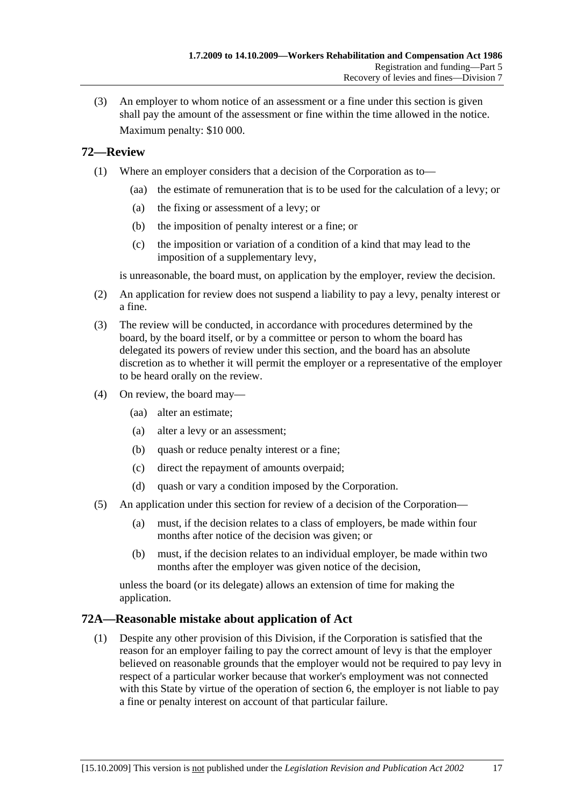(3) An employer to whom notice of an assessment or a fine under this section is given shall pay the amount of the assessment or fine within the time allowed in the notice. Maximum penalty: \$10 000.

### **72—Review**

- (1) Where an employer considers that a decision of the Corporation as to—
	- (aa) the estimate of remuneration that is to be used for the calculation of a levy; or
	- (a) the fixing or assessment of a levy; or
	- (b) the imposition of penalty interest or a fine; or
	- (c) the imposition or variation of a condition of a kind that may lead to the imposition of a supplementary levy,

is unreasonable, the board must, on application by the employer, review the decision.

- (2) An application for review does not suspend a liability to pay a levy, penalty interest or a fine.
- (3) The review will be conducted, in accordance with procedures determined by the board, by the board itself, or by a committee or person to whom the board has delegated its powers of review under this section, and the board has an absolute discretion as to whether it will permit the employer or a representative of the employer to be heard orally on the review.
- (4) On review, the board may—
	- (aa) alter an estimate;
	- (a) alter a levy or an assessment;
	- (b) quash or reduce penalty interest or a fine;
	- (c) direct the repayment of amounts overpaid;
	- (d) quash or vary a condition imposed by the Corporation.
- (5) An application under this section for review of a decision of the Corporation—
	- (a) must, if the decision relates to a class of employers, be made within four months after notice of the decision was given; or
	- (b) must, if the decision relates to an individual employer, be made within two months after the employer was given notice of the decision,

unless the board (or its delegate) allows an extension of time for making the application.

#### **72A—Reasonable mistake about application of Act**

 (1) Despite any other provision of this Division, if the Corporation is satisfied that the reason for an employer failing to pay the correct amount of levy is that the employer believed on reasonable grounds that the employer would not be required to pay levy in respect of a particular worker because that worker's employment was not connected with this State by virtue of the operation of section 6, the employer is not liable to pay a fine or penalty interest on account of that particular failure.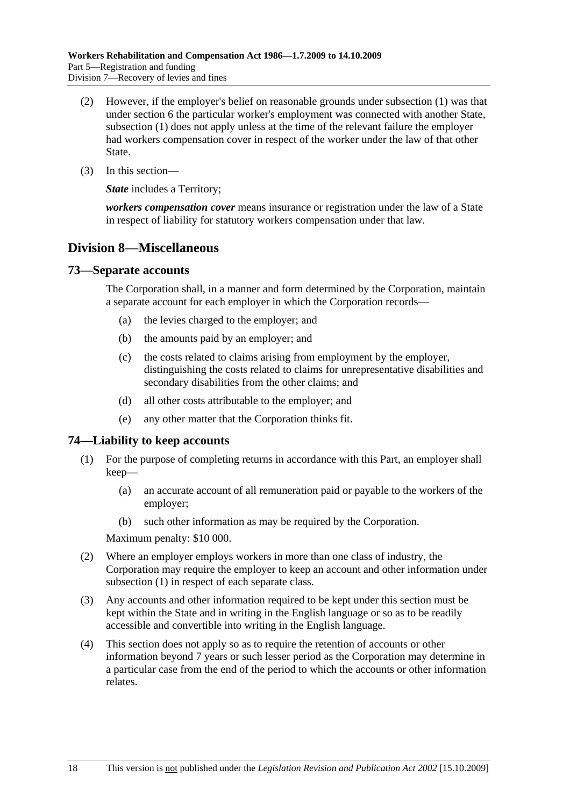- (2) However, if the employer's belief on reasonable grounds under subsection (1) was that under section 6 the particular worker's employment was connected with another State, subsection (1) does not apply unless at the time of the relevant failure the employer had workers compensation cover in respect of the worker under the law of that other State.
- (3) In this section—

*State* includes a Territory:

*workers compensation cover* means insurance or registration under the law of a State in respect of liability for statutory workers compensation under that law.

### **Division 8—Miscellaneous**

#### **73—Separate accounts**

The Corporation shall, in a manner and form determined by the Corporation, maintain a separate account for each employer in which the Corporation records—

- (a) the levies charged to the employer; and
- (b) the amounts paid by an employer; and
- (c) the costs related to claims arising from employment by the employer, distinguishing the costs related to claims for unrepresentative disabilities and secondary disabilities from the other claims; and
- (d) all other costs attributable to the employer; and
- (e) any other matter that the Corporation thinks fit.

#### **74—Liability to keep accounts**

- (1) For the purpose of completing returns in accordance with this Part, an employer shall keep—
	- (a) an accurate account of all remuneration paid or payable to the workers of the employer;
	- (b) such other information as may be required by the Corporation.

Maximum penalty: \$10 000.

- (2) Where an employer employs workers in more than one class of industry, the Corporation may require the employer to keep an account and other information under subsection (1) in respect of each separate class.
- (3) Any accounts and other information required to be kept under this section must be kept within the State and in writing in the English language or so as to be readily accessible and convertible into writing in the English language.
- (4) This section does not apply so as to require the retention of accounts or other information beyond 7 years or such lesser period as the Corporation may determine in a particular case from the end of the period to which the accounts or other information relates.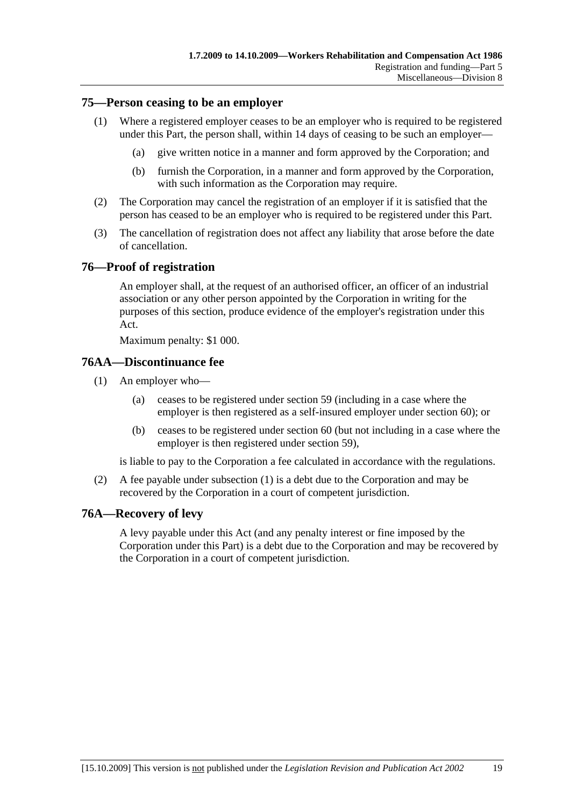#### **75—Person ceasing to be an employer**

- (1) Where a registered employer ceases to be an employer who is required to be registered under this Part, the person shall, within 14 days of ceasing to be such an employer—
	- (a) give written notice in a manner and form approved by the Corporation; and
	- (b) furnish the Corporation, in a manner and form approved by the Corporation, with such information as the Corporation may require.
- (2) The Corporation may cancel the registration of an employer if it is satisfied that the person has ceased to be an employer who is required to be registered under this Part.
- (3) The cancellation of registration does not affect any liability that arose before the date of cancellation.

#### **76—Proof of registration**

An employer shall, at the request of an authorised officer, an officer of an industrial association or any other person appointed by the Corporation in writing for the purposes of this section, produce evidence of the employer's registration under this Act.

Maximum penalty: \$1 000.

#### **76AA—Discontinuance fee**

- (1) An employer who—
	- (a) ceases to be registered under section 59 (including in a case where the employer is then registered as a self-insured employer under section 60); or
	- (b) ceases to be registered under section 60 (but not including in a case where the employer is then registered under section 59),

is liable to pay to the Corporation a fee calculated in accordance with the regulations.

 (2) A fee payable under subsection (1) is a debt due to the Corporation and may be recovered by the Corporation in a court of competent jurisdiction.

### **76A—Recovery of levy**

A levy payable under this Act (and any penalty interest or fine imposed by the Corporation under this Part) is a debt due to the Corporation and may be recovered by the Corporation in a court of competent jurisdiction.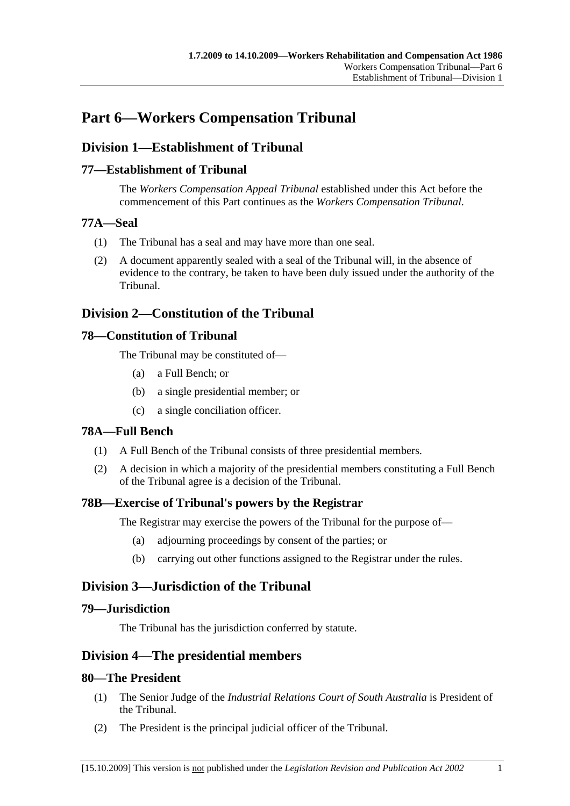# **Part 6—Workers Compensation Tribunal**

## **Division 1—Establishment of Tribunal**

### **77—Establishment of Tribunal**

The *Workers Compensation Appeal Tribunal* established under this Act before the commencement of this Part continues as the *Workers Compensation Tribunal*.

### **77A—Seal**

- (1) The Tribunal has a seal and may have more than one seal.
- (2) A document apparently sealed with a seal of the Tribunal will, in the absence of evidence to the contrary, be taken to have been duly issued under the authority of the Tribunal.

## **Division 2—Constitution of the Tribunal**

### **78—Constitution of Tribunal**

The Tribunal may be constituted of—

- (a) a Full Bench; or
- (b) a single presidential member; or
- (c) a single conciliation officer.

### **78A—Full Bench**

- (1) A Full Bench of the Tribunal consists of three presidential members.
- (2) A decision in which a majority of the presidential members constituting a Full Bench of the Tribunal agree is a decision of the Tribunal.

### **78B—Exercise of Tribunal's powers by the Registrar**

The Registrar may exercise the powers of the Tribunal for the purpose of—

- (a) adjourning proceedings by consent of the parties; or
- (b) carrying out other functions assigned to the Registrar under the rules.

# **Division 3—Jurisdiction of the Tribunal**

### **79—Jurisdiction**

The Tribunal has the jurisdiction conferred by statute.

### **Division 4—The presidential members**

### **80—The President**

- (1) The Senior Judge of the *Industrial Relations Court of South Australia* is President of the Tribunal.
- (2) The President is the principal judicial officer of the Tribunal.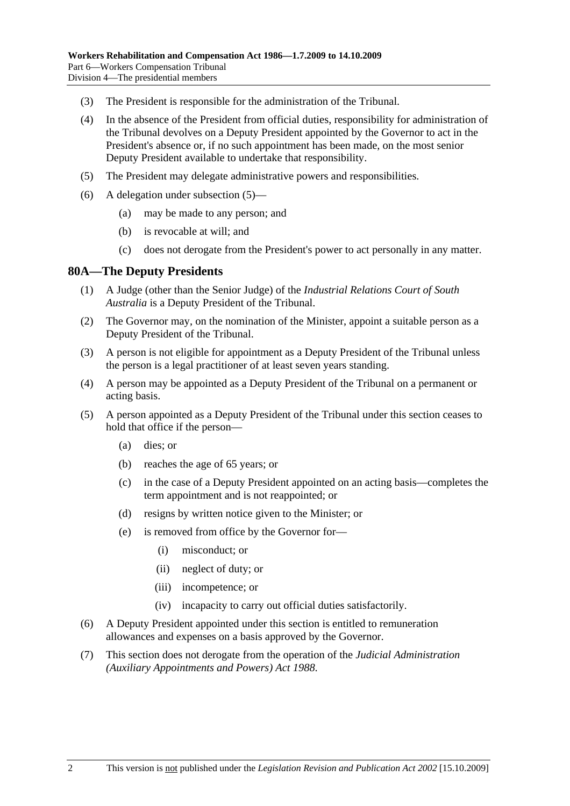- (3) The President is responsible for the administration of the Tribunal.
- (4) In the absence of the President from official duties, responsibility for administration of the Tribunal devolves on a Deputy President appointed by the Governor to act in the President's absence or, if no such appointment has been made, on the most senior Deputy President available to undertake that responsibility.
- (5) The President may delegate administrative powers and responsibilities.
- (6) A delegation under subsection (5)—
	- (a) may be made to any person; and
	- (b) is revocable at will; and
	- (c) does not derogate from the President's power to act personally in any matter.

#### **80A—The Deputy Presidents**

- (1) A Judge (other than the Senior Judge) of the *Industrial Relations Court of South Australia* is a Deputy President of the Tribunal.
- (2) The Governor may, on the nomination of the Minister, appoint a suitable person as a Deputy President of the Tribunal.
- (3) A person is not eligible for appointment as a Deputy President of the Tribunal unless the person is a legal practitioner of at least seven years standing.
- (4) A person may be appointed as a Deputy President of the Tribunal on a permanent or acting basis.
- (5) A person appointed as a Deputy President of the Tribunal under this section ceases to hold that office if the person—
	- (a) dies; or
	- (b) reaches the age of 65 years; or
	- (c) in the case of a Deputy President appointed on an acting basis—completes the term appointment and is not reappointed; or
	- (d) resigns by written notice given to the Minister; or
	- (e) is removed from office by the Governor for—
		- (i) misconduct; or
		- (ii) neglect of duty; or
		- (iii) incompetence; or
		- (iv) incapacity to carry out official duties satisfactorily.
- (6) A Deputy President appointed under this section is entitled to remuneration allowances and expenses on a basis approved by the Governor.
- (7) This section does not derogate from the operation of the *Judicial Administration (Auxiliary Appointments and Powers) Act 1988*.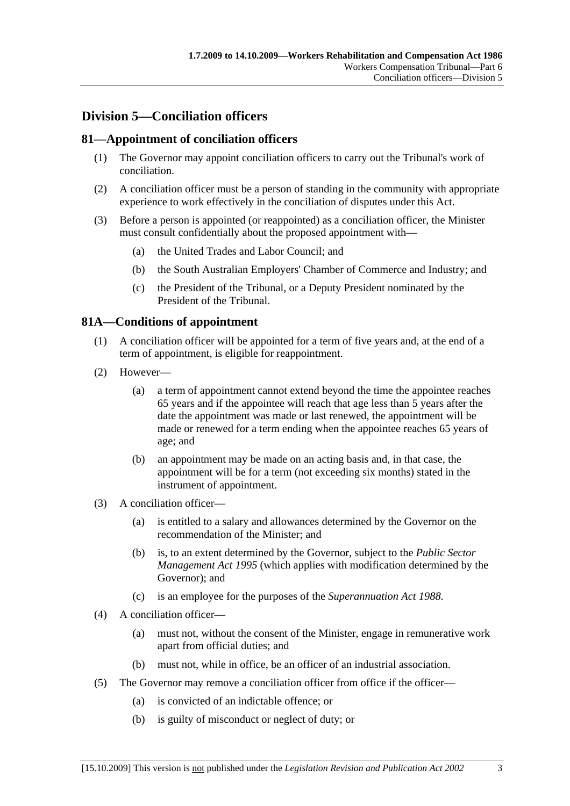# **Division 5—Conciliation officers**

### **81—Appointment of conciliation officers**

- (1) The Governor may appoint conciliation officers to carry out the Tribunal's work of conciliation.
- (2) A conciliation officer must be a person of standing in the community with appropriate experience to work effectively in the conciliation of disputes under this Act.
- (3) Before a person is appointed (or reappointed) as a conciliation officer, the Minister must consult confidentially about the proposed appointment with—
	- (a) the United Trades and Labor Council; and
	- (b) the South Australian Employers' Chamber of Commerce and Industry; and
	- (c) the President of the Tribunal, or a Deputy President nominated by the President of the Tribunal.

### **81A—Conditions of appointment**

- (1) A conciliation officer will be appointed for a term of five years and, at the end of a term of appointment, is eligible for reappointment.
- (2) However—
	- (a) a term of appointment cannot extend beyond the time the appointee reaches 65 years and if the appointee will reach that age less than 5 years after the date the appointment was made or last renewed, the appointment will be made or renewed for a term ending when the appointee reaches 65 years of age; and
	- (b) an appointment may be made on an acting basis and, in that case, the appointment will be for a term (not exceeding six months) stated in the instrument of appointment.
- (3) A conciliation officer—
	- (a) is entitled to a salary and allowances determined by the Governor on the recommendation of the Minister; and
	- (b) is, to an extent determined by the Governor, subject to the *Public Sector Management Act 1995* (which applies with modification determined by the Governor); and
	- (c) is an employee for the purposes of the *Superannuation Act 1988*.
- (4) A conciliation officer—
	- (a) must not, without the consent of the Minister, engage in remunerative work apart from official duties; and
	- (b) must not, while in office, be an officer of an industrial association.
- (5) The Governor may remove a conciliation officer from office if the officer—
	- (a) is convicted of an indictable offence; or
	- (b) is guilty of misconduct or neglect of duty; or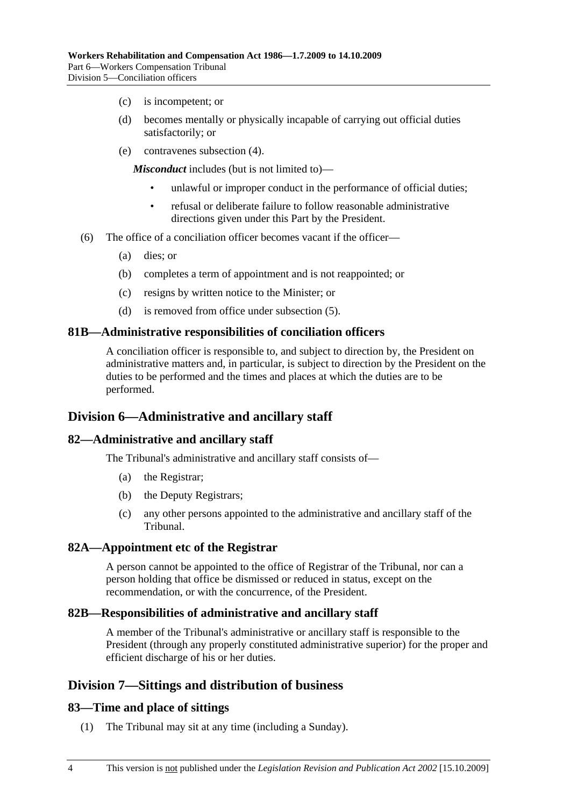- (c) is incompetent; or
- (d) becomes mentally or physically incapable of carrying out official duties satisfactorily; or
- (e) contravenes subsection (4).

*Misconduct* includes (but is not limited to)—

- unlawful or improper conduct in the performance of official duties;
- refusal or deliberate failure to follow reasonable administrative directions given under this Part by the President.
- (6) The office of a conciliation officer becomes vacant if the officer—
	- (a) dies; or
	- (b) completes a term of appointment and is not reappointed; or
	- (c) resigns by written notice to the Minister; or
	- (d) is removed from office under subsection (5).

#### **81B—Administrative responsibilities of conciliation officers**

A conciliation officer is responsible to, and subject to direction by, the President on administrative matters and, in particular, is subject to direction by the President on the duties to be performed and the times and places at which the duties are to be performed.

### **Division 6—Administrative and ancillary staff**

#### **82—Administrative and ancillary staff**

The Tribunal's administrative and ancillary staff consists of—

- (a) the Registrar;
- (b) the Deputy Registrars;
- (c) any other persons appointed to the administrative and ancillary staff of the Tribunal.

#### **82A—Appointment etc of the Registrar**

A person cannot be appointed to the office of Registrar of the Tribunal, nor can a person holding that office be dismissed or reduced in status, except on the recommendation, or with the concurrence, of the President.

#### **82B—Responsibilities of administrative and ancillary staff**

A member of the Tribunal's administrative or ancillary staff is responsible to the President (through any properly constituted administrative superior) for the proper and efficient discharge of his or her duties.

### **Division 7—Sittings and distribution of business**

#### **83—Time and place of sittings**

(1) The Tribunal may sit at any time (including a Sunday).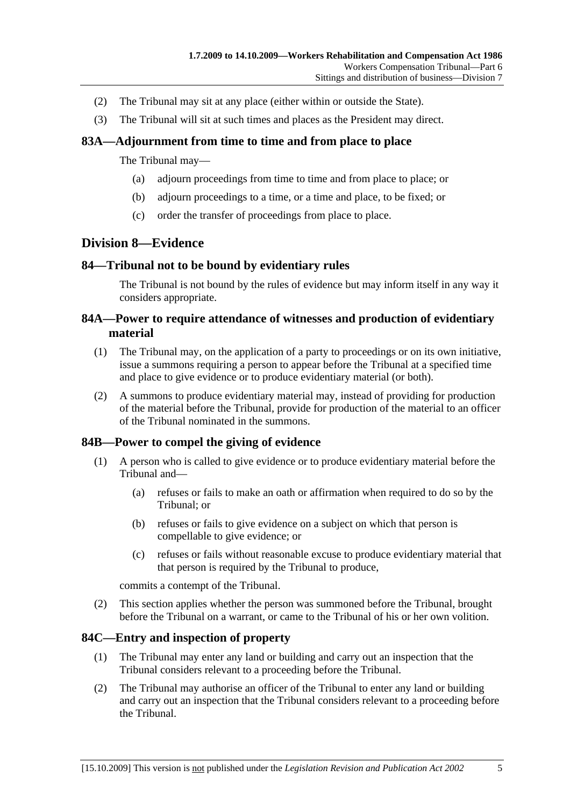- (2) The Tribunal may sit at any place (either within or outside the State).
- (3) The Tribunal will sit at such times and places as the President may direct.

### **83A—Adjournment from time to time and from place to place**

The Tribunal may—

- (a) adjourn proceedings from time to time and from place to place; or
- (b) adjourn proceedings to a time, or a time and place, to be fixed; or
- (c) order the transfer of proceedings from place to place.

### **Division 8—Evidence**

### **84—Tribunal not to be bound by evidentiary rules**

The Tribunal is not bound by the rules of evidence but may inform itself in any way it considers appropriate.

### **84A—Power to require attendance of witnesses and production of evidentiary material**

- (1) The Tribunal may, on the application of a party to proceedings or on its own initiative, issue a summons requiring a person to appear before the Tribunal at a specified time and place to give evidence or to produce evidentiary material (or both).
- (2) A summons to produce evidentiary material may, instead of providing for production of the material before the Tribunal, provide for production of the material to an officer of the Tribunal nominated in the summons.

### **84B—Power to compel the giving of evidence**

- (1) A person who is called to give evidence or to produce evidentiary material before the Tribunal and—
	- (a) refuses or fails to make an oath or affirmation when required to do so by the Tribunal; or
	- (b) refuses or fails to give evidence on a subject on which that person is compellable to give evidence; or
	- (c) refuses or fails without reasonable excuse to produce evidentiary material that that person is required by the Tribunal to produce,

commits a contempt of the Tribunal.

 (2) This section applies whether the person was summoned before the Tribunal, brought before the Tribunal on a warrant, or came to the Tribunal of his or her own volition.

### **84C—Entry and inspection of property**

- (1) The Tribunal may enter any land or building and carry out an inspection that the Tribunal considers relevant to a proceeding before the Tribunal.
- (2) The Tribunal may authorise an officer of the Tribunal to enter any land or building and carry out an inspection that the Tribunal considers relevant to a proceeding before the Tribunal.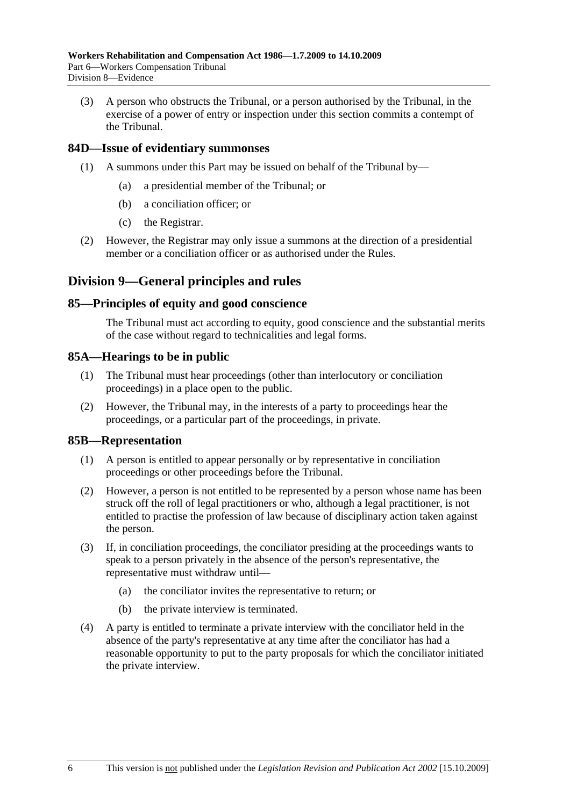(3) A person who obstructs the Tribunal, or a person authorised by the Tribunal, in the exercise of a power of entry or inspection under this section commits a contempt of the Tribunal.

### **84D—Issue of evidentiary summonses**

- (1) A summons under this Part may be issued on behalf of the Tribunal by—
	- (a) a presidential member of the Tribunal; or
	- (b) a conciliation officer; or
	- (c) the Registrar.
- (2) However, the Registrar may only issue a summons at the direction of a presidential member or a conciliation officer or as authorised under the Rules.

### **Division 9—General principles and rules**

#### **85—Principles of equity and good conscience**

The Tribunal must act according to equity, good conscience and the substantial merits of the case without regard to technicalities and legal forms.

#### **85A—Hearings to be in public**

- (1) The Tribunal must hear proceedings (other than interlocutory or conciliation proceedings) in a place open to the public.
- (2) However, the Tribunal may, in the interests of a party to proceedings hear the proceedings, or a particular part of the proceedings, in private.

#### **85B—Representation**

- (1) A person is entitled to appear personally or by representative in conciliation proceedings or other proceedings before the Tribunal.
- (2) However, a person is not entitled to be represented by a person whose name has been struck off the roll of legal practitioners or who, although a legal practitioner, is not entitled to practise the profession of law because of disciplinary action taken against the person.
- (3) If, in conciliation proceedings, the conciliator presiding at the proceedings wants to speak to a person privately in the absence of the person's representative, the representative must withdraw until—
	- (a) the conciliator invites the representative to return; or
	- (b) the private interview is terminated.
- (4) A party is entitled to terminate a private interview with the conciliator held in the absence of the party's representative at any time after the conciliator has had a reasonable opportunity to put to the party proposals for which the conciliator initiated the private interview.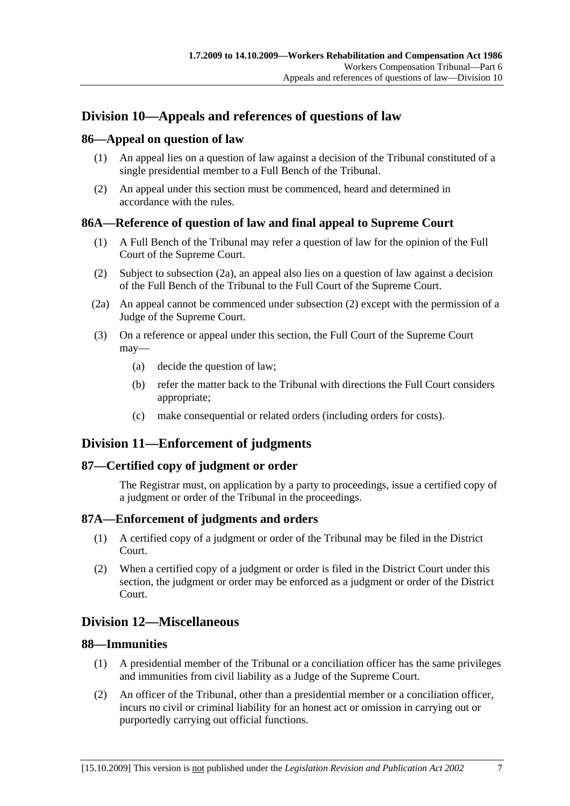# **Division 10—Appeals and references of questions of law**

# **86—Appeal on question of law**

- (1) An appeal lies on a question of law against a decision of the Tribunal constituted of a single presidential member to a Full Bench of the Tribunal.
- (2) An appeal under this section must be commenced, heard and determined in accordance with the rules.

# **86A—Reference of question of law and final appeal to Supreme Court**

- (1) A Full Bench of the Tribunal may refer a question of law for the opinion of the Full Court of the Supreme Court.
- (2) Subject to subsection (2a), an appeal also lies on a question of law against a decision of the Full Bench of the Tribunal to the Full Court of the Supreme Court.
- (2a) An appeal cannot be commenced under subsection (2) except with the permission of a Judge of the Supreme Court.
- (3) On a reference or appeal under this section, the Full Court of the Supreme Court may—
	- (a) decide the question of law;
	- (b) refer the matter back to the Tribunal with directions the Full Court considers appropriate;
	- (c) make consequential or related orders (including orders for costs).

# **Division 11—Enforcement of judgments**

# **87—Certified copy of judgment or order**

The Registrar must, on application by a party to proceedings, issue a certified copy of a judgment or order of the Tribunal in the proceedings.

# **87A—Enforcement of judgments and orders**

- (1) A certified copy of a judgment or order of the Tribunal may be filed in the District Court.
- (2) When a certified copy of a judgment or order is filed in the District Court under this section, the judgment or order may be enforced as a judgment or order of the District Court.

# **Division 12—Miscellaneous**

# **88—Immunities**

- (1) A presidential member of the Tribunal or a conciliation officer has the same privileges and immunities from civil liability as a Judge of the Supreme Court.
- (2) An officer of the Tribunal, other than a presidential member or a conciliation officer, incurs no civil or criminal liability for an honest act or omission in carrying out or purportedly carrying out official functions.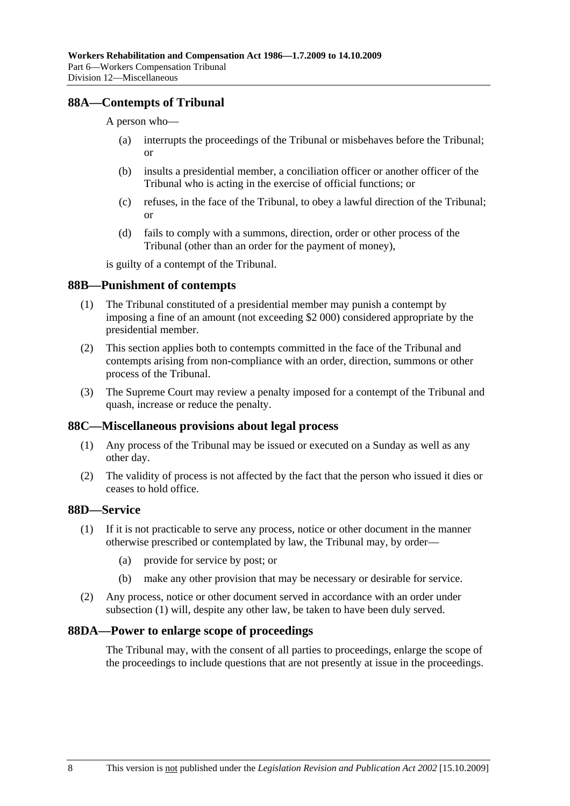# **88A—Contempts of Tribunal**

A person who—

- (a) interrupts the proceedings of the Tribunal or misbehaves before the Tribunal; or
- (b) insults a presidential member, a conciliation officer or another officer of the Tribunal who is acting in the exercise of official functions; or
- (c) refuses, in the face of the Tribunal, to obey a lawful direction of the Tribunal; or
- (d) fails to comply with a summons, direction, order or other process of the Tribunal (other than an order for the payment of money),

is guilty of a contempt of the Tribunal.

### **88B—Punishment of contempts**

- (1) The Tribunal constituted of a presidential member may punish a contempt by imposing a fine of an amount (not exceeding \$2 000) considered appropriate by the presidential member.
- (2) This section applies both to contempts committed in the face of the Tribunal and contempts arising from non-compliance with an order, direction, summons or other process of the Tribunal.
- (3) The Supreme Court may review a penalty imposed for a contempt of the Tribunal and quash, increase or reduce the penalty.

### **88C—Miscellaneous provisions about legal process**

- (1) Any process of the Tribunal may be issued or executed on a Sunday as well as any other day.
- (2) The validity of process is not affected by the fact that the person who issued it dies or ceases to hold office.

# **88D—Service**

- (1) If it is not practicable to serve any process, notice or other document in the manner otherwise prescribed or contemplated by law, the Tribunal may, by order—
	- (a) provide for service by post; or
	- (b) make any other provision that may be necessary or desirable for service.
- (2) Any process, notice or other document served in accordance with an order under subsection (1) will, despite any other law, be taken to have been duly served.

### **88DA—Power to enlarge scope of proceedings**

The Tribunal may, with the consent of all parties to proceedings, enlarge the scope of the proceedings to include questions that are not presently at issue in the proceedings.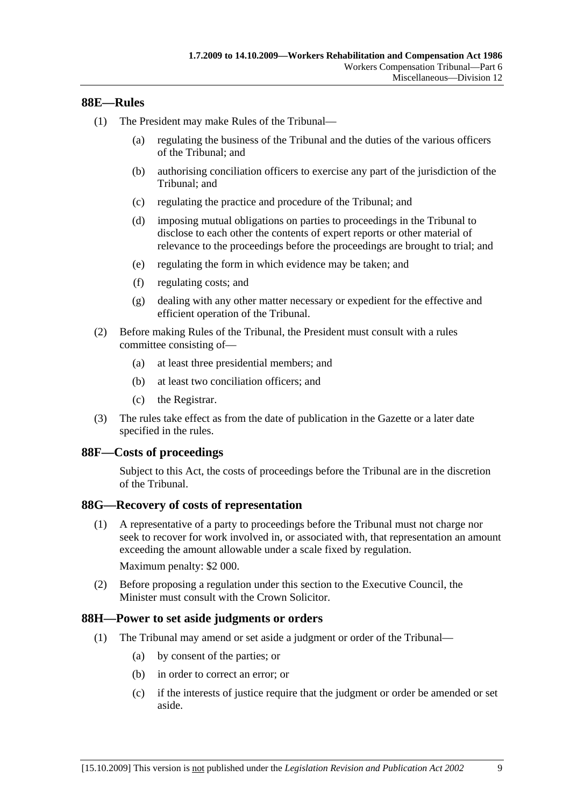# **88E—Rules**

- (1) The President may make Rules of the Tribunal—
	- (a) regulating the business of the Tribunal and the duties of the various officers of the Tribunal; and
	- (b) authorising conciliation officers to exercise any part of the jurisdiction of the Tribunal; and
	- (c) regulating the practice and procedure of the Tribunal; and
	- (d) imposing mutual obligations on parties to proceedings in the Tribunal to disclose to each other the contents of expert reports or other material of relevance to the proceedings before the proceedings are brought to trial; and
	- (e) regulating the form in which evidence may be taken; and
	- (f) regulating costs; and
	- (g) dealing with any other matter necessary or expedient for the effective and efficient operation of the Tribunal.
- (2) Before making Rules of the Tribunal, the President must consult with a rules committee consisting of—
	- (a) at least three presidential members; and
	- (b) at least two conciliation officers; and
	- (c) the Registrar.
- (3) The rules take effect as from the date of publication in the Gazette or a later date specified in the rules.

### **88F—Costs of proceedings**

Subject to this Act, the costs of proceedings before the Tribunal are in the discretion of the Tribunal.

### **88G—Recovery of costs of representation**

 (1) A representative of a party to proceedings before the Tribunal must not charge nor seek to recover for work involved in, or associated with, that representation an amount exceeding the amount allowable under a scale fixed by regulation.

Maximum penalty: \$2 000.

 (2) Before proposing a regulation under this section to the Executive Council, the Minister must consult with the Crown Solicitor.

### **88H—Power to set aside judgments or orders**

- (1) The Tribunal may amend or set aside a judgment or order of the Tribunal—
	- (a) by consent of the parties; or
	- (b) in order to correct an error; or
	- (c) if the interests of justice require that the judgment or order be amended or set aside.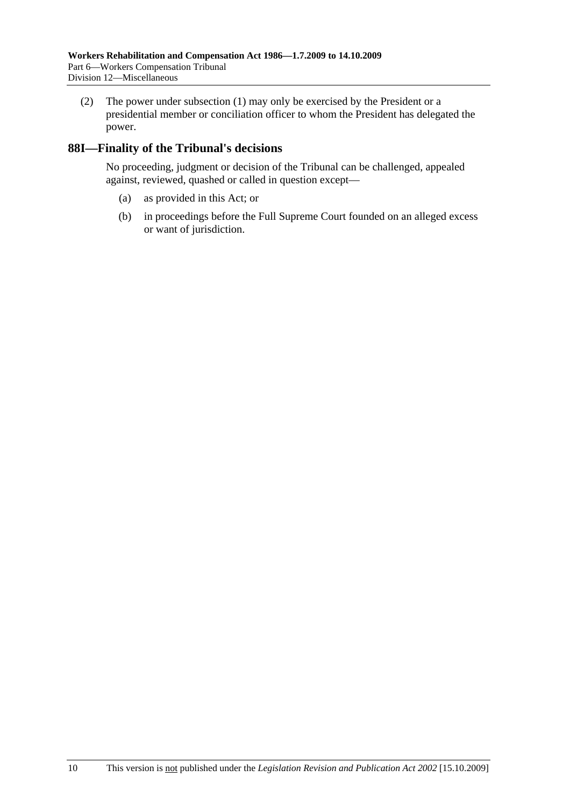(2) The power under subsection (1) may only be exercised by the President or a presidential member or conciliation officer to whom the President has delegated the power.

# **88I—Finality of the Tribunal's decisions**

No proceeding, judgment or decision of the Tribunal can be challenged, appealed against, reviewed, quashed or called in question except—

- (a) as provided in this Act; or
- (b) in proceedings before the Full Supreme Court founded on an alleged excess or want of jurisdiction.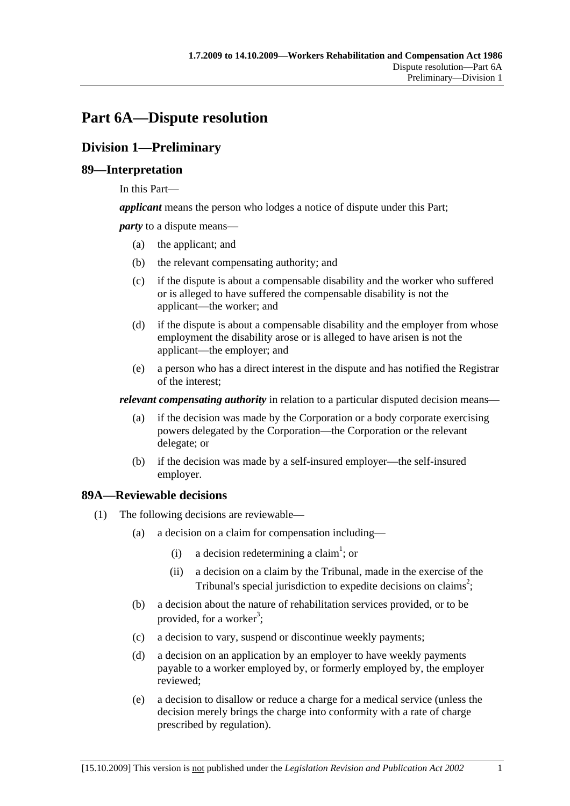# **Part 6A—Dispute resolution**

# **Division 1—Preliminary**

# **89—Interpretation**

In this Part—

*applicant* means the person who lodges a notice of dispute under this Part;

*party* to a dispute means—

- (a) the applicant; and
- (b) the relevant compensating authority; and
- (c) if the dispute is about a compensable disability and the worker who suffered or is alleged to have suffered the compensable disability is not the applicant—the worker; and
- (d) if the dispute is about a compensable disability and the employer from whose employment the disability arose or is alleged to have arisen is not the applicant—the employer; and
- (e) a person who has a direct interest in the dispute and has notified the Registrar of the interest;

*relevant compensating authority* in relation to a particular disputed decision means—

- (a) if the decision was made by the Corporation or a body corporate exercising powers delegated by the Corporation—the Corporation or the relevant delegate; or
- (b) if the decision was made by a self-insured employer—the self-insured employer.

# **89A—Reviewable decisions**

- (1) The following decisions are reviewable—
	- (a) a decision on a claim for compensation including—
		- (i) a decision redetermining a claim<sup>1</sup>; or
			- (ii) a decision on a claim by the Tribunal, made in the exercise of the Tribunal's special jurisdiction to expedite decisions on claims<sup>2</sup>;
	- (b) a decision about the nature of rehabilitation services provided, or to be provided, for a worker<sup>3</sup>;
	- (c) a decision to vary, suspend or discontinue weekly payments;
	- (d) a decision on an application by an employer to have weekly payments payable to a worker employed by, or formerly employed by, the employer reviewed;
	- (e) a decision to disallow or reduce a charge for a medical service (unless the decision merely brings the charge into conformity with a rate of charge prescribed by regulation).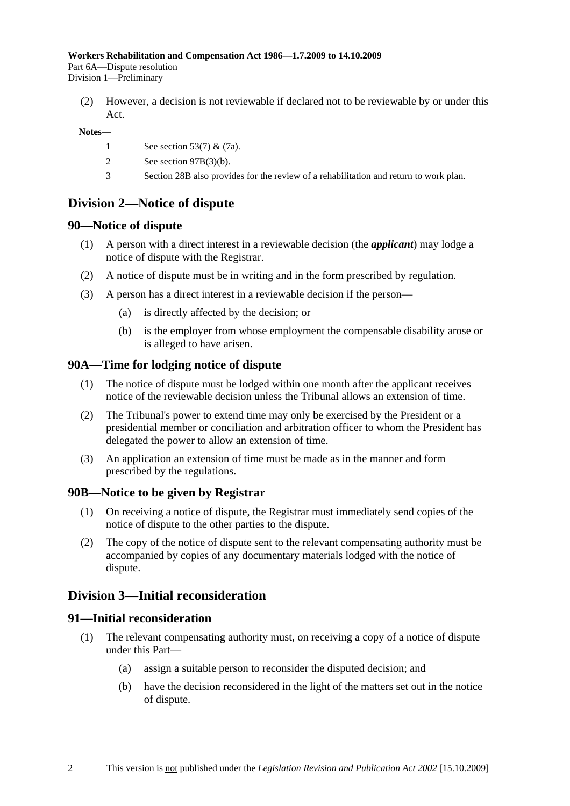(2) However, a decision is not reviewable if declared not to be reviewable by or under this Act.

#### **Notes—**

- 1 See section 53(7) & (7a).
- 2 See section 97B(3)(b).
- 3 Section 28B also provides for the review of a rehabilitation and return to work plan.

# **Division 2—Notice of dispute**

# **90—Notice of dispute**

- (1) A person with a direct interest in a reviewable decision (the *applicant*) may lodge a notice of dispute with the Registrar.
- (2) A notice of dispute must be in writing and in the form prescribed by regulation.
- (3) A person has a direct interest in a reviewable decision if the person—
	- (a) is directly affected by the decision; or
	- (b) is the employer from whose employment the compensable disability arose or is alleged to have arisen.

# **90A—Time for lodging notice of dispute**

- (1) The notice of dispute must be lodged within one month after the applicant receives notice of the reviewable decision unless the Tribunal allows an extension of time.
- (2) The Tribunal's power to extend time may only be exercised by the President or a presidential member or conciliation and arbitration officer to whom the President has delegated the power to allow an extension of time.
- (3) An application an extension of time must be made as in the manner and form prescribed by the regulations.

# **90B—Notice to be given by Registrar**

- (1) On receiving a notice of dispute, the Registrar must immediately send copies of the notice of dispute to the other parties to the dispute.
- (2) The copy of the notice of dispute sent to the relevant compensating authority must be accompanied by copies of any documentary materials lodged with the notice of dispute.

# **Division 3—Initial reconsideration**

### **91—Initial reconsideration**

- (1) The relevant compensating authority must, on receiving a copy of a notice of dispute under this Part—
	- (a) assign a suitable person to reconsider the disputed decision; and
	- (b) have the decision reconsidered in the light of the matters set out in the notice of dispute.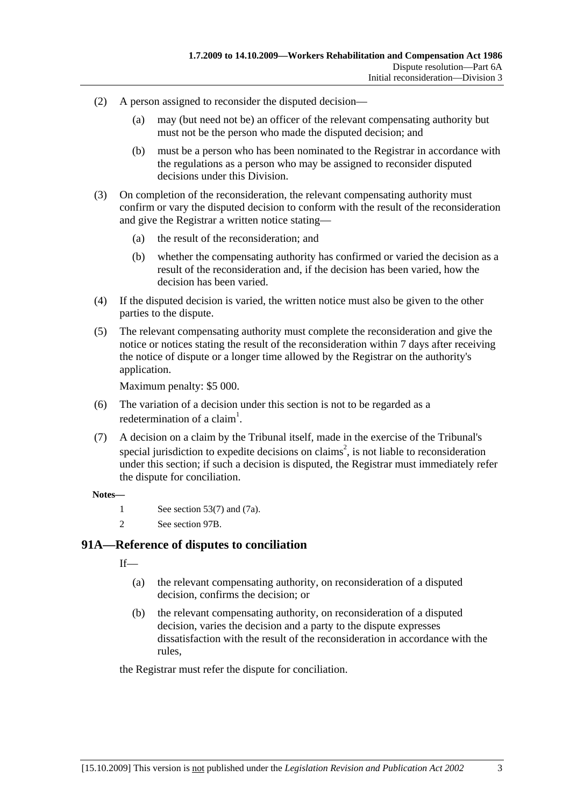- (2) A person assigned to reconsider the disputed decision—
	- (a) may (but need not be) an officer of the relevant compensating authority but must not be the person who made the disputed decision; and
	- (b) must be a person who has been nominated to the Registrar in accordance with the regulations as a person who may be assigned to reconsider disputed decisions under this Division.
- (3) On completion of the reconsideration, the relevant compensating authority must confirm or vary the disputed decision to conform with the result of the reconsideration and give the Registrar a written notice stating—
	- (a) the result of the reconsideration; and
	- (b) whether the compensating authority has confirmed or varied the decision as a result of the reconsideration and, if the decision has been varied, how the decision has been varied.
- (4) If the disputed decision is varied, the written notice must also be given to the other parties to the dispute.
- (5) The relevant compensating authority must complete the reconsideration and give the notice or notices stating the result of the reconsideration within 7 days after receiving the notice of dispute or a longer time allowed by the Registrar on the authority's application.

Maximum penalty: \$5 000.

- (6) The variation of a decision under this section is not to be regarded as a redetermination of a claim<sup>1</sup>.
- (7) A decision on a claim by the Tribunal itself, made in the exercise of the Tribunal's special jurisdiction to expedite decisions on claims<sup>2</sup>, is not liable to reconsideration under this section; if such a decision is disputed, the Registrar must immediately refer the dispute for conciliation.

#### **Notes—**

- 1 See section 53(7) and (7a).
- 2 See section 97B.

# **91A—Reference of disputes to conciliation**

 $If$ <sub>—</sub>

- (a) the relevant compensating authority, on reconsideration of a disputed decision, confirms the decision; or
- (b) the relevant compensating authority, on reconsideration of a disputed decision, varies the decision and a party to the dispute expresses dissatisfaction with the result of the reconsideration in accordance with the rules,

the Registrar must refer the dispute for conciliation.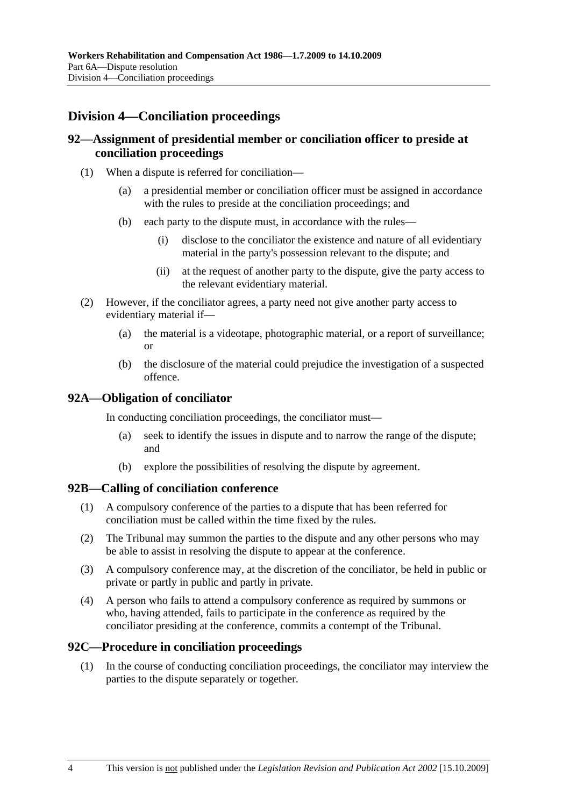# **Division 4—Conciliation proceedings**

# **92—Assignment of presidential member or conciliation officer to preside at conciliation proceedings**

- (1) When a dispute is referred for conciliation—
	- (a) a presidential member or conciliation officer must be assigned in accordance with the rules to preside at the conciliation proceedings; and
	- (b) each party to the dispute must, in accordance with the rules—
		- (i) disclose to the conciliator the existence and nature of all evidentiary material in the party's possession relevant to the dispute; and
		- (ii) at the request of another party to the dispute, give the party access to the relevant evidentiary material.
- (2) However, if the conciliator agrees, a party need not give another party access to evidentiary material if—
	- (a) the material is a videotape, photographic material, or a report of surveillance; or
	- (b) the disclosure of the material could prejudice the investigation of a suspected offence.

# **92A—Obligation of conciliator**

In conducting conciliation proceedings, the conciliator must—

- (a) seek to identify the issues in dispute and to narrow the range of the dispute; and
- (b) explore the possibilities of resolving the dispute by agreement.

### **92B—Calling of conciliation conference**

- (1) A compulsory conference of the parties to a dispute that has been referred for conciliation must be called within the time fixed by the rules.
- (2) The Tribunal may summon the parties to the dispute and any other persons who may be able to assist in resolving the dispute to appear at the conference.
- (3) A compulsory conference may, at the discretion of the conciliator, be held in public or private or partly in public and partly in private.
- (4) A person who fails to attend a compulsory conference as required by summons or who, having attended, fails to participate in the conference as required by the conciliator presiding at the conference, commits a contempt of the Tribunal.

### **92C—Procedure in conciliation proceedings**

 (1) In the course of conducting conciliation proceedings, the conciliator may interview the parties to the dispute separately or together.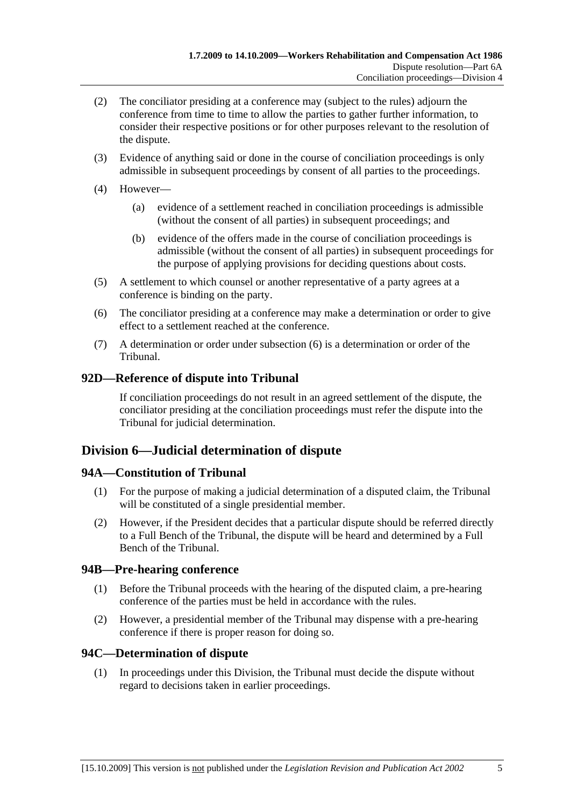- (2) The conciliator presiding at a conference may (subject to the rules) adjourn the conference from time to time to allow the parties to gather further information, to consider their respective positions or for other purposes relevant to the resolution of the dispute.
- (3) Evidence of anything said or done in the course of conciliation proceedings is only admissible in subsequent proceedings by consent of all parties to the proceedings.
- (4) However—
	- (a) evidence of a settlement reached in conciliation proceedings is admissible (without the consent of all parties) in subsequent proceedings; and
	- (b) evidence of the offers made in the course of conciliation proceedings is admissible (without the consent of all parties) in subsequent proceedings for the purpose of applying provisions for deciding questions about costs.
- (5) A settlement to which counsel or another representative of a party agrees at a conference is binding on the party.
- (6) The conciliator presiding at a conference may make a determination or order to give effect to a settlement reached at the conference.
- (7) A determination or order under subsection (6) is a determination or order of the Tribunal.

# **92D—Reference of dispute into Tribunal**

If conciliation proceedings do not result in an agreed settlement of the dispute, the conciliator presiding at the conciliation proceedings must refer the dispute into the Tribunal for judicial determination.

# **Division 6—Judicial determination of dispute**

# **94A—Constitution of Tribunal**

- (1) For the purpose of making a judicial determination of a disputed claim, the Tribunal will be constituted of a single presidential member.
- (2) However, if the President decides that a particular dispute should be referred directly to a Full Bench of the Tribunal, the dispute will be heard and determined by a Full Bench of the Tribunal.

# **94B—Pre-hearing conference**

- (1) Before the Tribunal proceeds with the hearing of the disputed claim, a pre-hearing conference of the parties must be held in accordance with the rules.
- (2) However, a presidential member of the Tribunal may dispense with a pre-hearing conference if there is proper reason for doing so.

# **94C—Determination of dispute**

 (1) In proceedings under this Division, the Tribunal must decide the dispute without regard to decisions taken in earlier proceedings.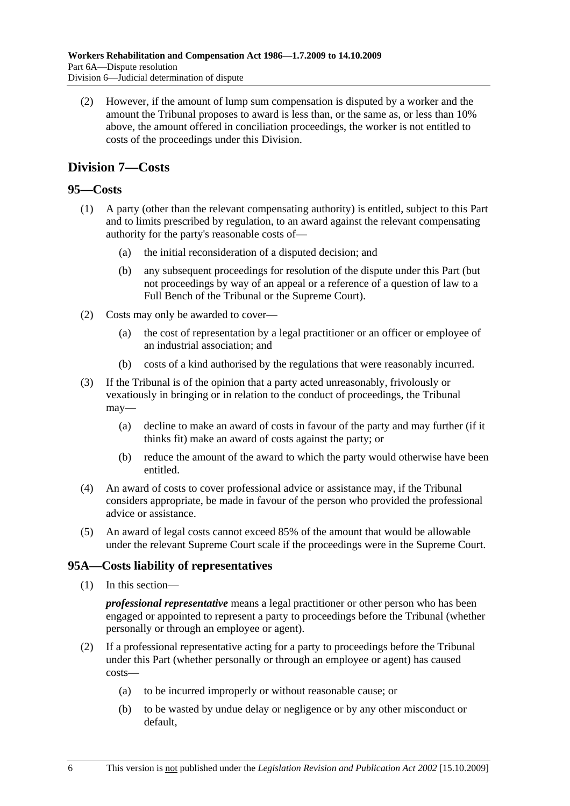(2) However, if the amount of lump sum compensation is disputed by a worker and the amount the Tribunal proposes to award is less than, or the same as, or less than 10% above, the amount offered in conciliation proceedings, the worker is not entitled to costs of the proceedings under this Division.

# **Division 7—Costs**

# **95—Costs**

- (1) A party (other than the relevant compensating authority) is entitled, subject to this Part and to limits prescribed by regulation, to an award against the relevant compensating authority for the party's reasonable costs of—
	- (a) the initial reconsideration of a disputed decision; and
	- (b) any subsequent proceedings for resolution of the dispute under this Part (but not proceedings by way of an appeal or a reference of a question of law to a Full Bench of the Tribunal or the Supreme Court).
- (2) Costs may only be awarded to cover—
	- (a) the cost of representation by a legal practitioner or an officer or employee of an industrial association; and
	- (b) costs of a kind authorised by the regulations that were reasonably incurred.
- (3) If the Tribunal is of the opinion that a party acted unreasonably, frivolously or vexatiously in bringing or in relation to the conduct of proceedings, the Tribunal may—
	- (a) decline to make an award of costs in favour of the party and may further (if it thinks fit) make an award of costs against the party; or
	- (b) reduce the amount of the award to which the party would otherwise have been entitled.
- (4) An award of costs to cover professional advice or assistance may, if the Tribunal considers appropriate, be made in favour of the person who provided the professional advice or assistance.
- (5) An award of legal costs cannot exceed 85% of the amount that would be allowable under the relevant Supreme Court scale if the proceedings were in the Supreme Court.

# **95A—Costs liability of representatives**

(1) In this section—

*professional representative* means a legal practitioner or other person who has been engaged or appointed to represent a party to proceedings before the Tribunal (whether personally or through an employee or agent).

- (2) If a professional representative acting for a party to proceedings before the Tribunal under this Part (whether personally or through an employee or agent) has caused costs—
	- (a) to be incurred improperly or without reasonable cause; or
	- (b) to be wasted by undue delay or negligence or by any other misconduct or default,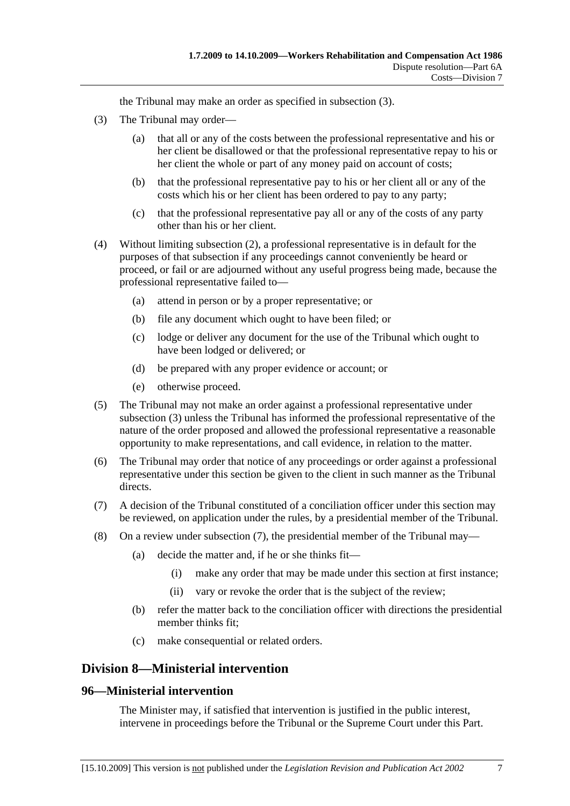the Tribunal may make an order as specified in subsection (3).

- (3) The Tribunal may order—
	- (a) that all or any of the costs between the professional representative and his or her client be disallowed or that the professional representative repay to his or her client the whole or part of any money paid on account of costs;
	- (b) that the professional representative pay to his or her client all or any of the costs which his or her client has been ordered to pay to any party;
	- (c) that the professional representative pay all or any of the costs of any party other than his or her client.
- (4) Without limiting subsection (2), a professional representative is in default for the purposes of that subsection if any proceedings cannot conveniently be heard or proceed, or fail or are adjourned without any useful progress being made, because the professional representative failed to—
	- (a) attend in person or by a proper representative; or
	- (b) file any document which ought to have been filed; or
	- (c) lodge or deliver any document for the use of the Tribunal which ought to have been lodged or delivered; or
	- (d) be prepared with any proper evidence or account; or
	- (e) otherwise proceed.
- (5) The Tribunal may not make an order against a professional representative under subsection (3) unless the Tribunal has informed the professional representative of the nature of the order proposed and allowed the professional representative a reasonable opportunity to make representations, and call evidence, in relation to the matter.
- (6) The Tribunal may order that notice of any proceedings or order against a professional representative under this section be given to the client in such manner as the Tribunal directs.
- (7) A decision of the Tribunal constituted of a conciliation officer under this section may be reviewed, on application under the rules, by a presidential member of the Tribunal.
- (8) On a review under subsection (7), the presidential member of the Tribunal may—
	- (a) decide the matter and, if he or she thinks fit—
		- (i) make any order that may be made under this section at first instance;
		- (ii) vary or revoke the order that is the subject of the review;
	- (b) refer the matter back to the conciliation officer with directions the presidential member thinks fit;
	- (c) make consequential or related orders.

# **Division 8—Ministerial intervention**

# **96—Ministerial intervention**

The Minister may, if satisfied that intervention is justified in the public interest, intervene in proceedings before the Tribunal or the Supreme Court under this Part.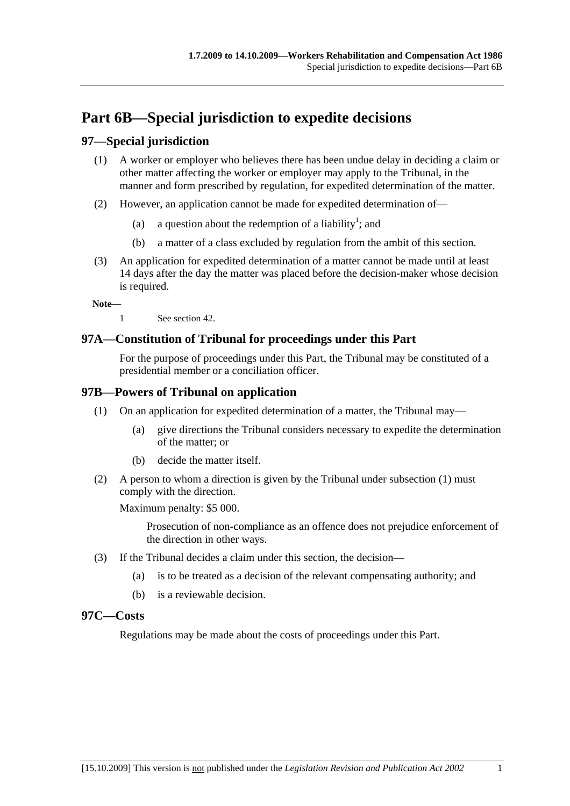# **Part 6B—Special jurisdiction to expedite decisions**

# **97—Special jurisdiction**

- (1) A worker or employer who believes there has been undue delay in deciding a claim or other matter affecting the worker or employer may apply to the Tribunal, in the manner and form prescribed by regulation, for expedited determination of the matter.
- (2) However, an application cannot be made for expedited determination of—
	- (a) a question about the redemption of a liability<sup>1</sup>; and
		- (b) a matter of a class excluded by regulation from the ambit of this section.
- (3) An application for expedited determination of a matter cannot be made until at least 14 days after the day the matter was placed before the decision-maker whose decision is required.

**Note—** 

1 See section 42.

# **97A—Constitution of Tribunal for proceedings under this Part**

For the purpose of proceedings under this Part, the Tribunal may be constituted of a presidential member or a conciliation officer.

# **97B—Powers of Tribunal on application**

- (1) On an application for expedited determination of a matter, the Tribunal may—
	- (a) give directions the Tribunal considers necessary to expedite the determination of the matter; or
	- (b) decide the matter itself.
- (2) A person to whom a direction is given by the Tribunal under subsection (1) must comply with the direction.

Maximum penalty: \$5 000.

Prosecution of non-compliance as an offence does not prejudice enforcement of the direction in other ways.

- (3) If the Tribunal decides a claim under this section, the decision—
	- (a) is to be treated as a decision of the relevant compensating authority; and
	- (b) is a reviewable decision.

## **97C—Costs**

Regulations may be made about the costs of proceedings under this Part.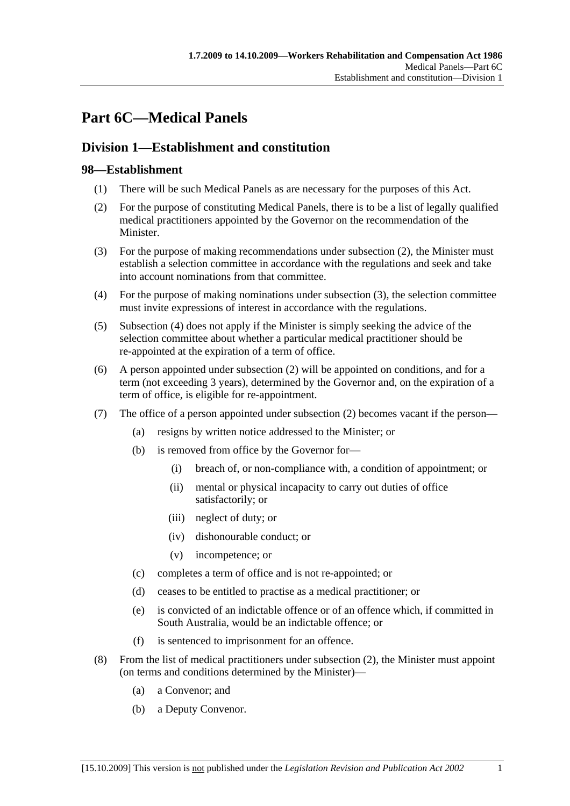# **Part 6C—Medical Panels**

# **Division 1—Establishment and constitution**

# **98—Establishment**

- (1) There will be such Medical Panels as are necessary for the purposes of this Act.
- (2) For the purpose of constituting Medical Panels, there is to be a list of legally qualified medical practitioners appointed by the Governor on the recommendation of the Minister.
- (3) For the purpose of making recommendations under subsection (2), the Minister must establish a selection committee in accordance with the regulations and seek and take into account nominations from that committee.
- (4) For the purpose of making nominations under subsection (3), the selection committee must invite expressions of interest in accordance with the regulations.
- (5) Subsection (4) does not apply if the Minister is simply seeking the advice of the selection committee about whether a particular medical practitioner should be re-appointed at the expiration of a term of office.
- (6) A person appointed under subsection (2) will be appointed on conditions, and for a term (not exceeding 3 years), determined by the Governor and, on the expiration of a term of office, is eligible for re-appointment.
- (7) The office of a person appointed under subsection (2) becomes vacant if the person—
	- (a) resigns by written notice addressed to the Minister; or
	- (b) is removed from office by the Governor for—
		- (i) breach of, or non-compliance with, a condition of appointment; or
		- (ii) mental or physical incapacity to carry out duties of office satisfactorily; or
		- (iii) neglect of duty; or
		- (iv) dishonourable conduct; or
		- (v) incompetence; or
	- (c) completes a term of office and is not re-appointed; or
	- (d) ceases to be entitled to practise as a medical practitioner; or
	- (e) is convicted of an indictable offence or of an offence which, if committed in South Australia, would be an indictable offence; or
	- (f) is sentenced to imprisonment for an offence.
- (8) From the list of medical practitioners under subsection (2), the Minister must appoint (on terms and conditions determined by the Minister)—
	- (a) a Convenor; and
	- (b) a Deputy Convenor.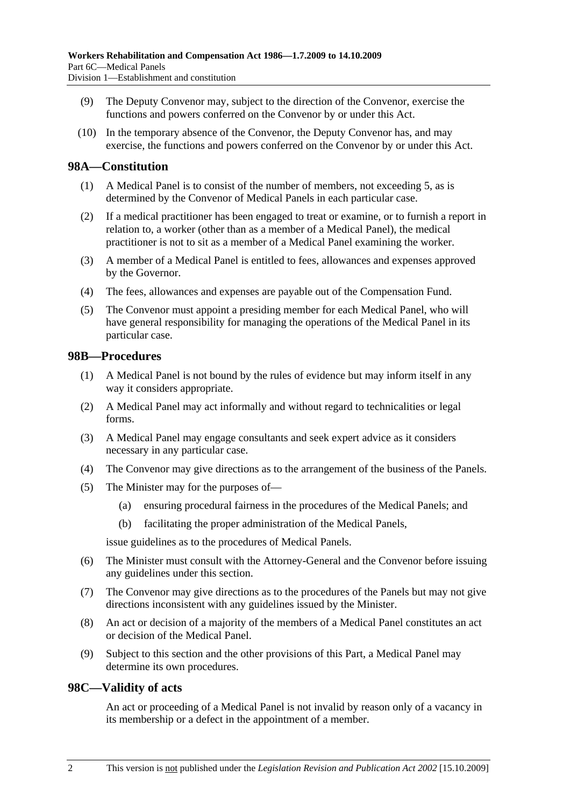- (9) The Deputy Convenor may, subject to the direction of the Convenor, exercise the functions and powers conferred on the Convenor by or under this Act.
- (10) In the temporary absence of the Convenor, the Deputy Convenor has, and may exercise, the functions and powers conferred on the Convenor by or under this Act.

# **98A—Constitution**

- (1) A Medical Panel is to consist of the number of members, not exceeding 5, as is determined by the Convenor of Medical Panels in each particular case.
- (2) If a medical practitioner has been engaged to treat or examine, or to furnish a report in relation to, a worker (other than as a member of a Medical Panel), the medical practitioner is not to sit as a member of a Medical Panel examining the worker.
- (3) A member of a Medical Panel is entitled to fees, allowances and expenses approved by the Governor.
- (4) The fees, allowances and expenses are payable out of the Compensation Fund.
- (5) The Convenor must appoint a presiding member for each Medical Panel, who will have general responsibility for managing the operations of the Medical Panel in its particular case.

# **98B—Procedures**

- (1) A Medical Panel is not bound by the rules of evidence but may inform itself in any way it considers appropriate.
- (2) A Medical Panel may act informally and without regard to technicalities or legal forms.
- (3) A Medical Panel may engage consultants and seek expert advice as it considers necessary in any particular case.
- (4) The Convenor may give directions as to the arrangement of the business of the Panels.
- (5) The Minister may for the purposes of—
	- (a) ensuring procedural fairness in the procedures of the Medical Panels; and
	- (b) facilitating the proper administration of the Medical Panels,

issue guidelines as to the procedures of Medical Panels.

- (6) The Minister must consult with the Attorney-General and the Convenor before issuing any guidelines under this section.
- (7) The Convenor may give directions as to the procedures of the Panels but may not give directions inconsistent with any guidelines issued by the Minister.
- (8) An act or decision of a majority of the members of a Medical Panel constitutes an act or decision of the Medical Panel.
- (9) Subject to this section and the other provisions of this Part, a Medical Panel may determine its own procedures.

### **98C—Validity of acts**

An act or proceeding of a Medical Panel is not invalid by reason only of a vacancy in its membership or a defect in the appointment of a member.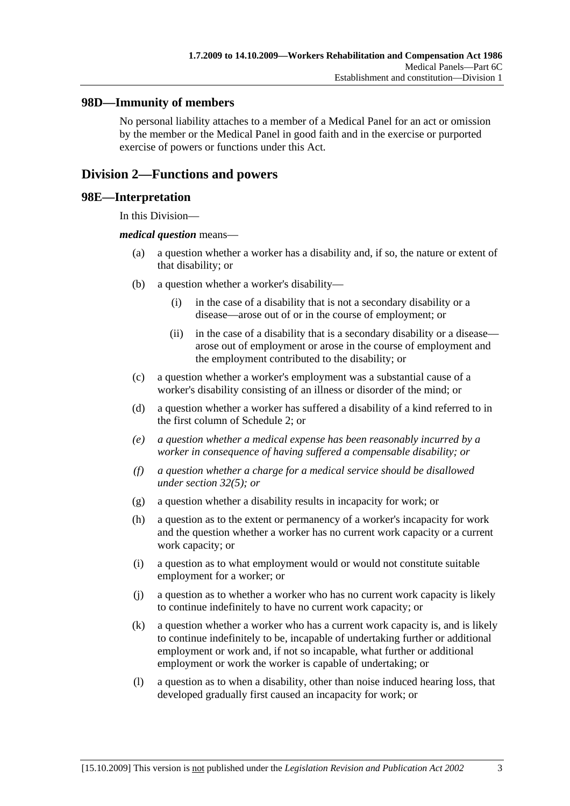# **98D—Immunity of members**

No personal liability attaches to a member of a Medical Panel for an act or omission by the member or the Medical Panel in good faith and in the exercise or purported exercise of powers or functions under this Act.

# **Division 2—Functions and powers**

### **98E—Interpretation**

In this Division—

#### *medical question* means—

- (a) a question whether a worker has a disability and, if so, the nature or extent of that disability; or
- (b) a question whether a worker's disability—
	- (i) in the case of a disability that is not a secondary disability or a disease—arose out of or in the course of employment; or
	- (ii) in the case of a disability that is a secondary disability or a disease arose out of employment or arose in the course of employment and the employment contributed to the disability; or
- (c) a question whether a worker's employment was a substantial cause of a worker's disability consisting of an illness or disorder of the mind; or
- (d) a question whether a worker has suffered a disability of a kind referred to in the first column of Schedule 2; or
- *(e) a question whether a medical expense has been reasonably incurred by a worker in consequence of having suffered a compensable disability; or*
- *(f) a question whether a charge for a medical service should be disallowed under section 32(5); or*
- (g) a question whether a disability results in incapacity for work; or
- (h) a question as to the extent or permanency of a worker's incapacity for work and the question whether a worker has no current work capacity or a current work capacity; or
- (i) a question as to what employment would or would not constitute suitable employment for a worker; or
- (j) a question as to whether a worker who has no current work capacity is likely to continue indefinitely to have no current work capacity; or
- (k) a question whether a worker who has a current work capacity is, and is likely to continue indefinitely to be, incapable of undertaking further or additional employment or work and, if not so incapable, what further or additional employment or work the worker is capable of undertaking; or
- (l) a question as to when a disability, other than noise induced hearing loss, that developed gradually first caused an incapacity for work; or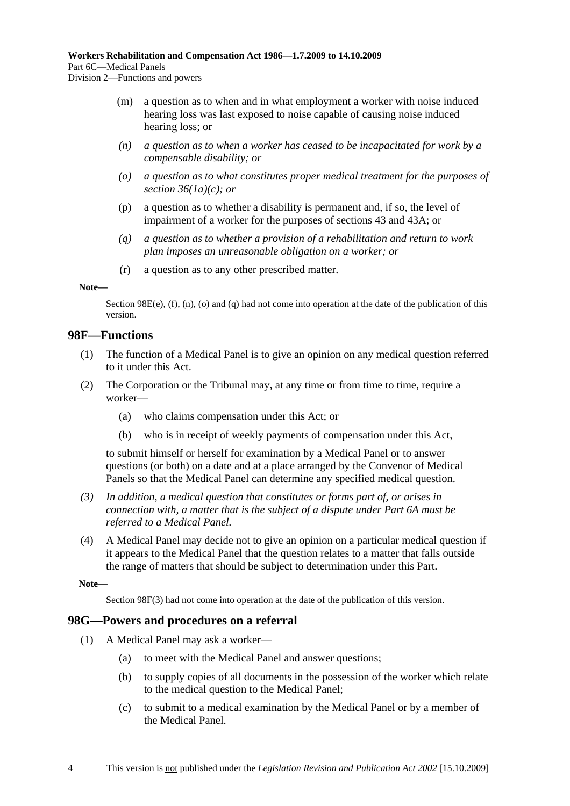- (m) a question as to when and in what employment a worker with noise induced hearing loss was last exposed to noise capable of causing noise induced hearing loss; or
- *(n) a question as to when a worker has ceased to be incapacitated for work by a compensable disability; or*
- *(o) a question as to what constitutes proper medical treatment for the purposes of section 36(1a)(c); or*
- (p) a question as to whether a disability is permanent and, if so, the level of impairment of a worker for the purposes of sections 43 and 43A; or
- *(q) a question as to whether a provision of a rehabilitation and return to work plan imposes an unreasonable obligation on a worker; or*
- (r) a question as to any other prescribed matter.

#### **Note—**

Section 98E(e),  $(f)$ ,  $(n)$ ,  $(o)$  and  $(q)$  had not come into operation at the date of the publication of this version.

### **98F—Functions**

- (1) The function of a Medical Panel is to give an opinion on any medical question referred to it under this Act.
- (2) The Corporation or the Tribunal may, at any time or from time to time, require a worker—
	- (a) who claims compensation under this Act; or
	- (b) who is in receipt of weekly payments of compensation under this Act,

to submit himself or herself for examination by a Medical Panel or to answer questions (or both) on a date and at a place arranged by the Convenor of Medical Panels so that the Medical Panel can determine any specified medical question.

- *(3) In addition, a medical question that constitutes or forms part of, or arises in connection with, a matter that is the subject of a dispute under Part 6A must be referred to a Medical Panel.*
- (4) A Medical Panel may decide not to give an opinion on a particular medical question if it appears to the Medical Panel that the question relates to a matter that falls outside the range of matters that should be subject to determination under this Part.

**Note—** 

Section 98F(3) had not come into operation at the date of the publication of this version.

### **98G—Powers and procedures on a referral**

- (1) A Medical Panel may ask a worker—
	- (a) to meet with the Medical Panel and answer questions;
	- (b) to supply copies of all documents in the possession of the worker which relate to the medical question to the Medical Panel;
	- (c) to submit to a medical examination by the Medical Panel or by a member of the Medical Panel.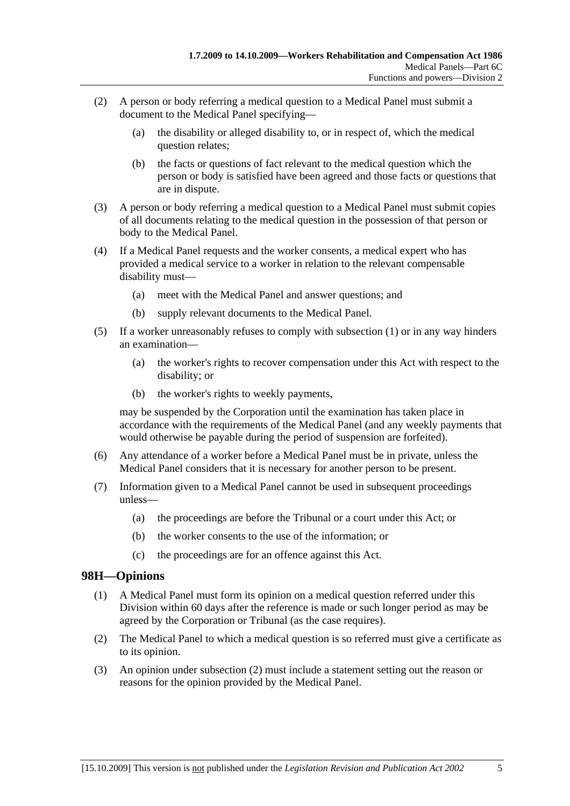- (2) A person or body referring a medical question to a Medical Panel must submit a document to the Medical Panel specifying—
	- (a) the disability or alleged disability to, or in respect of, which the medical question relates;
	- (b) the facts or questions of fact relevant to the medical question which the person or body is satisfied have been agreed and those facts or questions that are in dispute.
- (3) A person or body referring a medical question to a Medical Panel must submit copies of all documents relating to the medical question in the possession of that person or body to the Medical Panel.
- (4) If a Medical Panel requests and the worker consents, a medical expert who has provided a medical service to a worker in relation to the relevant compensable disability must—
	- (a) meet with the Medical Panel and answer questions; and
	- (b) supply relevant documents to the Medical Panel.
- (5) If a worker unreasonably refuses to comply with subsection (1) or in any way hinders an examination—
	- (a) the worker's rights to recover compensation under this Act with respect to the disability; or
	- (b) the worker's rights to weekly payments,

may be suspended by the Corporation until the examination has taken place in accordance with the requirements of the Medical Panel (and any weekly payments that would otherwise be payable during the period of suspension are forfeited).

- (6) Any attendance of a worker before a Medical Panel must be in private, unless the Medical Panel considers that it is necessary for another person to be present.
- (7) Information given to a Medical Panel cannot be used in subsequent proceedings unless—
	- (a) the proceedings are before the Tribunal or a court under this Act; or
	- (b) the worker consents to the use of the information; or
	- (c) the proceedings are for an offence against this Act.

# **98H—Opinions**

- (1) A Medical Panel must form its opinion on a medical question referred under this Division within 60 days after the reference is made or such longer period as may be agreed by the Corporation or Tribunal (as the case requires).
- (2) The Medical Panel to which a medical question is so referred must give a certificate as to its opinion.
- (3) An opinion under subsection (2) must include a statement setting out the reason or reasons for the opinion provided by the Medical Panel.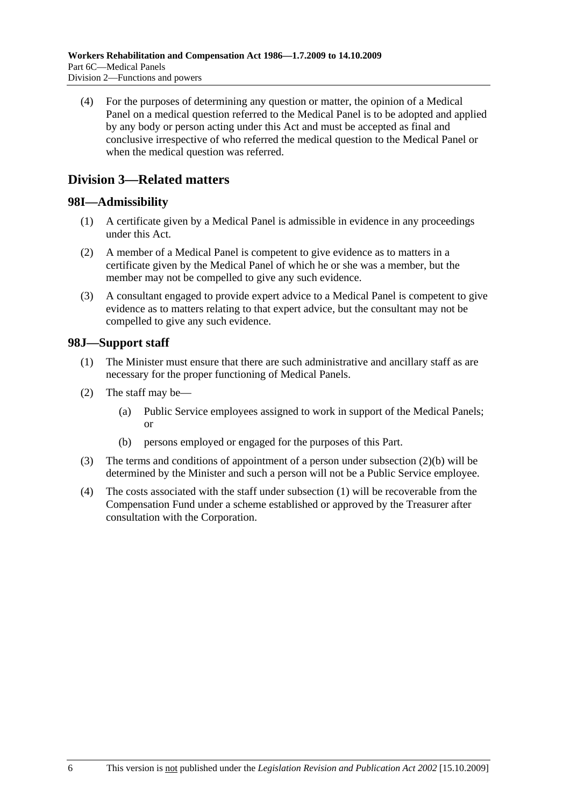(4) For the purposes of determining any question or matter, the opinion of a Medical Panel on a medical question referred to the Medical Panel is to be adopted and applied by any body or person acting under this Act and must be accepted as final and conclusive irrespective of who referred the medical question to the Medical Panel or when the medical question was referred.

# **Division 3—Related matters**

# **98I—Admissibility**

- (1) A certificate given by a Medical Panel is admissible in evidence in any proceedings under this Act.
- (2) A member of a Medical Panel is competent to give evidence as to matters in a certificate given by the Medical Panel of which he or she was a member, but the member may not be compelled to give any such evidence.
- (3) A consultant engaged to provide expert advice to a Medical Panel is competent to give evidence as to matters relating to that expert advice, but the consultant may not be compelled to give any such evidence.

# **98J—Support staff**

- (1) The Minister must ensure that there are such administrative and ancillary staff as are necessary for the proper functioning of Medical Panels.
- (2) The staff may be—
	- (a) Public Service employees assigned to work in support of the Medical Panels; or
	- (b) persons employed or engaged for the purposes of this Part.
- (3) The terms and conditions of appointment of a person under subsection (2)(b) will be determined by the Minister and such a person will not be a Public Service employee.
- (4) The costs associated with the staff under subsection (1) will be recoverable from the Compensation Fund under a scheme established or approved by the Treasurer after consultation with the Corporation.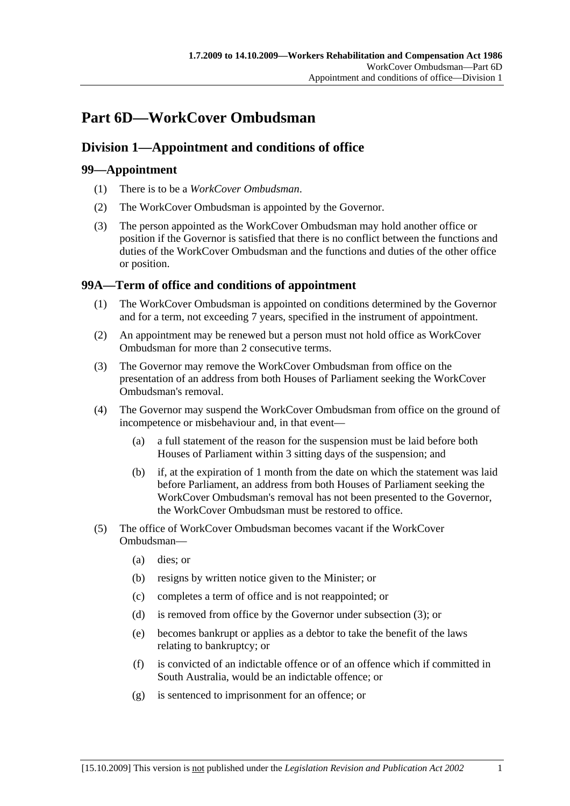# **Part 6D—WorkCover Ombudsman**

# **Division 1—Appointment and conditions of office**

# **99—Appointment**

- (1) There is to be a *WorkCover Ombudsman*.
- (2) The WorkCover Ombudsman is appointed by the Governor.
- (3) The person appointed as the WorkCover Ombudsman may hold another office or position if the Governor is satisfied that there is no conflict between the functions and duties of the WorkCover Ombudsman and the functions and duties of the other office or position.

# **99A—Term of office and conditions of appointment**

- (1) The WorkCover Ombudsman is appointed on conditions determined by the Governor and for a term, not exceeding 7 years, specified in the instrument of appointment.
- (2) An appointment may be renewed but a person must not hold office as WorkCover Ombudsman for more than 2 consecutive terms.
- (3) The Governor may remove the WorkCover Ombudsman from office on the presentation of an address from both Houses of Parliament seeking the WorkCover Ombudsman's removal.
- (4) The Governor may suspend the WorkCover Ombudsman from office on the ground of incompetence or misbehaviour and, in that event—
	- (a) a full statement of the reason for the suspension must be laid before both Houses of Parliament within 3 sitting days of the suspension; and
	- (b) if, at the expiration of 1 month from the date on which the statement was laid before Parliament, an address from both Houses of Parliament seeking the WorkCover Ombudsman's removal has not been presented to the Governor, the WorkCover Ombudsman must be restored to office.
- (5) The office of WorkCover Ombudsman becomes vacant if the WorkCover Ombudsman—
	- (a) dies; or
	- (b) resigns by written notice given to the Minister; or
	- (c) completes a term of office and is not reappointed; or
	- (d) is removed from office by the Governor under subsection (3); or
	- (e) becomes bankrupt or applies as a debtor to take the benefit of the laws relating to bankruptcy; or
	- (f) is convicted of an indictable offence or of an offence which if committed in South Australia, would be an indictable offence; or
	- (g) is sentenced to imprisonment for an offence; or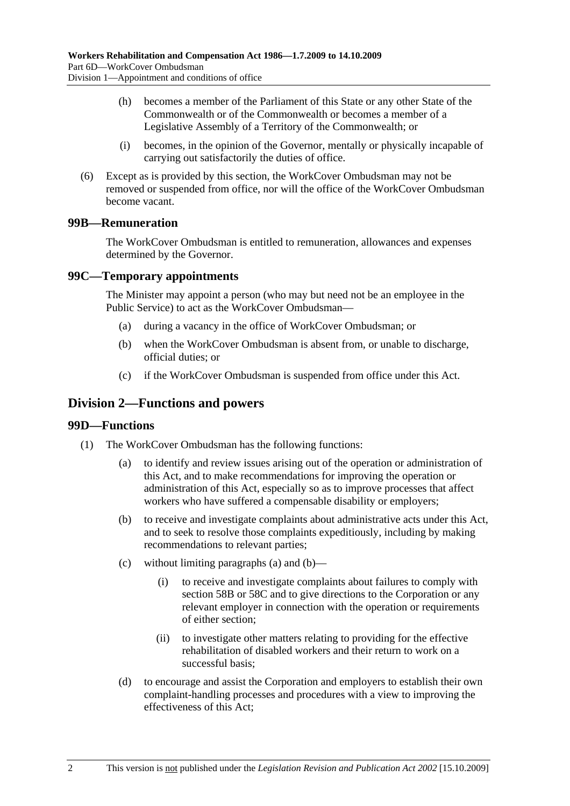- (h) becomes a member of the Parliament of this State or any other State of the Commonwealth or of the Commonwealth or becomes a member of a Legislative Assembly of a Territory of the Commonwealth; or
- (i) becomes, in the opinion of the Governor, mentally or physically incapable of carrying out satisfactorily the duties of office.
- (6) Except as is provided by this section, the WorkCover Ombudsman may not be removed or suspended from office, nor will the office of the WorkCover Ombudsman become vacant.

# **99B—Remuneration**

The WorkCover Ombudsman is entitled to remuneration, allowances and expenses determined by the Governor.

## **99C—Temporary appointments**

The Minister may appoint a person (who may but need not be an employee in the Public Service) to act as the WorkCover Ombudsman—

- (a) during a vacancy in the office of WorkCover Ombudsman; or
- (b) when the WorkCover Ombudsman is absent from, or unable to discharge, official duties; or
- (c) if the WorkCover Ombudsman is suspended from office under this Act.

# **Division 2—Functions and powers**

### **99D—Functions**

- (1) The WorkCover Ombudsman has the following functions:
	- (a) to identify and review issues arising out of the operation or administration of this Act, and to make recommendations for improving the operation or administration of this Act, especially so as to improve processes that affect workers who have suffered a compensable disability or employers;
	- (b) to receive and investigate complaints about administrative acts under this Act, and to seek to resolve those complaints expeditiously, including by making recommendations to relevant parties;
	- (c) without limiting paragraphs (a) and (b)—
		- (i) to receive and investigate complaints about failures to comply with section 58B or 58C and to give directions to the Corporation or any relevant employer in connection with the operation or requirements of either section;
		- (ii) to investigate other matters relating to providing for the effective rehabilitation of disabled workers and their return to work on a successful basis;
	- (d) to encourage and assist the Corporation and employers to establish their own complaint-handling processes and procedures with a view to improving the effectiveness of this Act;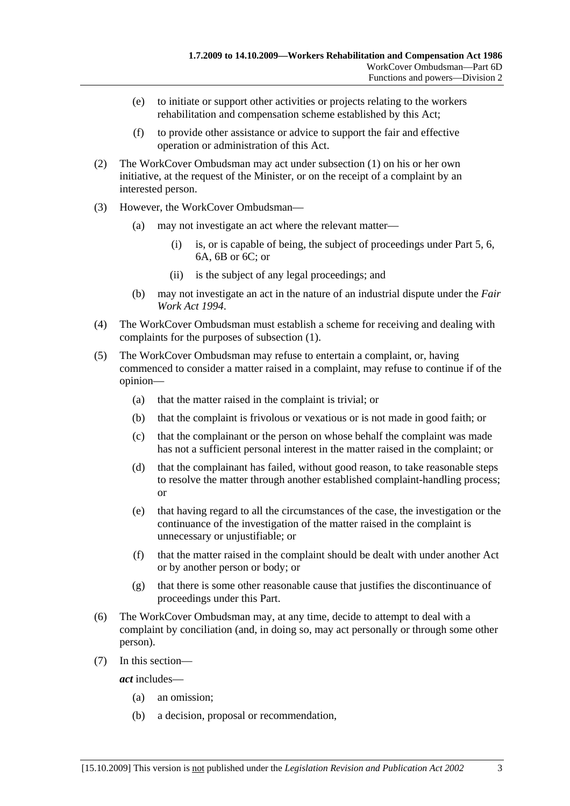- (e) to initiate or support other activities or projects relating to the workers rehabilitation and compensation scheme established by this Act;
- (f) to provide other assistance or advice to support the fair and effective operation or administration of this Act.
- (2) The WorkCover Ombudsman may act under subsection (1) on his or her own initiative, at the request of the Minister, or on the receipt of a complaint by an interested person.
- (3) However, the WorkCover Ombudsman—
	- (a) may not investigate an act where the relevant matter—
		- (i) is, or is capable of being, the subject of proceedings under Part 5, 6, 6A, 6B or 6C; or
		- (ii) is the subject of any legal proceedings; and
	- (b) may not investigate an act in the nature of an industrial dispute under the *Fair Work Act 1994*.
- (4) The WorkCover Ombudsman must establish a scheme for receiving and dealing with complaints for the purposes of subsection (1).
- (5) The WorkCover Ombudsman may refuse to entertain a complaint, or, having commenced to consider a matter raised in a complaint, may refuse to continue if of the opinion—
	- (a) that the matter raised in the complaint is trivial; or
	- (b) that the complaint is frivolous or vexatious or is not made in good faith; or
	- (c) that the complainant or the person on whose behalf the complaint was made has not a sufficient personal interest in the matter raised in the complaint; or
	- (d) that the complainant has failed, without good reason, to take reasonable steps to resolve the matter through another established complaint-handling process; or
	- (e) that having regard to all the circumstances of the case, the investigation or the continuance of the investigation of the matter raised in the complaint is unnecessary or unjustifiable; or
	- (f) that the matter raised in the complaint should be dealt with under another Act or by another person or body; or
	- (g) that there is some other reasonable cause that justifies the discontinuance of proceedings under this Part.
- (6) The WorkCover Ombudsman may, at any time, decide to attempt to deal with a complaint by conciliation (and, in doing so, may act personally or through some other person).
- (7) In this section—

*act* includes—

- (a) an omission;
- (b) a decision, proposal or recommendation,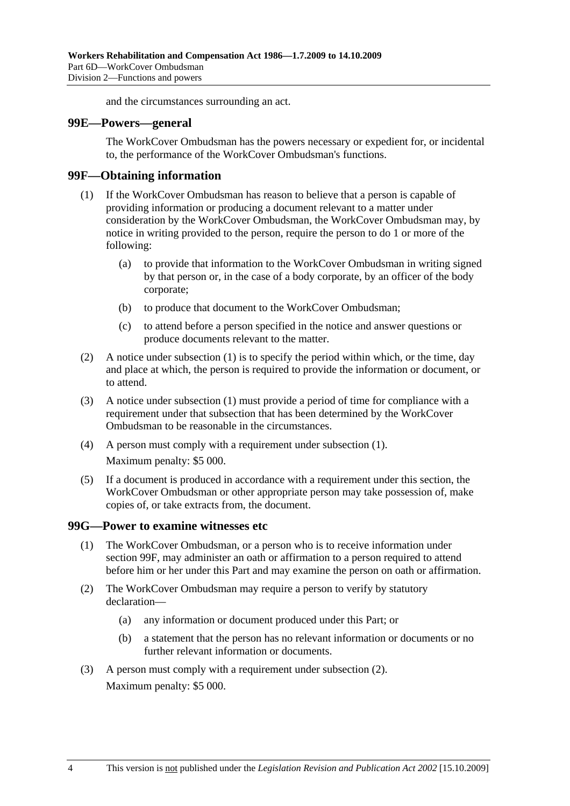and the circumstances surrounding an act.

#### **99E—Powers—general**

The WorkCover Ombudsman has the powers necessary or expedient for, or incidental to, the performance of the WorkCover Ombudsman's functions.

### **99F—Obtaining information**

- (1) If the WorkCover Ombudsman has reason to believe that a person is capable of providing information or producing a document relevant to a matter under consideration by the WorkCover Ombudsman, the WorkCover Ombudsman may, by notice in writing provided to the person, require the person to do 1 or more of the following:
	- (a) to provide that information to the WorkCover Ombudsman in writing signed by that person or, in the case of a body corporate, by an officer of the body corporate;
	- (b) to produce that document to the WorkCover Ombudsman;
	- (c) to attend before a person specified in the notice and answer questions or produce documents relevant to the matter.
- (2) A notice under subsection (1) is to specify the period within which, or the time, day and place at which, the person is required to provide the information or document, or to attend.
- (3) A notice under subsection (1) must provide a period of time for compliance with a requirement under that subsection that has been determined by the WorkCover Ombudsman to be reasonable in the circumstances.
- (4) A person must comply with a requirement under subsection (1). Maximum penalty: \$5 000.
- (5) If a document is produced in accordance with a requirement under this section, the WorkCover Ombudsman or other appropriate person may take possession of, make copies of, or take extracts from, the document.

### **99G—Power to examine witnesses etc**

- (1) The WorkCover Ombudsman, or a person who is to receive information under section 99F, may administer an oath or affirmation to a person required to attend before him or her under this Part and may examine the person on oath or affirmation.
- (2) The WorkCover Ombudsman may require a person to verify by statutory declaration—
	- (a) any information or document produced under this Part; or
	- (b) a statement that the person has no relevant information or documents or no further relevant information or documents.
- (3) A person must comply with a requirement under subsection (2). Maximum penalty: \$5 000.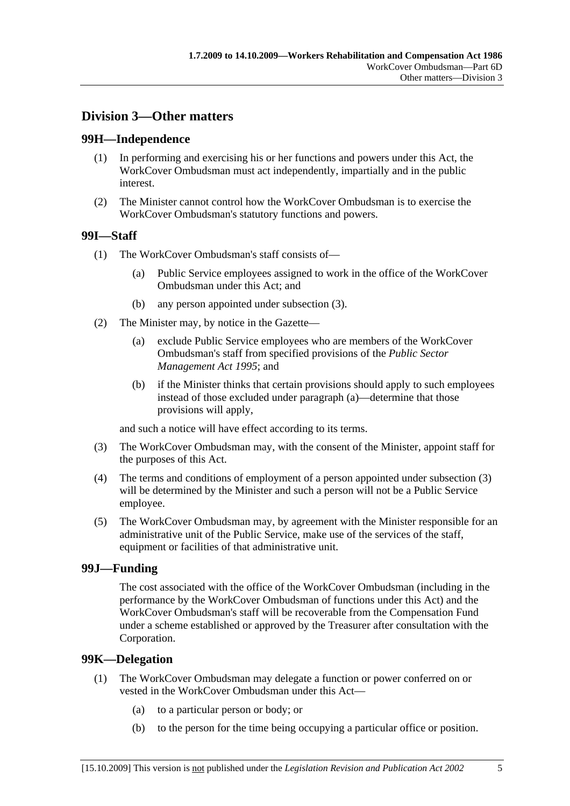# **Division 3—Other matters**

# **99H—Independence**

- (1) In performing and exercising his or her functions and powers under this Act, the WorkCover Ombudsman must act independently, impartially and in the public interest.
- (2) The Minister cannot control how the WorkCover Ombudsman is to exercise the WorkCover Ombudsman's statutory functions and powers.

# **99I—Staff**

- (1) The WorkCover Ombudsman's staff consists of—
	- (a) Public Service employees assigned to work in the office of the WorkCover Ombudsman under this Act; and
	- (b) any person appointed under subsection (3).
- (2) The Minister may, by notice in the Gazette—
	- (a) exclude Public Service employees who are members of the WorkCover Ombudsman's staff from specified provisions of the *Public Sector Management Act 1995*; and
	- (b) if the Minister thinks that certain provisions should apply to such employees instead of those excluded under paragraph (a)—determine that those provisions will apply,

and such a notice will have effect according to its terms.

- (3) The WorkCover Ombudsman may, with the consent of the Minister, appoint staff for the purposes of this Act.
- (4) The terms and conditions of employment of a person appointed under subsection (3) will be determined by the Minister and such a person will not be a Public Service employee.
- (5) The WorkCover Ombudsman may, by agreement with the Minister responsible for an administrative unit of the Public Service, make use of the services of the staff, equipment or facilities of that administrative unit.

### **99J—Funding**

The cost associated with the office of the WorkCover Ombudsman (including in the performance by the WorkCover Ombudsman of functions under this Act) and the WorkCover Ombudsman's staff will be recoverable from the Compensation Fund under a scheme established or approved by the Treasurer after consultation with the Corporation.

### **99K—Delegation**

- (1) The WorkCover Ombudsman may delegate a function or power conferred on or vested in the WorkCover Ombudsman under this Act—
	- (a) to a particular person or body; or
	- (b) to the person for the time being occupying a particular office or position.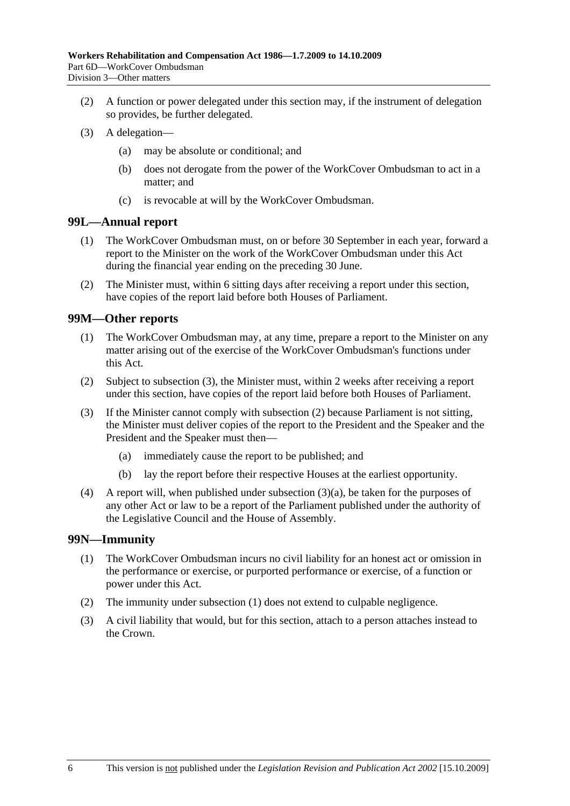- (2) A function or power delegated under this section may, if the instrument of delegation so provides, be further delegated.
- (3) A delegation—
	- (a) may be absolute or conditional; and
	- (b) does not derogate from the power of the WorkCover Ombudsman to act in a matter; and
	- (c) is revocable at will by the WorkCover Ombudsman.

# **99L—Annual report**

- (1) The WorkCover Ombudsman must, on or before 30 September in each year, forward a report to the Minister on the work of the WorkCover Ombudsman under this Act during the financial year ending on the preceding 30 June.
- (2) The Minister must, within 6 sitting days after receiving a report under this section, have copies of the report laid before both Houses of Parliament.

## **99M—Other reports**

- (1) The WorkCover Ombudsman may, at any time, prepare a report to the Minister on any matter arising out of the exercise of the WorkCover Ombudsman's functions under this Act.
- (2) Subject to subsection (3), the Minister must, within 2 weeks after receiving a report under this section, have copies of the report laid before both Houses of Parliament.
- (3) If the Minister cannot comply with subsection (2) because Parliament is not sitting, the Minister must deliver copies of the report to the President and the Speaker and the President and the Speaker must then—
	- (a) immediately cause the report to be published; and
	- (b) lay the report before their respective Houses at the earliest opportunity.
- (4) A report will, when published under subsection (3)(a), be taken for the purposes of any other Act or law to be a report of the Parliament published under the authority of the Legislative Council and the House of Assembly.

# **99N—Immunity**

- (1) The WorkCover Ombudsman incurs no civil liability for an honest act or omission in the performance or exercise, or purported performance or exercise, of a function or power under this Act.
- (2) The immunity under subsection (1) does not extend to culpable negligence.
- (3) A civil liability that would, but for this section, attach to a person attaches instead to the Crown.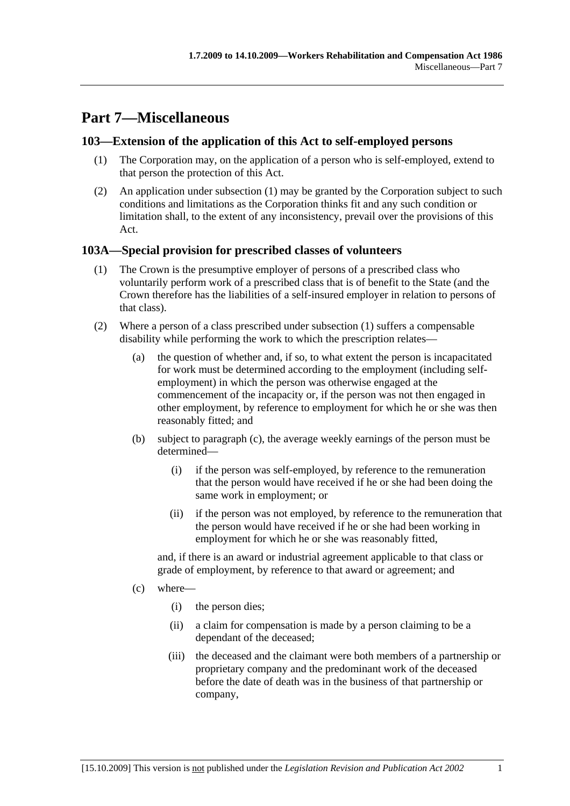# **Part 7—Miscellaneous**

# **103—Extension of the application of this Act to self-employed persons**

- (1) The Corporation may, on the application of a person who is self-employed, extend to that person the protection of this Act.
- (2) An application under subsection (1) may be granted by the Corporation subject to such conditions and limitations as the Corporation thinks fit and any such condition or limitation shall, to the extent of any inconsistency, prevail over the provisions of this Act.

# **103A—Special provision for prescribed classes of volunteers**

- (1) The Crown is the presumptive employer of persons of a prescribed class who voluntarily perform work of a prescribed class that is of benefit to the State (and the Crown therefore has the liabilities of a self-insured employer in relation to persons of that class).
- (2) Where a person of a class prescribed under subsection (1) suffers a compensable disability while performing the work to which the prescription relates—
	- (a) the question of whether and, if so, to what extent the person is incapacitated for work must be determined according to the employment (including selfemployment) in which the person was otherwise engaged at the commencement of the incapacity or, if the person was not then engaged in other employment, by reference to employment for which he or she was then reasonably fitted; and
	- (b) subject to paragraph (c), the average weekly earnings of the person must be determined—
		- (i) if the person was self-employed, by reference to the remuneration that the person would have received if he or she had been doing the same work in employment; or
		- (ii) if the person was not employed, by reference to the remuneration that the person would have received if he or she had been working in employment for which he or she was reasonably fitted,

and, if there is an award or industrial agreement applicable to that class or grade of employment, by reference to that award or agreement; and

- (c) where—
	- (i) the person dies;
	- (ii) a claim for compensation is made by a person claiming to be a dependant of the deceased;
	- (iii) the deceased and the claimant were both members of a partnership or proprietary company and the predominant work of the deceased before the date of death was in the business of that partnership or company,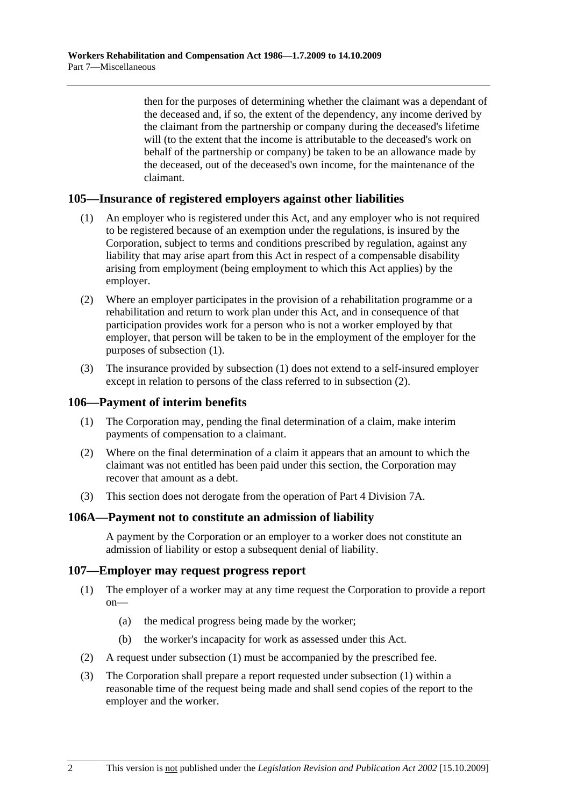then for the purposes of determining whether the claimant was a dependant of the deceased and, if so, the extent of the dependency, any income derived by the claimant from the partnership or company during the deceased's lifetime will (to the extent that the income is attributable to the deceased's work on behalf of the partnership or company) be taken to be an allowance made by the deceased, out of the deceased's own income, for the maintenance of the claimant.

# **105—Insurance of registered employers against other liabilities**

- (1) An employer who is registered under this Act, and any employer who is not required to be registered because of an exemption under the regulations, is insured by the Corporation, subject to terms and conditions prescribed by regulation, against any liability that may arise apart from this Act in respect of a compensable disability arising from employment (being employment to which this Act applies) by the employer.
- (2) Where an employer participates in the provision of a rehabilitation programme or a rehabilitation and return to work plan under this Act, and in consequence of that participation provides work for a person who is not a worker employed by that employer, that person will be taken to be in the employment of the employer for the purposes of subsection (1).
- (3) The insurance provided by subsection (1) does not extend to a self-insured employer except in relation to persons of the class referred to in subsection (2).

#### **106—Payment of interim benefits**

- (1) The Corporation may, pending the final determination of a claim, make interim payments of compensation to a claimant.
- (2) Where on the final determination of a claim it appears that an amount to which the claimant was not entitled has been paid under this section, the Corporation may recover that amount as a debt.
- (3) This section does not derogate from the operation of Part 4 Division 7A.

#### **106A—Payment not to constitute an admission of liability**

A payment by the Corporation or an employer to a worker does not constitute an admission of liability or estop a subsequent denial of liability.

## **107—Employer may request progress report**

- (1) The employer of a worker may at any time request the Corporation to provide a report on—
	- (a) the medical progress being made by the worker;
	- (b) the worker's incapacity for work as assessed under this Act.
- (2) A request under subsection (1) must be accompanied by the prescribed fee.
- (3) The Corporation shall prepare a report requested under subsection (1) within a reasonable time of the request being made and shall send copies of the report to the employer and the worker.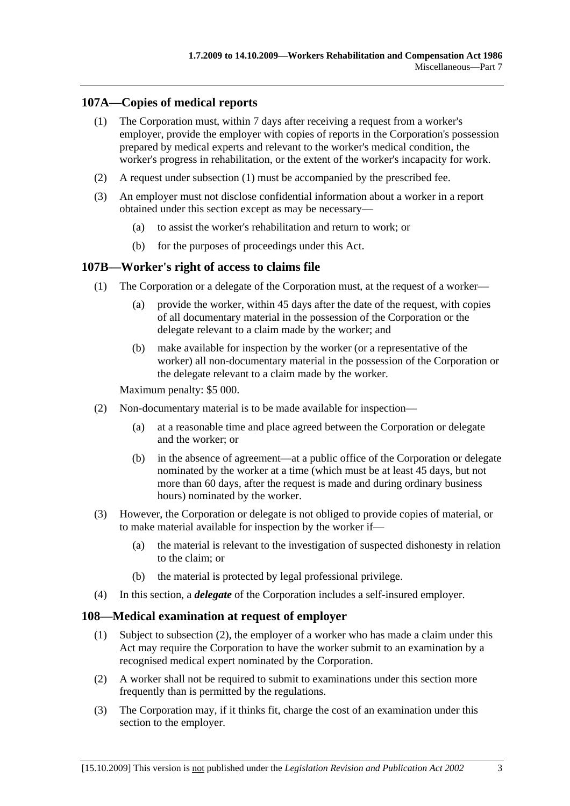# **107A—Copies of medical reports**

- (1) The Corporation must, within 7 days after receiving a request from a worker's employer, provide the employer with copies of reports in the Corporation's possession prepared by medical experts and relevant to the worker's medical condition, the worker's progress in rehabilitation, or the extent of the worker's incapacity for work.
- (2) A request under subsection (1) must be accompanied by the prescribed fee.
- (3) An employer must not disclose confidential information about a worker in a report obtained under this section except as may be necessary—
	- (a) to assist the worker's rehabilitation and return to work; or
	- (b) for the purposes of proceedings under this Act.

## **107B—Worker's right of access to claims file**

- (1) The Corporation or a delegate of the Corporation must, at the request of a worker—
	- (a) provide the worker, within 45 days after the date of the request, with copies of all documentary material in the possession of the Corporation or the delegate relevant to a claim made by the worker; and
	- (b) make available for inspection by the worker (or a representative of the worker) all non-documentary material in the possession of the Corporation or the delegate relevant to a claim made by the worker.

Maximum penalty: \$5 000.

- (2) Non-documentary material is to be made available for inspection—
	- (a) at a reasonable time and place agreed between the Corporation or delegate and the worker; or
	- (b) in the absence of agreement—at a public office of the Corporation or delegate nominated by the worker at a time (which must be at least 45 days, but not more than 60 days, after the request is made and during ordinary business hours) nominated by the worker.
- (3) However, the Corporation or delegate is not obliged to provide copies of material, or to make material available for inspection by the worker if—
	- (a) the material is relevant to the investigation of suspected dishonesty in relation to the claim; or
	- (b) the material is protected by legal professional privilege.
- (4) In this section, a *delegate* of the Corporation includes a self-insured employer.

### **108—Medical examination at request of employer**

- (1) Subject to subsection (2), the employer of a worker who has made a claim under this Act may require the Corporation to have the worker submit to an examination by a recognised medical expert nominated by the Corporation.
- (2) A worker shall not be required to submit to examinations under this section more frequently than is permitted by the regulations.
- (3) The Corporation may, if it thinks fit, charge the cost of an examination under this section to the employer.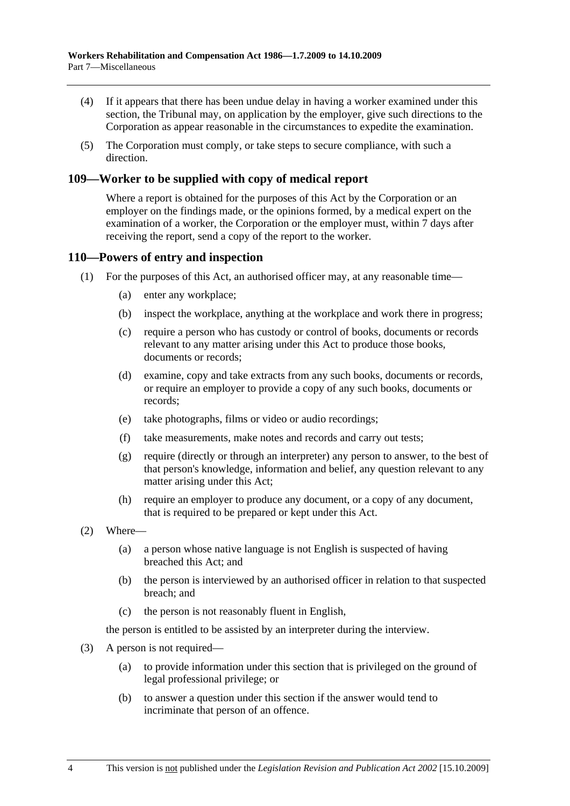- (4) If it appears that there has been undue delay in having a worker examined under this section, the Tribunal may, on application by the employer, give such directions to the Corporation as appear reasonable in the circumstances to expedite the examination.
- (5) The Corporation must comply, or take steps to secure compliance, with such a direction.

# **109—Worker to be supplied with copy of medical report**

Where a report is obtained for the purposes of this Act by the Corporation or an employer on the findings made, or the opinions formed, by a medical expert on the examination of a worker, the Corporation or the employer must, within 7 days after receiving the report, send a copy of the report to the worker.

### **110—Powers of entry and inspection**

- (1) For the purposes of this Act, an authorised officer may, at any reasonable time—
	- (a) enter any workplace;
	- (b) inspect the workplace, anything at the workplace and work there in progress;
	- (c) require a person who has custody or control of books, documents or records relevant to any matter arising under this Act to produce those books, documents or records;
	- (d) examine, copy and take extracts from any such books, documents or records, or require an employer to provide a copy of any such books, documents or records;
	- (e) take photographs, films or video or audio recordings;
	- (f) take measurements, make notes and records and carry out tests;
	- (g) require (directly or through an interpreter) any person to answer, to the best of that person's knowledge, information and belief, any question relevant to any matter arising under this Act;
	- (h) require an employer to produce any document, or a copy of any document, that is required to be prepared or kept under this Act.
- (2) Where—
	- (a) a person whose native language is not English is suspected of having breached this Act; and
	- (b) the person is interviewed by an authorised officer in relation to that suspected breach; and
	- (c) the person is not reasonably fluent in English,

the person is entitled to be assisted by an interpreter during the interview.

- (3) A person is not required—
	- (a) to provide information under this section that is privileged on the ground of legal professional privilege; or
	- (b) to answer a question under this section if the answer would tend to incriminate that person of an offence.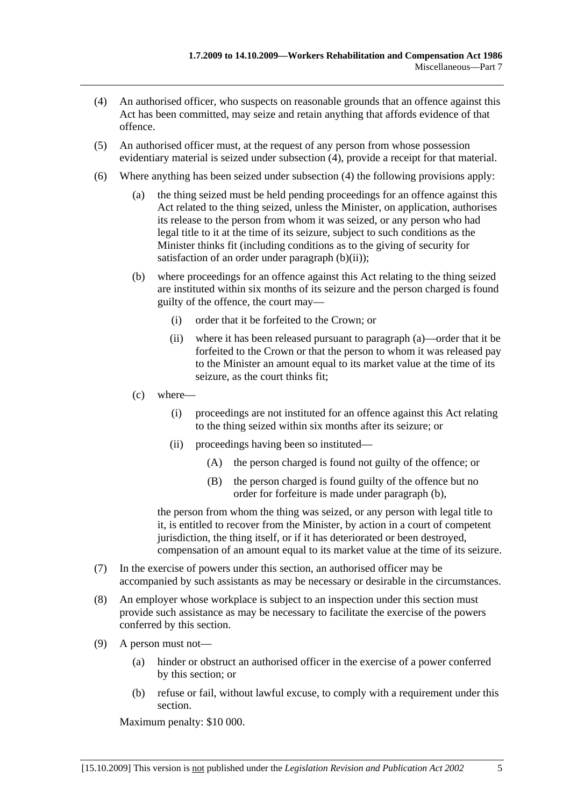- (4) An authorised officer, who suspects on reasonable grounds that an offence against this Act has been committed, may seize and retain anything that affords evidence of that offence.
- (5) An authorised officer must, at the request of any person from whose possession evidentiary material is seized under subsection (4), provide a receipt for that material.
- (6) Where anything has been seized under subsection (4) the following provisions apply:
	- (a) the thing seized must be held pending proceedings for an offence against this Act related to the thing seized, unless the Minister, on application, authorises its release to the person from whom it was seized, or any person who had legal title to it at the time of its seizure, subject to such conditions as the Minister thinks fit (including conditions as to the giving of security for satisfaction of an order under paragraph  $(b)(ii)$ ;
	- (b) where proceedings for an offence against this Act relating to the thing seized are instituted within six months of its seizure and the person charged is found guilty of the offence, the court may—
		- (i) order that it be forfeited to the Crown; or
		- (ii) where it has been released pursuant to paragraph (a)—order that it be forfeited to the Crown or that the person to whom it was released pay to the Minister an amount equal to its market value at the time of its seizure, as the court thinks fit;
	- (c) where—
		- (i) proceedings are not instituted for an offence against this Act relating to the thing seized within six months after its seizure; or
		- (ii) proceedings having been so instituted—
			- (A) the person charged is found not guilty of the offence; or
			- (B) the person charged is found guilty of the offence but no order for forfeiture is made under paragraph (b),

the person from whom the thing was seized, or any person with legal title to it, is entitled to recover from the Minister, by action in a court of competent jurisdiction, the thing itself, or if it has deteriorated or been destroyed, compensation of an amount equal to its market value at the time of its seizure.

- (7) In the exercise of powers under this section, an authorised officer may be accompanied by such assistants as may be necessary or desirable in the circumstances.
- (8) An employer whose workplace is subject to an inspection under this section must provide such assistance as may be necessary to facilitate the exercise of the powers conferred by this section.
- (9) A person must not—
	- (a) hinder or obstruct an authorised officer in the exercise of a power conferred by this section; or
	- (b) refuse or fail, without lawful excuse, to comply with a requirement under this section.

Maximum penalty: \$10 000.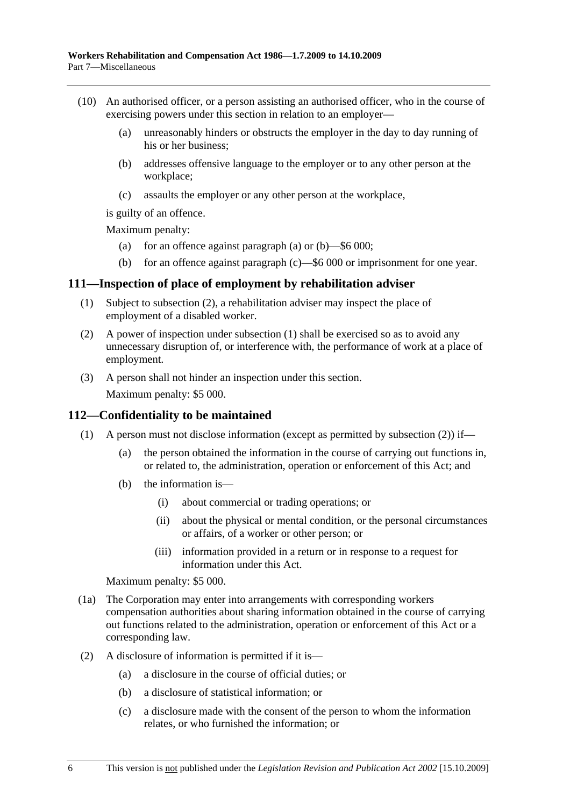- (10) An authorised officer, or a person assisting an authorised officer, who in the course of exercising powers under this section in relation to an employer—
	- (a) unreasonably hinders or obstructs the employer in the day to day running of his or her business;
	- (b) addresses offensive language to the employer or to any other person at the workplace;
	- (c) assaults the employer or any other person at the workplace,

is guilty of an offence.

Maximum penalty:

- (a) for an offence against paragraph (a) or  $(b)$ —\$6 000;
- (b) for an offence against paragraph (c)—\$6 000 or imprisonment for one year.

### **111—Inspection of place of employment by rehabilitation adviser**

- (1) Subject to subsection (2), a rehabilitation adviser may inspect the place of employment of a disabled worker.
- (2) A power of inspection under subsection (1) shall be exercised so as to avoid any unnecessary disruption of, or interference with, the performance of work at a place of employment.
- (3) A person shall not hinder an inspection under this section.

Maximum penalty: \$5 000.

### **112—Confidentiality to be maintained**

- (1) A person must not disclose information (except as permitted by subsection (2)) if—
	- (a) the person obtained the information in the course of carrying out functions in, or related to, the administration, operation or enforcement of this Act; and
	- (b) the information is—
		- (i) about commercial or trading operations; or
		- (ii) about the physical or mental condition, or the personal circumstances or affairs, of a worker or other person; or
		- (iii) information provided in a return or in response to a request for information under this Act.

Maximum penalty: \$5 000.

- (1a) The Corporation may enter into arrangements with corresponding workers compensation authorities about sharing information obtained in the course of carrying out functions related to the administration, operation or enforcement of this Act or a corresponding law.
- (2) A disclosure of information is permitted if it is—
	- (a) a disclosure in the course of official duties; or
	- (b) a disclosure of statistical information; or
	- (c) a disclosure made with the consent of the person to whom the information relates, or who furnished the information; or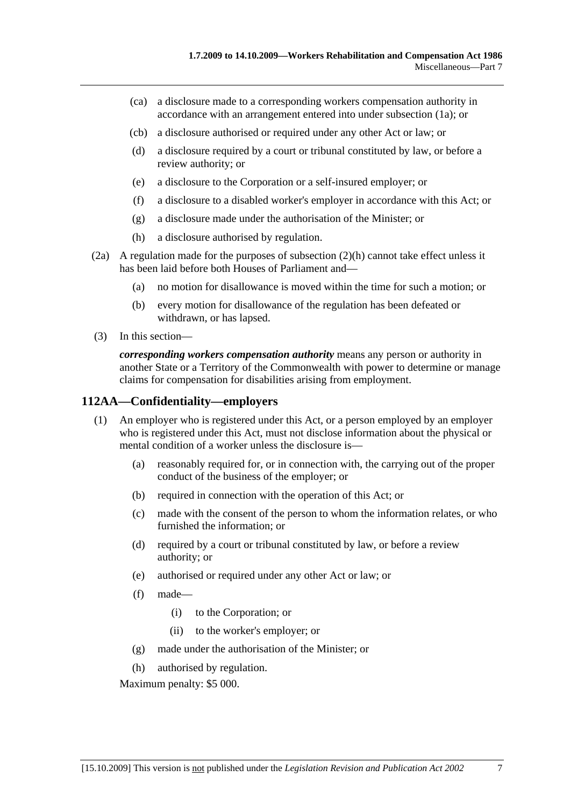- (ca) a disclosure made to a corresponding workers compensation authority in accordance with an arrangement entered into under subsection (1a); or
- (cb) a disclosure authorised or required under any other Act or law; or
- (d) a disclosure required by a court or tribunal constituted by law, or before a review authority; or
- (e) a disclosure to the Corporation or a self-insured employer; or
- (f) a disclosure to a disabled worker's employer in accordance with this Act; or
- (g) a disclosure made under the authorisation of the Minister; or
- (h) a disclosure authorised by regulation.
- (2a) A regulation made for the purposes of subsection (2)(h) cannot take effect unless it has been laid before both Houses of Parliament and—
	- (a) no motion for disallowance is moved within the time for such a motion; or
	- (b) every motion for disallowance of the regulation has been defeated or withdrawn, or has lapsed.
- (3) In this section—

*corresponding workers compensation authority* means any person or authority in another State or a Territory of the Commonwealth with power to determine or manage claims for compensation for disabilities arising from employment.

# **112AA—Confidentiality—employers**

- (1) An employer who is registered under this Act, or a person employed by an employer who is registered under this Act, must not disclose information about the physical or mental condition of a worker unless the disclosure is—
	- (a) reasonably required for, or in connection with, the carrying out of the proper conduct of the business of the employer; or
	- (b) required in connection with the operation of this Act; or
	- (c) made with the consent of the person to whom the information relates, or who furnished the information; or
	- (d) required by a court or tribunal constituted by law, or before a review authority; or
	- (e) authorised or required under any other Act or law; or
	- (f) made—
		- (i) to the Corporation; or
		- (ii) to the worker's employer; or
	- (g) made under the authorisation of the Minister; or
	- (h) authorised by regulation.

Maximum penalty: \$5 000.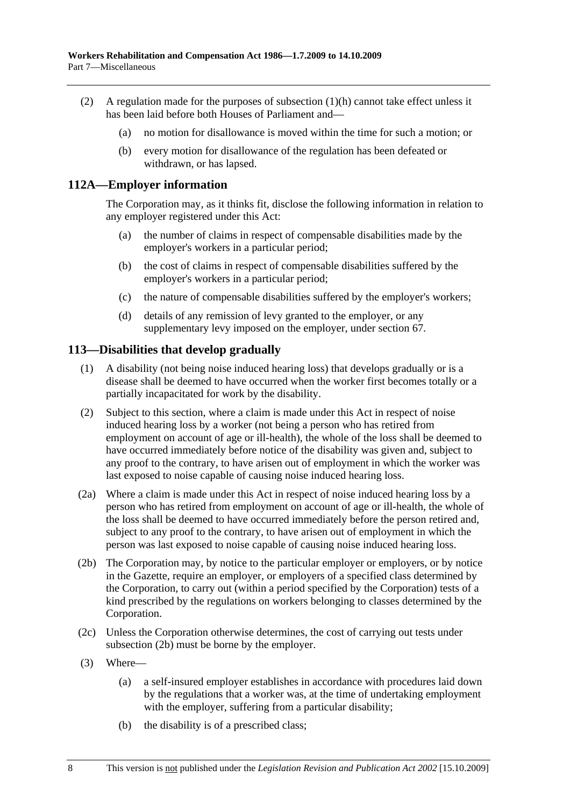- (2) A regulation made for the purposes of subsection (1)(h) cannot take effect unless it has been laid before both Houses of Parliament and—
	- (a) no motion for disallowance is moved within the time for such a motion; or
	- (b) every motion for disallowance of the regulation has been defeated or withdrawn, or has lapsed.

## **112A—Employer information**

The Corporation may, as it thinks fit, disclose the following information in relation to any employer registered under this Act:

- (a) the number of claims in respect of compensable disabilities made by the employer's workers in a particular period;
- (b) the cost of claims in respect of compensable disabilities suffered by the employer's workers in a particular period;
- (c) the nature of compensable disabilities suffered by the employer's workers;
- (d) details of any remission of levy granted to the employer, or any supplementary levy imposed on the employer, under section 67.

## **113—Disabilities that develop gradually**

- (1) A disability (not being noise induced hearing loss) that develops gradually or is a disease shall be deemed to have occurred when the worker first becomes totally or a partially incapacitated for work by the disability.
- (2) Subject to this section, where a claim is made under this Act in respect of noise induced hearing loss by a worker (not being a person who has retired from employment on account of age or ill-health), the whole of the loss shall be deemed to have occurred immediately before notice of the disability was given and, subject to any proof to the contrary, to have arisen out of employment in which the worker was last exposed to noise capable of causing noise induced hearing loss.
- (2a) Where a claim is made under this Act in respect of noise induced hearing loss by a person who has retired from employment on account of age or ill-health, the whole of the loss shall be deemed to have occurred immediately before the person retired and, subject to any proof to the contrary, to have arisen out of employment in which the person was last exposed to noise capable of causing noise induced hearing loss.
- (2b) The Corporation may, by notice to the particular employer or employers, or by notice in the Gazette, require an employer, or employers of a specified class determined by the Corporation, to carry out (within a period specified by the Corporation) tests of a kind prescribed by the regulations on workers belonging to classes determined by the Corporation.
- (2c) Unless the Corporation otherwise determines, the cost of carrying out tests under subsection (2b) must be borne by the employer.
- (3) Where—
	- (a) a self-insured employer establishes in accordance with procedures laid down by the regulations that a worker was, at the time of undertaking employment with the employer, suffering from a particular disability;
	- (b) the disability is of a prescribed class;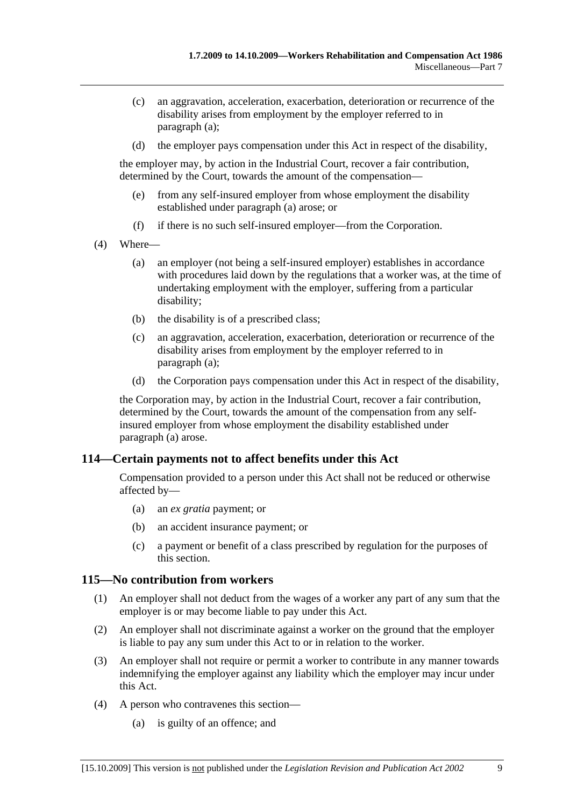- (c) an aggravation, acceleration, exacerbation, deterioration or recurrence of the disability arises from employment by the employer referred to in paragraph (a);
- (d) the employer pays compensation under this Act in respect of the disability,

the employer may, by action in the Industrial Court, recover a fair contribution, determined by the Court, towards the amount of the compensation—

- (e) from any self-insured employer from whose employment the disability established under paragraph (a) arose; or
- (f) if there is no such self-insured employer—from the Corporation.
- (4) Where—
	- (a) an employer (not being a self-insured employer) establishes in accordance with procedures laid down by the regulations that a worker was, at the time of undertaking employment with the employer, suffering from a particular disability;
	- (b) the disability is of a prescribed class;
	- (c) an aggravation, acceleration, exacerbation, deterioration or recurrence of the disability arises from employment by the employer referred to in paragraph (a);
	- (d) the Corporation pays compensation under this Act in respect of the disability,

the Corporation may, by action in the Industrial Court, recover a fair contribution, determined by the Court, towards the amount of the compensation from any selfinsured employer from whose employment the disability established under paragraph (a) arose.

# **114—Certain payments not to affect benefits under this Act**

Compensation provided to a person under this Act shall not be reduced or otherwise affected by—

- (a) an *ex gratia* payment; or
- (b) an accident insurance payment; or
- (c) a payment or benefit of a class prescribed by regulation for the purposes of this section.

### **115—No contribution from workers**

- (1) An employer shall not deduct from the wages of a worker any part of any sum that the employer is or may become liable to pay under this Act.
- (2) An employer shall not discriminate against a worker on the ground that the employer is liable to pay any sum under this Act to or in relation to the worker.
- (3) An employer shall not require or permit a worker to contribute in any manner towards indemnifying the employer against any liability which the employer may incur under this Act.
- (4) A person who contravenes this section—
	- (a) is guilty of an offence; and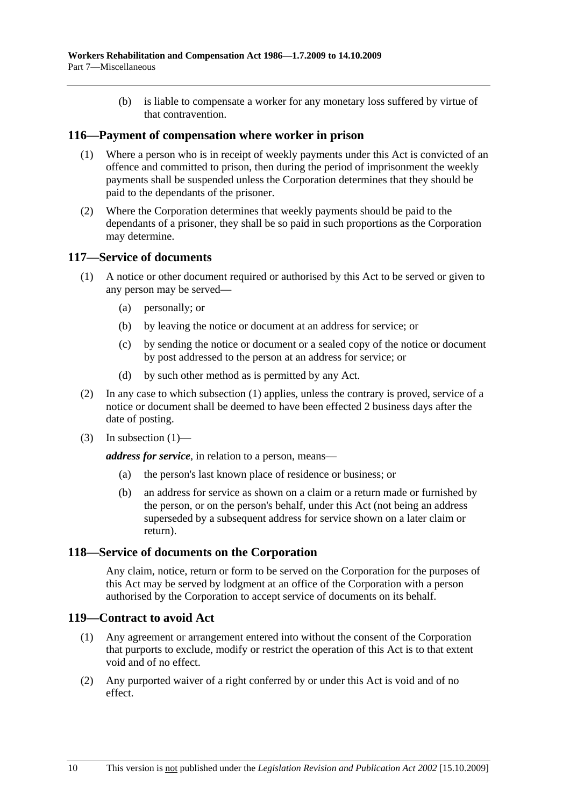(b) is liable to compensate a worker for any monetary loss suffered by virtue of that contravention.

## **116—Payment of compensation where worker in prison**

- (1) Where a person who is in receipt of weekly payments under this Act is convicted of an offence and committed to prison, then during the period of imprisonment the weekly payments shall be suspended unless the Corporation determines that they should be paid to the dependants of the prisoner.
- (2) Where the Corporation determines that weekly payments should be paid to the dependants of a prisoner, they shall be so paid in such proportions as the Corporation may determine.

## **117—Service of documents**

- (1) A notice or other document required or authorised by this Act to be served or given to any person may be served—
	- (a) personally; or
	- (b) by leaving the notice or document at an address for service; or
	- (c) by sending the notice or document or a sealed copy of the notice or document by post addressed to the person at an address for service; or
	- (d) by such other method as is permitted by any Act.
- (2) In any case to which subsection (1) applies, unless the contrary is proved, service of a notice or document shall be deemed to have been effected 2 business days after the date of posting.
- $(3)$  In subsection  $(1)$ —

*address for service*, in relation to a person, means—

- (a) the person's last known place of residence or business; or
- (b) an address for service as shown on a claim or a return made or furnished by the person, or on the person's behalf, under this Act (not being an address superseded by a subsequent address for service shown on a later claim or return).

# **118—Service of documents on the Corporation**

Any claim, notice, return or form to be served on the Corporation for the purposes of this Act may be served by lodgment at an office of the Corporation with a person authorised by the Corporation to accept service of documents on its behalf.

### **119—Contract to avoid Act**

- (1) Any agreement or arrangement entered into without the consent of the Corporation that purports to exclude, modify or restrict the operation of this Act is to that extent void and of no effect.
- (2) Any purported waiver of a right conferred by or under this Act is void and of no effect.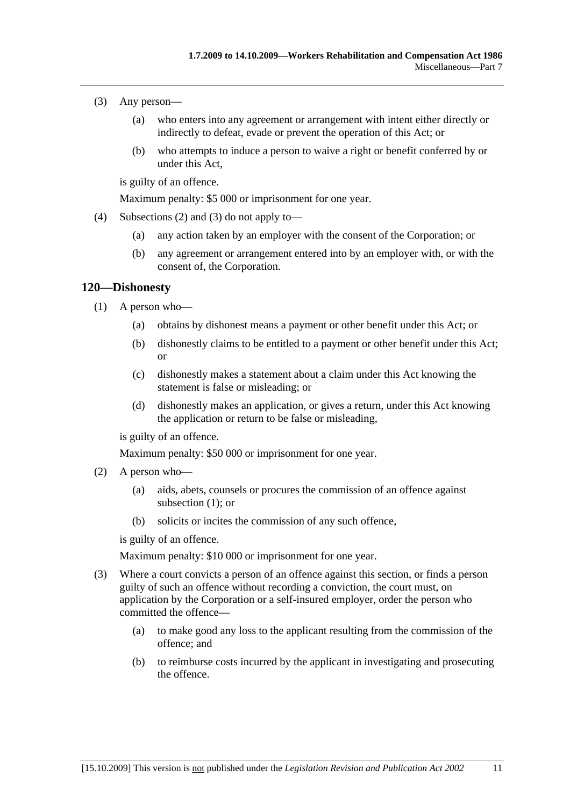- (3) Any person—
	- (a) who enters into any agreement or arrangement with intent either directly or indirectly to defeat, evade or prevent the operation of this Act; or
	- (b) who attempts to induce a person to waive a right or benefit conferred by or under this Act,

is guilty of an offence.

Maximum penalty: \$5 000 or imprisonment for one year.

- (4) Subsections (2) and (3) do not apply to—
	- (a) any action taken by an employer with the consent of the Corporation; or
	- (b) any agreement or arrangement entered into by an employer with, or with the consent of, the Corporation.

### **120—Dishonesty**

- (1) A person who—
	- (a) obtains by dishonest means a payment or other benefit under this Act; or
	- (b) dishonestly claims to be entitled to a payment or other benefit under this Act; or
	- (c) dishonestly makes a statement about a claim under this Act knowing the statement is false or misleading; or
	- (d) dishonestly makes an application, or gives a return, under this Act knowing the application or return to be false or misleading,

is guilty of an offence.

Maximum penalty: \$50 000 or imprisonment for one year.

- (2) A person who—
	- (a) aids, abets, counsels or procures the commission of an offence against subsection (1); or
	- (b) solicits or incites the commission of any such offence,

is guilty of an offence.

Maximum penalty: \$10 000 or imprisonment for one year.

- (3) Where a court convicts a person of an offence against this section, or finds a person guilty of such an offence without recording a conviction, the court must, on application by the Corporation or a self-insured employer, order the person who committed the offence—
	- (a) to make good any loss to the applicant resulting from the commission of the offence; and
	- (b) to reimburse costs incurred by the applicant in investigating and prosecuting the offence.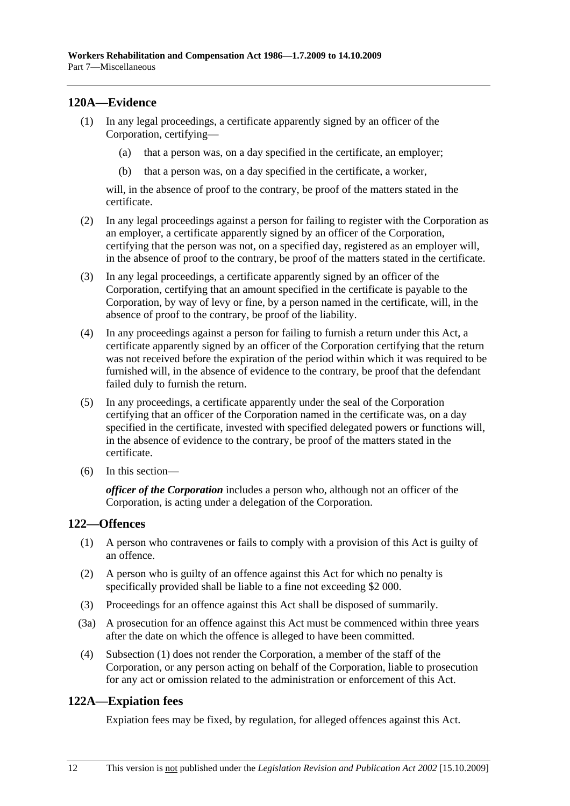# **120A—Evidence**

- (1) In any legal proceedings, a certificate apparently signed by an officer of the Corporation, certifying—
	- (a) that a person was, on a day specified in the certificate, an employer;
	- (b) that a person was, on a day specified in the certificate, a worker,

will, in the absence of proof to the contrary, be proof of the matters stated in the certificate.

- (2) In any legal proceedings against a person for failing to register with the Corporation as an employer, a certificate apparently signed by an officer of the Corporation, certifying that the person was not, on a specified day, registered as an employer will, in the absence of proof to the contrary, be proof of the matters stated in the certificate.
- (3) In any legal proceedings, a certificate apparently signed by an officer of the Corporation, certifying that an amount specified in the certificate is payable to the Corporation, by way of levy or fine, by a person named in the certificate, will, in the absence of proof to the contrary, be proof of the liability.
- (4) In any proceedings against a person for failing to furnish a return under this Act, a certificate apparently signed by an officer of the Corporation certifying that the return was not received before the expiration of the period within which it was required to be furnished will, in the absence of evidence to the contrary, be proof that the defendant failed duly to furnish the return.
- (5) In any proceedings, a certificate apparently under the seal of the Corporation certifying that an officer of the Corporation named in the certificate was, on a day specified in the certificate, invested with specified delegated powers or functions will, in the absence of evidence to the contrary, be proof of the matters stated in the certificate.
- (6) In this section—

*officer of the Corporation* includes a person who, although not an officer of the Corporation, is acting under a delegation of the Corporation.

## **122—Offences**

- (1) A person who contravenes or fails to comply with a provision of this Act is guilty of an offence.
- (2) A person who is guilty of an offence against this Act for which no penalty is specifically provided shall be liable to a fine not exceeding \$2 000.
- (3) Proceedings for an offence against this Act shall be disposed of summarily.
- (3a) A prosecution for an offence against this Act must be commenced within three years after the date on which the offence is alleged to have been committed.
- (4) Subsection (1) does not render the Corporation, a member of the staff of the Corporation, or any person acting on behalf of the Corporation, liable to prosecution for any act or omission related to the administration or enforcement of this Act.

## **122A—Expiation fees**

Expiation fees may be fixed, by regulation, for alleged offences against this Act.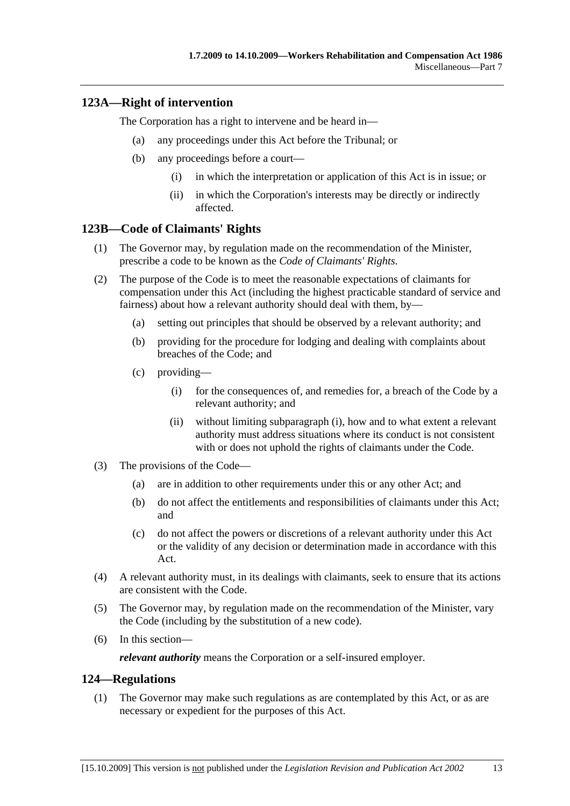# **123A—Right of intervention**

The Corporation has a right to intervene and be heard in—

- (a) any proceedings under this Act before the Tribunal; or
- (b) any proceedings before a court—
	- (i) in which the interpretation or application of this Act is in issue; or
	- (ii) in which the Corporation's interests may be directly or indirectly affected.

### **123B—Code of Claimants' Rights**

- (1) The Governor may, by regulation made on the recommendation of the Minister, prescribe a code to be known as the *Code of Claimants' Rights*.
- (2) The purpose of the Code is to meet the reasonable expectations of claimants for compensation under this Act (including the highest practicable standard of service and fairness) about how a relevant authority should deal with them, by—
	- (a) setting out principles that should be observed by a relevant authority; and
	- (b) providing for the procedure for lodging and dealing with complaints about breaches of the Code; and
	- (c) providing—
		- (i) for the consequences of, and remedies for, a breach of the Code by a relevant authority; and
		- (ii) without limiting subparagraph (i), how and to what extent a relevant authority must address situations where its conduct is not consistent with or does not uphold the rights of claimants under the Code.
- (3) The provisions of the Code—
	- (a) are in addition to other requirements under this or any other Act; and
	- (b) do not affect the entitlements and responsibilities of claimants under this Act; and
	- (c) do not affect the powers or discretions of a relevant authority under this Act or the validity of any decision or determination made in accordance with this Act.
- (4) A relevant authority must, in its dealings with claimants, seek to ensure that its actions are consistent with the Code.
- (5) The Governor may, by regulation made on the recommendation of the Minister, vary the Code (including by the substitution of a new code).
- (6) In this section—

*relevant authority* means the Corporation or a self-insured employer.

### **124—Regulations**

 (1) The Governor may make such regulations as are contemplated by this Act, or as are necessary or expedient for the purposes of this Act.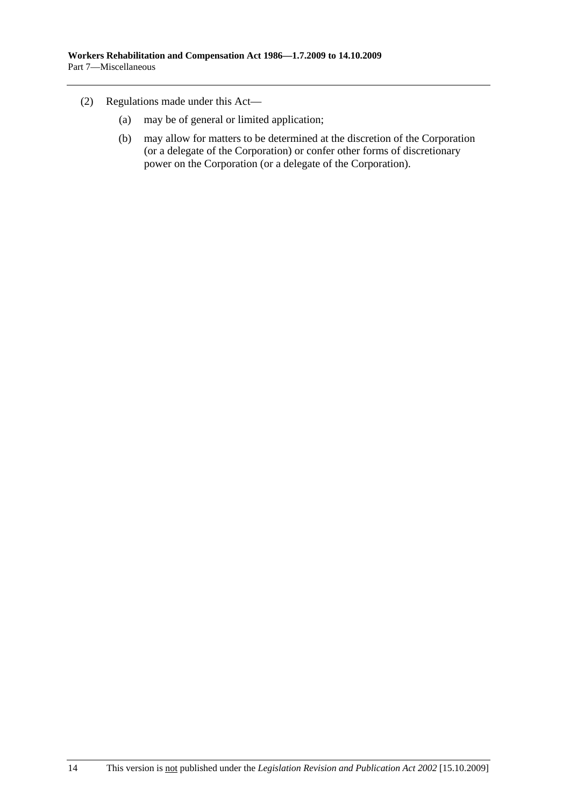- (2) Regulations made under this Act—
	- (a) may be of general or limited application;
	- (b) may allow for matters to be determined at the discretion of the Corporation (or a delegate of the Corporation) or confer other forms of discretionary power on the Corporation (or a delegate of the Corporation).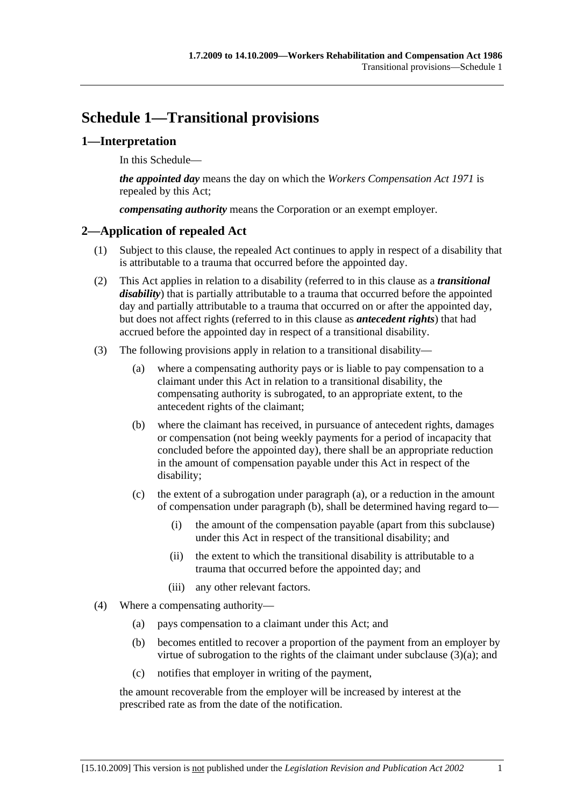# **Schedule 1—Transitional provisions**

# **1—Interpretation**

In this Schedule—

*the appointed day* means the day on which the *Workers Compensation Act 1971* is repealed by this Act;

*compensating authority* means the Corporation or an exempt employer.

# **2—Application of repealed Act**

- (1) Subject to this clause, the repealed Act continues to apply in respect of a disability that is attributable to a trauma that occurred before the appointed day.
- (2) This Act applies in relation to a disability (referred to in this clause as a *transitional disability*) that is partially attributable to a trauma that occurred before the appointed day and partially attributable to a trauma that occurred on or after the appointed day, but does not affect rights (referred to in this clause as *antecedent rights*) that had accrued before the appointed day in respect of a transitional disability.
- (3) The following provisions apply in relation to a transitional disability—
	- (a) where a compensating authority pays or is liable to pay compensation to a claimant under this Act in relation to a transitional disability, the compensating authority is subrogated, to an appropriate extent, to the antecedent rights of the claimant;
	- (b) where the claimant has received, in pursuance of antecedent rights, damages or compensation (not being weekly payments for a period of incapacity that concluded before the appointed day), there shall be an appropriate reduction in the amount of compensation payable under this Act in respect of the disability;
	- (c) the extent of a subrogation under paragraph (a), or a reduction in the amount of compensation under paragraph (b), shall be determined having regard to—
		- (i) the amount of the compensation payable (apart from this subclause) under this Act in respect of the transitional disability; and
		- (ii) the extent to which the transitional disability is attributable to a trauma that occurred before the appointed day; and
		- (iii) any other relevant factors.
- (4) Where a compensating authority—
	- (a) pays compensation to a claimant under this Act; and
	- (b) becomes entitled to recover a proportion of the payment from an employer by virtue of subrogation to the rights of the claimant under subclause (3)(a); and
	- (c) notifies that employer in writing of the payment,

the amount recoverable from the employer will be increased by interest at the prescribed rate as from the date of the notification.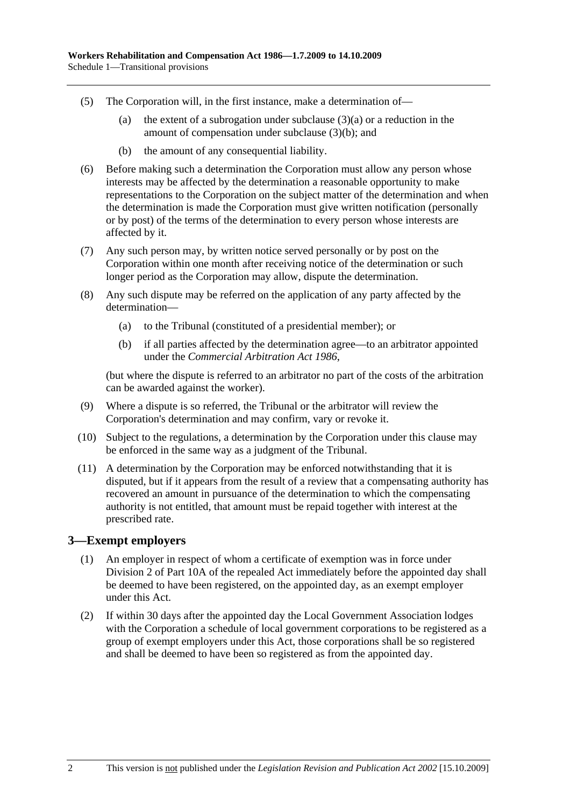- (5) The Corporation will, in the first instance, make a determination of—
	- (a) the extent of a subrogation under subclause  $(3)(a)$  or a reduction in the amount of compensation under subclause (3)(b); and
	- (b) the amount of any consequential liability.
- (6) Before making such a determination the Corporation must allow any person whose interests may be affected by the determination a reasonable opportunity to make representations to the Corporation on the subject matter of the determination and when the determination is made the Corporation must give written notification (personally or by post) of the terms of the determination to every person whose interests are affected by it.
- (7) Any such person may, by written notice served personally or by post on the Corporation within one month after receiving notice of the determination or such longer period as the Corporation may allow, dispute the determination.
- (8) Any such dispute may be referred on the application of any party affected by the determination—
	- (a) to the Tribunal (constituted of a presidential member); or
	- (b) if all parties affected by the determination agree—to an arbitrator appointed under the *Commercial Arbitration Act 1986*,

(but where the dispute is referred to an arbitrator no part of the costs of the arbitration can be awarded against the worker).

- (9) Where a dispute is so referred, the Tribunal or the arbitrator will review the Corporation's determination and may confirm, vary or revoke it.
- (10) Subject to the regulations, a determination by the Corporation under this clause may be enforced in the same way as a judgment of the Tribunal.
- (11) A determination by the Corporation may be enforced notwithstanding that it is disputed, but if it appears from the result of a review that a compensating authority has recovered an amount in pursuance of the determination to which the compensating authority is not entitled, that amount must be repaid together with interest at the prescribed rate.

### **3—Exempt employers**

- (1) An employer in respect of whom a certificate of exemption was in force under Division 2 of Part 10A of the repealed Act immediately before the appointed day shall be deemed to have been registered, on the appointed day, as an exempt employer under this Act.
- (2) If within 30 days after the appointed day the Local Government Association lodges with the Corporation a schedule of local government corporations to be registered as a group of exempt employers under this Act, those corporations shall be so registered and shall be deemed to have been so registered as from the appointed day.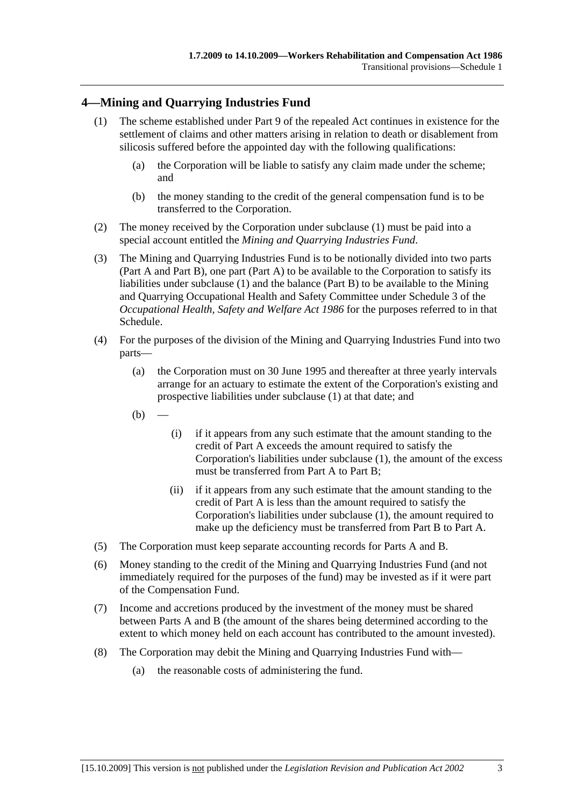# **4—Mining and Quarrying Industries Fund**

- (1) The scheme established under Part 9 of the repealed Act continues in existence for the settlement of claims and other matters arising in relation to death or disablement from silicosis suffered before the appointed day with the following qualifications:
	- (a) the Corporation will be liable to satisfy any claim made under the scheme; and
	- (b) the money standing to the credit of the general compensation fund is to be transferred to the Corporation.
- (2) The money received by the Corporation under subclause (1) must be paid into a special account entitled the *Mining and Quarrying Industries Fund*.
- (3) The Mining and Quarrying Industries Fund is to be notionally divided into two parts (Part A and Part B), one part (Part A) to be available to the Corporation to satisfy its liabilities under subclause (1) and the balance (Part B) to be available to the Mining and Quarrying Occupational Health and Safety Committee under Schedule 3 of the *Occupational Health, Safety and Welfare Act 1986* for the purposes referred to in that Schedule.
- (4) For the purposes of the division of the Mining and Quarrying Industries Fund into two parts—
	- (a) the Corporation must on 30 June 1995 and thereafter at three yearly intervals arrange for an actuary to estimate the extent of the Corporation's existing and prospective liabilities under subclause (1) at that date; and
	- $(b)$
- (i) if it appears from any such estimate that the amount standing to the credit of Part A exceeds the amount required to satisfy the Corporation's liabilities under subclause (1), the amount of the excess must be transferred from Part A to Part B;
- (ii) if it appears from any such estimate that the amount standing to the credit of Part A is less than the amount required to satisfy the Corporation's liabilities under subclause (1), the amount required to make up the deficiency must be transferred from Part B to Part A.
- (5) The Corporation must keep separate accounting records for Parts A and B.
- (6) Money standing to the credit of the Mining and Quarrying Industries Fund (and not immediately required for the purposes of the fund) may be invested as if it were part of the Compensation Fund.
- (7) Income and accretions produced by the investment of the money must be shared between Parts A and B (the amount of the shares being determined according to the extent to which money held on each account has contributed to the amount invested).
- (8) The Corporation may debit the Mining and Quarrying Industries Fund with—
	- (a) the reasonable costs of administering the fund.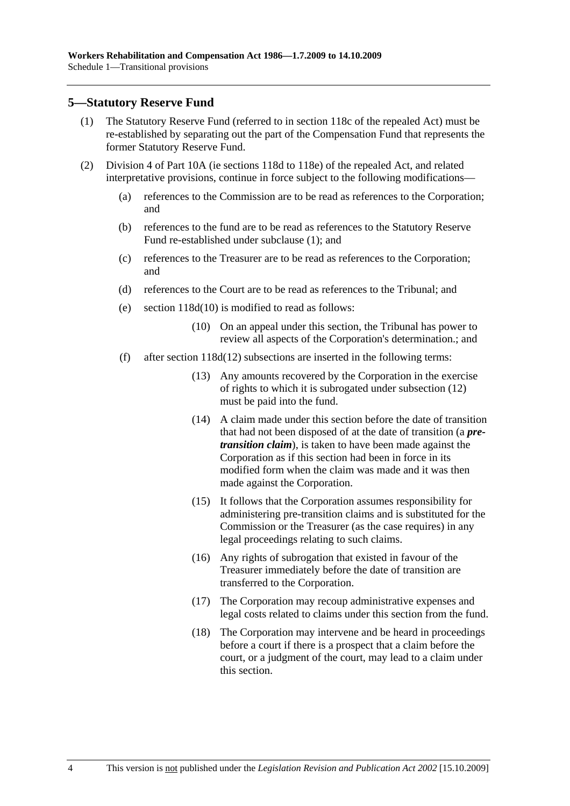### **5—Statutory Reserve Fund**

- (1) The Statutory Reserve Fund (referred to in section 118c of the repealed Act) must be re-established by separating out the part of the Compensation Fund that represents the former Statutory Reserve Fund.
- (2) Division 4 of Part 10A (ie sections 118d to 118e) of the repealed Act, and related interpretative provisions, continue in force subject to the following modifications—
	- (a) references to the Commission are to be read as references to the Corporation; and
	- (b) references to the fund are to be read as references to the Statutory Reserve Fund re-established under subclause (1); and
	- (c) references to the Treasurer are to be read as references to the Corporation; and
	- (d) references to the Court are to be read as references to the Tribunal; and
	- (e) section 118d(10) is modified to read as follows:
		- (10) On an appeal under this section, the Tribunal has power to review all aspects of the Corporation's determination.; and
	- (f) after section 118d(12) subsections are inserted in the following terms:
		- (13) Any amounts recovered by the Corporation in the exercise of rights to which it is subrogated under subsection (12) must be paid into the fund.
		- (14) A claim made under this section before the date of transition that had not been disposed of at the date of transition (a *pretransition claim*), is taken to have been made against the Corporation as if this section had been in force in its modified form when the claim was made and it was then made against the Corporation.
		- (15) It follows that the Corporation assumes responsibility for administering pre-transition claims and is substituted for the Commission or the Treasurer (as the case requires) in any legal proceedings relating to such claims.
		- (16) Any rights of subrogation that existed in favour of the Treasurer immediately before the date of transition are transferred to the Corporation.
		- (17) The Corporation may recoup administrative expenses and legal costs related to claims under this section from the fund.
		- (18) The Corporation may intervene and be heard in proceedings before a court if there is a prospect that a claim before the court, or a judgment of the court, may lead to a claim under this section.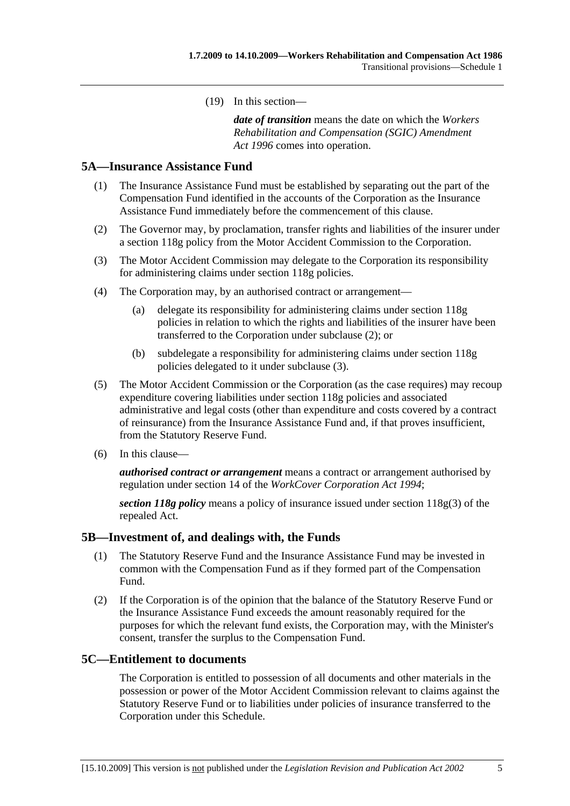(19) In this section—

*date of transition* means the date on which the *Workers Rehabilitation and Compensation (SGIC) Amendment Act 1996* comes into operation.

### **5A—Insurance Assistance Fund**

- (1) The Insurance Assistance Fund must be established by separating out the part of the Compensation Fund identified in the accounts of the Corporation as the Insurance Assistance Fund immediately before the commencement of this clause.
- (2) The Governor may, by proclamation, transfer rights and liabilities of the insurer under a section 118g policy from the Motor Accident Commission to the Corporation.
- (3) The Motor Accident Commission may delegate to the Corporation its responsibility for administering claims under section 118g policies.
- (4) The Corporation may, by an authorised contract or arrangement—
	- (a) delegate its responsibility for administering claims under section 118g policies in relation to which the rights and liabilities of the insurer have been transferred to the Corporation under subclause (2); or
	- (b) subdelegate a responsibility for administering claims under section 118g policies delegated to it under subclause (3).
- (5) The Motor Accident Commission or the Corporation (as the case requires) may recoup expenditure covering liabilities under section 118g policies and associated administrative and legal costs (other than expenditure and costs covered by a contract of reinsurance) from the Insurance Assistance Fund and, if that proves insufficient, from the Statutory Reserve Fund.
- (6) In this clause—

*authorised contract or arrangement* means a contract or arrangement authorised by regulation under section 14 of the *WorkCover Corporation Act 1994*;

*section 118g policy* means a policy of insurance issued under section 118g(3) of the repealed Act.

### **5B—Investment of, and dealings with, the Funds**

- (1) The Statutory Reserve Fund and the Insurance Assistance Fund may be invested in common with the Compensation Fund as if they formed part of the Compensation Fund.
- (2) If the Corporation is of the opinion that the balance of the Statutory Reserve Fund or the Insurance Assistance Fund exceeds the amount reasonably required for the purposes for which the relevant fund exists, the Corporation may, with the Minister's consent, transfer the surplus to the Compensation Fund.

### **5C—Entitlement to documents**

The Corporation is entitled to possession of all documents and other materials in the possession or power of the Motor Accident Commission relevant to claims against the Statutory Reserve Fund or to liabilities under policies of insurance transferred to the Corporation under this Schedule.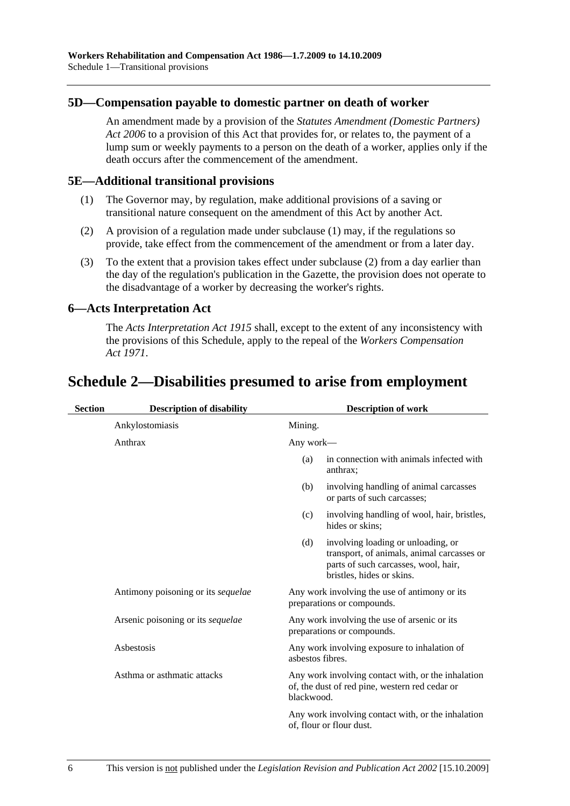### **5D—Compensation payable to domestic partner on death of worker**

An amendment made by a provision of the *Statutes Amendment (Domestic Partners) Act 2006* to a provision of this Act that provides for, or relates to, the payment of a lump sum or weekly payments to a person on the death of a worker, applies only if the death occurs after the commencement of the amendment.

### **5E—Additional transitional provisions**

- (1) The Governor may, by regulation, make additional provisions of a saving or transitional nature consequent on the amendment of this Act by another Act.
- (2) A provision of a regulation made under subclause (1) may, if the regulations so provide, take effect from the commencement of the amendment or from a later day.
- (3) To the extent that a provision takes effect under subclause (2) from a day earlier than the day of the regulation's publication in the Gazette, the provision does not operate to the disadvantage of a worker by decreasing the worker's rights.

### **6—Acts Interpretation Act**

The *Acts Interpretation Act 1915* shall, except to the extent of any inconsistency with the provisions of this Schedule, apply to the repeal of the *Workers Compensation Act 1971*.

# **Schedule 2—Disabilities presumed to arise from employment**

| <b>Section</b> | <b>Description of disability</b>   | <b>Description of work</b> |                                                                                                                                                       |
|----------------|------------------------------------|----------------------------|-------------------------------------------------------------------------------------------------------------------------------------------------------|
|                | Ankylostomiasis                    | Mining.                    |                                                                                                                                                       |
|                | Anthrax                            | Any work—                  |                                                                                                                                                       |
|                |                                    | (a)                        | in connection with animals infected with<br>anthrax;                                                                                                  |
|                |                                    | (b)                        | involving handling of animal carcasses<br>or parts of such carcasses;                                                                                 |
|                |                                    | (c)                        | involving handling of wool, hair, bristles,<br>hides or skins:                                                                                        |
|                |                                    | (d)                        | involving loading or unloading, or<br>transport, of animals, animal carcasses or<br>parts of such carcasses, wool, hair,<br>bristles, hides or skins. |
|                | Antimony poisoning or its sequelae |                            | Any work involving the use of antimony or its<br>preparations or compounds.                                                                           |
|                | Arsenic poisoning or its sequelae  |                            | Any work involving the use of arsenic or its<br>preparations or compounds.                                                                            |
|                | Asbestosis                         | asbestos fibres.           | Any work involving exposure to inhalation of                                                                                                          |
|                | Asthma or asthmatic attacks        | blackwood.                 | Any work involving contact with, or the inhalation<br>of, the dust of red pine, western red cedar or                                                  |
|                |                                    |                            | Any work involving contact with, or the inhalation<br>of, flour or flour dust.                                                                        |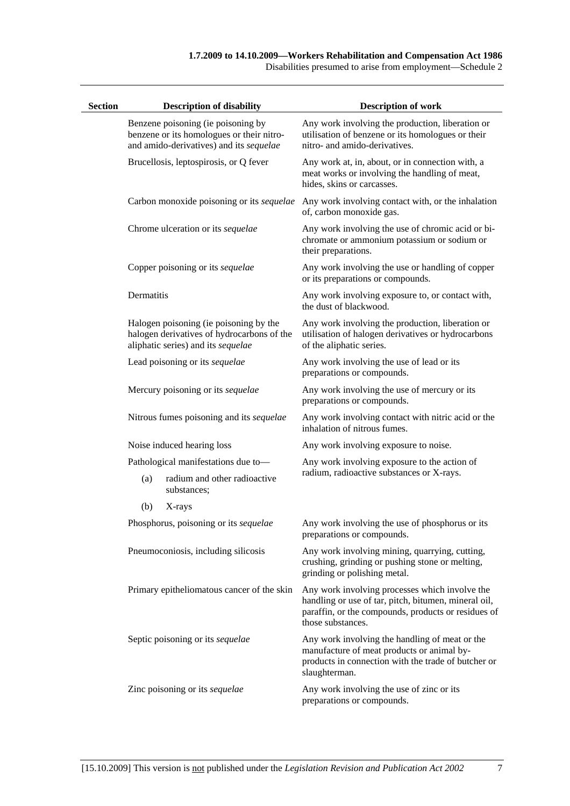#### **1.7.2009 to 14.10.2009—Workers Rehabilitation and Compensation Act 1986**

Disabilities presumed to arise from employment—Schedule 2

| <b>Section</b> |            | <b>Description of disability</b>                                                                                           | <b>Description of work</b>                                                                                                                                                         |
|----------------|------------|----------------------------------------------------------------------------------------------------------------------------|------------------------------------------------------------------------------------------------------------------------------------------------------------------------------------|
|                |            | Benzene poisoning (ie poisoning by<br>benzene or its homologues or their nitro-<br>and amido-derivatives) and its sequelae | Any work involving the production, liberation or<br>utilisation of benzene or its homologues or their<br>nitro- and amido-derivatives.                                             |
|                |            | Brucellosis, leptospirosis, or Q fever                                                                                     | Any work at, in, about, or in connection with, a<br>meat works or involving the handling of meat,<br>hides, skins or carcasses.                                                    |
|                |            | Carbon monoxide poisoning or its sequelae                                                                                  | Any work involving contact with, or the inhalation<br>of, carbon monoxide gas.                                                                                                     |
|                |            | Chrome ulceration or its sequelae                                                                                          | Any work involving the use of chromic acid or bi-<br>chromate or ammonium potassium or sodium or<br>their preparations.                                                            |
|                |            | Copper poisoning or its sequelae                                                                                           | Any work involving the use or handling of copper<br>or its preparations or compounds.                                                                                              |
|                | Dermatitis |                                                                                                                            | Any work involving exposure to, or contact with,<br>the dust of blackwood.                                                                                                         |
|                |            | Halogen poisoning (ie poisoning by the<br>halogen derivatives of hydrocarbons of the<br>aliphatic series) and its sequelae | Any work involving the production, liberation or<br>utilisation of halogen derivatives or hydrocarbons<br>of the aliphatic series.                                                 |
|                |            | Lead poisoning or its sequelae                                                                                             | Any work involving the use of lead or its<br>preparations or compounds.                                                                                                            |
|                |            | Mercury poisoning or its sequelae                                                                                          | Any work involving the use of mercury or its<br>preparations or compounds.                                                                                                         |
|                |            | Nitrous fumes poisoning and its sequelae                                                                                   | Any work involving contact with nitric acid or the<br>inhalation of nitrous fumes.                                                                                                 |
|                |            | Noise induced hearing loss                                                                                                 | Any work involving exposure to noise.                                                                                                                                              |
|                |            | Pathological manifestations due to-                                                                                        | Any work involving exposure to the action of                                                                                                                                       |
|                | (a)        | radium and other radioactive<br>substances;                                                                                | radium, radioactive substances or X-rays.                                                                                                                                          |
|                | (b)        | X-rays                                                                                                                     |                                                                                                                                                                                    |
|                |            | Phosphorus, poisoning or its sequelae                                                                                      | Any work involving the use of phosphorus or its<br>preparations or compounds.                                                                                                      |
|                |            | Pneumoconiosis, including silicosis                                                                                        | Any work involving mining, quarrying, cutting,<br>crushing, grinding or pushing stone or melting,<br>grinding or polishing metal.                                                  |
|                |            | Primary epitheliomatous cancer of the skin                                                                                 | Any work involving processes which involve the<br>handling or use of tar, pitch, bitumen, mineral oil,<br>paraffin, or the compounds, products or residues of<br>those substances. |
|                |            | Septic poisoning or its sequelae                                                                                           | Any work involving the handling of meat or the<br>manufacture of meat products or animal by-<br>products in connection with the trade of butcher or<br>slaughterman.               |
|                |            | Zinc poisoning or its sequelae                                                                                             | Any work involving the use of zinc or its<br>preparations or compounds.                                                                                                            |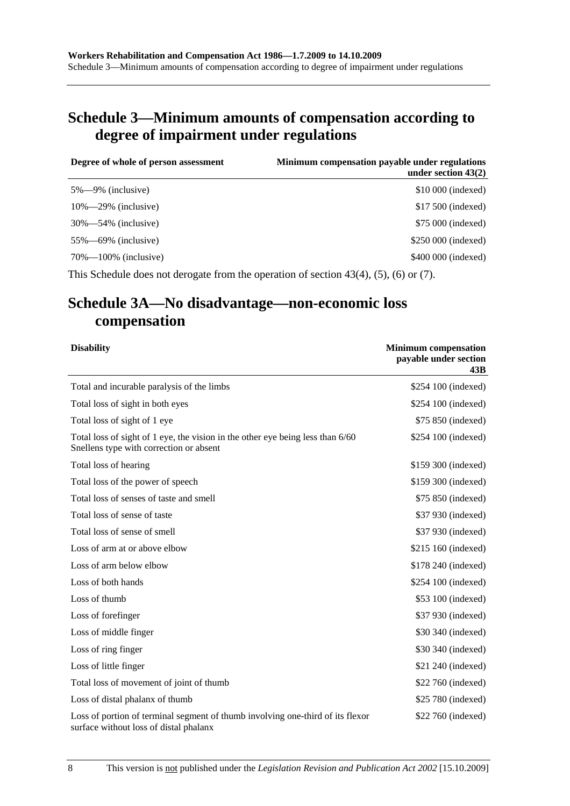# **Schedule 3—Minimum amounts of compensation according to degree of impairment under regulations**

| Degree of whole of person assessment | Minimum compensation payable under regulations<br>under section $43(2)$ |
|--------------------------------------|-------------------------------------------------------------------------|
| $5\% - 9\%$ (inclusive)              | \$10,000 (indexed)                                                      |
| $10\% - 29\%$ (inclusive)            | \$17,500 (indexed)                                                      |
| $30\% - 54\%$ (inclusive)            | \$75 000 (indexed)                                                      |
| $55\% - 69\%$ (inclusive)            | \$250 000 (indexed)                                                     |
| $70\% - 100\%$ (inclusive)           | \$400 000 (indexed)                                                     |

This Schedule does not derogate from the operation of section 43(4), (5), (6) or (7).

# **Schedule 3A—No disadvantage—non-economic loss compensation**

| <b>Disability</b>                                                                                                         | <b>Minimum compensation</b><br>payable under section<br>43B |
|---------------------------------------------------------------------------------------------------------------------------|-------------------------------------------------------------|
| Total and incurable paralysis of the limbs                                                                                | \$254 100 (indexed)                                         |
| Total loss of sight in both eyes                                                                                          | \$254 100 (indexed)                                         |
| Total loss of sight of 1 eye                                                                                              | \$75 850 (indexed)                                          |
| Total loss of sight of 1 eye, the vision in the other eye being less than 6/60<br>Snellens type with correction or absent | \$254 100 (indexed)                                         |
| Total loss of hearing                                                                                                     | \$159 300 (indexed)                                         |
| Total loss of the power of speech                                                                                         | \$159 300 (indexed)                                         |
| Total loss of senses of taste and smell                                                                                   | \$75 850 (indexed)                                          |
| Total loss of sense of taste                                                                                              | \$37 930 (indexed)                                          |
| Total loss of sense of smell                                                                                              | \$37 930 (indexed)                                          |
| Loss of arm at or above elbow                                                                                             | \$215 160 (indexed)                                         |
| Loss of arm below elbow                                                                                                   | \$178 240 (indexed)                                         |
| Loss of both hands                                                                                                        | \$254 100 (indexed)                                         |
| Loss of thumb                                                                                                             | \$53 100 (indexed)                                          |
| Loss of forefinger                                                                                                        | \$37 930 (indexed)                                          |
| Loss of middle finger                                                                                                     | \$30 340 (indexed)                                          |
| Loss of ring finger                                                                                                       | \$30 340 (indexed)                                          |
| Loss of little finger                                                                                                     | \$21 240 (indexed)                                          |
| Total loss of movement of joint of thumb                                                                                  | \$22 760 (indexed)                                          |
| Loss of distal phalanx of thumb                                                                                           | \$25 780 (indexed)                                          |
| Loss of portion of terminal segment of thumb involving one-third of its flexor<br>surface without loss of distal phalanx  | \$22 760 (indexed)                                          |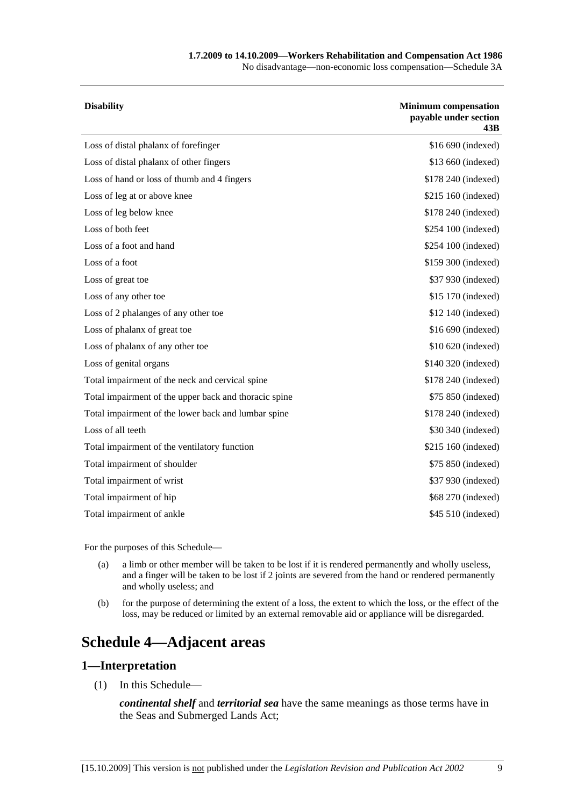#### **1.7.2009 to 14.10.2009—Workers Rehabilitation and Compensation Act 1986**

No disadvantage—non-economic loss compensation—Schedule 3A

| <b>Disability</b>                                     | <b>Minimum</b> compensation<br>payable under section<br>43B |
|-------------------------------------------------------|-------------------------------------------------------------|
| Loss of distal phalanx of forefinger                  | \$16 690 (indexed)                                          |
| Loss of distal phalanx of other fingers               | \$13 660 (indexed)                                          |
| Loss of hand or loss of thumb and 4 fingers           | \$178 240 (indexed)                                         |
| Loss of leg at or above knee                          | \$215 160 (indexed)                                         |
| Loss of leg below knee                                | \$178 240 (indexed)                                         |
| Loss of both feet                                     | \$254 100 (indexed)                                         |
| Loss of a foot and hand                               | \$254 100 (indexed)                                         |
| Loss of a foot                                        | \$159 300 (indexed)                                         |
| Loss of great toe                                     | \$37 930 (indexed)                                          |
| Loss of any other toe                                 | \$15 170 (indexed)                                          |
| Loss of 2 phalanges of any other toe                  | \$12 140 (indexed)                                          |
| Loss of phalanx of great toe                          | \$16 690 (indexed)                                          |
| Loss of phalanx of any other toe                      | \$10 620 (indexed)                                          |
| Loss of genital organs                                | \$140 320 (indexed)                                         |
| Total impairment of the neck and cervical spine       | \$178 240 (indexed)                                         |
| Total impairment of the upper back and thoracic spine | \$75 850 (indexed)                                          |
| Total impairment of the lower back and lumbar spine   | \$178 240 (indexed)                                         |
| Loss of all teeth                                     | \$30 340 (indexed)                                          |
| Total impairment of the ventilatory function          | \$215 160 (indexed)                                         |
| Total impairment of shoulder                          | \$75 850 (indexed)                                          |
| Total impairment of wrist                             | \$37 930 (indexed)                                          |
| Total impairment of hip                               | \$68 270 (indexed)                                          |
| Total impairment of ankle                             | \$45 510 (indexed)                                          |

For the purposes of this Schedule—

- (a) a limb or other member will be taken to be lost if it is rendered permanently and wholly useless, and a finger will be taken to be lost if 2 joints are severed from the hand or rendered permanently and wholly useless; and
- (b) for the purpose of determining the extent of a loss, the extent to which the loss, or the effect of the loss, may be reduced or limited by an external removable aid or appliance will be disregarded.

# **Schedule 4—Adjacent areas**

### **1—Interpretation**

(1) In this Schedule—

*continental shelf* and *territorial sea* have the same meanings as those terms have in the Seas and Submerged Lands Act;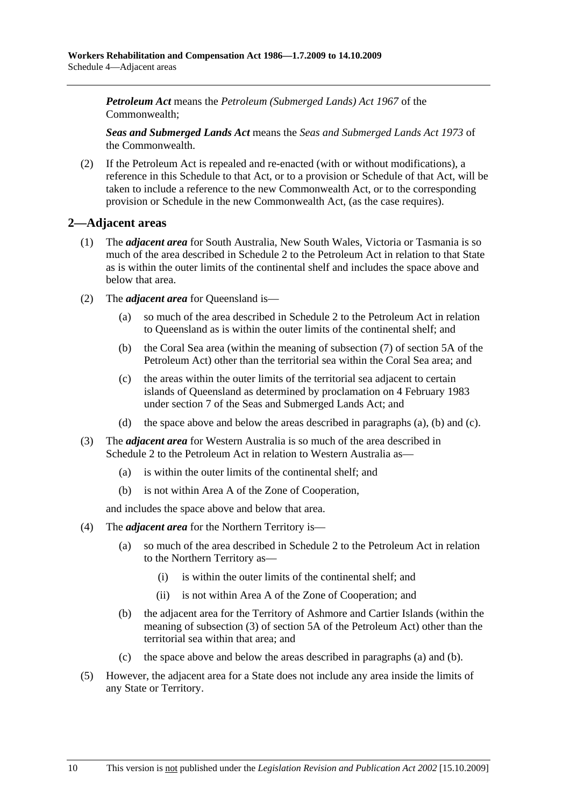*Petroleum Act* means the *Petroleum (Submerged Lands) Act 1967* of the Commonwealth;

*Seas and Submerged Lands Act* means the *Seas and Submerged Lands Act 1973* of the Commonwealth.

 (2) If the Petroleum Act is repealed and re-enacted (with or without modifications), a reference in this Schedule to that Act, or to a provision or Schedule of that Act, will be taken to include a reference to the new Commonwealth Act, or to the corresponding provision or Schedule in the new Commonwealth Act, (as the case requires).

## **2—Adjacent areas**

- (1) The *adjacent area* for South Australia, New South Wales, Victoria or Tasmania is so much of the area described in Schedule 2 to the Petroleum Act in relation to that State as is within the outer limits of the continental shelf and includes the space above and below that area.
- (2) The *adjacent area* for Queensland is—
	- (a) so much of the area described in Schedule 2 to the Petroleum Act in relation to Queensland as is within the outer limits of the continental shelf; and
	- (b) the Coral Sea area (within the meaning of subsection (7) of section 5A of the Petroleum Act) other than the territorial sea within the Coral Sea area; and
	- (c) the areas within the outer limits of the territorial sea adjacent to certain islands of Queensland as determined by proclamation on 4 February 1983 under section 7 of the Seas and Submerged Lands Act; and
	- (d) the space above and below the areas described in paragraphs (a), (b) and (c).
- (3) The *adjacent area* for Western Australia is so much of the area described in Schedule 2 to the Petroleum Act in relation to Western Australia as—
	- (a) is within the outer limits of the continental shelf; and
	- (b) is not within Area A of the Zone of Cooperation,

and includes the space above and below that area.

- (4) The *adjacent area* for the Northern Territory is—
	- (a) so much of the area described in Schedule 2 to the Petroleum Act in relation to the Northern Territory as—
		- (i) is within the outer limits of the continental shelf; and
		- (ii) is not within Area A of the Zone of Cooperation; and
	- (b) the adjacent area for the Territory of Ashmore and Cartier Islands (within the meaning of subsection (3) of section 5A of the Petroleum Act) other than the territorial sea within that area; and
	- (c) the space above and below the areas described in paragraphs (a) and (b).
- (5) However, the adjacent area for a State does not include any area inside the limits of any State or Territory.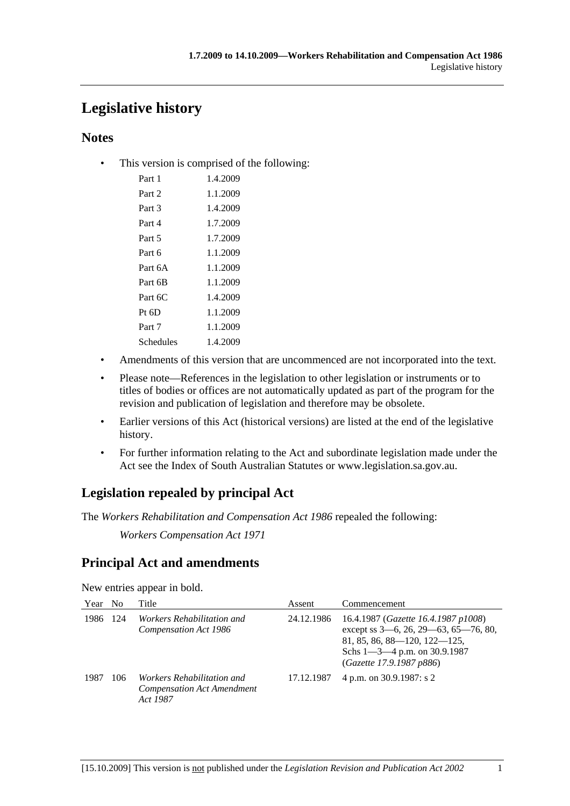# **Legislative history**

# **Notes**

• This version is comprised of the following:

| Part 1    | 1.4.2009 |
|-----------|----------|
| Part 2    | 1.1.2009 |
| Part 3    | 1.4.2009 |
| Part 4    | 1.7.2009 |
| Part 5    | 1.7.2009 |
| Part 6    | 1.1.2009 |
| Part 6A   | 1.1.2009 |
| Part 6B   | 1.1.2009 |
| Part 6C   | 1.4.2009 |
| $Pt\;6D$  | 1.1.2009 |
| Part 7    | 1.1.2009 |
| Schedules | 1.4.2009 |

- Amendments of this version that are uncommenced are not incorporated into the text.
- Please note—References in the legislation to other legislation or instruments or to titles of bodies or offices are not automatically updated as part of the program for the revision and publication of legislation and therefore may be obsolete.
- Earlier versions of this Act (historical versions) are listed at the end of the legislative history.
- For further information relating to the Act and subordinate legislation made under the Act see the Index of South Australian Statutes or www.legislation.sa.gov.au.

# **Legislation repealed by principal Act**

The *Workers Rehabilitation and Compensation Act 1986* repealed the following:

*Workers Compensation Act 1971*

# **Principal Act and amendments**

New entries appear in bold.

| Year | N <sub>0</sub> | Title                                                                       | Assent     | Commencement                                                                                                                                                                        |
|------|----------------|-----------------------------------------------------------------------------|------------|-------------------------------------------------------------------------------------------------------------------------------------------------------------------------------------|
| 1986 | 124            | <i>Workers Rehabilitation and</i><br>Compensation Act 1986                  | 24.12.1986 | 16.4.1987 (Gazette 16.4.1987 p1008)<br>except ss 3-6, 26, 29-63, 65-76, 80,<br>$81, 85, 86, 88 - 120, 122 - 125,$<br>Schs $1 - 3 - 4$ p.m. on 30.9.1987<br>(Gazette 17.9.1987 p886) |
| 1987 | 106            | Workers Rehabilitation and<br><b>Compensation Act Amendment</b><br>Act 1987 | 17.12.1987 | 4 p.m. on 30.9.1987: s 2                                                                                                                                                            |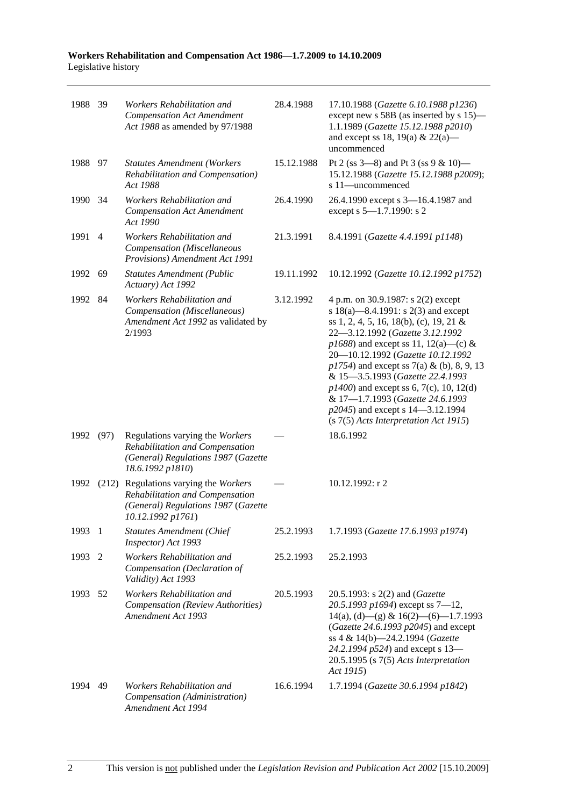| 1988 39 |                | Workers Rehabilitation and<br><b>Compensation Act Amendment</b><br>Act 1988 as amended by 97/1988                                    | 28.4.1988  | 17.10.1988 (Gazette 6.10.1988 p1236)<br>except new s 58B (as inserted by s 15)—<br>1.1.1989 (Gazette 15.12.1988 p2010)<br>and except ss 18, 19(a) & 22(a)—<br>uncommenced                                                                                                                                                                                                                                                                                                                    |
|---------|----------------|--------------------------------------------------------------------------------------------------------------------------------------|------------|----------------------------------------------------------------------------------------------------------------------------------------------------------------------------------------------------------------------------------------------------------------------------------------------------------------------------------------------------------------------------------------------------------------------------------------------------------------------------------------------|
| 1988 97 |                | <b>Statutes Amendment (Workers</b><br>Rehabilitation and Compensation)<br>Act 1988                                                   | 15.12.1988 | Pt 2 (ss $3-8$ ) and Pt 3 (ss $9 & 10$ )<br>15.12.1988 (Gazette 15.12.1988 p2009);<br>s 11-uncommenced                                                                                                                                                                                                                                                                                                                                                                                       |
| 1990 34 |                | Workers Rehabilitation and<br><b>Compensation Act Amendment</b><br>Act 1990                                                          | 26.4.1990  | 26.4.1990 except s 3-16.4.1987 and<br>except s 5-1.7.1990: s 2                                                                                                                                                                                                                                                                                                                                                                                                                               |
| 1991    | $\overline{4}$ | Workers Rehabilitation and<br>Compensation (Miscellaneous<br>Provisions) Amendment Act 1991                                          | 21.3.1991  | 8.4.1991 (Gazette 4.4.1991 p1148)                                                                                                                                                                                                                                                                                                                                                                                                                                                            |
| 1992    | 69             | <b>Statutes Amendment (Public</b><br>Actuary) Act 1992                                                                               | 19.11.1992 | 10.12.1992 (Gazette 10.12.1992 p1752)                                                                                                                                                                                                                                                                                                                                                                                                                                                        |
| 1992    | -84            | Workers Rehabilitation and<br>Compensation (Miscellaneous)<br>Amendment Act 1992 as validated by<br>2/1993                           | 3.12.1992  | 4 p.m. on 30.9.1987: s 2(2) except<br>s 18(a)—8.4.1991: s 2(3) and except<br>ss 1, 2, 4, 5, 16, 18(b), (c), 19, 21 &<br>22-3.12.1992 (Gazette 3.12.1992<br>$p1688$ ) and except ss 11, 12(a)—(c) &<br>20-10.12.1992 (Gazette 10.12.1992<br>$p1754$ ) and except ss 7(a) & (b), 8, 9, 13<br>& 15-3.5.1993 (Gazette 22.4.1993<br>$p1400$ ) and except ss 6, 7(c), 10, 12(d)<br>& 17-1.7.1993 (Gazette 24.6.1993<br>p2045) and except s 14–3.12.1994<br>$(s 7(5)$ Acts Interpretation Act 1915) |
| 1992    | (97)           | Regulations varying the Workers<br>Rehabilitation and Compensation<br>(General) Regulations 1987 (Gazette<br>18.6.1992 p1810)        |            | 18.6.1992                                                                                                                                                                                                                                                                                                                                                                                                                                                                                    |
| 1992    |                | (212) Regulations varying the Workers<br>Rehabilitation and Compensation<br>(General) Regulations 1987 (Gazette<br>10.12.1992 p1761) |            | 10.12.1992: r 2                                                                                                                                                                                                                                                                                                                                                                                                                                                                              |
| 1993    | - 1            | <b>Statutes Amendment (Chief</b><br>Inspector) Act 1993                                                                              | 25.2.1993  | 1.7.1993 (Gazette 17.6.1993 p1974)                                                                                                                                                                                                                                                                                                                                                                                                                                                           |
| 1993    | 2              | Workers Rehabilitation and<br>Compensation (Declaration of<br>Validity) Act 1993                                                     | 25.2.1993  | 25.2.1993                                                                                                                                                                                                                                                                                                                                                                                                                                                                                    |
| 1993    | 52             | Workers Rehabilitation and<br>Compensation (Review Authorities)<br>Amendment Act 1993                                                | 20.5.1993  | 20.5.1993: s 2(2) and (Gazette<br>20.5.1993 p1694) except ss 7-12,<br>$14(a)$ , (d) - (g) & $16(2)$ - (6) - 1.7.1993<br>(Gazette 24.6.1993 p2045) and except<br>ss 4 & 14(b)-24.2.1994 (Gazette<br>24.2.1994 p524) and except s 13-<br>$20.5.1995$ (s $7(5)$ Acts Interpretation<br>Act 1915)                                                                                                                                                                                                |
| 1994    | 49             | Workers Rehabilitation and<br>Compensation (Administration)<br>Amendment Act 1994                                                    | 16.6.1994  | 1.7.1994 (Gazette 30.6.1994 p1842)                                                                                                                                                                                                                                                                                                                                                                                                                                                           |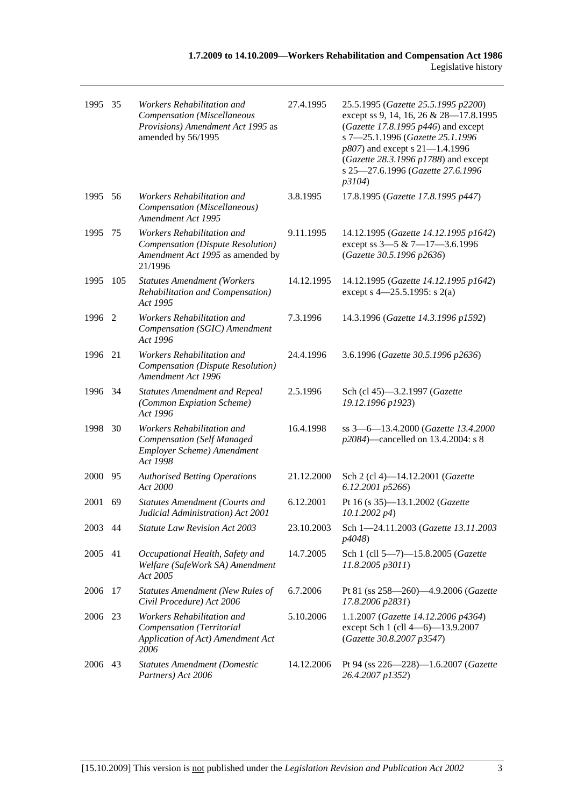| 1995 35 |     | Workers Rehabilitation and<br>Compensation (Miscellaneous<br>Provisions) Amendment Act 1995 as<br>amended by 56/1995 | 27.4.1995  | 25.5.1995 (Gazette 25.5.1995 p2200)<br>except ss 9, 14, 16, 26 & 28-17.8.1995<br>(Gazette 17.8.1995 p446) and except<br>s 7-25.1.1996 (Gazette 25.1.1996<br>p807) and except s 21-1.4.1996<br>(Gazette 28.3.1996 p1788) and except<br>s 25-27.6.1996 (Gazette 27.6.1996<br>p3104) |
|---------|-----|----------------------------------------------------------------------------------------------------------------------|------------|-----------------------------------------------------------------------------------------------------------------------------------------------------------------------------------------------------------------------------------------------------------------------------------|
| 1995 56 |     | Workers Rehabilitation and<br>Compensation (Miscellaneous)<br>Amendment Act 1995                                     | 3.8.1995   | 17.8.1995 (Gazette 17.8.1995 p447)                                                                                                                                                                                                                                                |
| 1995    | 75  | Workers Rehabilitation and<br>Compensation (Dispute Resolution)<br>Amendment Act 1995 as amended by<br>21/1996       | 9.11.1995  | 14.12.1995 (Gazette 14.12.1995 p1642)<br>except ss 3-5 & 7-17-3.6.1996<br>(Gazette 30.5.1996 p2636)                                                                                                                                                                               |
| 1995    | 105 | <b>Statutes Amendment (Workers</b><br>Rehabilitation and Compensation)<br>Act 1995                                   | 14.12.1995 | 14.12.1995 (Gazette 14.12.1995 p1642)<br>except s $4 - 25.5.1995$ : s 2(a)                                                                                                                                                                                                        |
| 1996    | 2   | Workers Rehabilitation and<br>Compensation (SGIC) Amendment<br>Act 1996                                              | 7.3.1996   | 14.3.1996 (Gazette 14.3.1996 p1592)                                                                                                                                                                                                                                               |
| 1996    | 21  | Workers Rehabilitation and<br>Compensation (Dispute Resolution)<br>Amendment Act 1996                                | 24.4.1996  | 3.6.1996 (Gazette 30.5.1996 p2636)                                                                                                                                                                                                                                                |
| 1996 34 |     | <b>Statutes Amendment and Repeal</b><br>(Common Expiation Scheme)<br>Act 1996                                        | 2.5.1996   | Sch (cl 45)-3.2.1997 (Gazette<br>19.12.1996 p1923)                                                                                                                                                                                                                                |
| 1998    | 30  | Workers Rehabilitation and<br><b>Compensation</b> (Self Managed<br>Employer Scheme) Amendment<br>Act 1998            | 16.4.1998  | ss 3-6-13.4.2000 (Gazette 13.4.2000<br>p2084)—cancelled on 13.4.2004: s 8                                                                                                                                                                                                         |
| 2000    | 95  | <b>Authorised Betting Operations</b><br>Act 2000                                                                     | 21.12.2000 | Sch 2 (cl 4)-14.12.2001 (Gazette<br>6.12.2001 p5266)                                                                                                                                                                                                                              |
| 2001    | 69  | <b>Statutes Amendment (Courts and</b><br>Judicial Administration) Act 2001                                           | 6.12.2001  | Pt 16 (s 35)-13.1.2002 (Gazette<br>$10.1.2002\ p4)$                                                                                                                                                                                                                               |
| 2003 44 |     | <b>Statute Law Revision Act 2003</b>                                                                                 | 23.10.2003 | Sch 1-24.11.2003 (Gazette 13.11.2003<br>p4048)                                                                                                                                                                                                                                    |
| 2005    | 41  | Occupational Health, Safety and<br>Welfare (SafeWork SA) Amendment<br>Act 2005                                       | 14.7.2005  | Sch 1 (cll 5-7)-15.8.2005 (Gazette<br>11.8.2005 p3011)                                                                                                                                                                                                                            |
| 2006    | 17  | <b>Statutes Amendment (New Rules of</b><br>Civil Procedure) Act 2006                                                 | 6.7.2006   | Pt 81 (ss 258-260)-4.9.2006 (Gazette<br>17.8.2006 p2831)                                                                                                                                                                                                                          |
| 2006    | 23  | Workers Rehabilitation and<br>Compensation (Territorial<br>Application of Act) Amendment Act<br>2006                 | 5.10.2006  | 1.1.2007 (Gazette 14.12.2006 p4364)<br>except Sch 1 (cll 4-6)-13.9.2007<br>(Gazette 30.8.2007 p3547)                                                                                                                                                                              |
| 2006    | 43  | <b>Statutes Amendment (Domestic</b><br>Partners) Act 2006                                                            | 14.12.2006 | Pt 94 (ss 226-228)-1.6.2007 (Gazette<br>26.4.2007 p1352)                                                                                                                                                                                                                          |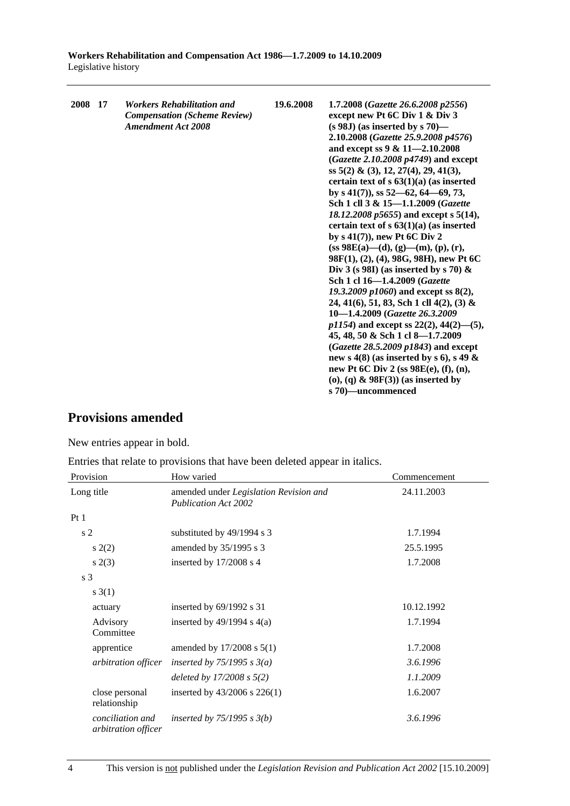| 2008 17 | <b>Workers Rehabilitation and</b><br><b>Compensation (Scheme Review)</b><br><b>Amendment Act 2008</b> | 19.6.2008 | 1.7.2008 (Gazette 26.6.2008 p2556)<br>except new Pt 6C Div 1 & Div 3<br>$(s 98J)$ (as inserted by s 70)—<br>2.10.2008 (Gazette 25.9.2008 p4576)<br>and except ss 9 & 11-2.10.2008<br>(Gazette 2.10.2008 p4749) and except<br>ss 5(2) & (3), 12, 27(4), 29, 41(3),<br>certain text of $s$ 63(1)(a) (as inserted<br>by s $41(7)$ , ss $52-62$ , $64-69$ , 73,<br>Sch 1 cll 3 & 15-1.1.2009 (Gazette<br>18.12.2008 p5655) and except s 5(14),<br>certain text of $s$ 63(1)(a) (as inserted<br>by $s(41(7))$ , new Pt 6C Div 2<br>$(s\mathbf{s} 98\mathbf{E}(\mathbf{a})\text{---}(\mathbf{d}), (\mathbf{g})\text{---}(\mathbf{m}), (\mathbf{p}), (\mathbf{r}),$<br>98F(1), (2), (4), 98G, 98H), new Pt 6C<br>Div 3 (s 98I) (as inserted by s 70) $\&$<br>Sch 1 cl 16-1.4.2009 (Gazette<br>19.3.2009 $p1060$ and except ss $8(2)$ ,<br>24, 41(6), 51, 83, Sch 1 cll 4(2), (3) &<br>10-1.4.2009 (Gazette 26.3.2009)<br>$p1154$ ) and except ss 22(2), 44(2)–(5),<br>45, 48, 50 & Sch 1 cl 8-1.7.2009<br>(Gazette 28.5.2009 p1843) and except |
|---------|-------------------------------------------------------------------------------------------------------|-----------|-----------------------------------------------------------------------------------------------------------------------------------------------------------------------------------------------------------------------------------------------------------------------------------------------------------------------------------------------------------------------------------------------------------------------------------------------------------------------------------------------------------------------------------------------------------------------------------------------------------------------------------------------------------------------------------------------------------------------------------------------------------------------------------------------------------------------------------------------------------------------------------------------------------------------------------------------------------------------------------------------------------------------------------------|
|         |                                                                                                       |           |                                                                                                                                                                                                                                                                                                                                                                                                                                                                                                                                                                                                                                                                                                                                                                                                                                                                                                                                                                                                                                         |
|         |                                                                                                       |           | new s 4(8) (as inserted by s 6), s 49 $\&$                                                                                                                                                                                                                                                                                                                                                                                                                                                                                                                                                                                                                                                                                                                                                                                                                                                                                                                                                                                              |
|         |                                                                                                       |           | new Pt 6C Div 2 (ss 98E(e), (f), (n),<br>(o), (q) $\&$ 98F(3)) (as inserted by                                                                                                                                                                                                                                                                                                                                                                                                                                                                                                                                                                                                                                                                                                                                                                                                                                                                                                                                                          |
|         |                                                                                                       |           | s 70)—uncommenced                                                                                                                                                                                                                                                                                                                                                                                                                                                                                                                                                                                                                                                                                                                                                                                                                                                                                                                                                                                                                       |

# **Provisions amended**

New entries appear in bold.

Entries that relate to provisions that have been deleted appear in italics.

| Provision                               | How varied                                                            | Commencement |
|-----------------------------------------|-----------------------------------------------------------------------|--------------|
| Long title                              | amended under Legislation Revision and<br><b>Publication Act 2002</b> | 24.11.2003   |
| Pt1                                     |                                                                       |              |
| s <sub>2</sub>                          | substituted by 49/1994 s 3                                            | 1.7.1994     |
| s(2)                                    | amended by 35/1995 s 3                                                | 25.5.1995    |
| s(2(3))                                 | inserted by $17/2008$ s 4                                             | 1.7.2008     |
| s <sub>3</sub>                          |                                                                       |              |
| s(3(1))                                 |                                                                       |              |
| actuary                                 | inserted by $69/1992$ s 31                                            | 10.12.1992   |
| Advisory<br>Committee                   | inserted by $49/1994$ s $4(a)$                                        | 1.7.1994     |
| apprentice                              | amended by $17/2008$ s $5(1)$                                         | 1.7.2008     |
| arbitration officer                     | inserted by $75/1995$ s $3(a)$                                        | 3.6.1996     |
|                                         | deleted by $17/2008 s 5(2)$                                           | 1.1.2009     |
| close personal<br>relationship          | inserted by 43/2006 s 226(1)                                          | 1.6.2007     |
| conciliation and<br>arbitration officer | inserted by $75/1995$ s $3(b)$                                        | 3.6.1996     |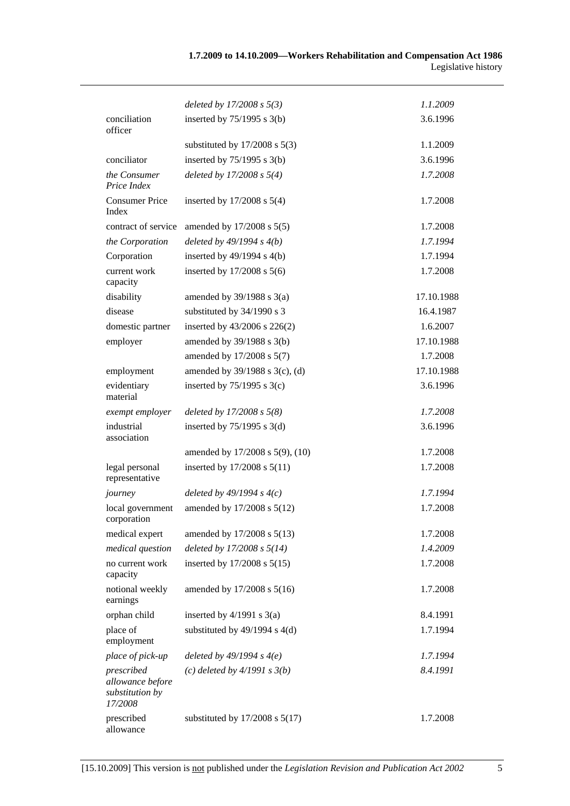|                                                              | deleted by $17/2008 s 5(3)$        | 1.1.2009   |
|--------------------------------------------------------------|------------------------------------|------------|
| conciliation<br>officer                                      | inserted by $75/1995$ s 3(b)       | 3.6.1996   |
|                                                              | substituted by $17/2008$ s $5(3)$  | 1.1.2009   |
| conciliator                                                  | inserted by $75/1995$ s 3(b)       | 3.6.1996   |
| the Consumer<br>Price Index                                  | deleted by $17/2008 s 5(4)$        | 1.7.2008   |
| <b>Consumer Price</b><br>Index                               | inserted by $17/2008$ s $5(4)$     | 1.7.2008   |
| contract of service                                          | amended by 17/2008 s 5(5)          | 1.7.2008   |
| the Corporation                                              | deleted by $49/1994 s 4(b)$        | 1.7.1994   |
| Corporation                                                  | inserted by $49/1994$ s $4(b)$     | 1.7.1994   |
| current work<br>capacity                                     | inserted by $17/2008$ s $5(6)$     | 1.7.2008   |
| disability                                                   | amended by $39/1988$ s $3(a)$      | 17.10.1988 |
| disease                                                      | substituted by 34/1990 s 3         | 16.4.1987  |
| domestic partner                                             | inserted by $43/2006$ s $226(2)$   | 1.6.2007   |
| employer                                                     | amended by 39/1988 s 3(b)          | 17.10.1988 |
|                                                              | amended by 17/2008 s 5(7)          | 1.7.2008   |
| employment                                                   | amended by 39/1988 s 3(c), (d)     | 17.10.1988 |
| evidentiary<br>material                                      | inserted by $75/1995$ s 3(c)       | 3.6.1996   |
| exempt employer                                              | deleted by $17/2008 s 5(8)$        | 1.7.2008   |
| industrial<br>association                                    | inserted by $75/1995$ s 3(d)       | 3.6.1996   |
|                                                              | amended by 17/2008 s 5(9), (10)    | 1.7.2008   |
| legal personal<br>representative                             | inserted by 17/2008 s 5(11)        | 1.7.2008   |
| journey                                                      | deleted by $49/1994 s 4(c)$        | 1.7.1994   |
| local government<br>corporation                              | amended by 17/2008 s 5(12)         | 1.7.2008   |
| medical expert                                               | amended by 17/2008 s 5(13)         | 1.7.2008   |
| medical question                                             | deleted by $17/2008 s 5(14)$       | 1.4.2009   |
| no current work<br>capacity                                  | inserted by 17/2008 s 5(15)        | 1.7.2008   |
| notional weekly<br>earnings                                  | amended by 17/2008 s 5(16)         | 1.7.2008   |
| orphan child                                                 | inserted by $4/1991$ s $3(a)$      | 8.4.1991   |
| place of<br>employment                                       | substituted by $49/1994$ s $4(d)$  | 1.7.1994   |
| place of pick-up                                             | deleted by $49/1994 s 4(e)$        | 1.7.1994   |
| prescribed<br>allowance before<br>substitution by<br>17/2008 | (c) deleted by $4/1991 s 3(b)$     | 8.4.1991   |
| prescribed<br>allowance                                      | substituted by $17/2008$ s $5(17)$ | 1.7.2008   |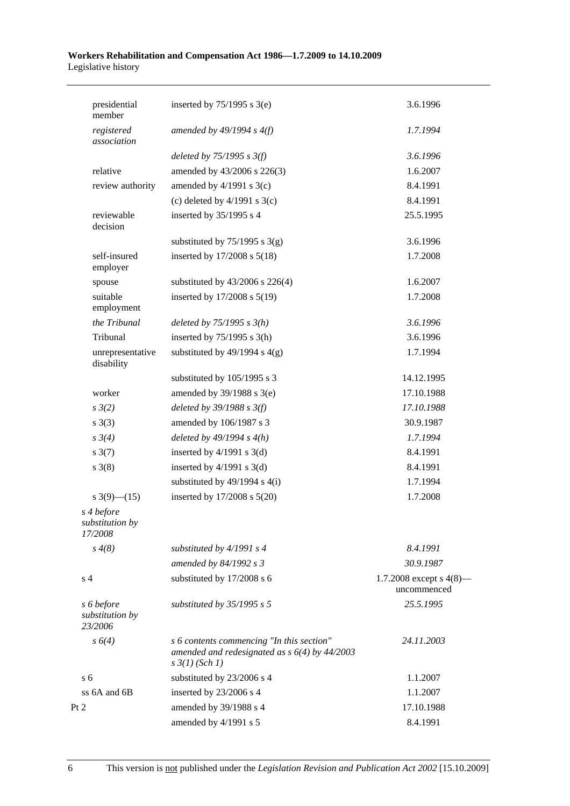| presidential<br>member                   | inserted by $75/1995$ s 3(e)                                                                                            | 3.6.1996                                  |
|------------------------------------------|-------------------------------------------------------------------------------------------------------------------------|-------------------------------------------|
| registered<br>association                | amended by $49/1994 s 4(f)$                                                                                             | 1.7.1994                                  |
|                                          | deleted by $75/1995$ s $3(f)$                                                                                           | 3.6.1996                                  |
| relative                                 | amended by 43/2006 s 226(3)                                                                                             | 1.6.2007                                  |
| review authority                         | amended by $4/1991$ s $3(c)$                                                                                            | 8.4.1991                                  |
|                                          | (c) deleted by $4/1991$ s $3(c)$                                                                                        | 8.4.1991                                  |
| reviewable<br>decision                   | inserted by 35/1995 s 4                                                                                                 | 25.5.1995                                 |
|                                          | substituted by $75/1995$ s 3(g)                                                                                         | 3.6.1996                                  |
| self-insured<br>employer                 | inserted by 17/2008 s 5(18)                                                                                             | 1.7.2008                                  |
| spouse                                   | substituted by $43/2006$ s $226(4)$                                                                                     | 1.6.2007                                  |
| suitable<br>employment                   | inserted by 17/2008 s 5(19)                                                                                             | 1.7.2008                                  |
| the Tribunal                             | deleted by $75/1995 s 3(h)$                                                                                             | 3.6.1996                                  |
| Tribunal                                 | inserted by $75/1995$ s 3(h)                                                                                            | 3.6.1996                                  |
| unrepresentative<br>disability           | substituted by $49/1994$ s $4(g)$                                                                                       | 1.7.1994                                  |
|                                          | substituted by 105/1995 s 3                                                                                             | 14.12.1995                                |
| worker                                   | amended by 39/1988 s 3(e)                                                                                               | 17.10.1988                                |
| $s \frac{3}{2}$                          | deleted by $39/1988$ s $3(f)$                                                                                           | 17.10.1988                                |
| $s \; 3(3)$                              | amended by 106/1987 s 3                                                                                                 | 30.9.1987                                 |
| $s \frac{3}{4}$                          | deleted by $49/1994 s 4(h)$                                                                                             | 1.7.1994                                  |
| $s \frac{3(7)}{2}$                       | inserted by $4/1991$ s 3(d)                                                                                             | 8.4.1991                                  |
| $s \; 3(8)$                              | inserted by $4/1991$ s $3(d)$                                                                                           | 8.4.1991                                  |
|                                          | substituted by $49/1994$ s $4(i)$                                                                                       | 1.7.1994                                  |
| s 3(9)–(15)                              | inserted by 17/2008 s 5(20)                                                                                             | 1.7.2008                                  |
| s 4 before<br>substitution by<br>17/2008 |                                                                                                                         |                                           |
| $s \, 4(8)$                              | substituted by $4/1991 s 4$                                                                                             | 8.4.1991                                  |
|                                          | amended by 84/1992 s 3                                                                                                  | 30.9.1987                                 |
| s <sub>4</sub>                           | substituted by 17/2008 s 6                                                                                              | 1.7.2008 except s $4(8)$ —<br>uncommenced |
| s 6 before<br>substitution by<br>23/2006 | substituted by $35/1995$ s 5                                                                                            | 25.5.1995                                 |
| $s \, 6(4)$                              | s 6 contents commencing "In this section"<br>amended and redesignated as $s$ 6(4) by 44/2003<br>$s \frac{3}{1}$ (Sch 1) | 24.11.2003                                |
| s <sub>6</sub>                           | substituted by 23/2006 s 4                                                                                              | 1.1.2007                                  |
| ss 6A and 6B                             | inserted by 23/2006 s 4                                                                                                 | 1.1.2007                                  |
| Pt 2                                     | amended by 39/1988 s 4                                                                                                  | 17.10.1988                                |
|                                          | amended by 4/1991 s 5                                                                                                   | 8.4.1991                                  |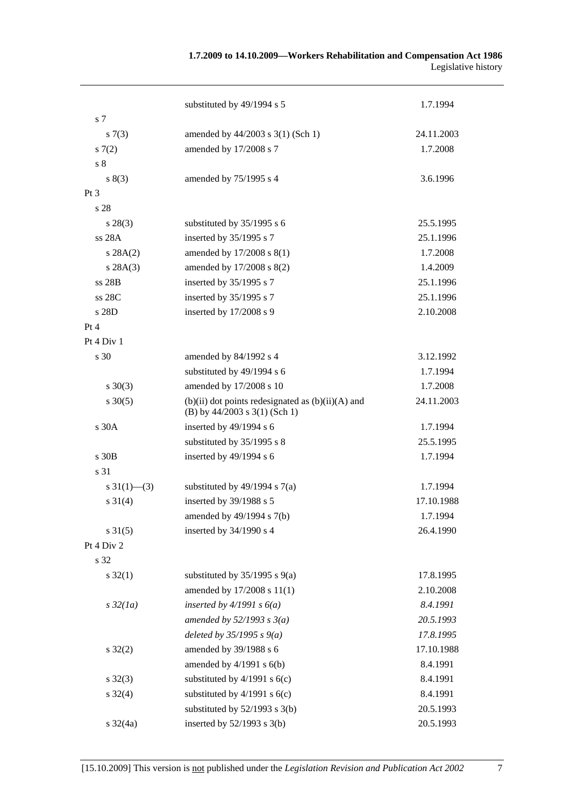## **1.7.2009 to 14.10.2009—Workers Rehabilitation and Compensation Act 1986**  Legislative history

| s 7                       | substituted by 49/1994 s 5                            | 1.7.1994   |
|---------------------------|-------------------------------------------------------|------------|
|                           | amended by 44/2003 s 3(1) (Sch 1)                     | 24.11.2003 |
| s(7(3))<br>s(7(2)         | amended by 17/2008 s 7                                | 1.7.2008   |
| s 8                       |                                                       |            |
| s(3)                      | amended by 75/1995 s 4                                | 3.6.1996   |
| Pt 3                      |                                                       |            |
| s 28                      |                                                       |            |
| $s\,28(3)$                | substituted by 35/1995 s 6                            | 25.5.1995  |
| ss 28A                    | inserted by 35/1995 s 7                               | 25.1.1996  |
| s 28A(2)                  | amended by 17/2008 s 8(1)                             | 1.7.2008   |
| s 28A(3)                  | amended by 17/2008 s 8(2)                             | 1.4.2009   |
| ss 28B                    | inserted by 35/1995 s 7                               | 25.1.1996  |
| ss 28C                    | inserted by 35/1995 s 7                               | 25.1.1996  |
| s 28D                     | inserted by 17/2008 s 9                               | 2.10.2008  |
| Pt 4                      |                                                       |            |
| Pt 4 Div 1                |                                                       |            |
| s 30                      | amended by 84/1992 s 4                                | 3.12.1992  |
|                           | substituted by 49/1994 s 6                            | 1.7.1994   |
| $s \ 30(3)$               | amended by 17/2008 s 10                               | 1.7.2008   |
| $s \ 30(5)$               | $(b)(ii)$ dot points redesignated as $(b)(ii)(A)$ and | 24.11.2003 |
|                           | (B) by 44/2003 s 3(1) (Sch 1)                         |            |
| s 30A                     | inserted by 49/1994 s 6                               | 1.7.1994   |
|                           | substituted by 35/1995 s 8                            | 25.5.1995  |
| s 30 <sub>B</sub>         | inserted by 49/1994 s 6                               | 1.7.1994   |
| s 31                      |                                                       |            |
| $s \frac{31(1) - (3)}{2}$ | substituted by $49/1994$ s $7(a)$                     | 1.7.1994   |
| $s \ 31(4)$               | inserted by 39/1988 s 5                               | 17.10.1988 |
|                           | amended by 49/1994 s 7(b)                             | 1.7.1994   |
| $s \, 31(5)$              | inserted by 34/1990 s 4                               | 26.4.1990  |
| Pt 4 Div 2                |                                                       |            |
| s 32                      |                                                       |            |
| $s \, 32(1)$              | substituted by $35/1995$ s $9(a)$                     | 17.8.1995  |
|                           | amended by 17/2008 s 11(1)                            | 2.10.2008  |
| $s\,32(1a)$               | inserted by $4/1991 s 6(a)$                           | 8.4.1991   |
|                           | amended by $52/1993$ s $3(a)$                         | 20.5.1993  |
|                           | deleted by $35/1995 s 9(a)$                           | 17.8.1995  |
| $s \, 32(2)$              | amended by 39/1988 s 6                                | 17.10.1988 |
|                           | amended by $4/1991$ s $6(b)$                          | 8.4.1991   |
| $s \, 32(3)$              | substituted by $4/1991$ s $6(c)$                      | 8.4.1991   |
| $s \, 32(4)$              | substituted by $4/1991$ s $6(c)$                      | 8.4.1991   |
|                           | substituted by $52/1993$ s 3(b)                       | 20.5.1993  |
| $s \frac{32}{4a}$         | inserted by $52/1993$ s $3(b)$                        | 20.5.1993  |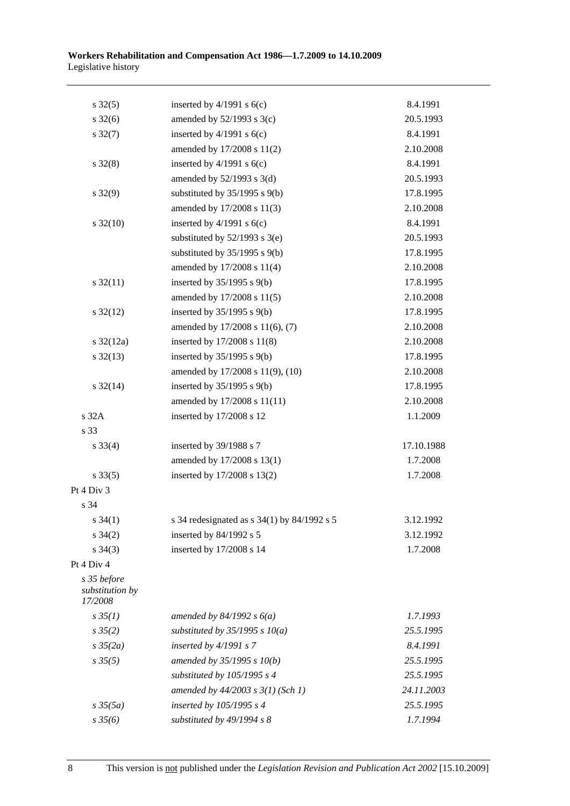| $s \, 32(5)$                              | inserted by $4/1991$ s $6(c)$                 | 8.4.1991   |
|-------------------------------------------|-----------------------------------------------|------------|
| $s \, 32(6)$                              | amended by $52/1993$ s $3(c)$                 | 20.5.1993  |
| $s \frac{32(7)}{2}$                       | inserted by $4/1991$ s $6(c)$                 | 8.4.1991   |
|                                           | amended by 17/2008 s 11(2)                    | 2.10.2008  |
| $s \, 32(8)$                              | inserted by $4/1991$ s $6(c)$                 | 8.4.1991   |
|                                           | amended by $52/1993$ s $3(d)$                 | 20.5.1993  |
| $s \, 32(9)$                              | substituted by $35/1995$ s $9(b)$             | 17.8.1995  |
|                                           | amended by 17/2008 s 11(3)                    | 2.10.2008  |
| $s \frac{32(10)}{2}$                      | inserted by $4/1991$ s $6(c)$                 | 8.4.1991   |
|                                           | substituted by $52/1993$ s $3(e)$             | 20.5.1993  |
|                                           | substituted by $35/1995$ s $9(b)$             | 17.8.1995  |
|                                           | amended by 17/2008 s 11(4)                    | 2.10.2008  |
| $s \frac{32(11)}{2}$                      | inserted by $35/1995$ s $9(b)$                | 17.8.1995  |
|                                           | amended by 17/2008 s 11(5)                    | 2.10.2008  |
| $s \frac{32(12)}{2}$                      | inserted by $35/1995$ s $9(b)$                | 17.8.1995  |
|                                           | amended by 17/2008 s 11(6), (7)               | 2.10.2008  |
| $s \frac{32(12a)}{2}$                     | inserted by 17/2008 s 11(8)                   | 2.10.2008  |
| $s \frac{32(13)}{2}$                      | inserted by $35/1995$ s $9(b)$                | 17.8.1995  |
|                                           | amended by 17/2008 s 11(9), (10)              | 2.10.2008  |
| $s \frac{32(14)}{2}$                      | inserted by $35/1995$ s $9(b)$                | 17.8.1995  |
|                                           | amended by 17/2008 s 11(11)                   | 2.10.2008  |
| s 32A                                     | inserted by 17/2008 s 12                      | 1.1.2009   |
| s 33                                      |                                               |            |
| $s \, 33(4)$                              | inserted by 39/1988 s 7                       | 17.10.1988 |
|                                           | amended by 17/2008 s 13(1)                    | 1.7.2008   |
| $s \, 33(5)$                              | inserted by 17/2008 s 13(2)                   | 1.7.2008   |
| Pt 4 Div 3                                |                                               |            |
| s 34                                      |                                               |            |
| s $34(1)$                                 | s 34 redesignated as $s$ 34(1) by 84/1992 s 5 | 3.12.1992  |
| $s \; 34(2)$                              | inserted by 84/1992 s 5                       | 3.12.1992  |
| $s \; 34(3)$                              | inserted by 17/2008 s 14                      | 1.7.2008   |
| Pt 4 Div 4                                |                                               |            |
| s 35 before<br>substitution by<br>17/2008 |                                               |            |
| $s \, 35(1)$                              | amended by $84/1992 s 6(a)$                   | 1.7.1993   |
| $s \, 35(2)$                              | substituted by $35/1995$ s $10(a)$            | 25.5.1995  |
| $s \frac{35}{2a}$                         | inserted by $4/1991 s$ 7                      | 8.4.1991   |
| $s \, 35(5)$                              | amended by 35/1995 s 10(b)                    | 25.5.1995  |
|                                           | substituted by 105/1995 s 4                   | 25.5.1995  |
|                                           | amended by $44/2003$ s $3(1)$ (Sch 1)         | 24.11.2003 |
| $s \frac{35(5a)}{2}$                      | inserted by 105/1995 s 4                      | 25.5.1995  |
| $s \frac{35}{6}$                          | substituted by 49/1994 s 8                    | 1.7.1994   |
|                                           |                                               |            |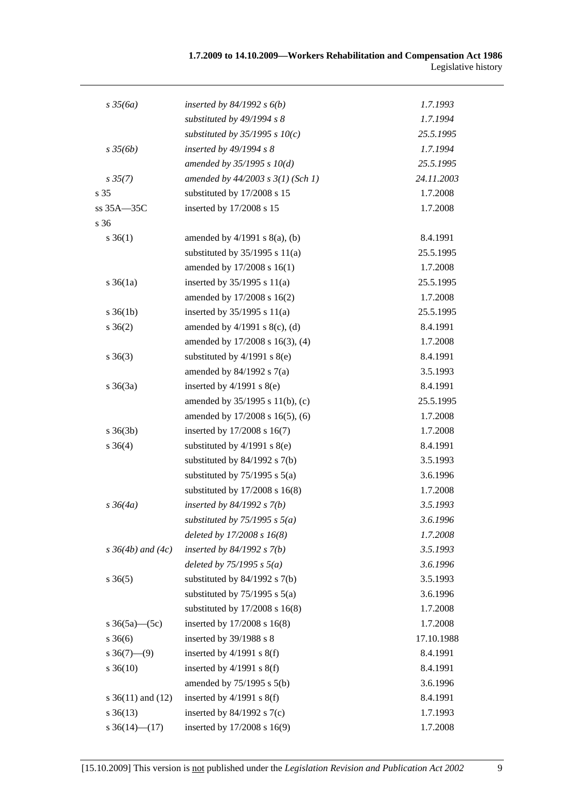| $s \frac{35}{6a}$        | inserted by $84/1992$ s $6(b)$        | 1.7.1993   |
|--------------------------|---------------------------------------|------------|
|                          | substituted by 49/1994 s 8            | 1.7.1994   |
|                          | substituted by $35/1995 s 10(c)$      | 25.5.1995  |
| $s \frac{35}{6b}$        | inserted by 49/1994 s 8               | 1.7.1994   |
|                          | amended by $35/1995 s 10(d)$          | 25.5.1995  |
| $s \, 35(7)$             | amended by $44/2003$ s $3(1)$ (Sch 1) | 24.11.2003 |
| s 35                     | substituted by 17/2008 s 15           | 1.7.2008   |
| ss 35A-35C               | inserted by 17/2008 s 15              | 1.7.2008   |
| s 36                     |                                       |            |
| $s \; 36(1)$             | amended by $4/1991$ s $8(a)$ , (b)    | 8.4.1991   |
|                          | substituted by $35/1995$ s $11(a)$    | 25.5.1995  |
|                          | amended by 17/2008 s 16(1)            | 1.7.2008   |
| $s \, 36(1a)$            | inserted by $35/1995$ s $11(a)$       | 25.5.1995  |
|                          | amended by 17/2008 s 16(2)            | 1.7.2008   |
| $s \, 36(1b)$            | inserted by $35/1995$ s $11(a)$       | 25.5.1995  |
| $s \; 36(2)$             | amended by $4/1991$ s $8(c)$ , (d)    | 8.4.1991   |
|                          | amended by 17/2008 s 16(3), (4)       | 1.7.2008   |
| $s \; 36(3)$             | substituted by $4/1991$ s $8(e)$      | 8.4.1991   |
|                          | amended by $84/1992$ s $7(a)$         | 3.5.1993   |
| $s \; 36(3a)$            | inserted by $4/1991$ s $8(e)$         | 8.4.1991   |
|                          | amended by 35/1995 s 11(b), (c)       | 25.5.1995  |
|                          | amended by 17/2008 s 16(5), (6)       | 1.7.2008   |
| $s \; 36(3b)$            | inserted by 17/2008 s 16(7)           | 1.7.2008   |
| $s \; 36(4)$             | substituted by $4/1991$ s $8(e)$      | 8.4.1991   |
|                          | substituted by $84/1992$ s $7(b)$     | 3.5.1993   |
|                          | substituted by $75/1995$ s $5(a)$     | 3.6.1996   |
|                          | substituted by $17/2008$ s $16(8)$    | 1.7.2008   |
| $s \, 36(4a)$            | inserted by $84/1992 s 7(b)$          | 3.5.1993   |
|                          | substituted by $75/1995$ s $5(a)$     | 3.6.1996   |
|                          | deleted by $17/2008 s 16(8)$          | 1.7.2008   |
| $s \, 36(4b)$ and $(4c)$ | inserted by $84/1992 s 7(b)$          | 3.5.1993   |
|                          | deleted by $75/1995$ s $5(a)$         | 3.6.1996   |
| $s \; 36(5)$             | substituted by $84/1992$ s $7(b)$     | 3.5.1993   |
|                          | substituted by $75/1995$ s $5(a)$     | 3.6.1996   |
|                          | substituted by $17/2008$ s $16(8)$    | 1.7.2008   |
| s $36(5a)$ (5c)          | inserted by 17/2008 s 16(8)           | 1.7.2008   |
| $s \; 36(6)$             | inserted by 39/1988 s 8               | 17.10.1988 |
| $s \, 36(7)$ —(9)        | inserted by $4/1991$ s $8(f)$         | 8.4.1991   |
| $s \, 36(10)$            | inserted by $4/1991$ s $8(f)$         | 8.4.1991   |
|                          | amended by 75/1995 s 5(b)             | 3.6.1996   |
| s $36(11)$ and $(12)$    | inserted by $4/1991$ s $8(f)$         | 8.4.1991   |
| $s \; 36(13)$            | inserted by $84/1992$ s $7(c)$        | 1.7.1993   |
| s $36(14)$ (17)          | inserted by 17/2008 s 16(9)           | 1.7.2008   |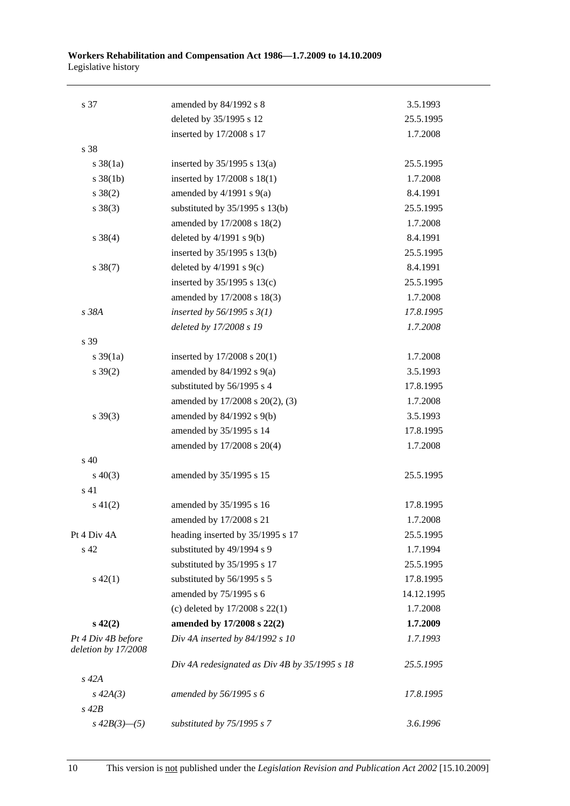| s 37                                      | amended by 84/1992 s 8                        | 3.5.1993   |
|-------------------------------------------|-----------------------------------------------|------------|
|                                           | deleted by 35/1995 s 12                       | 25.5.1995  |
|                                           | inserted by 17/2008 s 17                      | 1.7.2008   |
| s 38                                      |                                               |            |
| $s \frac{38}{1a}$                         | inserted by $35/1995$ s $13(a)$               | 25.5.1995  |
| $s \, 38(1b)$                             | inserted by 17/2008 s 18(1)                   | 1.7.2008   |
| $s \ 38(2)$                               | amended by $4/1991$ s $9(a)$                  | 8.4.1991   |
| $s \ 38(3)$                               | substituted by $35/1995$ s $13(b)$            | 25.5.1995  |
|                                           | amended by 17/2008 s 18(2)                    | 1.7.2008   |
| $s \ 38(4)$                               | deleted by $4/1991$ s $9(b)$                  | 8.4.1991   |
|                                           | inserted by 35/1995 s 13(b)                   | 25.5.1995  |
| $s \, 38(7)$                              | deleted by $4/1991$ s $9(c)$                  | 8.4.1991   |
|                                           | inserted by $35/1995$ s $13(c)$               | 25.5.1995  |
|                                           | amended by 17/2008 s 18(3)                    | 1.7.2008   |
| s 38A                                     | inserted by $56/1995 s 3(1)$                  | 17.8.1995  |
|                                           | deleted by 17/2008 s 19                       | 1.7.2008   |
| s 39                                      |                                               |            |
| $s \frac{39}{1a}$                         | inserted by $17/2008$ s $20(1)$               | 1.7.2008   |
| $s \, 39(2)$                              | amended by $84/1992$ s $9(a)$                 | 3.5.1993   |
|                                           | substituted by 56/1995 s 4                    | 17.8.1995  |
|                                           | amended by 17/2008 s 20(2), (3)               | 1.7.2008   |
| $s \ 39(3)$                               | amended by 84/1992 s 9(b)                     | 3.5.1993   |
|                                           | amended by 35/1995 s 14                       | 17.8.1995  |
|                                           | amended by 17/2008 s 20(4)                    | 1.7.2008   |
| $\mathrm{s}$ 40                           |                                               |            |
| $s\ 40(3)$                                | amended by 35/1995 s 15                       | 25.5.1995  |
| s 41                                      |                                               |            |
| $s\ 41(2)$                                | amended by 35/1995 s 16                       | 17.8.1995  |
|                                           | amended by 17/2008 s 21                       | 1.7.2008   |
| Pt 4 Div 4A                               | heading inserted by 35/1995 s 17              | 25.5.1995  |
| s 42                                      | substituted by 49/1994 s 9                    | 1.7.1994   |
|                                           | substituted by 35/1995 s 17                   | 25.5.1995  |
| $s\ 42(1)$                                | substituted by 56/1995 s 5                    | 17.8.1995  |
|                                           | amended by 75/1995 s 6                        | 14.12.1995 |
|                                           | (c) deleted by $17/2008$ s $22(1)$            | 1.7.2008   |
| $s\ 42(2)$                                | amended by 17/2008 s 22(2)                    | 1.7.2009   |
| Pt 4 Div 4B before<br>deletion by 17/2008 | Div 4A inserted by 84/1992 s 10               | 1.7.1993   |
|                                           | Div 4A redesignated as Div 4B by 35/1995 s 18 | 25.5.1995  |
| $s$ 42 $A$                                |                                               |            |
| $s\,42A(3)$                               | amended by 56/1995 s 6                        | 17.8.1995  |
| $s\ 42B$                                  |                                               |            |
| $s\,42B(3)$ —(5)                          | substituted by 75/1995 s 7                    | 3.6.1996   |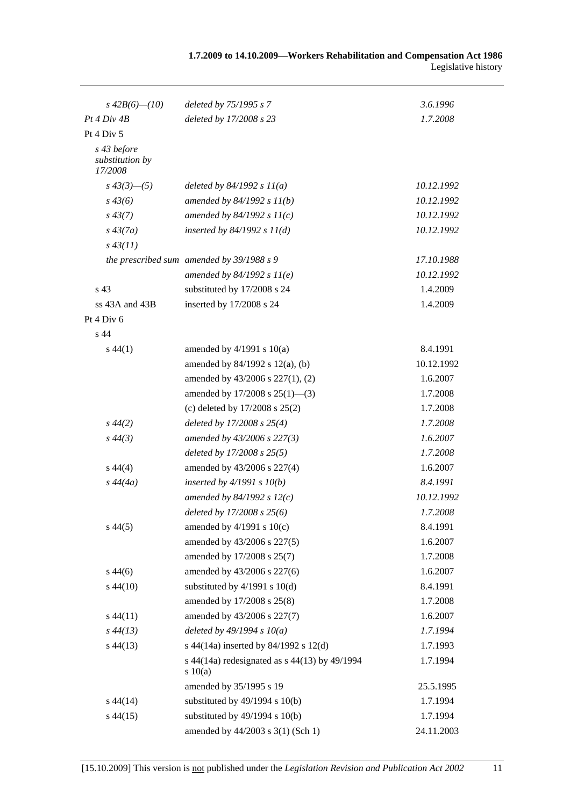| $s\,42B(6)$ — $(10)$                      | deleted by 75/1995 s 7                                 | 3.6.1996   |
|-------------------------------------------|--------------------------------------------------------|------------|
| Pt 4 Div 4B                               | deleted by 17/2008 s 23                                | 1.7.2008   |
| Pt 4 Div 5                                |                                                        |            |
| s 43 before<br>substitution by<br>17/2008 |                                                        |            |
| $s\,43(3)$ —(5)                           | deleted by $84/1992 s 11(a)$                           | 10.12.1992 |
| $s\,43(6)$                                | amended by $84/1992 s 11(b)$                           | 10.12.1992 |
| $s\,43(7)$                                | amended by $84/1992 s 11(c)$                           | 10.12.1992 |
| $s\,43(7a)$                               | inserted by $84/1992 s 11(d)$                          | 10.12.1992 |
| $s\,43(11)$                               |                                                        |            |
|                                           | the prescribed sum amended by 39/1988 s 9              | 17.10.1988 |
|                                           | amended by $84/1992 s 11(e)$                           | 10.12.1992 |
| s 43                                      | substituted by 17/2008 s 24                            | 1.4.2009   |
| $ss$ 43A and 43B                          | inserted by 17/2008 s 24                               | 1.4.2009   |
| Pt 4 Div 6                                |                                                        |            |
| s 44                                      |                                                        |            |
| $s\,44(1)$                                | amended by $4/1991$ s $10(a)$                          | 8.4.1991   |
|                                           | amended by 84/1992 s 12(a), (b)                        | 10.12.1992 |
|                                           | amended by 43/2006 s 227(1), (2)                       | 1.6.2007   |
|                                           | amended by 17/2008 s 25(1)-(3)                         | 1.7.2008   |
|                                           | (c) deleted by $17/2008$ s $25(2)$                     | 1.7.2008   |
| $s\,44(2)$                                | deleted by $17/2008$ s $25(4)$                         | 1.7.2008   |
| $s\,44(3)$                                | amended by 43/2006 s 227(3)                            | 1.6.2007   |
|                                           | deleted by $17/2008$ s $25(5)$                         | 1.7.2008   |
| $s\,44(4)$                                | amended by 43/2006 s 227(4)                            | 1.6.2007   |
| $s\,44(4a)$                               | inserted by $4/1991 s 10(b)$                           | 8.4.1991   |
|                                           | amended by 84/1992 s $12(c)$                           | 10.12.1992 |
|                                           | deleted by 17/2008 s 25(6)                             | 1.7.2008   |
| $s\,44(5)$                                | amended by $4/1991$ s $10(c)$                          | 8.4.1991   |
|                                           | amended by 43/2006 s 227(5)                            | 1.6.2007   |
|                                           | amended by 17/2008 s 25(7)                             | 1.7.2008   |
| $s\,44(6)$                                | amended by 43/2006 s 227(6)                            | 1.6.2007   |
| $s\,44(10)$                               | substituted by $4/1991$ s $10(d)$                      | 8.4.1991   |
|                                           | amended by 17/2008 s 25(8)                             | 1.7.2008   |
| $s\,44(11)$                               | amended by 43/2006 s 227(7)                            | 1.6.2007   |
| $s\,44(13)$                               | deleted by $49/1994 s 10(a)$                           | 1.7.1994   |
| $s\,44(13)$                               | s 44(14a) inserted by 84/1992 s 12(d)                  | 1.7.1993   |
|                                           | s 44(14a) redesignated as s 44(13) by 49/1994<br>10(a) | 1.7.1994   |
|                                           | amended by 35/1995 s 19                                | 25.5.1995  |
| $s\,44(14)$                               | substituted by $49/1994$ s $10(b)$                     | 1.7.1994   |
| $s\,44(15)$                               | substituted by $49/1994$ s $10(b)$                     | 1.7.1994   |
|                                           | amended by 44/2003 s 3(1) (Sch 1)                      | 24.11.2003 |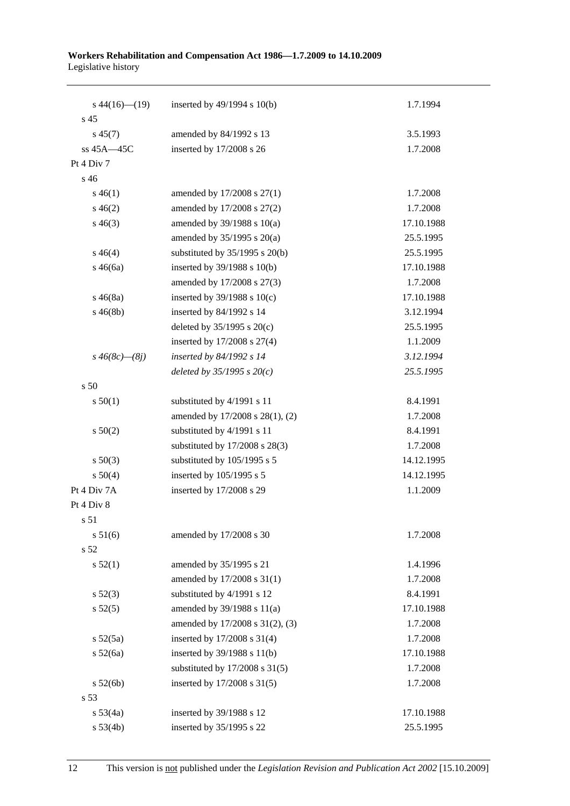| $s\,44(16)$ (19)     | inserted by 49/1994 s 10(b)        | 1.7.1994   |
|----------------------|------------------------------------|------------|
| s <sub>45</sub>      |                                    |            |
| $s\,45(7)$           | amended by 84/1992 s 13            | 3.5.1993   |
| ss 45A-45C           | inserted by 17/2008 s 26           | 1.7.2008   |
| Pt 4 Div 7           |                                    |            |
| s 46                 |                                    |            |
| $s\,46(1)$           | amended by 17/2008 s 27(1)         | 1.7.2008   |
| $s\,46(2)$           | amended by 17/2008 s 27(2)         | 1.7.2008   |
| $s\,46(3)$           | amended by $39/1988$ s $10(a)$     | 17.10.1988 |
|                      | amended by $35/1995$ s $20(a)$     | 25.5.1995  |
| $s\,46(4)$           | substituted by 35/1995 s 20(b)     | 25.5.1995  |
| $s\,46(6a)$          | inserted by 39/1988 s 10(b)        | 17.10.1988 |
|                      | amended by 17/2008 s 27(3)         | 1.7.2008   |
| $s\,46(8a)$          | inserted by $39/1988$ s $10(c)$    | 17.10.1988 |
| $s\,46(8b)$          | inserted by 84/1992 s 14           | 3.12.1994  |
|                      | deleted by $35/1995$ s $20(c)$     | 25.5.1995  |
|                      | inserted by 17/2008 s 27(4)        | 1.1.2009   |
| $s\,46(8c)$ — $(8j)$ | inserted by 84/1992 s 14           | 3.12.1994  |
|                      | deleted by $35/1995 s 20(c)$       | 25.5.1995  |
| s 50                 |                                    |            |
| s 50(1)              | substituted by 4/1991 s 11         | 8.4.1991   |
|                      | amended by 17/2008 s 28(1), (2)    | 1.7.2008   |
| s 50(2)              | substituted by 4/1991 s 11         | 8.4.1991   |
|                      | substituted by 17/2008 s 28(3)     | 1.7.2008   |
| $s\ 50(3)$           | substituted by 105/1995 s 5        | 14.12.1995 |
| s 50(4)              | inserted by 105/1995 s 5           | 14.12.1995 |
| Pt 4 Div 7A          | inserted by 17/2008 s 29           | 1.1.2009   |
| Pt 4 Div 8           |                                    |            |
| s 51                 |                                    |            |
| s 51(6)              | amended by 17/2008 s 30            | 1.7.2008   |
| s 52                 |                                    |            |
| s 52(1)              | amended by 35/1995 s 21            | 1.4.1996   |
|                      | amended by 17/2008 s 31(1)         | 1.7.2008   |
| $s\,52(3)$           | substituted by 4/1991 s 12         | 8.4.1991   |
| $s\,52(5)$           | amended by 39/1988 s 11(a)         | 17.10.1988 |
|                      | amended by 17/2008 s 31(2), (3)    | 1.7.2008   |
| $s\ 52(5a)$          | inserted by 17/2008 s 31(4)        | 1.7.2008   |
| s 52(6a)             | inserted by 39/1988 s 11(b)        | 17.10.1988 |
|                      | substituted by $17/2008$ s $31(5)$ | 1.7.2008   |
| s 52(6b)             | inserted by 17/2008 s 31(5)        | 1.7.2008   |
| s 53                 |                                    |            |
| $s\,53(4a)$          | inserted by 39/1988 s 12           | 17.10.1988 |
| s 53(4b)             | inserted by 35/1995 s 22           | 25.5.1995  |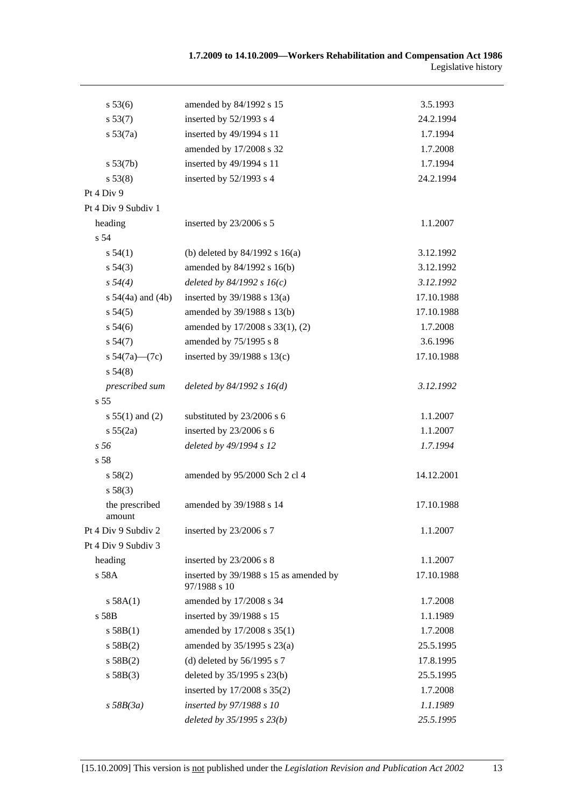| s 53(6)                  | amended by 84/1992 s 15                                | 3.5.1993   |
|--------------------------|--------------------------------------------------------|------------|
| s 53(7)                  | inserted by 52/1993 s 4                                | 24.2.1994  |
| s 53(7a)                 | inserted by 49/1994 s 11                               | 1.7.1994   |
|                          | amended by 17/2008 s 32                                | 1.7.2008   |
| s 53(7b)                 | inserted by 49/1994 s 11                               | 1.7.1994   |
| s 53(8)                  | inserted by 52/1993 s 4                                | 24.2.1994  |
| Pt 4 Div 9               |                                                        |            |
| Pt 4 Div 9 Subdiv 1      |                                                        |            |
| heading                  | inserted by 23/2006 s 5                                | 1.1.2007   |
| s 54                     |                                                        |            |
| s 54(1)                  | (b) deleted by $84/1992$ s $16(a)$                     | 3.12.1992  |
| $s\,54(3)$               | amended by 84/1992 s 16(b)                             | 3.12.1992  |
| $s\,54(4)$               | deleted by $84/1992 s 16(c)$                           | 3.12.1992  |
| s $54(4a)$ and $(4b)$    | inserted by $39/1988$ s $13(a)$                        | 17.10.1988 |
| s 54(5)                  | amended by 39/1988 s 13(b)                             | 17.10.1988 |
| $s\,54(6)$               | amended by 17/2008 s 33(1), (2)                        | 1.7.2008   |
| s 54(7)                  | amended by 75/1995 s 8                                 | 3.6.1996   |
| s $54(7a)$ (7c)          | inserted by 39/1988 s 13(c)                            | 17.10.1988 |
| s 54(8)                  |                                                        |            |
| prescribed sum           | deleted by $84/1992 s 16(d)$                           | 3.12.1992  |
| s 55                     |                                                        |            |
| $s 55(1)$ and (2)        | substituted by 23/2006 s 6                             | 1.1.2007   |
| s 55(2a)                 | inserted by 23/2006 s 6                                | 1.1.2007   |
| s 56                     | deleted by 49/1994 s 12                                | 1.7.1994   |
| s 58                     |                                                        |            |
| s 58(2)                  | amended by 95/2000 Sch 2 cl 4                          | 14.12.2001 |
| s 58(3)                  |                                                        |            |
| the prescribed<br>amount | amended by 39/1988 s 14                                | 17.10.1988 |
| Pt 4 Div 9 Subdiv 2      | inserted by 23/2006 s 7                                | 1.1.2007   |
| Pt 4 Div 9 Subdiv 3      |                                                        |            |
| heading                  | inserted by 23/2006 s 8                                | 1.1.2007   |
| s 58A                    | inserted by 39/1988 s 15 as amended by<br>97/1988 s 10 | 17.10.1988 |
| s 58A(1)                 | amended by 17/2008 s 34                                | 1.7.2008   |
| s 58B                    | inserted by 39/1988 s 15                               | 1.1.1989   |
| s 58B(1)                 | amended by 17/2008 s 35(1)                             | 1.7.2008   |
| s 58B(2)                 | amended by 35/1995 s 23(a)                             | 25.5.1995  |
| s 58B(2)                 | (d) deleted by $56/1995$ s 7                           | 17.8.1995  |
| s 58B(3)                 | deleted by 35/1995 s 23(b)                             | 25.5.1995  |
|                          | inserted by 17/2008 s 35(2)                            | 1.7.2008   |
| $s$ 58B(3a)              | inserted by 97/1988 s 10                               | 1.1.1989   |
|                          | deleted by $35/1995 s 23(b)$                           | 25.5.1995  |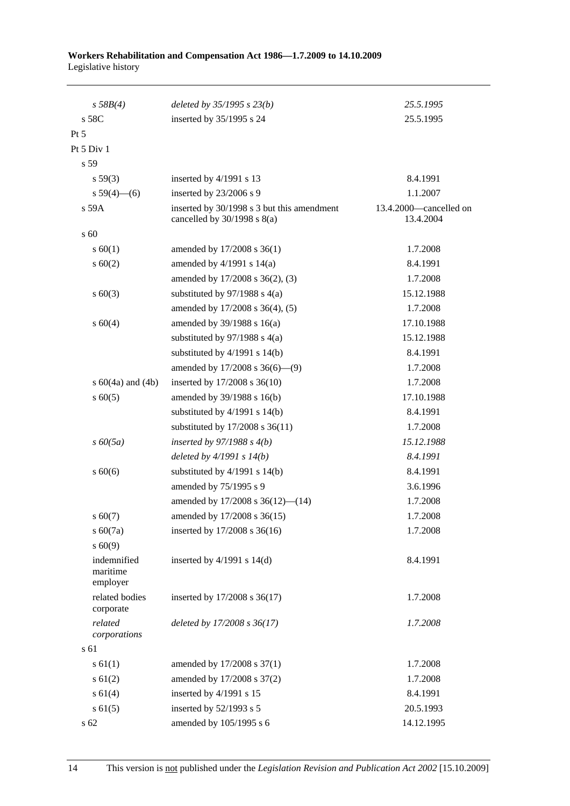| s 58B(4)                            | deleted by $35/1995 s 23(b)$                                                  | 25.5.1995                           |
|-------------------------------------|-------------------------------------------------------------------------------|-------------------------------------|
| s 58C                               | inserted by 35/1995 s 24                                                      | 25.5.1995                           |
| Pt 5                                |                                                                               |                                     |
| Pt 5 Div 1                          |                                                                               |                                     |
| s 59                                |                                                                               |                                     |
| s 59(3)                             | inserted by 4/1991 s 13                                                       | 8.4.1991                            |
| s $59(4)$ (6)                       | inserted by 23/2006 s 9                                                       | 1.1.2007                            |
| s 59A                               | inserted by 30/1998 s 3 but this amendment<br>cancelled by $30/1998$ s $8(a)$ | 13.4.2000-cancelled on<br>13.4.2004 |
| s 60                                |                                                                               |                                     |
| s 60(1)                             | amended by 17/2008 s 36(1)                                                    | 1.7.2008                            |
| $s \ 60(2)$                         | amended by $4/1991$ s $14(a)$                                                 | 8.4.1991                            |
|                                     | amended by 17/2008 s 36(2), (3)                                               | 1.7.2008                            |
| $s\ 60(3)$                          | substituted by $97/1988$ s 4(a)                                               | 15.12.1988                          |
|                                     | amended by 17/2008 s 36(4), (5)                                               | 1.7.2008                            |
| s 60(4)                             | amended by $39/1988$ s $16(a)$                                                | 17.10.1988                          |
|                                     | substituted by $97/1988$ s 4(a)                                               | 15.12.1988                          |
|                                     | substituted by $4/1991$ s $14(b)$                                             | 8.4.1991                            |
|                                     | amended by $17/2008$ s $36(6)$ — $(9)$                                        | 1.7.2008                            |
| s $60(4a)$ and $(4b)$               | inserted by 17/2008 s 36(10)                                                  | 1.7.2008                            |
| $s\ 60(5)$                          | amended by 39/1988 s 16(b)                                                    | 17.10.1988                          |
|                                     | substituted by $4/1991$ s $14(b)$                                             | 8.4.1991                            |
|                                     | substituted by 17/2008 s 36(11)                                               | 1.7.2008                            |
| $s\,60(5a)$                         | inserted by $97/1988$ s $4(b)$                                                | 15.12.1988                          |
|                                     | deleted by $4/1991 s 14(b)$                                                   | 8.4.1991                            |
| $s\ 60(6)$                          | substituted by $4/1991$ s $14(b)$                                             | 8.4.1991                            |
|                                     | amended by 75/1995 s 9                                                        | 3.6.1996                            |
|                                     | amended by 17/2008 s 36(12)-(14)                                              | 1.7.2008                            |
| $s\,60(7)$                          | amended by 17/2008 s 36(15)                                                   | 1.7.2008                            |
| $s\ 60(7a)$                         | inserted by 17/2008 s 36(16)                                                  | 1.7.2008                            |
| s 60(9)                             |                                                                               |                                     |
| indemnified<br>maritime<br>employer | inserted by $4/1991$ s $14(d)$                                                | 8.4.1991                            |
| related bodies<br>corporate         | inserted by 17/2008 s 36(17)                                                  | 1.7.2008                            |
| related<br>corporations             | deleted by 17/2008 s 36(17)                                                   | 1.7.2008                            |
| s 61                                |                                                                               |                                     |
| $s \, 61(1)$                        | amended by 17/2008 s 37(1)                                                    | 1.7.2008                            |
| $s \ 61(2)$                         | amended by 17/2008 s 37(2)                                                    | 1.7.2008                            |
| s 61(4)                             | inserted by 4/1991 s 15                                                       | 8.4.1991                            |
| $s \ 61(5)$                         | inserted by 52/1993 s 5                                                       | 20.5.1993                           |
| s 62                                | amended by 105/1995 s 6                                                       | 14.12.1995                          |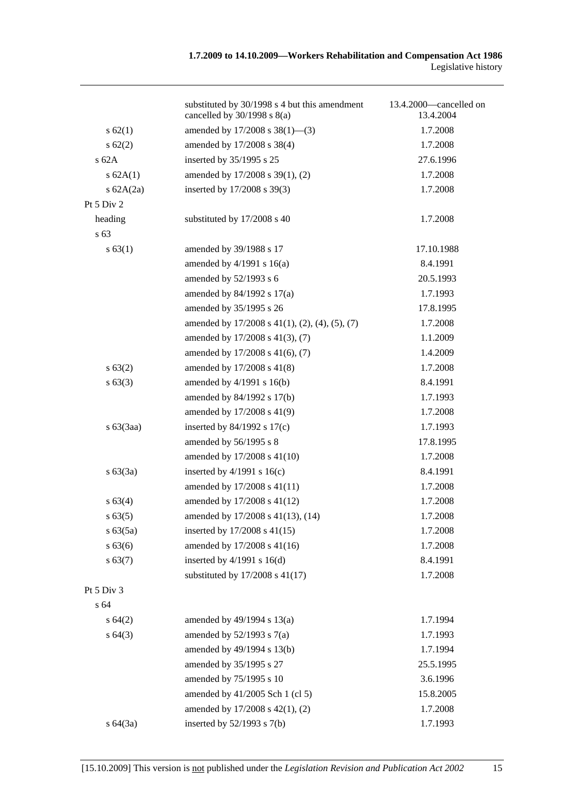|              | substituted by 30/1998 s 4 but this amendment<br>cancelled by $30/1998$ s $8(a)$ | 13.4.2000—cancelled on<br>13.4.2004 |
|--------------|----------------------------------------------------------------------------------|-------------------------------------|
| s 62(1)      | amended by 17/2008 s 38(1)-(3)                                                   | 1.7.2008                            |
| $s \, 62(2)$ | amended by 17/2008 s 38(4)                                                       | 1.7.2008                            |
| $s$ 62A      | inserted by 35/1995 s 25                                                         | 27.6.1996                           |
| s 62A(1)     | amended by 17/2008 s 39(1), (2)                                                  | 1.7.2008                            |
| s $62A(2a)$  | inserted by 17/2008 s 39(3)                                                      | 1.7.2008                            |
| Pt 5 Div 2   |                                                                                  |                                     |
| heading      | substituted by 17/2008 s 40                                                      | 1.7.2008                            |
| s 63         |                                                                                  |                                     |
| s 63(1)      | amended by 39/1988 s 17                                                          | 17.10.1988                          |
|              | amended by $4/1991$ s $16(a)$                                                    | 8.4.1991                            |
|              | amended by 52/1993 s 6                                                           | 20.5.1993                           |
|              | amended by 84/1992 s 17(a)                                                       | 1.7.1993                            |
|              | amended by 35/1995 s 26                                                          | 17.8.1995                           |
|              | amended by $17/2008$ s $41(1)$ , $(2)$ , $(4)$ , $(5)$ , $(7)$                   | 1.7.2008                            |
|              | amended by 17/2008 s 41(3), (7)                                                  | 1.1.2009                            |
|              | amended by 17/2008 s 41(6), (7)                                                  | 1.4.2009                            |
| s 63(2)      | amended by 17/2008 s 41(8)                                                       | 1.7.2008                            |
| s 63(3)      | amended by 4/1991 s 16(b)                                                        | 8.4.1991                            |
|              | amended by 84/1992 s 17(b)                                                       | 1.7.1993                            |
|              | amended by 17/2008 s 41(9)                                                       | 1.7.2008                            |
| $s\ 63(3aa)$ | inserted by $84/1992$ s $17(c)$                                                  | 1.7.1993                            |
|              | amended by 56/1995 s 8                                                           | 17.8.1995                           |
|              | amended by 17/2008 s 41(10)                                                      | 1.7.2008                            |
| $s\ 63(3a)$  | inserted by $4/1991$ s $16(c)$                                                   | 8.4.1991                            |
|              | amended by 17/2008 s 41(11)                                                      | 1.7.2008                            |
| s 63(4)      | amended by 17/2008 s 41(12)                                                      | 1.7.2008                            |
| s 63(5)      | amended by 17/2008 s 41(13), (14)                                                | 1.7.2008                            |
| s 63(5a)     | inserted by 17/2008 s 41(15)                                                     | 1.7.2008                            |
| s 63(6)      | amended by 17/2008 s 41(16)                                                      | 1.7.2008                            |
| s 63(7)      | inserted by $4/1991$ s $16(d)$                                                   | 8.4.1991                            |
|              | substituted by 17/2008 s 41(17)                                                  | 1.7.2008                            |
| Pt 5 Div 3   |                                                                                  |                                     |
| s 64         |                                                                                  |                                     |
| s 64(2)      | amended by $49/1994$ s $13(a)$                                                   | 1.7.1994                            |
| s64(3)       | amended by $52/1993$ s $7(a)$                                                    | 1.7.1993                            |
|              | amended by 49/1994 s 13(b)                                                       | 1.7.1994                            |
|              | amended by 35/1995 s 27                                                          | 25.5.1995                           |
|              | amended by 75/1995 s 10                                                          | 3.6.1996                            |
|              | amended by 41/2005 Sch 1 (cl 5)                                                  | 15.8.2005                           |
|              | amended by 17/2008 s 42(1), (2)                                                  | 1.7.2008                            |
| s 64(3a)     | inserted by $52/1993$ s $7(b)$                                                   | 1.7.1993                            |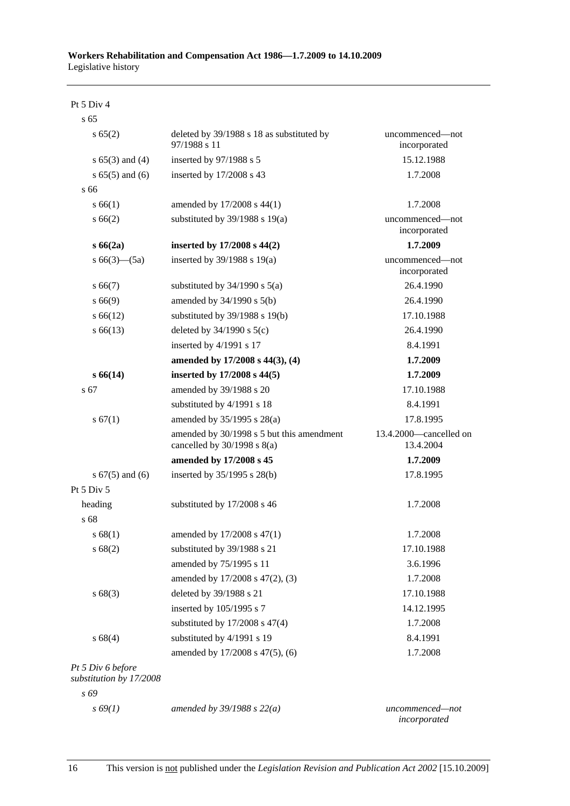Pt 5 Div 4

| s <sub>65</sub>                              |                                                                              |                                     |
|----------------------------------------------|------------------------------------------------------------------------------|-------------------------------------|
| s 65(2)                                      | deleted by 39/1988 s 18 as substituted by<br>97/1988 s 11                    | uncommenced-not<br>incorporated     |
| s $65(3)$ and $(4)$                          | inserted by 97/1988 s 5                                                      | 15.12.1988                          |
| $s 65(5)$ and $(6)$                          | inserted by 17/2008 s 43                                                     | 1.7.2008                            |
| s 66                                         |                                                                              |                                     |
| s 66(1)                                      | amended by 17/2008 s 44(1)                                                   | 1.7.2008                            |
| s 66(2)                                      | substituted by $39/1988$ s $19(a)$                                           | uncommenced—not<br>incorporated     |
| s 66(2a)                                     | inserted by 17/2008 s 44(2)                                                  | 1.7.2009                            |
| s $66(3)$ — $(5a)$                           | inserted by 39/1988 s 19(a)                                                  | uncommenced—not<br>incorporated     |
| s 66(7)                                      | substituted by $34/1990$ s $5(a)$                                            | 26.4.1990                           |
| s 66(9)                                      | amended by $34/1990$ s $5(b)$                                                | 26.4.1990                           |
| $s\,66(12)$                                  | substituted by $39/1988$ s $19(b)$                                           | 17.10.1988                          |
| $s\,66(13)$                                  | deleted by $34/1990$ s $5(c)$                                                | 26.4.1990                           |
|                                              | inserted by 4/1991 s 17                                                      | 8.4.1991                            |
|                                              | amended by 17/2008 s 44(3), (4)                                              | 1.7.2009                            |
| s 66(14)                                     | inserted by 17/2008 s 44(5)                                                  | 1.7.2009                            |
| s 67                                         | amended by 39/1988 s 20                                                      | 17.10.1988                          |
|                                              | substituted by 4/1991 s 18                                                   | 8.4.1991                            |
| s 67(1)                                      | amended by $35/1995$ s $28(a)$                                               | 17.8.1995                           |
|                                              | amended by 30/1998 s 5 but this amendment<br>cancelled by $30/1998$ s $8(a)$ | 13.4.2000—cancelled on<br>13.4.2004 |
|                                              | amended by 17/2008 s 45                                                      | 1.7.2009                            |
| s $67(5)$ and $(6)$                          | inserted by 35/1995 s 28(b)                                                  | 17.8.1995                           |
| Pt 5 Div 5                                   |                                                                              |                                     |
| heading                                      | substituted by 17/2008 s 46                                                  | 1.7.2008                            |
| s 68                                         |                                                                              |                                     |
| s 68(1)                                      | amended by 17/2008 s 47(1)                                                   | 1.7.2008                            |
| s 68(2)                                      | substituted by 39/1988 s 21                                                  | 17.10.1988                          |
|                                              | amended by 75/1995 s 11                                                      | 3.6.1996                            |
|                                              | amended by 17/2008 s 47(2), (3)                                              | 1.7.2008                            |
| s68(3)                                       | deleted by 39/1988 s 21                                                      | 17.10.1988                          |
|                                              | inserted by 105/1995 s 7                                                     | 14.12.1995                          |
|                                              | substituted by $17/2008$ s $47(4)$                                           | 1.7.2008                            |
| s 68(4)                                      | substituted by 4/1991 s 19                                                   | 8.4.1991                            |
|                                              | amended by 17/2008 s 47(5), (6)                                              | 1.7.2008                            |
| Pt 5 Div 6 before<br>substitution by 17/2008 |                                                                              |                                     |
| s 69                                         |                                                                              |                                     |
| $s\,69(1)$                                   | amended by $39/1988 s 22(a)$                                                 | uncommenced-not<br>incorporated     |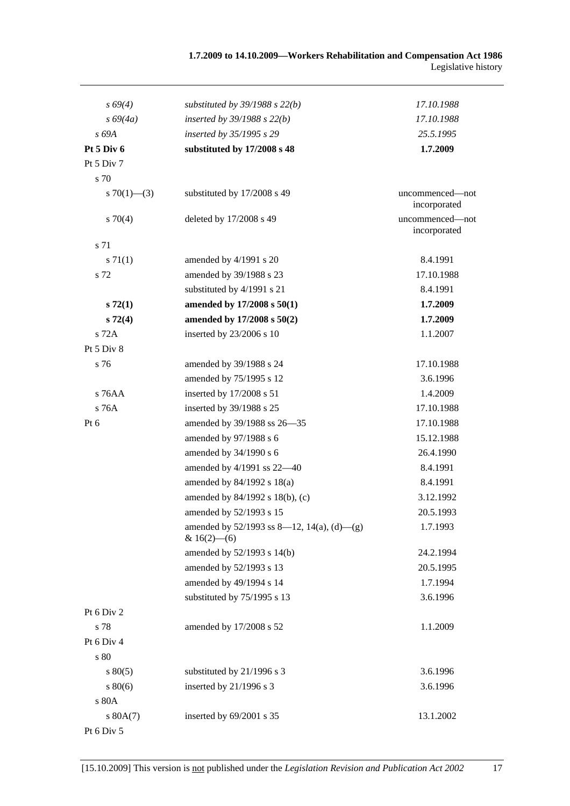| $s\,69(4)$        | substituted by $39/1988$ s $22(b)$                              | 17.10.1988                      |
|-------------------|-----------------------------------------------------------------|---------------------------------|
| $s\,69(4a)$       | inserted by $39/1988$ s $22(b)$                                 | 17.10.1988                      |
| s 69A             | inserted by 35/1995 s 29                                        | 25.5.1995                       |
| Pt 5 Div 6        | substituted by 17/2008 s 48                                     | 1.7.2009                        |
| Pt 5 Div 7        |                                                                 |                                 |
| s 70              |                                                                 |                                 |
| s $70(1)$ — $(3)$ | substituted by 17/2008 s 49                                     | uncommenced—not<br>incorporated |
| 570(4)            | deleted by 17/2008 s 49                                         | uncommenced—not<br>incorporated |
| s 71              |                                                                 |                                 |
| $s \, 71(1)$      | amended by 4/1991 s 20                                          | 8.4.1991                        |
| s 72              | amended by 39/1988 s 23                                         | 17.10.1988                      |
|                   | substituted by 4/1991 s 21                                      | 8.4.1991                        |
| $s\,72(1)$        | amended by 17/2008 s 50(1)                                      | 1.7.2009                        |
| $s\,72(4)$        | amended by 17/2008 s 50(2)                                      | 1.7.2009                        |
| s 72A             | inserted by 23/2006 s 10                                        | 1.1.2007                        |
| Pt 5 Div 8        |                                                                 |                                 |
| s 76              | amended by 39/1988 s 24                                         | 17.10.1988                      |
|                   | amended by 75/1995 s 12                                         | 3.6.1996                        |
| $s$ 76AA          | inserted by 17/2008 s 51                                        | 1.4.2009                        |
| s 76A             | inserted by 39/1988 s 25                                        | 17.10.1988                      |
| Pt $6$            | amended by 39/1988 ss 26-35                                     | 17.10.1988                      |
|                   | amended by 97/1988 s 6                                          | 15.12.1988                      |
|                   | amended by 34/1990 s 6                                          | 26.4.1990                       |
|                   | amended by 4/1991 ss 22-40                                      | 8.4.1991                        |
|                   | amended by $84/1992$ s $18(a)$                                  | 8.4.1991                        |
|                   | amended by 84/1992 s 18(b), (c)                                 | 3.12.1992                       |
|                   | amended by 52/1993 s 15                                         | 20.5.1993                       |
|                   | amended by $52/1993$ ss 8-12, 14(a), (d)-(g)<br>& $16(2)$ - (6) | 1.7.1993                        |
|                   | amended by 52/1993 s 14(b)                                      | 24.2.1994                       |
|                   | amended by 52/1993 s 13                                         | 20.5.1995                       |
|                   | amended by 49/1994 s 14                                         | 1.7.1994                        |
|                   | substituted by 75/1995 s 13                                     | 3.6.1996                        |
| Pt 6 Div 2        |                                                                 |                                 |
| s 78              | amended by 17/2008 s 52                                         | 1.1.2009                        |
| Pt 6 Div 4        |                                                                 |                                 |
| s 80              |                                                                 |                                 |
| $s\,80(5)$        | substituted by 21/1996 s 3                                      | 3.6.1996                        |
| $s\,80(6)$        | inserted by 21/1996 s 3                                         | 3.6.1996                        |
| s 80A             |                                                                 |                                 |
| s 80A(7)          | inserted by 69/2001 s 35                                        | 13.1.2002                       |
| Pt 6 Div 5        |                                                                 |                                 |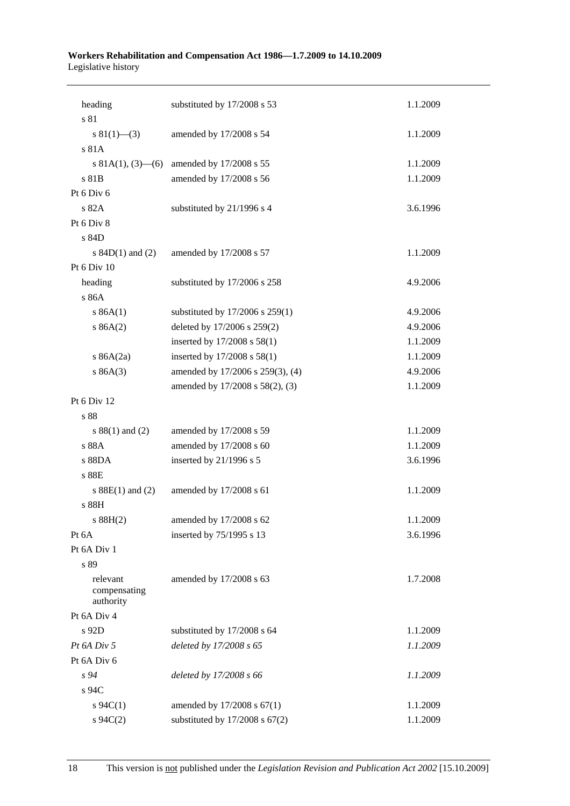| heading                 | substituted by 17/2008 s 53         | 1.1.2009 |
|-------------------------|-------------------------------------|----------|
| s 81                    |                                     |          |
| s $81(1)$ – (3)         | amended by 17/2008 s 54             | 1.1.2009 |
| s 81A                   |                                     |          |
| s 81A(1), $(3)$ — $(6)$ | amended by 17/2008 s 55             | 1.1.2009 |
| s 81B                   | amended by 17/2008 s 56             | 1.1.2009 |
| Pt 6 Div 6              |                                     |          |
| s 82A                   | substituted by 21/1996 s 4          | 3.6.1996 |
| Pt 6 Div 8              |                                     |          |
| s 84D                   |                                     |          |
| s $84D(1)$ and $(2)$    | amended by 17/2008 s 57             | 1.1.2009 |
| Pt 6 Div 10             |                                     |          |
| heading                 | substituted by 17/2006 s 258        | 4.9.2006 |
| s 86A                   |                                     |          |
| s 86A(1)                | substituted by $17/2006$ s $259(1)$ | 4.9.2006 |
| s 86A(2)                | deleted by 17/2006 s 259(2)         | 4.9.2006 |
|                         | inserted by 17/2008 s 58(1)         | 1.1.2009 |
| s $86A(2a)$             | inserted by 17/2008 s 58(1)         | 1.1.2009 |
| s 86A(3)                | amended by 17/2006 s 259(3), (4)    | 4.9.2006 |
|                         | amended by 17/2008 s 58(2), (3)     | 1.1.2009 |
| Pt 6 Div 12             |                                     |          |
| s 88                    |                                     |          |
| s $88(1)$ and $(2)$     | amended by 17/2008 s 59             | 1.1.2009 |
| s 88A                   | amended by 17/2008 s 60             | 1.1.2009 |
| s 88DA                  | inserted by 21/1996 s 5             | 3.6.1996 |
| s 88E                   |                                     |          |
| s $88E(1)$ and (2)      | amended by 17/2008 s 61             | 1.1.2009 |
| s 88H                   |                                     |          |
| s 88H(2)                | amended by 17/2008 s 62             | 1.1.2009 |
| Pt 6A                   | inserted by 75/1995 s 13            | 3.6.1996 |
| Pt 6A Div 1             |                                     |          |
| s 89                    |                                     |          |
| relevant                | amended by 17/2008 s 63             | 1.7.2008 |
| compensating            |                                     |          |
| authority               |                                     |          |
| Pt 6A Div 4             |                                     |          |
| s 92D                   | substituted by 17/2008 s 64         | 1.1.2009 |
| Pt 6A Div 5             | deleted by 17/2008 s 65             | 1.1.2009 |
| Pt 6A Div 6             |                                     |          |
| s 94                    | deleted by 17/2008 s 66             | 1.1.2009 |
| s 94C                   |                                     |          |
| $s \, 94C(1)$           | amended by 17/2008 s 67(1)          | 1.1.2009 |
| $s \, 94C(2)$           | substituted by $17/2008$ s $67(2)$  | 1.1.2009 |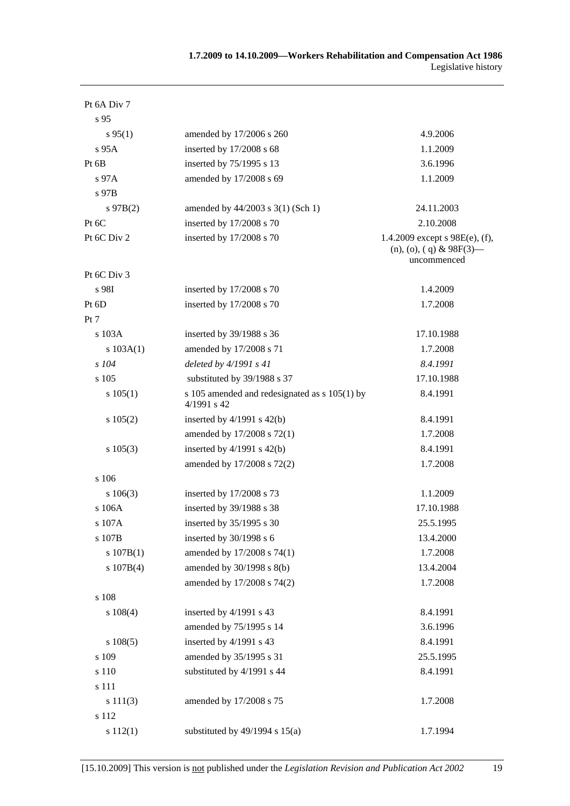| Pt 6A Div 7     |                                                                |                                                                               |
|-----------------|----------------------------------------------------------------|-------------------------------------------------------------------------------|
| s <sub>95</sub> |                                                                |                                                                               |
| $s\,95(1)$      | amended by 17/2006 s 260                                       | 4.9.2006                                                                      |
| s 95A           | inserted by 17/2008 s 68                                       | 1.1.2009                                                                      |
| Pt $6B$         | inserted by 75/1995 s 13                                       | 3.6.1996                                                                      |
| $s\,97A$        | amended by 17/2008 s 69                                        | 1.1.2009                                                                      |
| s 97B           |                                                                |                                                                               |
| $s\,97B(2)$     | amended by 44/2003 s 3(1) (Sch 1)                              | 24.11.2003                                                                    |
| Pt 6C           | inserted by 17/2008 s 70                                       | 2.10.2008                                                                     |
| Pt 6C Div 2     | inserted by 17/2008 s 70                                       | 1.4.2009 except $s$ 98E(e), (f),<br>$(n)$ , (o), (q) & 98F(3)—<br>uncommenced |
| Pt 6C Div 3     |                                                                |                                                                               |
| s 98I           | inserted by 17/2008 s 70                                       | 1.4.2009                                                                      |
| Pt 6D           | inserted by 17/2008 s 70                                       | 1.7.2008                                                                      |
| Pt 7            |                                                                |                                                                               |
| s 103A          | inserted by 39/1988 s 36                                       | 17.10.1988                                                                    |
| s 103A(1)       | amended by 17/2008 s 71                                        | 1.7.2008                                                                      |
| $s$ 104         | deleted by $4/1991 s 41$                                       | 8.4.1991                                                                      |
| s 105           | substituted by 39/1988 s 37                                    | 17.10.1988                                                                    |
| s 105(1)        | s 105 amended and redesignated as $s$ 105(1) by<br>4/1991 s 42 | 8.4.1991                                                                      |
| s 105(2)        | inserted by $4/1991$ s $42(b)$                                 | 8.4.1991                                                                      |
|                 | amended by 17/2008 s 72(1)                                     | 1.7.2008                                                                      |
| $s\ 105(3)$     | inserted by $4/1991$ s $42(b)$                                 | 8.4.1991                                                                      |
|                 | amended by 17/2008 s 72(2)                                     | 1.7.2008                                                                      |
| s 106           |                                                                |                                                                               |
| $s\ 106(3)$     | inserted by 17/2008 s 73                                       | 1.1.2009                                                                      |
| s106A           | inserted by 39/1988 s 38                                       | 17.10.1988                                                                    |
| s 107A          | inserted by 35/1995 s 30                                       | 25.5.1995                                                                     |
| s 107B          | inserted by $30/1998$ s 6                                      | 13.4.2000                                                                     |
| s 107B(1)       | amended by 17/2008 s 74(1)                                     | 1.7.2008                                                                      |
| s 107B(4)       | amended by 30/1998 s 8(b)                                      | 13.4.2004                                                                     |
|                 | amended by 17/2008 s 74(2)                                     | 1.7.2008                                                                      |
| s 108           |                                                                |                                                                               |
| $s\ 108(4)$     | inserted by 4/1991 s 43                                        | 8.4.1991                                                                      |
|                 | amended by 75/1995 s 14                                        | 3.6.1996                                                                      |
| s 108(5)        | inserted by 4/1991 s 43                                        | 8.4.1991                                                                      |
| s 109           | amended by 35/1995 s 31                                        | 25.5.1995                                                                     |
| s 110           | substituted by 4/1991 s 44                                     | 8.4.1991                                                                      |
| s 111           |                                                                |                                                                               |
| s 111(3)        | amended by 17/2008 s 75                                        | 1.7.2008                                                                      |
| s 112           |                                                                |                                                                               |
| s 112(1)        | substituted by $49/1994$ s $15(a)$                             | 1.7.1994                                                                      |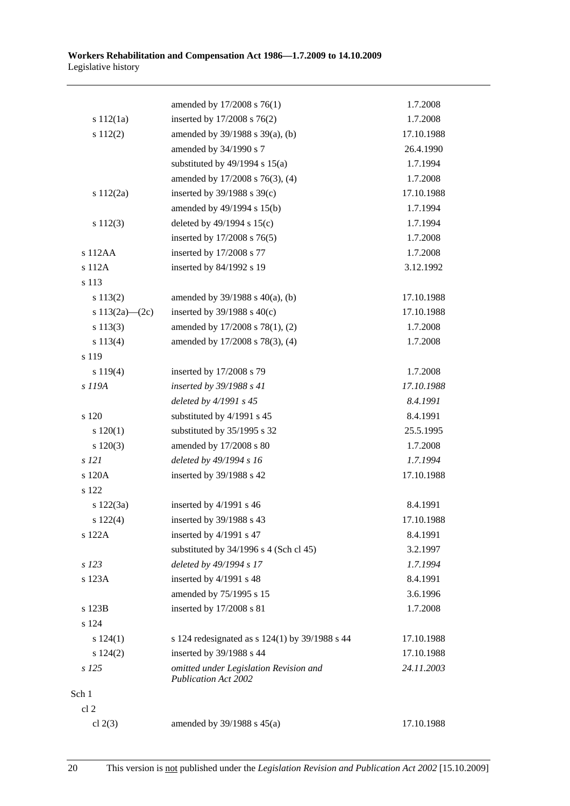|                    | amended by 17/2008 s 76(1)                                            | 1.7.2008   |
|--------------------|-----------------------------------------------------------------------|------------|
| s 112(1a)          | inserted by 17/2008 s 76(2)                                           | 1.7.2008   |
| s 112(2)           | amended by 39/1988 s 39(a), (b)                                       | 17.10.1988 |
|                    | amended by 34/1990 s 7                                                | 26.4.1990  |
|                    | substituted by $49/1994$ s $15(a)$                                    | 1.7.1994   |
|                    | amended by 17/2008 s 76(3), (4)                                       | 1.7.2008   |
| s 112(2a)          | inserted by $39/1988$ s $39(c)$                                       | 17.10.1988 |
|                    | amended by 49/1994 s 15(b)                                            | 1.7.1994   |
| s 112(3)           | deleted by $49/1994$ s $15(c)$                                        | 1.7.1994   |
|                    | inserted by 17/2008 s 76(5)                                           | 1.7.2008   |
| s 112AA            | inserted by 17/2008 s 77                                              | 1.7.2008   |
| s 112A             | inserted by 84/1992 s 19                                              | 3.12.1992  |
| s 113              |                                                                       |            |
| s 113(2)           | amended by $39/1988$ s $40(a)$ , (b)                                  | 17.10.1988 |
| s $113(2a)$ - (2c) | inserted by $39/1988$ s $40(c)$                                       | 17.10.1988 |
| s 113(3)           | amended by 17/2008 s 78(1), (2)                                       | 1.7.2008   |
| s 113(4)           | amended by 17/2008 s 78(3), (4)                                       | 1.7.2008   |
| s 119              |                                                                       |            |
| s 119(4)           | inserted by 17/2008 s 79                                              | 1.7.2008   |
| s 119A             | inserted by 39/1988 s 41                                              | 17.10.1988 |
|                    | deleted by 4/1991 s 45                                                | 8.4.1991   |
| s 120              | substituted by 4/1991 s 45                                            | 8.4.1991   |
| 120(1)             | substituted by 35/1995 s 32                                           | 25.5.1995  |
| $s\ 120(3)$        | amended by 17/2008 s 80                                               | 1.7.2008   |
| s 121              | deleted by 49/1994 s 16                                               | 1.7.1994   |
| s 120A             | inserted by 39/1988 s 42                                              | 17.10.1988 |
| s 122              |                                                                       |            |
| s 122(3a)          | inserted by 4/1991 s 46                                               | 8.4.1991   |
| s 122(4)           | inserted by 39/1988 s 43                                              | 17.10.1988 |
| s 122A             | inserted by 4/1991 s 47                                               | 8.4.1991   |
|                    | substituted by $34/1996$ s 4 (Sch cl 45)                              | 3.2.1997   |
| s 123              | deleted by 49/1994 s 17                                               | 1.7.1994   |
| s 123A             | inserted by 4/1991 s 48                                               | 8.4.1991   |
|                    | amended by 75/1995 s 15                                               | 3.6.1996   |
| s 123B             | inserted by 17/2008 s 81                                              | 1.7.2008   |
| s 124              |                                                                       |            |
| s 124(1)           | s 124 redesignated as s 124(1) by 39/1988 s 44                        | 17.10.1988 |
| s 124(2)           | inserted by 39/1988 s 44                                              | 17.10.1988 |
| s 125              | omitted under Legislation Revision and<br><b>Publication Act 2002</b> | 24.11.2003 |
| Sch 1              |                                                                       |            |
| cl <sub>2</sub>    |                                                                       |            |
| cl $2(3)$          | amended by $39/1988$ s $45(a)$                                        | 17.10.1988 |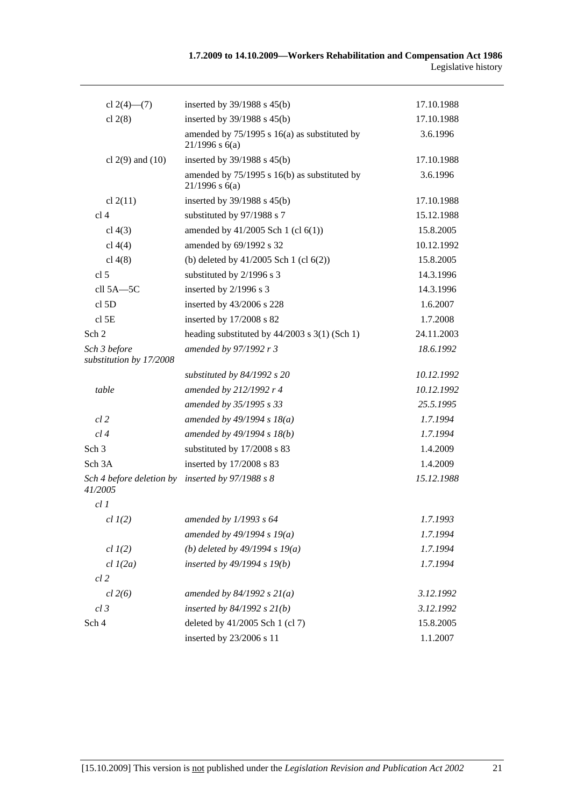| cl $2(4)$ — $(7)$                       | inserted by $39/1988$ s $45(b)$                                    | 17.10.1988 |
|-----------------------------------------|--------------------------------------------------------------------|------------|
| cl $2(8)$                               | inserted by $39/1988$ s $45(b)$                                    | 17.10.1988 |
|                                         | amended by $75/1995$ s 16(a) as substituted by<br>$21/1996$ s 6(a) | 3.6.1996   |
| cl $2(9)$ and $(10)$                    | inserted by $39/1988$ s $45(b)$                                    | 17.10.1988 |
|                                         | amended by 75/1995 s 16(b) as substituted by<br>$21/1996$ s 6(a)   | 3.6.1996   |
| cl $2(11)$                              | inserted by 39/1988 s 45(b)                                        | 17.10.1988 |
| cl <sub>4</sub>                         | substituted by 97/1988 s 7                                         | 15.12.1988 |
| cl $4(3)$                               | amended by $41/2005$ Sch 1 (cl $6(1)$ )                            | 15.8.2005  |
| cl $4(4)$                               | amended by 69/1992 s 32                                            | 10.12.1992 |
| cl $4(8)$                               | (b) deleted by $41/2005$ Sch 1 (cl $6(2)$ )                        | 15.8.2005  |
| cl 5                                    | substituted by 2/1996 s 3                                          | 14.3.1996  |
| cll 5A-5C                               | inserted by 2/1996 s 3                                             | 14.3.1996  |
| cl <sub>5D</sub>                        | inserted by 43/2006 s 228                                          | 1.6.2007   |
| cl <sub>5E</sub>                        | inserted by 17/2008 s 82                                           | 1.7.2008   |
| Sch 2                                   | heading substituted by $44/2003$ s 3(1) (Sch 1)                    | 24.11.2003 |
| Sch 3 before<br>substitution by 17/2008 | amended by 97/1992 r 3                                             | 18.6.1992  |
|                                         | substituted by $84/1992$ s 20                                      | 10.12.1992 |
| table                                   | amended by 212/1992 r 4                                            | 10.12.1992 |
|                                         | amended by 35/1995 s 33                                            | 25.5.1995  |
| $cl$ 2                                  | amended by $49/1994 s 18(a)$                                       | 1.7.1994   |
| cl4                                     | amended by $49/1994 s 18(b)$                                       | 1.7.1994   |
| Sch <sub>3</sub>                        | substituted by 17/2008 s 83                                        | 1.4.2009   |
| Sch 3A                                  | inserted by 17/2008 s 83                                           | 1.4.2009   |
| Sch 4 before deletion by<br>41/2005     | inserted by 97/1988 s 8                                            | 15.12.1988 |
| cl1                                     |                                                                    |            |
| cl $I(2)$                               | amended by $1/1993$ s 64                                           | 1.7.1993   |
|                                         | amended by $49/1994 s 19(a)$                                       | 1.7.1994   |
| $cl$ $I(2)$                             | (b) deleted by $49/1994 s 19(a)$                                   | 1.7.1994   |
| $cl$ $I(2a)$                            | inserted by 49/1994 s 19(b)                                        | 1.7.1994   |
| $cl$ 2                                  |                                                                    |            |
| $cl$ 2(6)                               | amended by $84/1992 s 21(a)$                                       | 3.12.1992  |
| $cl$ 3                                  | inserted by $84/1992$ s $21(b)$                                    | 3.12.1992  |
| Sch 4                                   | deleted by 41/2005 Sch 1 (cl 7)                                    | 15.8.2005  |
|                                         | inserted by 23/2006 s 11                                           | 1.1.2007   |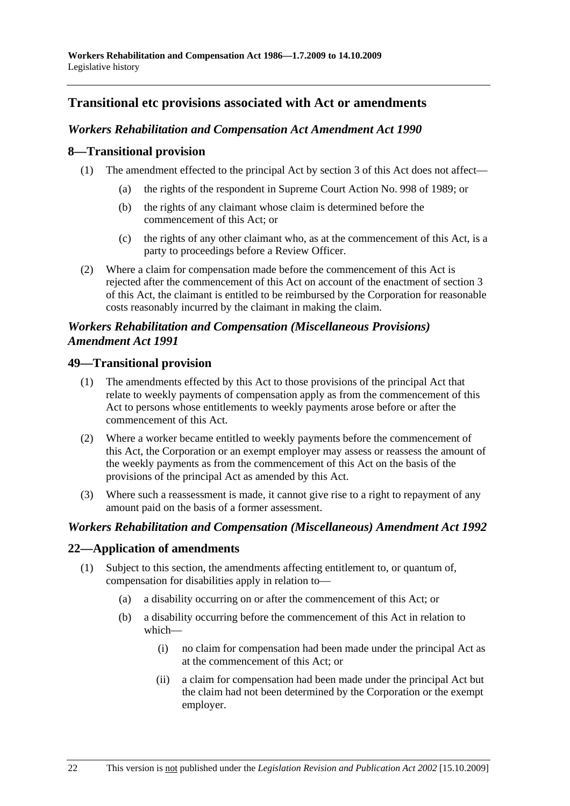# **Transitional etc provisions associated with Act or amendments**

# *Workers Rehabilitation and Compensation Act Amendment Act 1990*

## **8—Transitional provision**

- (1) The amendment effected to the principal Act by section 3 of this Act does not affect—
	- (a) the rights of the respondent in Supreme Court Action No. 998 of 1989; or
	- (b) the rights of any claimant whose claim is determined before the commencement of this Act; or
	- (c) the rights of any other claimant who, as at the commencement of this Act, is a party to proceedings before a Review Officer.
- (2) Where a claim for compensation made before the commencement of this Act is rejected after the commencement of this Act on account of the enactment of section 3 of this Act, the claimant is entitled to be reimbursed by the Corporation for reasonable costs reasonably incurred by the claimant in making the claim.

# *Workers Rehabilitation and Compensation (Miscellaneous Provisions) Amendment Act 1991*

# **49—Transitional provision**

- (1) The amendments effected by this Act to those provisions of the principal Act that relate to weekly payments of compensation apply as from the commencement of this Act to persons whose entitlements to weekly payments arose before or after the commencement of this Act.
- (2) Where a worker became entitled to weekly payments before the commencement of this Act, the Corporation or an exempt employer may assess or reassess the amount of the weekly payments as from the commencement of this Act on the basis of the provisions of the principal Act as amended by this Act.
- (3) Where such a reassessment is made, it cannot give rise to a right to repayment of any amount paid on the basis of a former assessment.

## *Workers Rehabilitation and Compensation (Miscellaneous) Amendment Act 1992*

## **22—Application of amendments**

- (1) Subject to this section, the amendments affecting entitlement to, or quantum of, compensation for disabilities apply in relation to—
	- (a) a disability occurring on or after the commencement of this Act; or
	- (b) a disability occurring before the commencement of this Act in relation to which—
		- (i) no claim for compensation had been made under the principal Act as at the commencement of this Act; or
		- (ii) a claim for compensation had been made under the principal Act but the claim had not been determined by the Corporation or the exempt employer.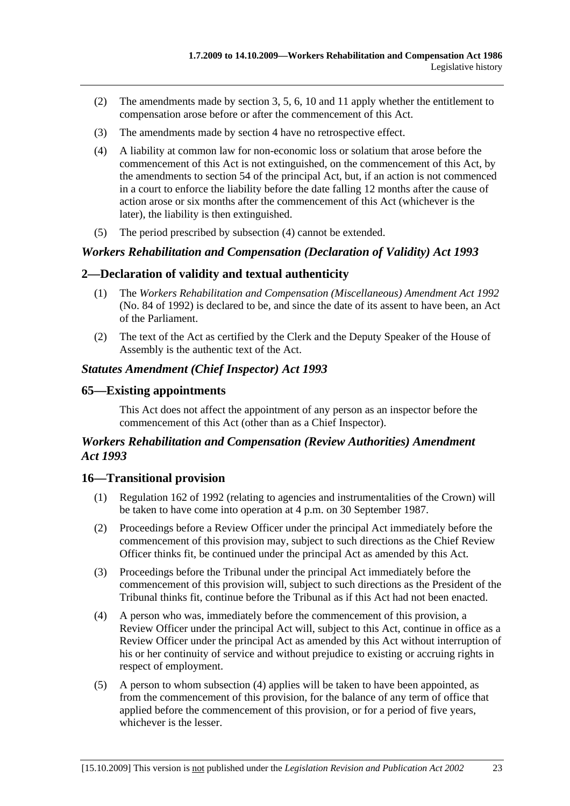- (2) The amendments made by section 3, 5, 6, 10 and 11 apply whether the entitlement to compensation arose before or after the commencement of this Act.
- (3) The amendments made by section 4 have no retrospective effect.
- (4) A liability at common law for non-economic loss or solatium that arose before the commencement of this Act is not extinguished, on the commencement of this Act, by the amendments to section 54 of the principal Act, but, if an action is not commenced in a court to enforce the liability before the date falling 12 months after the cause of action arose or six months after the commencement of this Act (whichever is the later), the liability is then extinguished.
- (5) The period prescribed by subsection (4) cannot be extended.

# *Workers Rehabilitation and Compensation (Declaration of Validity) Act 1993*

# **2—Declaration of validity and textual authenticity**

- (1) The *Workers Rehabilitation and Compensation (Miscellaneous) Amendment Act 1992* (No. 84 of 1992) is declared to be, and since the date of its assent to have been, an Act of the Parliament.
- (2) The text of the Act as certified by the Clerk and the Deputy Speaker of the House of Assembly is the authentic text of the Act.

# *Statutes Amendment (Chief Inspector) Act 1993*

### **65—Existing appointments**

This Act does not affect the appointment of any person as an inspector before the commencement of this Act (other than as a Chief Inspector).

# *Workers Rehabilitation and Compensation (Review Authorities) Amendment Act 1993*

### **16—Transitional provision**

- (1) Regulation 162 of 1992 (relating to agencies and instrumentalities of the Crown) will be taken to have come into operation at 4 p.m. on 30 September 1987.
- (2) Proceedings before a Review Officer under the principal Act immediately before the commencement of this provision may, subject to such directions as the Chief Review Officer thinks fit, be continued under the principal Act as amended by this Act.
- (3) Proceedings before the Tribunal under the principal Act immediately before the commencement of this provision will, subject to such directions as the President of the Tribunal thinks fit, continue before the Tribunal as if this Act had not been enacted.
- (4) A person who was, immediately before the commencement of this provision, a Review Officer under the principal Act will, subject to this Act, continue in office as a Review Officer under the principal Act as amended by this Act without interruption of his or her continuity of service and without prejudice to existing or accruing rights in respect of employment.
- (5) A person to whom subsection (4) applies will be taken to have been appointed, as from the commencement of this provision, for the balance of any term of office that applied before the commencement of this provision, or for a period of five years, whichever is the lesser.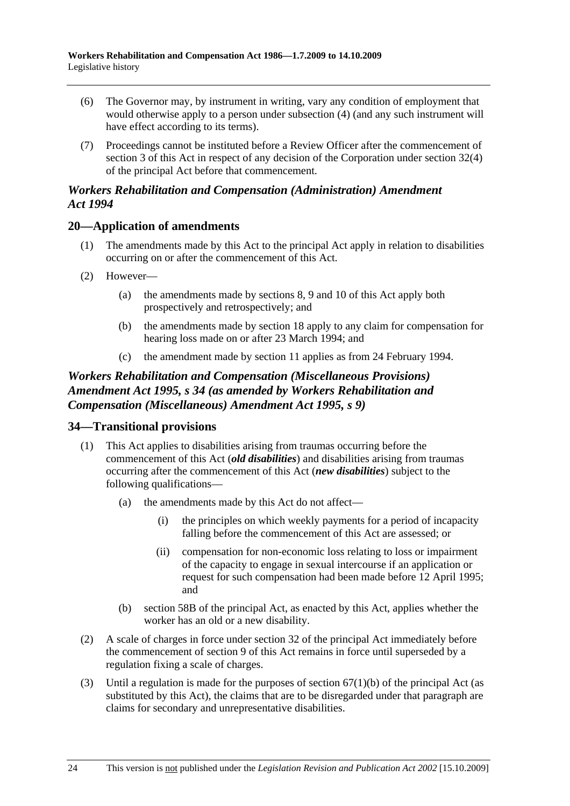- (6) The Governor may, by instrument in writing, vary any condition of employment that would otherwise apply to a person under subsection (4) (and any such instrument will have effect according to its terms).
- (7) Proceedings cannot be instituted before a Review Officer after the commencement of section 3 of this Act in respect of any decision of the Corporation under section 32(4) of the principal Act before that commencement.

### *Workers Rehabilitation and Compensation (Administration) Amendment Act 1994*

# **20—Application of amendments**

- (1) The amendments made by this Act to the principal Act apply in relation to disabilities occurring on or after the commencement of this Act.
- (2) However—
	- (a) the amendments made by sections 8, 9 and 10 of this Act apply both prospectively and retrospectively; and
	- (b) the amendments made by section 18 apply to any claim for compensation for hearing loss made on or after 23 March 1994; and
	- (c) the amendment made by section 11 applies as from 24 February 1994.

# *Workers Rehabilitation and Compensation (Miscellaneous Provisions) Amendment Act 1995, s 34 (as amended by Workers Rehabilitation and Compensation (Miscellaneous) Amendment Act 1995, s 9)*

# **34—Transitional provisions**

- (1) This Act applies to disabilities arising from traumas occurring before the commencement of this Act (*old disabilities*) and disabilities arising from traumas occurring after the commencement of this Act (*new disabilities*) subject to the following qualifications—
	- (a) the amendments made by this Act do not affect—
		- (i) the principles on which weekly payments for a period of incapacity falling before the commencement of this Act are assessed; or
		- (ii) compensation for non-economic loss relating to loss or impairment of the capacity to engage in sexual intercourse if an application or request for such compensation had been made before 12 April 1995; and
	- (b) section 58B of the principal Act, as enacted by this Act, applies whether the worker has an old or a new disability.
- (2) A scale of charges in force under section 32 of the principal Act immediately before the commencement of section 9 of this Act remains in force until superseded by a regulation fixing a scale of charges.
- (3) Until a regulation is made for the purposes of section  $67(1)(b)$  of the principal Act (as substituted by this Act), the claims that are to be disregarded under that paragraph are claims for secondary and unrepresentative disabilities.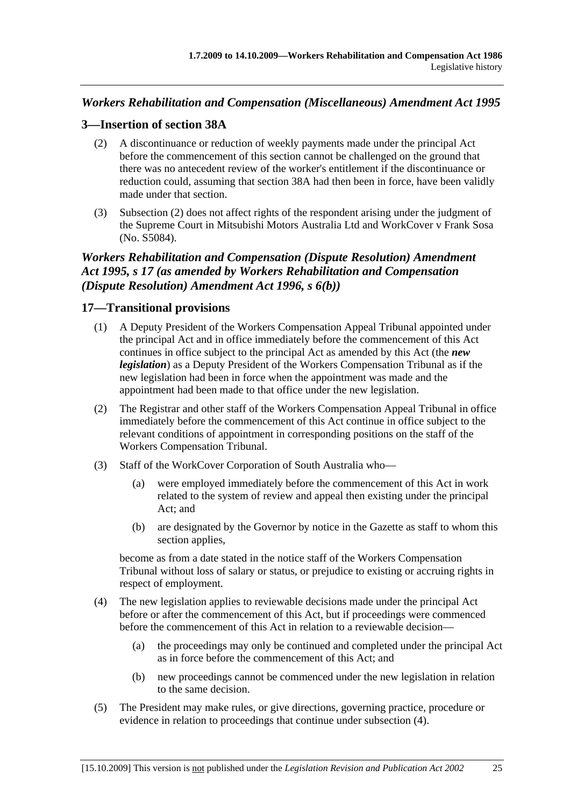# *Workers Rehabilitation and Compensation (Miscellaneous) Amendment Act 1995*

# **3—Insertion of section 38A**

- (2) A discontinuance or reduction of weekly payments made under the principal Act before the commencement of this section cannot be challenged on the ground that there was no antecedent review of the worker's entitlement if the discontinuance or reduction could, assuming that section 38A had then been in force, have been validly made under that section.
- (3) Subsection (2) does not affect rights of the respondent arising under the judgment of the Supreme Court in Mitsubishi Motors Australia Ltd and WorkCover v Frank Sosa (No. S5084).

# *Workers Rehabilitation and Compensation (Dispute Resolution) Amendment Act 1995, s 17 (as amended by Workers Rehabilitation and Compensation (Dispute Resolution) Amendment Act 1996, s 6(b))*

# **17—Transitional provisions**

- (1) A Deputy President of the Workers Compensation Appeal Tribunal appointed under the principal Act and in office immediately before the commencement of this Act continues in office subject to the principal Act as amended by this Act (the *new legislation*) as a Deputy President of the Workers Compensation Tribunal as if the new legislation had been in force when the appointment was made and the appointment had been made to that office under the new legislation.
- (2) The Registrar and other staff of the Workers Compensation Appeal Tribunal in office immediately before the commencement of this Act continue in office subject to the relevant conditions of appointment in corresponding positions on the staff of the Workers Compensation Tribunal.
- (3) Staff of the WorkCover Corporation of South Australia who—
	- (a) were employed immediately before the commencement of this Act in work related to the system of review and appeal then existing under the principal Act; and
	- (b) are designated by the Governor by notice in the Gazette as staff to whom this section applies,

become as from a date stated in the notice staff of the Workers Compensation Tribunal without loss of salary or status, or prejudice to existing or accruing rights in respect of employment.

- (4) The new legislation applies to reviewable decisions made under the principal Act before or after the commencement of this Act, but if proceedings were commenced before the commencement of this Act in relation to a reviewable decision—
	- (a) the proceedings may only be continued and completed under the principal Act as in force before the commencement of this Act; and
	- (b) new proceedings cannot be commenced under the new legislation in relation to the same decision.
- (5) The President may make rules, or give directions, governing practice, procedure or evidence in relation to proceedings that continue under subsection (4).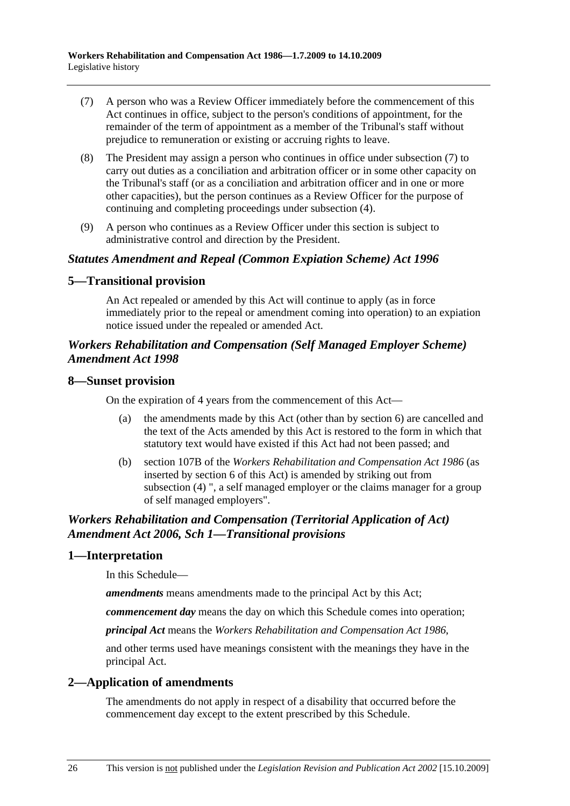- (7) A person who was a Review Officer immediately before the commencement of this Act continues in office, subject to the person's conditions of appointment, for the remainder of the term of appointment as a member of the Tribunal's staff without prejudice to remuneration or existing or accruing rights to leave.
- (8) The President may assign a person who continues in office under subsection (7) to carry out duties as a conciliation and arbitration officer or in some other capacity on the Tribunal's staff (or as a conciliation and arbitration officer and in one or more other capacities), but the person continues as a Review Officer for the purpose of continuing and completing proceedings under subsection (4).
- (9) A person who continues as a Review Officer under this section is subject to administrative control and direction by the President.

#### *Statutes Amendment and Repeal (Common Expiation Scheme) Act 1996*

#### **5—Transitional provision**

An Act repealed or amended by this Act will continue to apply (as in force immediately prior to the repeal or amendment coming into operation) to an expiation notice issued under the repealed or amended Act.

# *Workers Rehabilitation and Compensation (Self Managed Employer Scheme) Amendment Act 1998*

#### **8—Sunset provision**

On the expiration of 4 years from the commencement of this Act—

- (a) the amendments made by this Act (other than by section 6) are cancelled and the text of the Acts amended by this Act is restored to the form in which that statutory text would have existed if this Act had not been passed; and
- (b) section 107B of the *Workers Rehabilitation and Compensation Act 1986* (as inserted by section 6 of this Act) is amended by striking out from subsection (4) ", a self managed employer or the claims manager for a group of self managed employers".

# *Workers Rehabilitation and Compensation (Territorial Application of Act) Amendment Act 2006, Sch 1—Transitional provisions*

### **1—Interpretation**

In this Schedule—

*amendments* means amendments made to the principal Act by this Act;

*commencement day* means the day on which this Schedule comes into operation;

*principal Act* means the *Workers Rehabilitation and Compensation Act 1986*,

and other terms used have meanings consistent with the meanings they have in the principal Act.

### **2—Application of amendments**

The amendments do not apply in respect of a disability that occurred before the commencement day except to the extent prescribed by this Schedule.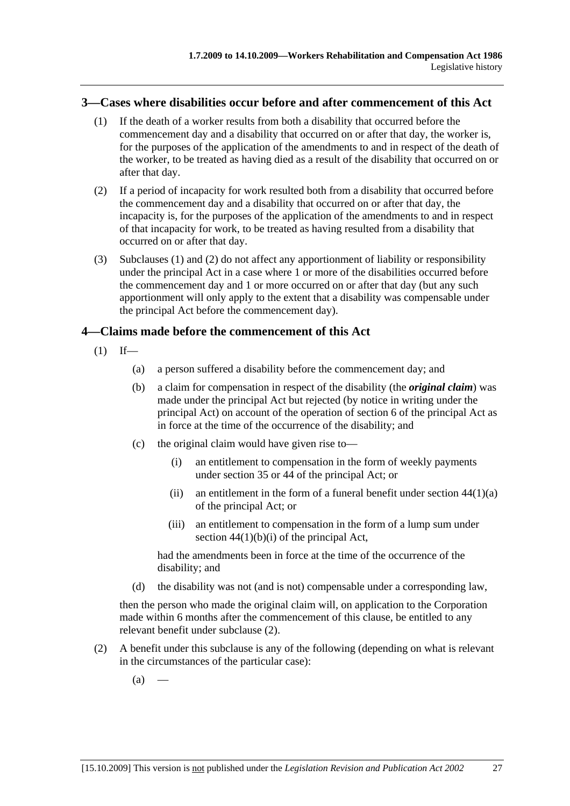#### **3—Cases where disabilities occur before and after commencement of this Act**

- (1) If the death of a worker results from both a disability that occurred before the commencement day and a disability that occurred on or after that day, the worker is, for the purposes of the application of the amendments to and in respect of the death of the worker, to be treated as having died as a result of the disability that occurred on or after that day.
- (2) If a period of incapacity for work resulted both from a disability that occurred before the commencement day and a disability that occurred on or after that day, the incapacity is, for the purposes of the application of the amendments to and in respect of that incapacity for work, to be treated as having resulted from a disability that occurred on or after that day.
- (3) Subclauses (1) and (2) do not affect any apportionment of liability or responsibility under the principal Act in a case where 1 or more of the disabilities occurred before the commencement day and 1 or more occurred on or after that day (but any such apportionment will only apply to the extent that a disability was compensable under the principal Act before the commencement day).

### **4—Claims made before the commencement of this Act**

- $(1)$  If—
	- (a) a person suffered a disability before the commencement day; and
	- (b) a claim for compensation in respect of the disability (the *original claim*) was made under the principal Act but rejected (by notice in writing under the principal Act) on account of the operation of section 6 of the principal Act as in force at the time of the occurrence of the disability; and
	- (c) the original claim would have given rise to—
		- (i) an entitlement to compensation in the form of weekly payments under section 35 or 44 of the principal Act; or
		- (ii) an entitlement in the form of a funeral benefit under section  $44(1)(a)$ of the principal Act; or
		- (iii) an entitlement to compensation in the form of a lump sum under section  $44(1)(b)(i)$  of the principal Act,

had the amendments been in force at the time of the occurrence of the disability; and

(d) the disability was not (and is not) compensable under a corresponding law,

then the person who made the original claim will, on application to the Corporation made within 6 months after the commencement of this clause, be entitled to any relevant benefit under subclause (2).

- (2) A benefit under this subclause is any of the following (depending on what is relevant in the circumstances of the particular case):
	- $(a)$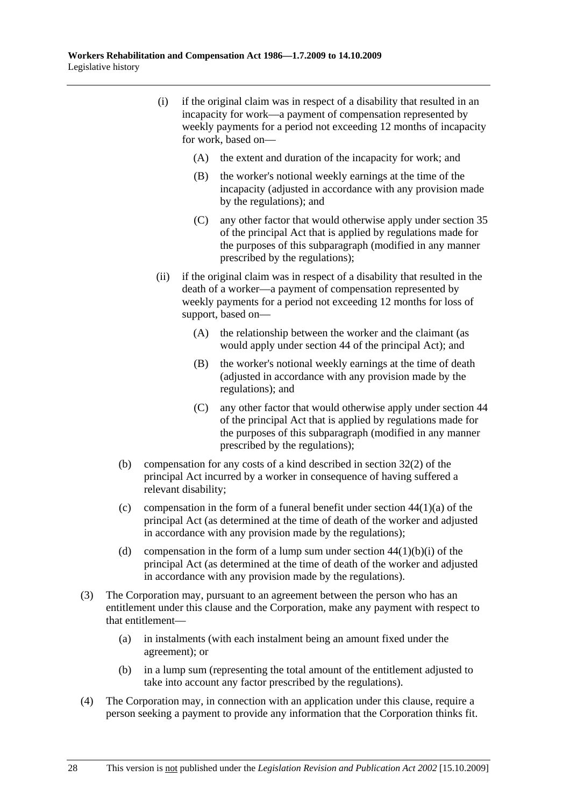- (i) if the original claim was in respect of a disability that resulted in an incapacity for work—a payment of compensation represented by weekly payments for a period not exceeding 12 months of incapacity for work, based on—
	- (A) the extent and duration of the incapacity for work; and
	- (B) the worker's notional weekly earnings at the time of the incapacity (adjusted in accordance with any provision made by the regulations); and
	- (C) any other factor that would otherwise apply under section 35 of the principal Act that is applied by regulations made for the purposes of this subparagraph (modified in any manner prescribed by the regulations);
- (ii) if the original claim was in respect of a disability that resulted in the death of a worker—a payment of compensation represented by weekly payments for a period not exceeding 12 months for loss of support, based on—
	- (A) the relationship between the worker and the claimant (as would apply under section 44 of the principal Act); and
	- (B) the worker's notional weekly earnings at the time of death (adjusted in accordance with any provision made by the regulations); and
	- (C) any other factor that would otherwise apply under section 44 of the principal Act that is applied by regulations made for the purposes of this subparagraph (modified in any manner prescribed by the regulations);
- (b) compensation for any costs of a kind described in section 32(2) of the principal Act incurred by a worker in consequence of having suffered a relevant disability;
- (c) compensation in the form of a funeral benefit under section  $44(1)(a)$  of the principal Act (as determined at the time of death of the worker and adjusted in accordance with any provision made by the regulations);
- (d) compensation in the form of a lump sum under section  $44(1)(b)(i)$  of the principal Act (as determined at the time of death of the worker and adjusted in accordance with any provision made by the regulations).
- (3) The Corporation may, pursuant to an agreement between the person who has an entitlement under this clause and the Corporation, make any payment with respect to that entitlement—
	- (a) in instalments (with each instalment being an amount fixed under the agreement); or
	- (b) in a lump sum (representing the total amount of the entitlement adjusted to take into account any factor prescribed by the regulations).
- (4) The Corporation may, in connection with an application under this clause, require a person seeking a payment to provide any information that the Corporation thinks fit.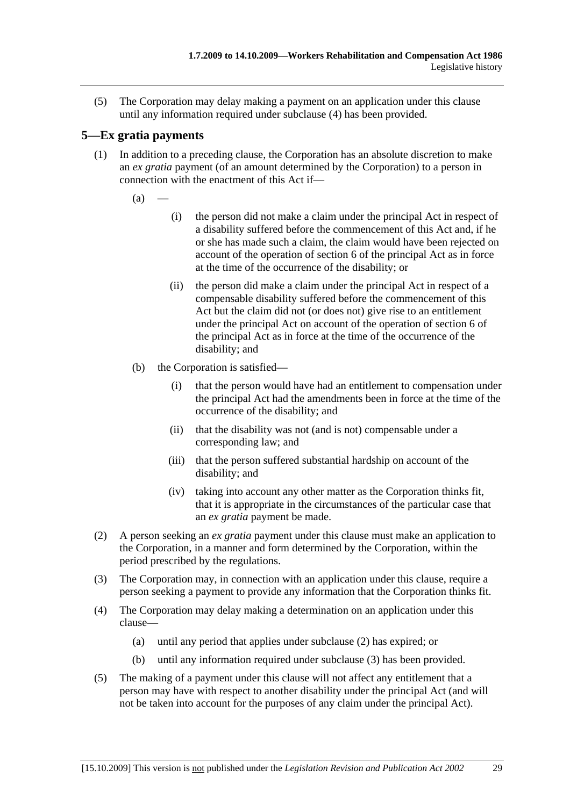(5) The Corporation may delay making a payment on an application under this clause until any information required under subclause (4) has been provided.

# **5—Ex gratia payments**

- (1) In addition to a preceding clause, the Corporation has an absolute discretion to make an *ex gratia* payment (of an amount determined by the Corporation) to a person in connection with the enactment of this Act if—
	- $(a)$
- (i) the person did not make a claim under the principal Act in respect of a disability suffered before the commencement of this Act and, if he or she has made such a claim, the claim would have been rejected on account of the operation of section 6 of the principal Act as in force at the time of the occurrence of the disability; or
- (ii) the person did make a claim under the principal Act in respect of a compensable disability suffered before the commencement of this Act but the claim did not (or does not) give rise to an entitlement under the principal Act on account of the operation of section 6 of the principal Act as in force at the time of the occurrence of the disability; and
- (b) the Corporation is satisfied—
	- (i) that the person would have had an entitlement to compensation under the principal Act had the amendments been in force at the time of the occurrence of the disability; and
	- (ii) that the disability was not (and is not) compensable under a corresponding law; and
	- (iii) that the person suffered substantial hardship on account of the disability; and
	- (iv) taking into account any other matter as the Corporation thinks fit, that it is appropriate in the circumstances of the particular case that an *ex gratia* payment be made.
- (2) A person seeking an *ex gratia* payment under this clause must make an application to the Corporation, in a manner and form determined by the Corporation, within the period prescribed by the regulations.
- (3) The Corporation may, in connection with an application under this clause, require a person seeking a payment to provide any information that the Corporation thinks fit.
- (4) The Corporation may delay making a determination on an application under this clause—
	- (a) until any period that applies under subclause (2) has expired; or
	- (b) until any information required under subclause (3) has been provided.
- (5) The making of a payment under this clause will not affect any entitlement that a person may have with respect to another disability under the principal Act (and will not be taken into account for the purposes of any claim under the principal Act).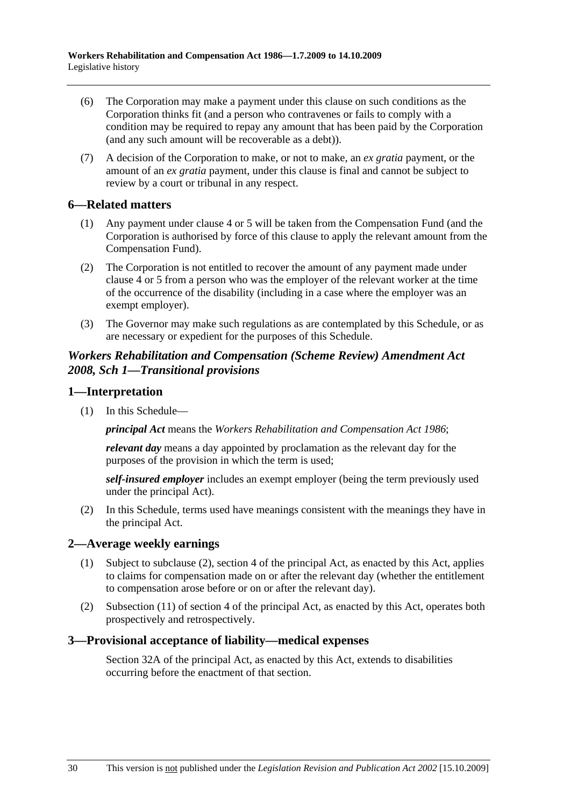- (6) The Corporation may make a payment under this clause on such conditions as the Corporation thinks fit (and a person who contravenes or fails to comply with a condition may be required to repay any amount that has been paid by the Corporation (and any such amount will be recoverable as a debt)).
- (7) A decision of the Corporation to make, or not to make, an *ex gratia* payment, or the amount of an *ex gratia* payment, under this clause is final and cannot be subject to review by a court or tribunal in any respect.

### **6—Related matters**

- (1) Any payment under clause 4 or 5 will be taken from the Compensation Fund (and the Corporation is authorised by force of this clause to apply the relevant amount from the Compensation Fund).
- (2) The Corporation is not entitled to recover the amount of any payment made under clause 4 or 5 from a person who was the employer of the relevant worker at the time of the occurrence of the disability (including in a case where the employer was an exempt employer).
- (3) The Governor may make such regulations as are contemplated by this Schedule, or as are necessary or expedient for the purposes of this Schedule.

### *Workers Rehabilitation and Compensation (Scheme Review) Amendment Act 2008, Sch 1—Transitional provisions*

#### **1—Interpretation**

(1) In this Schedule—

*principal Act* means the *Workers Rehabilitation and Compensation Act 1986*;

*relevant day* means a day appointed by proclamation as the relevant day for the purposes of the provision in which the term is used;

*self-insured employer* includes an exempt employer (being the term previously used under the principal Act).

 (2) In this Schedule, terms used have meanings consistent with the meanings they have in the principal Act.

### **2—Average weekly earnings**

- (1) Subject to subclause (2), section 4 of the principal Act, as enacted by this Act, applies to claims for compensation made on or after the relevant day (whether the entitlement to compensation arose before or on or after the relevant day).
- (2) Subsection (11) of section 4 of the principal Act, as enacted by this Act, operates both prospectively and retrospectively.

#### **3—Provisional acceptance of liability—medical expenses**

Section 32A of the principal Act, as enacted by this Act, extends to disabilities occurring before the enactment of that section.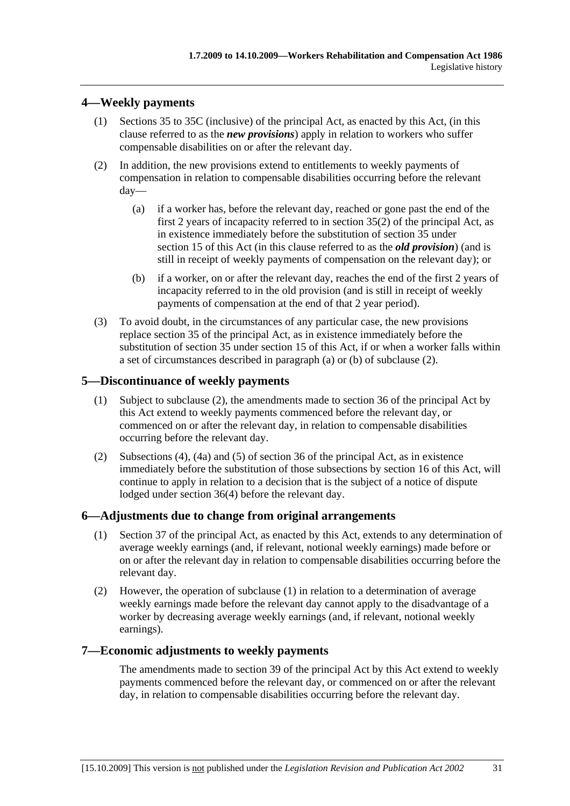# **4—Weekly payments**

- (1) Sections 35 to 35C (inclusive) of the principal Act, as enacted by this Act, (in this clause referred to as the *new provisions*) apply in relation to workers who suffer compensable disabilities on or after the relevant day.
- (2) In addition, the new provisions extend to entitlements to weekly payments of compensation in relation to compensable disabilities occurring before the relevant day—
	- (a) if a worker has, before the relevant day, reached or gone past the end of the first 2 years of incapacity referred to in section 35(2) of the principal Act, as in existence immediately before the substitution of section 35 under section 15 of this Act (in this clause referred to as the *old provision*) (and is still in receipt of weekly payments of compensation on the relevant day); or
	- (b) if a worker, on or after the relevant day, reaches the end of the first 2 years of incapacity referred to in the old provision (and is still in receipt of weekly payments of compensation at the end of that 2 year period).
- (3) To avoid doubt, in the circumstances of any particular case, the new provisions replace section 35 of the principal Act, as in existence immediately before the substitution of section 35 under section 15 of this Act, if or when a worker falls within a set of circumstances described in paragraph (a) or (b) of subclause (2).

### **5—Discontinuance of weekly payments**

- (1) Subject to subclause (2), the amendments made to section 36 of the principal Act by this Act extend to weekly payments commenced before the relevant day, or commenced on or after the relevant day, in relation to compensable disabilities occurring before the relevant day.
- (2) Subsections (4), (4a) and (5) of section 36 of the principal Act, as in existence immediately before the substitution of those subsections by section 16 of this Act, will continue to apply in relation to a decision that is the subject of a notice of dispute lodged under section 36(4) before the relevant day.

#### **6—Adjustments due to change from original arrangements**

- (1) Section 37 of the principal Act, as enacted by this Act, extends to any determination of average weekly earnings (and, if relevant, notional weekly earnings) made before or on or after the relevant day in relation to compensable disabilities occurring before the relevant day.
- (2) However, the operation of subclause (1) in relation to a determination of average weekly earnings made before the relevant day cannot apply to the disadvantage of a worker by decreasing average weekly earnings (and, if relevant, notional weekly earnings).

### **7—Economic adjustments to weekly payments**

The amendments made to section 39 of the principal Act by this Act extend to weekly payments commenced before the relevant day, or commenced on or after the relevant day, in relation to compensable disabilities occurring before the relevant day.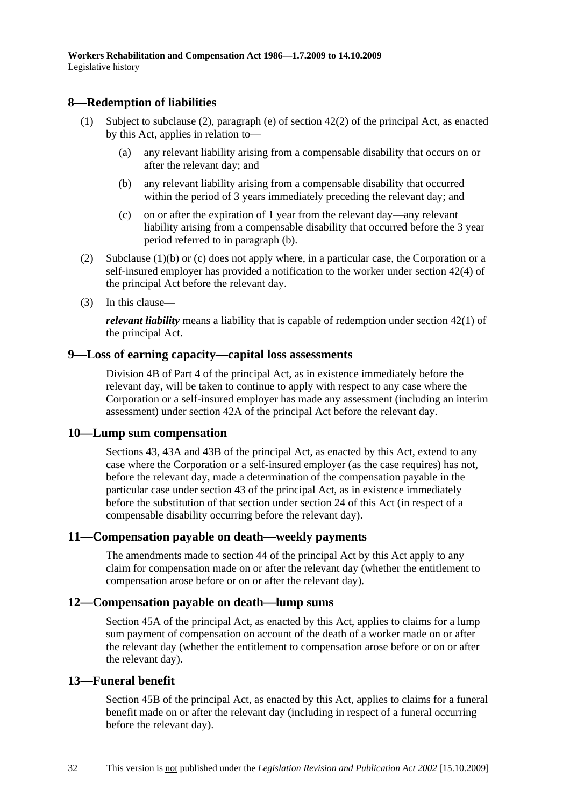### **8—Redemption of liabilities**

- (1) Subject to subclause (2), paragraph (e) of section 42(2) of the principal Act, as enacted by this Act, applies in relation to—
	- (a) any relevant liability arising from a compensable disability that occurs on or after the relevant day; and
	- (b) any relevant liability arising from a compensable disability that occurred within the period of 3 years immediately preceding the relevant day; and
	- (c) on or after the expiration of 1 year from the relevant day—any relevant liability arising from a compensable disability that occurred before the 3 year period referred to in paragraph (b).
- (2) Subclause (1)(b) or (c) does not apply where, in a particular case, the Corporation or a self-insured employer has provided a notification to the worker under section 42(4) of the principal Act before the relevant day.
- (3) In this clause—

*relevant liability* means a liability that is capable of redemption under section 42(1) of the principal Act.

#### **9—Loss of earning capacity—capital loss assessments**

Division 4B of Part 4 of the principal Act, as in existence immediately before the relevant day, will be taken to continue to apply with respect to any case where the Corporation or a self-insured employer has made any assessment (including an interim assessment) under section 42A of the principal Act before the relevant day.

### **10—Lump sum compensation**

Sections 43, 43A and 43B of the principal Act, as enacted by this Act, extend to any case where the Corporation or a self-insured employer (as the case requires) has not, before the relevant day, made a determination of the compensation payable in the particular case under section 43 of the principal Act, as in existence immediately before the substitution of that section under section 24 of this Act (in respect of a compensable disability occurring before the relevant day).

### **11—Compensation payable on death—weekly payments**

The amendments made to section 44 of the principal Act by this Act apply to any claim for compensation made on or after the relevant day (whether the entitlement to compensation arose before or on or after the relevant day).

### **12—Compensation payable on death—lump sums**

Section 45A of the principal Act, as enacted by this Act, applies to claims for a lump sum payment of compensation on account of the death of a worker made on or after the relevant day (whether the entitlement to compensation arose before or on or after the relevant day).

### **13—Funeral benefit**

Section 45B of the principal Act, as enacted by this Act, applies to claims for a funeral benefit made on or after the relevant day (including in respect of a funeral occurring before the relevant day).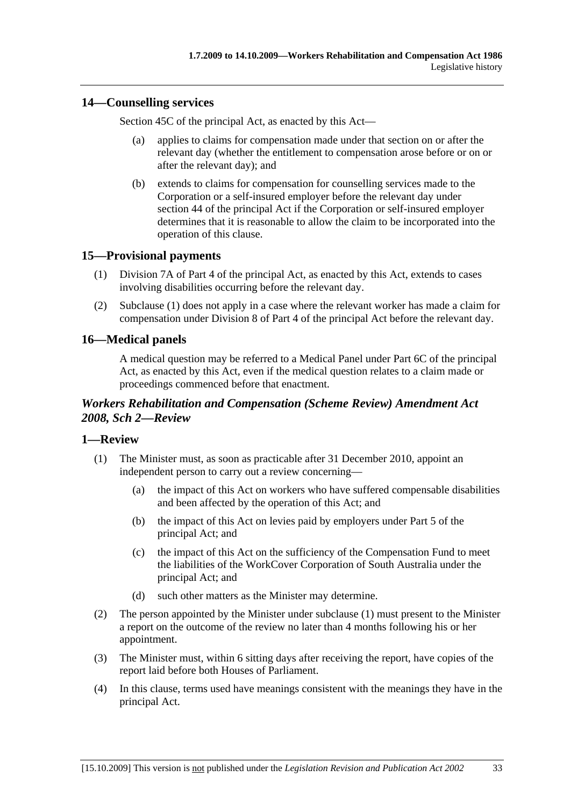### **14—Counselling services**

Section 45C of the principal Act, as enacted by this Act—

- (a) applies to claims for compensation made under that section on or after the relevant day (whether the entitlement to compensation arose before or on or after the relevant day); and
- (b) extends to claims for compensation for counselling services made to the Corporation or a self-insured employer before the relevant day under section 44 of the principal Act if the Corporation or self-insured employer determines that it is reasonable to allow the claim to be incorporated into the operation of this clause.

# **15—Provisional payments**

- (1) Division 7A of Part 4 of the principal Act, as enacted by this Act, extends to cases involving disabilities occurring before the relevant day.
- (2) Subclause (1) does not apply in a case where the relevant worker has made a claim for compensation under Division 8 of Part 4 of the principal Act before the relevant day.

# **16—Medical panels**

A medical question may be referred to a Medical Panel under Part 6C of the principal Act, as enacted by this Act, even if the medical question relates to a claim made or proceedings commenced before that enactment.

# *Workers Rehabilitation and Compensation (Scheme Review) Amendment Act 2008, Sch 2—Review*

### **1—Review**

- (1) The Minister must, as soon as practicable after 31 December 2010, appoint an independent person to carry out a review concerning—
	- (a) the impact of this Act on workers who have suffered compensable disabilities and been affected by the operation of this Act; and
	- (b) the impact of this Act on levies paid by employers under Part 5 of the principal Act; and
	- (c) the impact of this Act on the sufficiency of the Compensation Fund to meet the liabilities of the WorkCover Corporation of South Australia under the principal Act; and
	- (d) such other matters as the Minister may determine.
- (2) The person appointed by the Minister under subclause (1) must present to the Minister a report on the outcome of the review no later than 4 months following his or her appointment.
- (3) The Minister must, within 6 sitting days after receiving the report, have copies of the report laid before both Houses of Parliament.
- (4) In this clause, terms used have meanings consistent with the meanings they have in the principal Act.